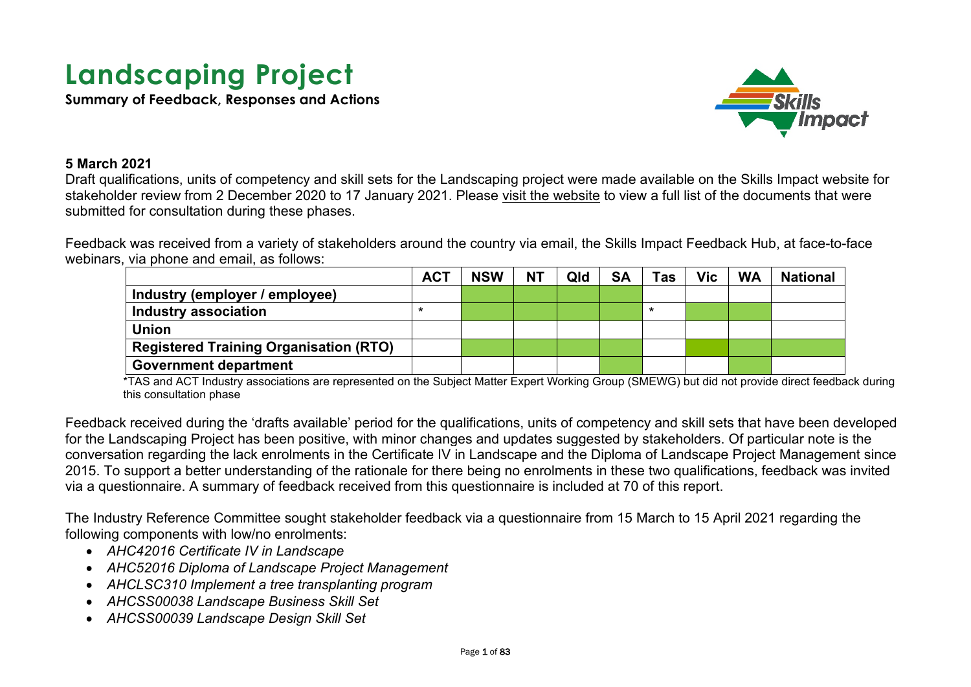# **Landscaping Project**

**Summary of Feedback, Responses and Actions**



#### **5 March 2021**

Draft qualifications, units of competency and skill sets for the Landscaping project were made available on the Skills Impact website for stakeholder review from 2 December 2020 to 17 January 2021. Please [visit the website](https://www.skillsimpact.com.au/horticulture-conservation-and-land-management/training-package-projects/landscaping-project/) to view a full list of the documents that were submitted for consultation during these phases.

Feedback was received from a variety of stakeholders around the country via email, the Skills Impact Feedback Hub, at face-to-face webinars, via phone and email, as follows:

|                                               | <b>ACT</b> | <b>NSW</b> | <b>NT</b> | Qld | <b>SA</b> | Tas | Vic | <b>WA</b> | <b>National</b> |
|-----------------------------------------------|------------|------------|-----------|-----|-----------|-----|-----|-----------|-----------------|
| Industry (employer / employee)                |            |            |           |     |           |     |     |           |                 |
| Industry association                          |            |            |           |     |           | *   |     |           |                 |
| <b>Union</b>                                  |            |            |           |     |           |     |     |           |                 |
| <b>Registered Training Organisation (RTO)</b> |            |            |           |     |           |     |     |           |                 |
| <b>Government department</b>                  |            |            |           |     |           |     |     |           |                 |

\*TAS and ACT Industry associations are represented on the Subject Matter Expert Working Group (SMEWG) but did not provide direct feedback during this consultation phase

Feedback received during the 'drafts available' period for the qualifications, units of competency and skill sets that have been developed for the Landscaping Project has been positive, with minor changes and updates suggested by stakeholders. Of particular note is the conversation regarding the lack enrolments in the Certificate IV in Landscape and the Diploma of Landscape Project Management since 2015. To support a better understanding of the rationale for there being no enrolments in these two qualifications, feedback was invited via a questionnaire. A summary of feedback received from this questionnaire is included at [70](#page-69-0) of this report.

The Industry Reference Committee sought stakeholder feedback via a questionnaire from 15 March to 15 April 2021 regarding the following components with low/no enrolments:

- *AHC42016 Certificate IV in Landscape*
- *AHC52016 Diploma of Landscape Project Management*
- *AHCLSC310 Implement a tree transplanting program*
- *AHCSS00038 Landscape Business Skill Set*
- *AHCSS00039 Landscape Design Skill Set*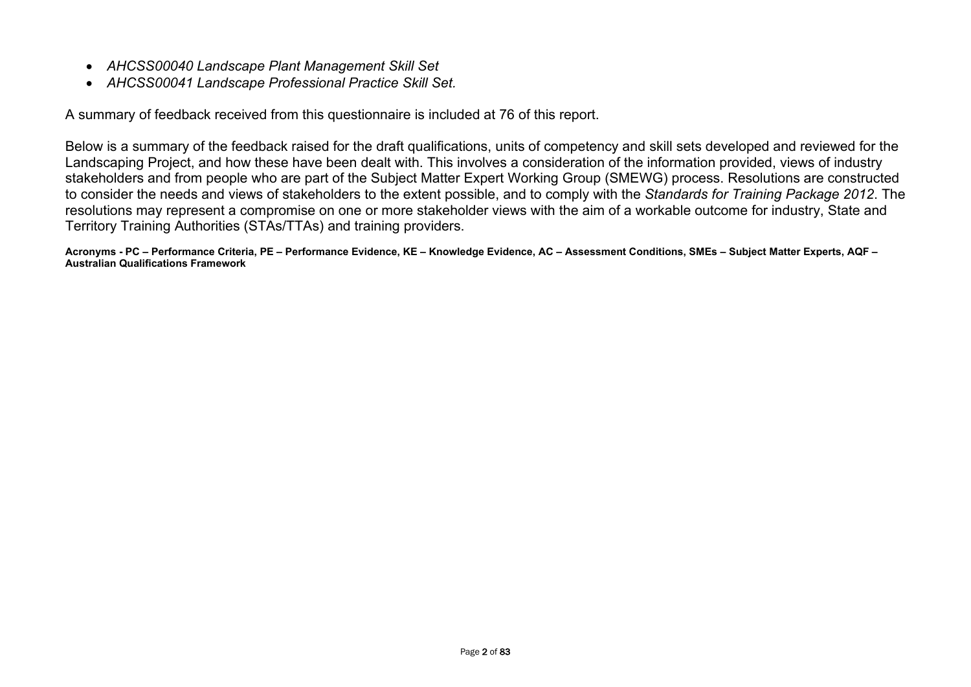- *AHCSS00040 Landscape Plant Management Skill Set*
- *AHCSS00041 Landscape Professional Practice Skill Set.*

A summary of feedback received from this questionnaire is included at [76](#page-75-0) of this report.

Below is a summary of the feedback raised for the draft qualifications, units of competency and skill sets developed and reviewed for the Landscaping Project, and how these have been dealt with. This involves a consideration of the information provided, views of industry stakeholders and from people who are part of the Subject Matter Expert Working Group (SMEWG) process. Resolutions are constructed to consider the needs and views of stakeholders to the extent possible, and to comply with the *Standards for Training Package 2012*. The resolutions may represent a compromise on one or more stakeholder views with the aim of a workable outcome for industry, State and Territory Training Authorities (STAs/TTAs) and training providers.

**Acronyms - PC – Performance Criteria, PE – Performance Evidence, KE – Knowledge Evidence, AC – Assessment Conditions, SMEs – Subject Matter Experts, AQF – Australian Qualifications Framework**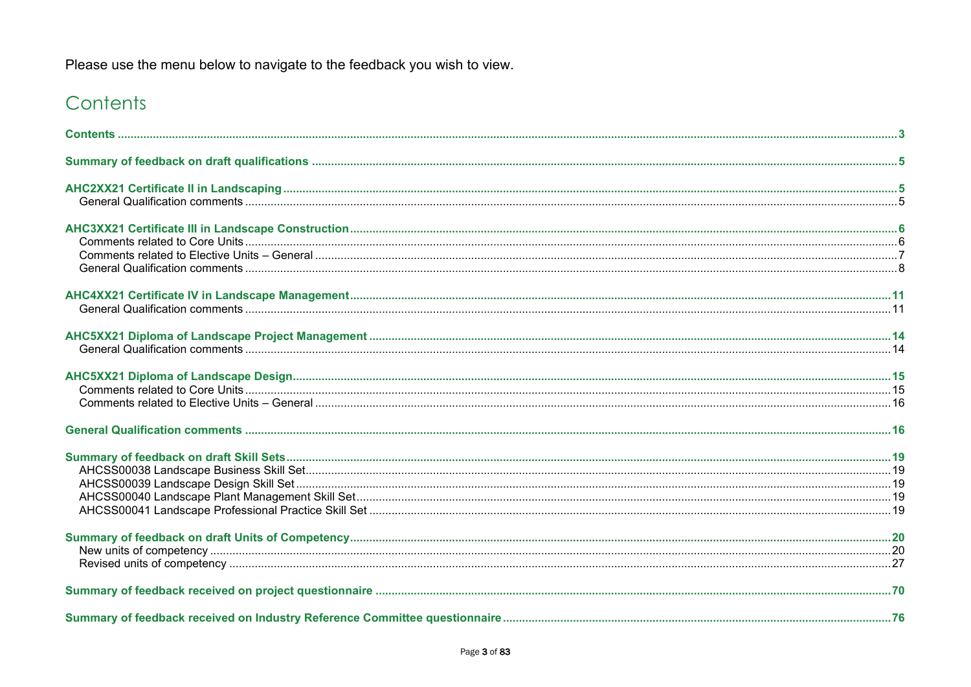Please use the menu below to navigate to the feedback you wish to view.

# <span id="page-2-0"></span>Contents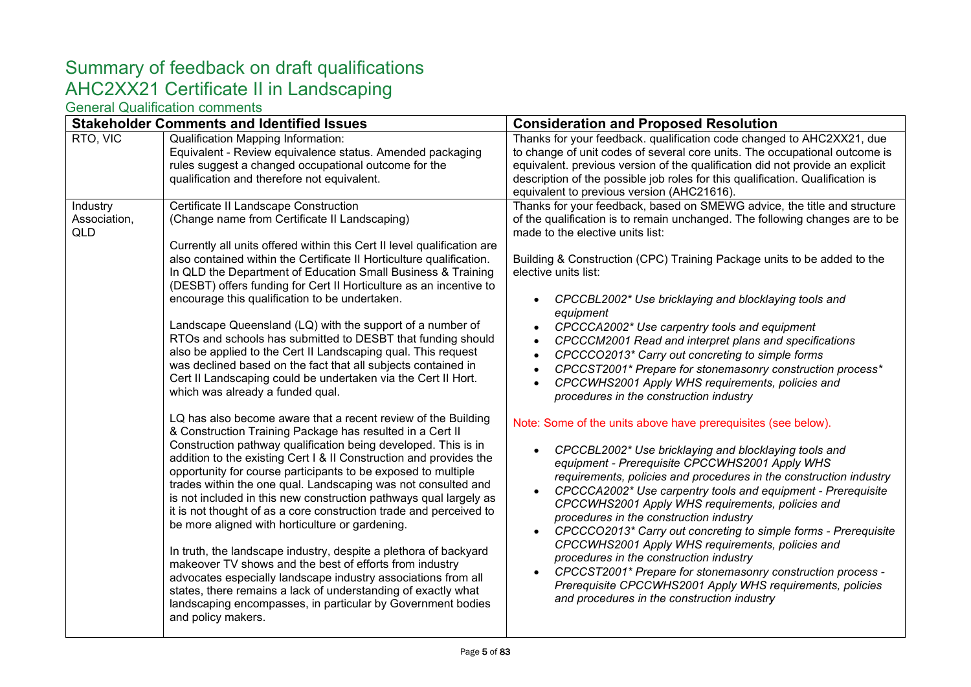# <span id="page-4-1"></span><span id="page-4-0"></span>Summary of feedback on draft qualifications AHC2XX21 Certificate II in Landscaping

<span id="page-4-2"></span>

|                                        | <b>Stakeholder Comments and Identified Issues</b>                                                                                                                                                                                                                                                                                                                                                                                                                                                                                                                                                                                                                                                                                                                                                                                                                                                                                                        | <b>Consideration and Proposed Resolution</b>                                                                                                                                                                                                                                                                                                                                                                                                                                                                                                                                                                                                                                                                                                               |
|----------------------------------------|----------------------------------------------------------------------------------------------------------------------------------------------------------------------------------------------------------------------------------------------------------------------------------------------------------------------------------------------------------------------------------------------------------------------------------------------------------------------------------------------------------------------------------------------------------------------------------------------------------------------------------------------------------------------------------------------------------------------------------------------------------------------------------------------------------------------------------------------------------------------------------------------------------------------------------------------------------|------------------------------------------------------------------------------------------------------------------------------------------------------------------------------------------------------------------------------------------------------------------------------------------------------------------------------------------------------------------------------------------------------------------------------------------------------------------------------------------------------------------------------------------------------------------------------------------------------------------------------------------------------------------------------------------------------------------------------------------------------------|
| RTO, VIC                               | <b>Qualification Mapping Information:</b><br>Equivalent - Review equivalence status. Amended packaging<br>rules suggest a changed occupational outcome for the<br>qualification and therefore not equivalent.                                                                                                                                                                                                                                                                                                                                                                                                                                                                                                                                                                                                                                                                                                                                            | Thanks for your feedback. qualification code changed to AHC2XX21, due<br>to change of unit codes of several core units. The occupational outcome is<br>equivalent. previous version of the qualification did not provide an explicit<br>description of the possible job roles for this qualification. Qualification is<br>equivalent to previous version (AHC21616).                                                                                                                                                                                                                                                                                                                                                                                       |
| Industry<br>Association,<br><b>QLD</b> | Certificate II Landscape Construction<br>(Change name from Certificate II Landscaping)<br>Currently all units offered within this Cert II level qualification are<br>also contained within the Certificate II Horticulture qualification.<br>In QLD the Department of Education Small Business & Training<br>(DESBT) offers funding for Cert II Horticulture as an incentive to<br>encourage this qualification to be undertaken.<br>Landscape Queensland (LQ) with the support of a number of<br>RTOs and schools has submitted to DESBT that funding should<br>also be applied to the Cert II Landscaping qual. This request<br>was declined based on the fact that all subjects contained in<br>Cert II Landscaping could be undertaken via the Cert II Hort.<br>which was already a funded qual.                                                                                                                                                     | Thanks for your feedback, based on SMEWG advice, the title and structure<br>of the qualification is to remain unchanged. The following changes are to be<br>made to the elective units list:<br>Building & Construction (CPC) Training Package units to be added to the<br>elective units list:<br>CPCCBL2002* Use bricklaying and blocklaying tools and<br>equipment<br>CPCCCA2002* Use carpentry tools and equipment<br>CPCCCM2001 Read and interpret plans and specifications<br>CPCCCO2013* Carry out concreting to simple forms<br>CPCCST2001* Prepare for stonemasonry construction process*<br>CPCCWHS2001 Apply WHS requirements, policies and<br>procedures in the construction industry                                                          |
|                                        | LQ has also become aware that a recent review of the Building<br>& Construction Training Package has resulted in a Cert II<br>Construction pathway qualification being developed. This is in<br>addition to the existing Cert I & II Construction and provides the<br>opportunity for course participants to be exposed to multiple<br>trades within the one qual. Landscaping was not consulted and<br>is not included in this new construction pathways qual largely as<br>it is not thought of as a core construction trade and perceived to<br>be more aligned with horticulture or gardening.<br>In truth, the landscape industry, despite a plethora of backyard<br>makeover TV shows and the best of efforts from industry<br>advocates especially landscape industry associations from all<br>states, there remains a lack of understanding of exactly what<br>landscaping encompasses, in particular by Government bodies<br>and policy makers. | Note: Some of the units above have prerequisites (see below).<br>CPCCBL2002* Use bricklaying and blocklaying tools and<br>equipment - Prerequisite CPCCWHS2001 Apply WHS<br>requirements, policies and procedures in the construction industry<br>CPCCCA2002* Use carpentry tools and equipment - Prerequisite<br>CPCCWHS2001 Apply WHS requirements, policies and<br>procedures in the construction industry<br>CPCCCO2013* Carry out concreting to simple forms - Prerequisite<br>CPCCWHS2001 Apply WHS requirements, policies and<br>procedures in the construction industry<br>CPCCST2001* Prepare for stonemasonry construction process -<br>Prerequisite CPCCWHS2001 Apply WHS requirements, policies<br>and procedures in the construction industry |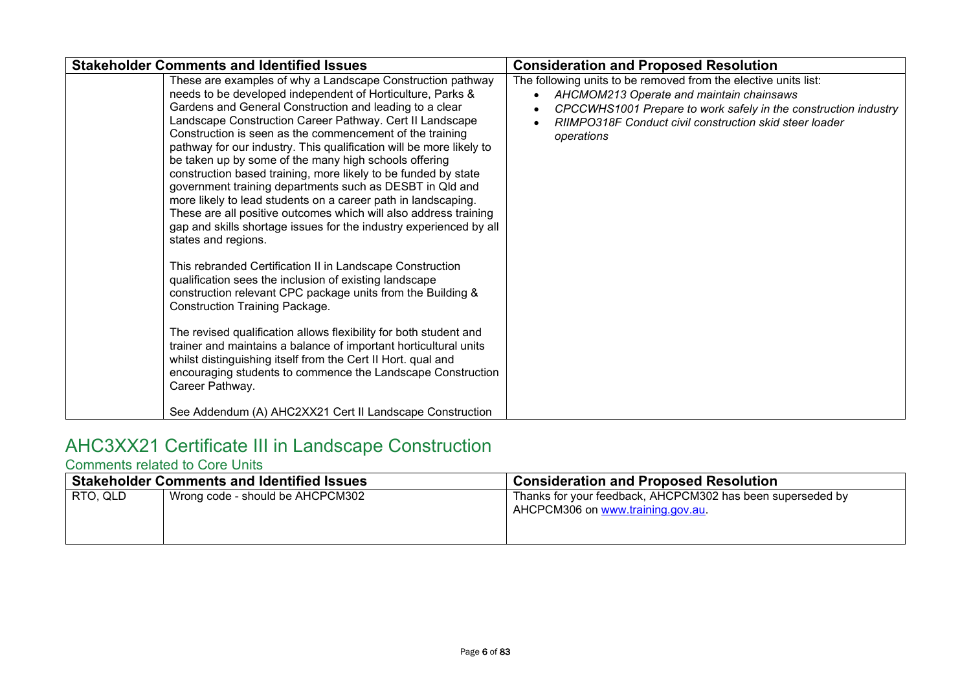| <b>Stakeholder Comments and Identified Issues</b>                                                                                                                                                                                                                                                                                                                                                                                                                                                                                                                                                                                                                                                                                                                                                                                                                                                                                                                                                                                                                                                                                                                                                                                                                                                                                                                                                 | <b>Consideration and Proposed Resolution</b>                                                                                                                                                                                                            |
|---------------------------------------------------------------------------------------------------------------------------------------------------------------------------------------------------------------------------------------------------------------------------------------------------------------------------------------------------------------------------------------------------------------------------------------------------------------------------------------------------------------------------------------------------------------------------------------------------------------------------------------------------------------------------------------------------------------------------------------------------------------------------------------------------------------------------------------------------------------------------------------------------------------------------------------------------------------------------------------------------------------------------------------------------------------------------------------------------------------------------------------------------------------------------------------------------------------------------------------------------------------------------------------------------------------------------------------------------------------------------------------------------|---------------------------------------------------------------------------------------------------------------------------------------------------------------------------------------------------------------------------------------------------------|
| These are examples of why a Landscape Construction pathway<br>needs to be developed independent of Horticulture, Parks &<br>Gardens and General Construction and leading to a clear<br>Landscape Construction Career Pathway. Cert II Landscape<br>Construction is seen as the commencement of the training<br>pathway for our industry. This qualification will be more likely to<br>be taken up by some of the many high schools offering<br>construction based training, more likely to be funded by state<br>government training departments such as DESBT in Qld and<br>more likely to lead students on a career path in landscaping.<br>These are all positive outcomes which will also address training<br>gap and skills shortage issues for the industry experienced by all<br>states and regions.<br>This rebranded Certification II in Landscape Construction<br>qualification sees the inclusion of existing landscape<br>construction relevant CPC package units from the Building &<br><b>Construction Training Package.</b><br>The revised qualification allows flexibility for both student and<br>trainer and maintains a balance of important horticultural units<br>whilst distinguishing itself from the Cert II Hort. qual and<br>encouraging students to commence the Landscape Construction<br>Career Pathway.<br>See Addendum (A) AHC2XX21 Cert II Landscape Construction | The following units to be removed from the elective units list:<br>AHCMOM213 Operate and maintain chainsaws<br>CPCCWHS1001 Prepare to work safely in the construction industry<br>RIIMPO318F Conduct civil construction skid steer loader<br>operations |
|                                                                                                                                                                                                                                                                                                                                                                                                                                                                                                                                                                                                                                                                                                                                                                                                                                                                                                                                                                                                                                                                                                                                                                                                                                                                                                                                                                                                   |                                                                                                                                                                                                                                                         |

# <span id="page-5-0"></span>AHC3XX21 Certificate III in Landscape Construction

### <span id="page-5-1"></span>Comments related to Core Units

|          | <b>Stakeholder Comments and Identified Issues</b> | <b>Consideration and Proposed Resolution</b>                                                    |
|----------|---------------------------------------------------|-------------------------------------------------------------------------------------------------|
| RTO. QLD | Wrong code - should be AHCPCM302                  | Thanks for your feedback, AHCPCM302 has been superseded by<br>AHCPCM306 on www.training.gov.au. |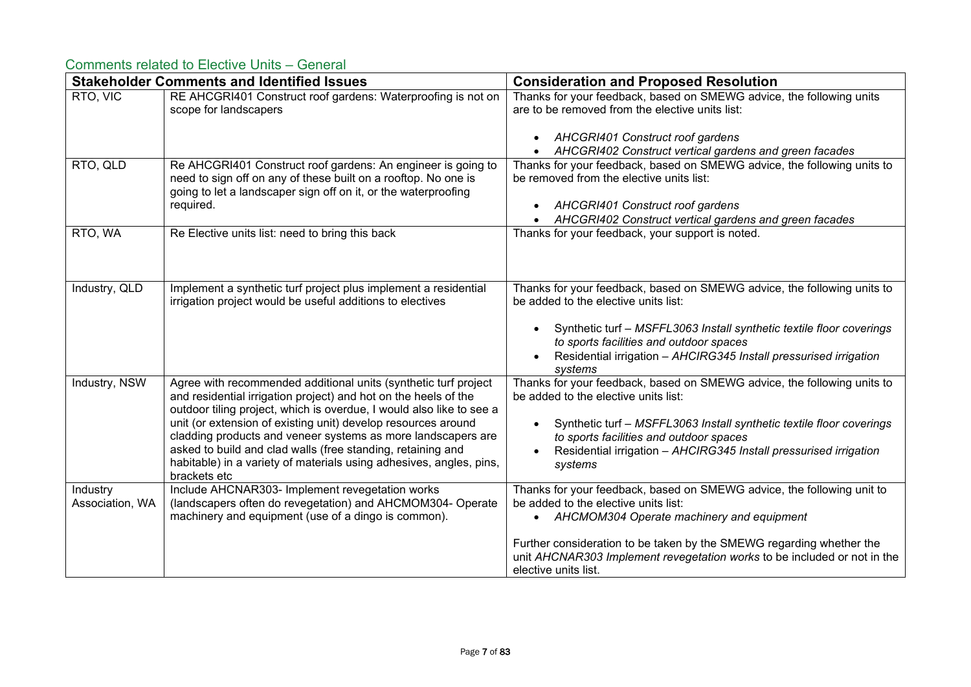### <span id="page-6-0"></span>Comments related to Elective Units – General

|                             | <b>Stakeholder Comments and Identified Issues</b>                                                                                                                                                                                                                                                                                                                                                                                                                                                 | <b>Consideration and Proposed Resolution</b>                                                                                                                                                                                                                                                                                              |
|-----------------------------|---------------------------------------------------------------------------------------------------------------------------------------------------------------------------------------------------------------------------------------------------------------------------------------------------------------------------------------------------------------------------------------------------------------------------------------------------------------------------------------------------|-------------------------------------------------------------------------------------------------------------------------------------------------------------------------------------------------------------------------------------------------------------------------------------------------------------------------------------------|
| RTO, VIC                    | RE AHCGRI401 Construct roof gardens: Waterproofing is not on<br>scope for landscapers                                                                                                                                                                                                                                                                                                                                                                                                             | Thanks for your feedback, based on SMEWG advice, the following units<br>are to be removed from the elective units list:                                                                                                                                                                                                                   |
|                             |                                                                                                                                                                                                                                                                                                                                                                                                                                                                                                   | AHCGRI401 Construct roof gardens<br>AHCGRI402 Construct vertical gardens and green facades                                                                                                                                                                                                                                                |
| RTO, QLD                    | Re AHCGRI401 Construct roof gardens: An engineer is going to<br>need to sign off on any of these built on a rooftop. No one is<br>going to let a landscaper sign off on it, or the waterproofing<br>required.                                                                                                                                                                                                                                                                                     | Thanks for your feedback, based on SMEWG advice, the following units to<br>be removed from the elective units list:<br>AHCGRI401 Construct roof gardens<br>AHCGRI402 Construct vertical gardens and green facades                                                                                                                         |
| RTO, WA                     | Re Elective units list: need to bring this back                                                                                                                                                                                                                                                                                                                                                                                                                                                   | Thanks for your feedback, your support is noted.                                                                                                                                                                                                                                                                                          |
| Industry, QLD               | Implement a synthetic turf project plus implement a residential<br>irrigation project would be useful additions to electives                                                                                                                                                                                                                                                                                                                                                                      | Thanks for your feedback, based on SMEWG advice, the following units to<br>be added to the elective units list:<br>Synthetic turf - MSFFL3063 Install synthetic textile floor coverings<br>to sports facilities and outdoor spaces<br>Residential irrigation - AHCIRG345 Install pressurised irrigation<br>systems                        |
| <b>Industry, NSW</b>        | Agree with recommended additional units (synthetic turf project<br>and residential irrigation project) and hot on the heels of the<br>outdoor tiling project, which is overdue, I would also like to see a<br>unit (or extension of existing unit) develop resources around<br>cladding products and veneer systems as more landscapers are<br>asked to build and clad walls (free standing, retaining and<br>habitable) in a variety of materials using adhesives, angles, pins,<br>brackets etc | Thanks for your feedback, based on SMEWG advice, the following units to<br>be added to the elective units list:<br>Synthetic turf - MSFFL3063 Install synthetic textile floor coverings<br>to sports facilities and outdoor spaces<br>Residential irrigation - AHCIRG345 Install pressurised irrigation<br>systems                        |
| Industry<br>Association, WA | Include AHCNAR303- Implement revegetation works<br>(landscapers often do revegetation) and AHCMOM304- Operate<br>machinery and equipment (use of a dingo is common).                                                                                                                                                                                                                                                                                                                              | Thanks for your feedback, based on SMEWG advice, the following unit to<br>be added to the elective units list:<br>• AHCMOM304 Operate machinery and equipment<br>Further consideration to be taken by the SMEWG regarding whether the<br>unit AHCNAR303 Implement revegetation works to be included or not in the<br>elective units list. |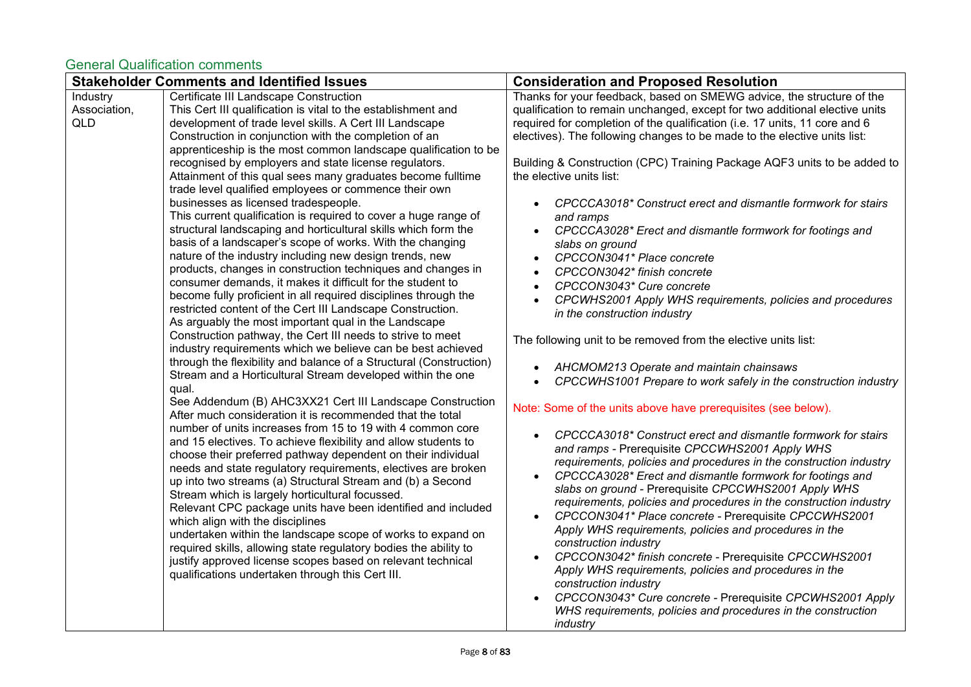<span id="page-7-0"></span>

|                                        | <b>Stakeholder Comments and Identified Issues</b>                                                                                                                                                                                                                                                                                                                                                                                                                                                                                                                                                                                                                                                                                                                                                                                                                                                                                                                                                                                                                                                                                                                                                                                                                                                                                                                                                                                                                                                                                                                                                                                                                                                                                                                                                                                                                                                                                                                                                                                                                                                                                                                                                                                                          | <b>Consideration and Proposed Resolution</b>                                                                                                                                                                                                                                                                                                                                                                                                                                                                                                                                                                                                                                                                                                                                                                                                                                                                                                                                                                                                                                                                                                                                                                                                                                                                                                                                                                                                                                                                                                                                                                                                                                                                                                                                                                                                          |
|----------------------------------------|------------------------------------------------------------------------------------------------------------------------------------------------------------------------------------------------------------------------------------------------------------------------------------------------------------------------------------------------------------------------------------------------------------------------------------------------------------------------------------------------------------------------------------------------------------------------------------------------------------------------------------------------------------------------------------------------------------------------------------------------------------------------------------------------------------------------------------------------------------------------------------------------------------------------------------------------------------------------------------------------------------------------------------------------------------------------------------------------------------------------------------------------------------------------------------------------------------------------------------------------------------------------------------------------------------------------------------------------------------------------------------------------------------------------------------------------------------------------------------------------------------------------------------------------------------------------------------------------------------------------------------------------------------------------------------------------------------------------------------------------------------------------------------------------------------------------------------------------------------------------------------------------------------------------------------------------------------------------------------------------------------------------------------------------------------------------------------------------------------------------------------------------------------------------------------------------------------------------------------------------------------|-------------------------------------------------------------------------------------------------------------------------------------------------------------------------------------------------------------------------------------------------------------------------------------------------------------------------------------------------------------------------------------------------------------------------------------------------------------------------------------------------------------------------------------------------------------------------------------------------------------------------------------------------------------------------------------------------------------------------------------------------------------------------------------------------------------------------------------------------------------------------------------------------------------------------------------------------------------------------------------------------------------------------------------------------------------------------------------------------------------------------------------------------------------------------------------------------------------------------------------------------------------------------------------------------------------------------------------------------------------------------------------------------------------------------------------------------------------------------------------------------------------------------------------------------------------------------------------------------------------------------------------------------------------------------------------------------------------------------------------------------------------------------------------------------------------------------------------------------------|
| Industry<br>Association,<br><b>QLD</b> | Certificate III Landscape Construction<br>This Cert III qualification is vital to the establishment and<br>development of trade level skills. A Cert III Landscape<br>Construction in conjunction with the completion of an<br>apprenticeship is the most common landscape qualification to be<br>recognised by employers and state license regulators.<br>Attainment of this qual sees many graduates become fulltime<br>trade level qualified employees or commence their own<br>businesses as licensed tradespeople.<br>This current qualification is required to cover a huge range of<br>structural landscaping and horticultural skills which form the<br>basis of a landscaper's scope of works. With the changing<br>nature of the industry including new design trends, new<br>products, changes in construction techniques and changes in<br>consumer demands, it makes it difficult for the student to<br>become fully proficient in all required disciplines through the<br>restricted content of the Cert III Landscape Construction.<br>As arguably the most important qual in the Landscape<br>Construction pathway, the Cert III needs to strive to meet<br>industry requirements which we believe can be best achieved<br>through the flexibility and balance of a Structural (Construction)<br>Stream and a Horticultural Stream developed within the one<br>qual.<br>See Addendum (B) AHC3XX21 Cert III Landscape Construction<br>After much consideration it is recommended that the total<br>number of units increases from 15 to 19 with 4 common core<br>and 15 electives. To achieve flexibility and allow students to<br>choose their preferred pathway dependent on their individual<br>needs and state regulatory requirements, electives are broken<br>up into two streams (a) Structural Stream and (b) a Second<br>Stream which is largely horticultural focussed.<br>Relevant CPC package units have been identified and included<br>which align with the disciplines<br>undertaken within the landscape scope of works to expand on<br>required skills, allowing state regulatory bodies the ability to<br>justify approved license scopes based on relevant technical<br>qualifications undertaken through this Cert III. | Thanks for your feedback, based on SMEWG advice, the structure of the<br>qualification to remain unchanged, except for two additional elective units<br>required for completion of the qualification (i.e. 17 units, 11 core and 6<br>electives). The following changes to be made to the elective units list:<br>Building & Construction (CPC) Training Package AQF3 units to be added to<br>the elective units list:<br>CPCCCA3018* Construct erect and dismantle formwork for stairs<br>and ramps<br>CPCCCA3028* Erect and dismantle formwork for footings and<br>slabs on ground<br>CPCCON3041* Place concrete<br>CPCCON3042* finish concrete<br>CPCCON3043* Cure concrete<br>CPCWHS2001 Apply WHS requirements, policies and procedures<br>in the construction industry<br>The following unit to be removed from the elective units list:<br>AHCMOM213 Operate and maintain chainsaws<br>CPCCWHS1001 Prepare to work safely in the construction industry<br>Note: Some of the units above have prerequisites (see below).<br>CPCCCA3018* Construct erect and dismantle formwork for stairs<br>and ramps - Prerequisite CPCCWHS2001 Apply WHS<br>requirements, policies and procedures in the construction industry<br>CPCCCA3028* Erect and dismantle formwork for footings and<br>slabs on ground - Prerequisite CPCCWHS2001 Apply WHS<br>requirements, policies and procedures in the construction industry<br>CPCCON3041* Place concrete - Prerequisite CPCCWHS2001<br>Apply WHS requirements, policies and procedures in the<br>construction industry<br>CPCCON3042* finish concrete - Prerequisite CPCCWHS2001<br>Apply WHS requirements, policies and procedures in the<br>construction industry<br>CPCCON3043* Cure concrete - Prerequisite CPCWHS2001 Apply<br>WHS requirements, policies and procedures in the construction<br>industry |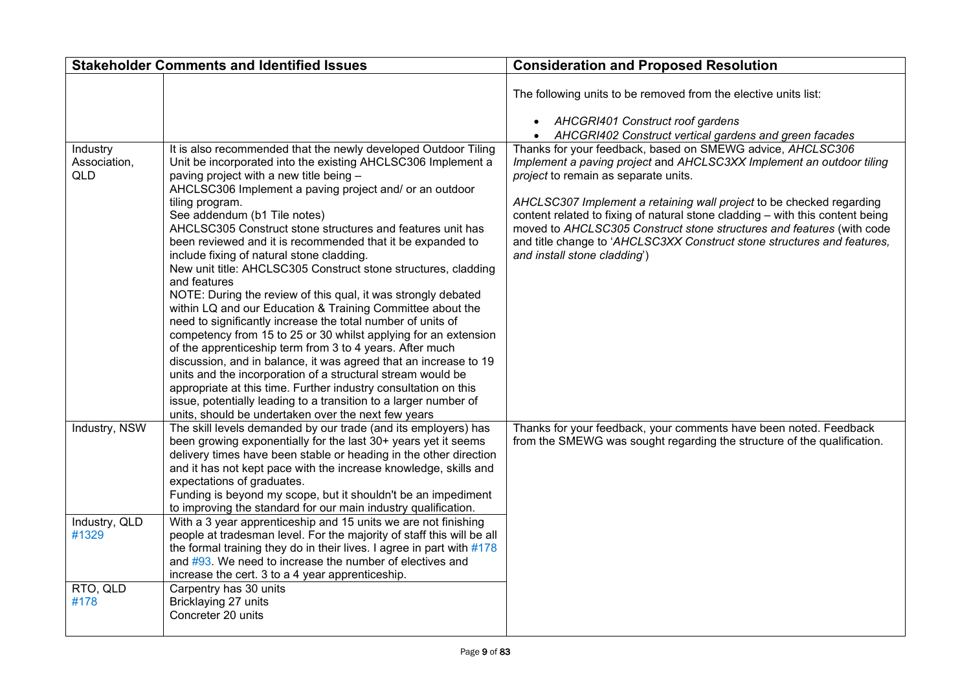|                                        | <b>Stakeholder Comments and Identified Issues</b>                                                                                                                                                                                                                                                                                                                                                                                                                                                                                                                                                                                                                                                                                                                                                                                                                                                                                                                                                                                                                                                                                                                                                                | <b>Consideration and Proposed Resolution</b>                                                                                                                                                                                                                                                                                                                                                                                                                                                                            |
|----------------------------------------|------------------------------------------------------------------------------------------------------------------------------------------------------------------------------------------------------------------------------------------------------------------------------------------------------------------------------------------------------------------------------------------------------------------------------------------------------------------------------------------------------------------------------------------------------------------------------------------------------------------------------------------------------------------------------------------------------------------------------------------------------------------------------------------------------------------------------------------------------------------------------------------------------------------------------------------------------------------------------------------------------------------------------------------------------------------------------------------------------------------------------------------------------------------------------------------------------------------|-------------------------------------------------------------------------------------------------------------------------------------------------------------------------------------------------------------------------------------------------------------------------------------------------------------------------------------------------------------------------------------------------------------------------------------------------------------------------------------------------------------------------|
|                                        |                                                                                                                                                                                                                                                                                                                                                                                                                                                                                                                                                                                                                                                                                                                                                                                                                                                                                                                                                                                                                                                                                                                                                                                                                  | The following units to be removed from the elective units list:<br>• AHCGRI401 Construct roof gardens<br>AHCGRI402 Construct vertical gardens and green facades                                                                                                                                                                                                                                                                                                                                                         |
| Industry<br>Association,<br><b>QLD</b> | It is also recommended that the newly developed Outdoor Tiling<br>Unit be incorporated into the existing AHCLSC306 Implement a<br>paving project with a new title being -<br>AHCLSC306 Implement a paving project and/ or an outdoor<br>tiling program.<br>See addendum (b1 Tile notes)<br>AHCLSC305 Construct stone structures and features unit has<br>been reviewed and it is recommended that it be expanded to<br>include fixing of natural stone cladding.<br>New unit title: AHCLSC305 Construct stone structures, cladding<br>and features<br>NOTE: During the review of this qual, it was strongly debated<br>within LQ and our Education & Training Committee about the<br>need to significantly increase the total number of units of<br>competency from 15 to 25 or 30 whilst applying for an extension<br>of the apprenticeship term from 3 to 4 years. After much<br>discussion, and in balance, it was agreed that an increase to 19<br>units and the incorporation of a structural stream would be<br>appropriate at this time. Further industry consultation on this<br>issue, potentially leading to a transition to a larger number of<br>units, should be undertaken over the next few years | Thanks for your feedback, based on SMEWG advice, AHCLSC306<br>Implement a paving project and AHCLSC3XX Implement an outdoor tiling<br>project to remain as separate units.<br>AHCLSC307 Implement a retaining wall project to be checked regarding<br>content related to fixing of natural stone cladding - with this content being<br>moved to AHCLSC305 Construct stone structures and features (with code<br>and title change to 'AHCLSC3XX Construct stone structures and features,<br>and install stone cladding') |
| Industry, NSW                          | The skill levels demanded by our trade (and its employers) has<br>been growing exponentially for the last 30+ years yet it seems<br>delivery times have been stable or heading in the other direction<br>and it has not kept pace with the increase knowledge, skills and<br>expectations of graduates.<br>Funding is beyond my scope, but it shouldn't be an impediment<br>to improving the standard for our main industry qualification.                                                                                                                                                                                                                                                                                                                                                                                                                                                                                                                                                                                                                                                                                                                                                                       | Thanks for your feedback, your comments have been noted. Feedback<br>from the SMEWG was sought regarding the structure of the qualification.                                                                                                                                                                                                                                                                                                                                                                            |
| Industry, QLD<br>#1329                 | With a 3 year apprenticeship and 15 units we are not finishing<br>people at tradesman level. For the majority of staff this will be all<br>the formal training they do in their lives. I agree in part with #178<br>and $\#93$ . We need to increase the number of electives and<br>increase the cert. 3 to a 4 year apprenticeship.                                                                                                                                                                                                                                                                                                                                                                                                                                                                                                                                                                                                                                                                                                                                                                                                                                                                             |                                                                                                                                                                                                                                                                                                                                                                                                                                                                                                                         |
| RTO, QLD<br>#178                       | Carpentry has 30 units<br>Bricklaying 27 units<br>Concreter 20 units                                                                                                                                                                                                                                                                                                                                                                                                                                                                                                                                                                                                                                                                                                                                                                                                                                                                                                                                                                                                                                                                                                                                             |                                                                                                                                                                                                                                                                                                                                                                                                                                                                                                                         |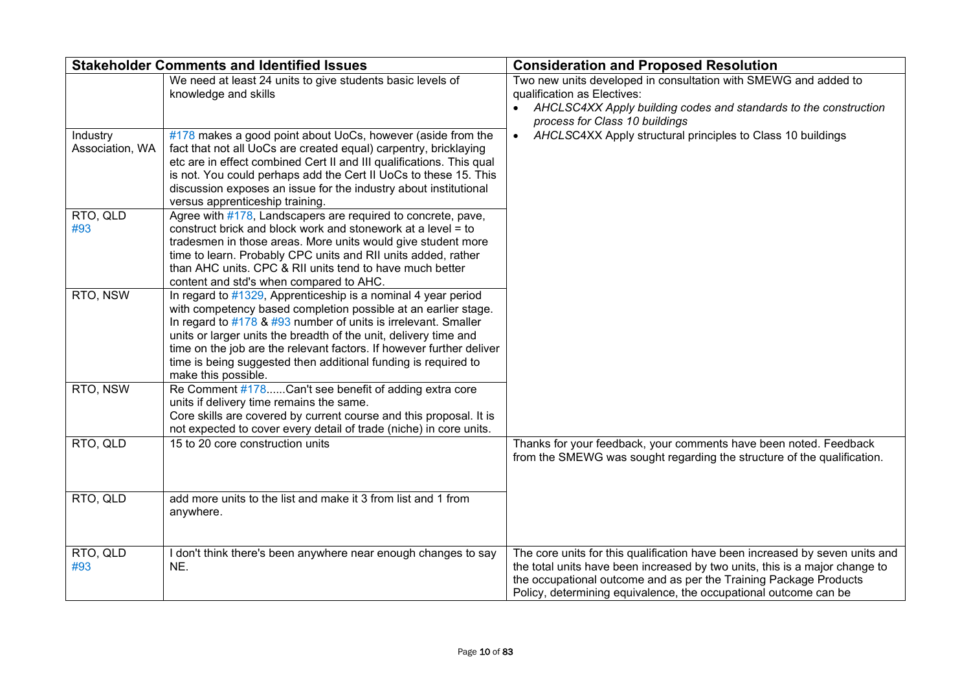|                             | <b>Stakeholder Comments and Identified Issues</b>                                                                                                                                                                                                                                                                                                                                                                                      | <b>Consideration and Proposed Resolution</b>                                                                                                                                                                                                                                                         |
|-----------------------------|----------------------------------------------------------------------------------------------------------------------------------------------------------------------------------------------------------------------------------------------------------------------------------------------------------------------------------------------------------------------------------------------------------------------------------------|------------------------------------------------------------------------------------------------------------------------------------------------------------------------------------------------------------------------------------------------------------------------------------------------------|
|                             | We need at least 24 units to give students basic levels of<br>knowledge and skills                                                                                                                                                                                                                                                                                                                                                     | Two new units developed in consultation with SMEWG and added to<br>qualification as Electives:<br>AHCLSC4XX Apply building codes and standards to the construction<br>process for Class 10 buildings                                                                                                 |
| Industry<br>Association, WA | $\#178$ makes a good point about UoCs, however (aside from the<br>fact that not all UoCs are created equal) carpentry, bricklaying<br>etc are in effect combined Cert II and III qualifications. This qual<br>is not. You could perhaps add the Cert II UoCs to these 15. This<br>discussion exposes an issue for the industry about institutional<br>versus apprenticeship training.                                                  | AHCLSC4XX Apply structural principles to Class 10 buildings                                                                                                                                                                                                                                          |
| RTO, QLD<br>#93             | Agree with #178, Landscapers are required to concrete, pave,<br>construct brick and block work and stonework at a level = to<br>tradesmen in those areas. More units would give student more<br>time to learn. Probably CPC units and RII units added, rather<br>than AHC units. CPC & RII units tend to have much better<br>content and std's when compared to AHC.                                                                   |                                                                                                                                                                                                                                                                                                      |
| RTO, NSW                    | In regard to #1329, Apprenticeship is a nominal 4 year period<br>with competency based completion possible at an earlier stage.<br>In regard to #178 & #93 number of units is irrelevant. Smaller<br>units or larger units the breadth of the unit, delivery time and<br>time on the job are the relevant factors. If however further deliver<br>time is being suggested then additional funding is required to<br>make this possible. |                                                                                                                                                                                                                                                                                                      |
| RTO, NSW                    | Re Comment #178Can't see benefit of adding extra core<br>units if delivery time remains the same.<br>Core skills are covered by current course and this proposal. It is<br>not expected to cover every detail of trade (niche) in core units.                                                                                                                                                                                          |                                                                                                                                                                                                                                                                                                      |
| RTO, QLD                    | 15 to 20 core construction units                                                                                                                                                                                                                                                                                                                                                                                                       | Thanks for your feedback, your comments have been noted. Feedback<br>from the SMEWG was sought regarding the structure of the qualification.                                                                                                                                                         |
| RTO, QLD                    | add more units to the list and make it 3 from list and 1 from<br>anywhere.                                                                                                                                                                                                                                                                                                                                                             |                                                                                                                                                                                                                                                                                                      |
| RTO, QLD<br>#93             | I don't think there's been anywhere near enough changes to say<br>NE.                                                                                                                                                                                                                                                                                                                                                                  | The core units for this qualification have been increased by seven units and<br>the total units have been increased by two units, this is a major change to<br>the occupational outcome and as per the Training Package Products<br>Policy, determining equivalence, the occupational outcome can be |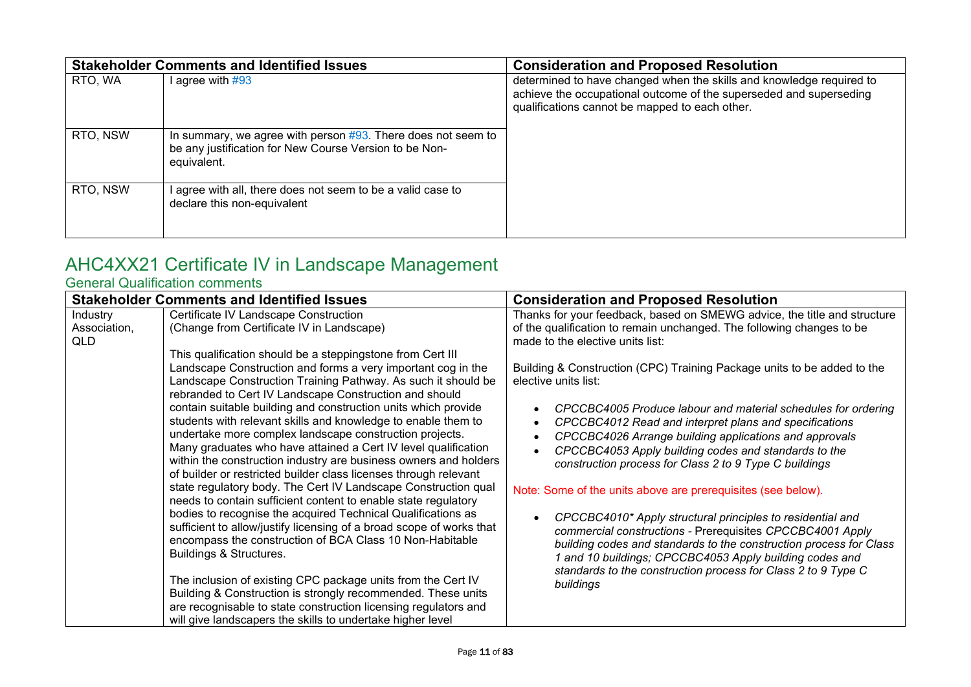|          | <b>Stakeholder Comments and Identified Issues</b>                                                                                        | <b>Consideration and Proposed Resolution</b>                                                                                                                                                 |
|----------|------------------------------------------------------------------------------------------------------------------------------------------|----------------------------------------------------------------------------------------------------------------------------------------------------------------------------------------------|
| RTO, WA  | l agree with #93                                                                                                                         | determined to have changed when the skills and knowledge required to<br>achieve the occupational outcome of the superseded and superseding<br>qualifications cannot be mapped to each other. |
| RTO, NSW | In summary, we agree with person $#93$ . There does not seem to<br>be any justification for New Course Version to be Non-<br>equivalent. |                                                                                                                                                                                              |
| RTO, NSW | agree with all, there does not seem to be a valid case to<br>declare this non-equivalent                                                 |                                                                                                                                                                                              |

# <span id="page-10-0"></span>AHC4XX21 Certificate IV in Landscape Management

<span id="page-10-1"></span>

|              | <b>Stakeholder Comments and Identified Issues</b>                                                                                    | <b>Consideration and Proposed Resolution</b>                                                                                  |
|--------------|--------------------------------------------------------------------------------------------------------------------------------------|-------------------------------------------------------------------------------------------------------------------------------|
| Industry     | Certificate IV Landscape Construction                                                                                                | Thanks for your feedback, based on SMEWG advice, the title and structure                                                      |
| Association, | (Change from Certificate IV in Landscape)                                                                                            | of the qualification to remain unchanged. The following changes to be                                                         |
| QLD          |                                                                                                                                      | made to the elective units list:                                                                                              |
|              | This qualification should be a steppingstone from Cert III                                                                           |                                                                                                                               |
|              | Landscape Construction and forms a very important cog in the                                                                         | Building & Construction (CPC) Training Package units to be added to the                                                       |
|              | Landscape Construction Training Pathway. As such it should be                                                                        | elective units list:                                                                                                          |
|              | rebranded to Cert IV Landscape Construction and should                                                                               |                                                                                                                               |
|              | contain suitable building and construction units which provide                                                                       | CPCCBC4005 Produce labour and material schedules for ordering                                                                 |
|              | students with relevant skills and knowledge to enable them to                                                                        | CPCCBC4012 Read and interpret plans and specifications                                                                        |
|              | undertake more complex landscape construction projects.                                                                              | CPCCBC4026 Arrange building applications and approvals                                                                        |
|              | Many graduates who have attained a Cert IV level qualification                                                                       | CPCCBC4053 Apply building codes and standards to the                                                                          |
|              | within the construction industry are business owners and holders<br>of builder or restricted builder class licenses through relevant | construction process for Class 2 to 9 Type C buildings                                                                        |
|              | state regulatory body. The Cert IV Landscape Construction qual                                                                       |                                                                                                                               |
|              | needs to contain sufficient content to enable state regulatory                                                                       | Note: Some of the units above are prerequisites (see below).                                                                  |
|              | bodies to recognise the acquired Technical Qualifications as                                                                         |                                                                                                                               |
|              | sufficient to allow/justify licensing of a broad scope of works that                                                                 | CPCCBC4010* Apply structural principles to residential and                                                                    |
|              | encompass the construction of BCA Class 10 Non-Habitable                                                                             | commercial constructions - Prerequisites CPCCBC4001 Apply                                                                     |
|              | Buildings & Structures.                                                                                                              | building codes and standards to the construction process for Class<br>1 and 10 buildings; CPCCBC4053 Apply building codes and |
|              |                                                                                                                                      | standards to the construction process for Class 2 to 9 Type C                                                                 |
|              | The inclusion of existing CPC package units from the Cert IV                                                                         | buildings                                                                                                                     |
|              | Building & Construction is strongly recommended. These units                                                                         |                                                                                                                               |
|              | are recognisable to state construction licensing regulators and                                                                      |                                                                                                                               |
|              | will give landscapers the skills to undertake higher level                                                                           |                                                                                                                               |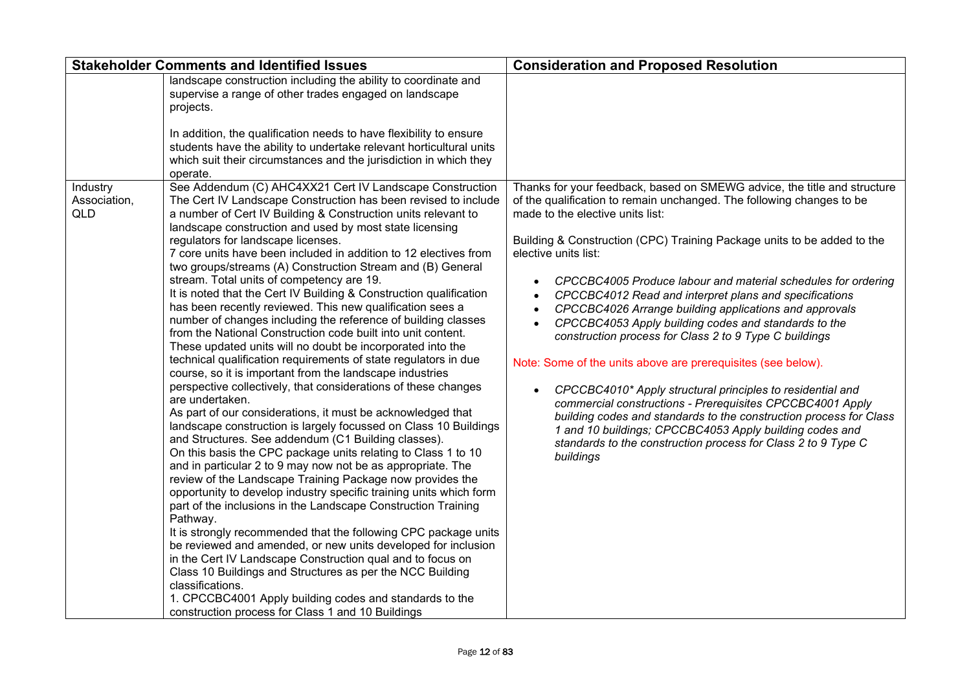|                                        | <b>Stakeholder Comments and Identified Issues</b>                                                                                                                                                                                                                                                                                                                                                                                                                                                                                                                                                                                                                                                                                                                                                                                                                                                                                                                                                                                                                                                                                                                                                                                                                                                                                                                                     | <b>Consideration and Proposed Resolution</b>                                                                                                                                                                                                                                                                                                                                                                                                                                                                                                                                                                                                                    |
|----------------------------------------|---------------------------------------------------------------------------------------------------------------------------------------------------------------------------------------------------------------------------------------------------------------------------------------------------------------------------------------------------------------------------------------------------------------------------------------------------------------------------------------------------------------------------------------------------------------------------------------------------------------------------------------------------------------------------------------------------------------------------------------------------------------------------------------------------------------------------------------------------------------------------------------------------------------------------------------------------------------------------------------------------------------------------------------------------------------------------------------------------------------------------------------------------------------------------------------------------------------------------------------------------------------------------------------------------------------------------------------------------------------------------------------|-----------------------------------------------------------------------------------------------------------------------------------------------------------------------------------------------------------------------------------------------------------------------------------------------------------------------------------------------------------------------------------------------------------------------------------------------------------------------------------------------------------------------------------------------------------------------------------------------------------------------------------------------------------------|
| Industry<br>Association,<br><b>QLD</b> | landscape construction including the ability to coordinate and<br>supervise a range of other trades engaged on landscape<br>projects.<br>In addition, the qualification needs to have flexibility to ensure<br>students have the ability to undertake relevant horticultural units<br>which suit their circumstances and the jurisdiction in which they<br>operate.<br>See Addendum (C) AHC4XX21 Cert IV Landscape Construction<br>The Cert IV Landscape Construction has been revised to include<br>a number of Cert IV Building & Construction units relevant to<br>landscape construction and used by most state licensing<br>regulators for landscape licenses.<br>7 core units have been included in addition to 12 electives from<br>two groups/streams (A) Construction Stream and (B) General<br>stream. Total units of competency are 19.<br>It is noted that the Cert IV Building & Construction qualification<br>has been recently reviewed. This new qualification sees a<br>number of changes including the reference of building classes<br>from the National Construction code built into unit content.<br>These updated units will no doubt be incorporated into the<br>technical qualification requirements of state regulators in due<br>course, so it is important from the landscape industries<br>perspective collectively, that considerations of these changes | Thanks for your feedback, based on SMEWG advice, the title and structure<br>of the qualification to remain unchanged. The following changes to be<br>made to the elective units list:<br>Building & Construction (CPC) Training Package units to be added to the<br>elective units list:<br>CPCCBC4005 Produce labour and material schedules for ordering<br>CPCCBC4012 Read and interpret plans and specifications<br>CPCCBC4026 Arrange building applications and approvals<br>CPCCBC4053 Apply building codes and standards to the<br>construction process for Class 2 to 9 Type C buildings<br>Note: Some of the units above are prerequisites (see below). |
|                                        | are undertaken.<br>As part of our considerations, it must be acknowledged that<br>landscape construction is largely focussed on Class 10 Buildings<br>and Structures. See addendum (C1 Building classes).<br>On this basis the CPC package units relating to Class 1 to 10<br>and in particular 2 to 9 may now not be as appropriate. The<br>review of the Landscape Training Package now provides the<br>opportunity to develop industry specific training units which form<br>part of the inclusions in the Landscape Construction Training<br>Pathway.<br>It is strongly recommended that the following CPC package units<br>be reviewed and amended, or new units developed for inclusion<br>in the Cert IV Landscape Construction qual and to focus on<br>Class 10 Buildings and Structures as per the NCC Building<br>classifications.<br>1. CPCCBC4001 Apply building codes and standards to the<br>construction process for Class 1 and 10 Buildings                                                                                                                                                                                                                                                                                                                                                                                                                          | CPCCBC4010* Apply structural principles to residential and<br>commercial constructions - Prerequisites CPCCBC4001 Apply<br>building codes and standards to the construction process for Class<br>1 and 10 buildings; CPCCBC4053 Apply building codes and<br>standards to the construction process for Class 2 to 9 Type C<br>buildings                                                                                                                                                                                                                                                                                                                          |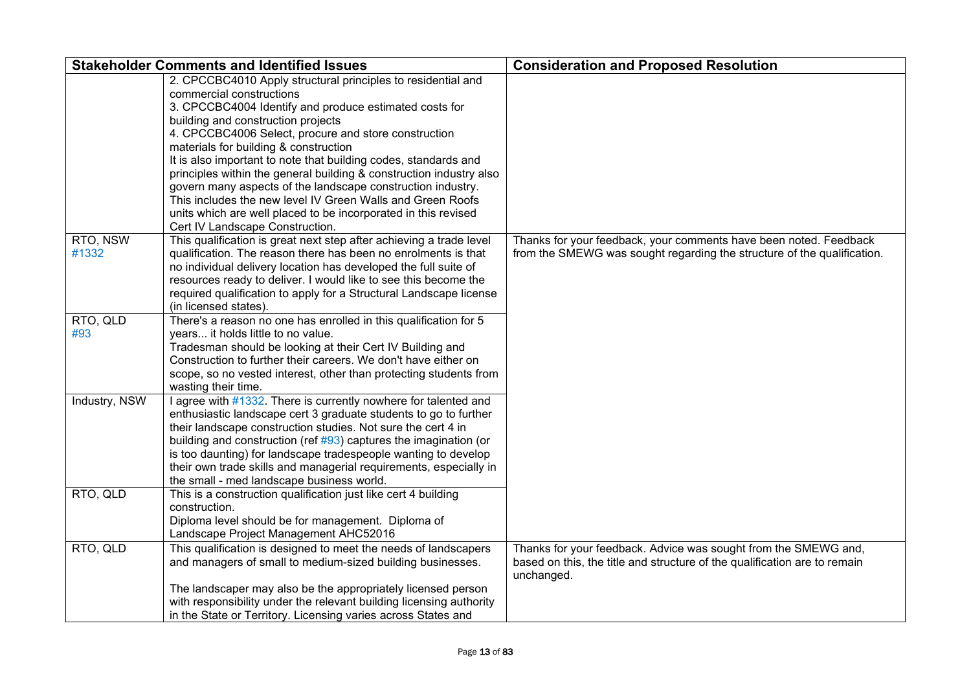| <b>Stakeholder Comments and Identified Issues</b> |                                                                                                                                                                                                                                                                                                                                                                                                                                                                                                                                                                                                                                                                       | <b>Consideration and Proposed Resolution</b>                                                                                                               |
|---------------------------------------------------|-----------------------------------------------------------------------------------------------------------------------------------------------------------------------------------------------------------------------------------------------------------------------------------------------------------------------------------------------------------------------------------------------------------------------------------------------------------------------------------------------------------------------------------------------------------------------------------------------------------------------------------------------------------------------|------------------------------------------------------------------------------------------------------------------------------------------------------------|
|                                                   | 2. CPCCBC4010 Apply structural principles to residential and<br>commercial constructions<br>3. CPCCBC4004 Identify and produce estimated costs for<br>building and construction projects<br>4. CPCCBC4006 Select, procure and store construction<br>materials for building & construction<br>It is also important to note that building codes, standards and<br>principles within the general building & construction industry also<br>govern many aspects of the landscape construction industry.<br>This includes the new level IV Green Walls and Green Roofs<br>units which are well placed to be incorporated in this revised<br>Cert IV Landscape Construction. |                                                                                                                                                            |
| RTO, NSW<br>#1332                                 | This qualification is great next step after achieving a trade level<br>qualification. The reason there has been no enrolments is that<br>no individual delivery location has developed the full suite of<br>resources ready to deliver. I would like to see this become the<br>required qualification to apply for a Structural Landscape license<br>(in licensed states).                                                                                                                                                                                                                                                                                            | Thanks for your feedback, your comments have been noted. Feedback<br>from the SMEWG was sought regarding the structure of the qualification.               |
| RTO, QLD<br>#93                                   | There's a reason no one has enrolled in this qualification for 5<br>years it holds little to no value.<br>Tradesman should be looking at their Cert IV Building and<br>Construction to further their careers. We don't have either on<br>scope, so no vested interest, other than protecting students from<br>wasting their time.                                                                                                                                                                                                                                                                                                                                     |                                                                                                                                                            |
| Industry, NSW                                     | I agree with #1332. There is currently nowhere for talented and<br>enthusiastic landscape cert 3 graduate students to go to further<br>their landscape construction studies. Not sure the cert 4 in<br>building and construction (ref $\#93$ ) captures the imagination (or<br>is too daunting) for landscape tradespeople wanting to develop<br>their own trade skills and managerial requirements, especially in<br>the small - med landscape business world.                                                                                                                                                                                                       |                                                                                                                                                            |
| RTO, QLD                                          | This is a construction qualification just like cert 4 building<br>construction.<br>Diploma level should be for management. Diploma of<br>Landscape Project Management AHC52016                                                                                                                                                                                                                                                                                                                                                                                                                                                                                        |                                                                                                                                                            |
| RTO, QLD                                          | This qualification is designed to meet the needs of landscapers<br>and managers of small to medium-sized building businesses.                                                                                                                                                                                                                                                                                                                                                                                                                                                                                                                                         | Thanks for your feedback. Advice was sought from the SMEWG and,<br>based on this, the title and structure of the qualification are to remain<br>unchanged. |
|                                                   | The landscaper may also be the appropriately licensed person<br>with responsibility under the relevant building licensing authority<br>in the State or Territory. Licensing varies across States and                                                                                                                                                                                                                                                                                                                                                                                                                                                                  |                                                                                                                                                            |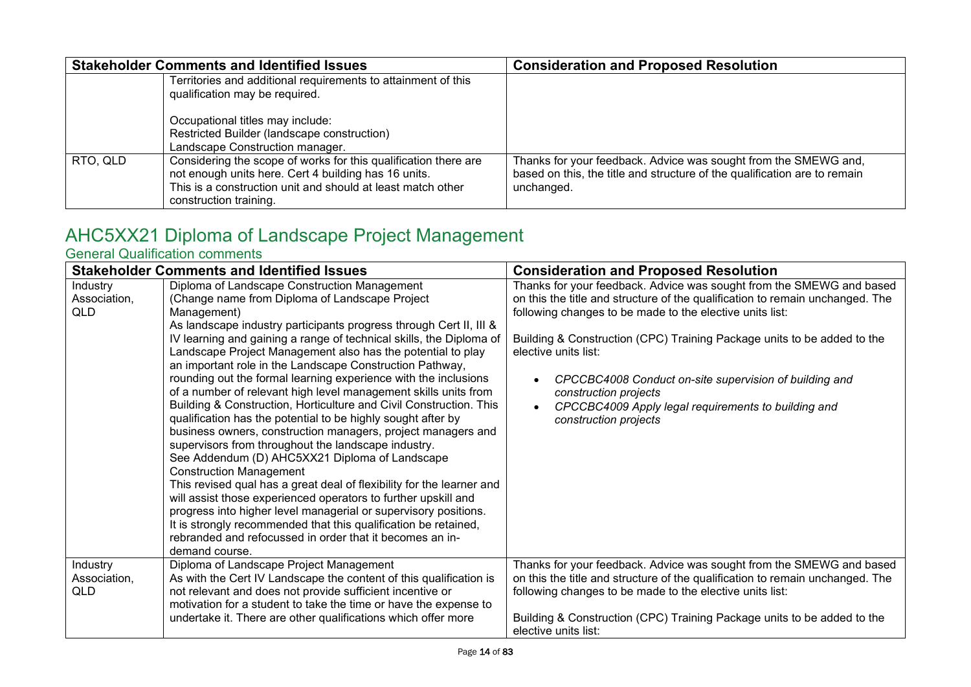|          | <b>Stakeholder Comments and Identified Issues</b>                                                                                                                                                                | <b>Consideration and Proposed Resolution</b>                                                                                                               |
|----------|------------------------------------------------------------------------------------------------------------------------------------------------------------------------------------------------------------------|------------------------------------------------------------------------------------------------------------------------------------------------------------|
|          | Territories and additional requirements to attainment of this<br>qualification may be required.                                                                                                                  |                                                                                                                                                            |
|          | Occupational titles may include:<br>Restricted Builder (landscape construction)<br>Landscape Construction manager.                                                                                               |                                                                                                                                                            |
| RTO, QLD | Considering the scope of works for this qualification there are<br>not enough units here. Cert 4 building has 16 units.<br>This is a construction unit and should at least match other<br>construction training. | Thanks for your feedback. Advice was sought from the SMEWG and,<br>based on this, the title and structure of the qualification are to remain<br>unchanged. |

# <span id="page-13-0"></span>AHC5XX21 Diploma of Landscape Project Management

<span id="page-13-1"></span>

|                                 | <b>Stakeholder Comments and Identified Issues</b>                                                                                                                                                                                                                                                                                                                                                                                                                                                                                                                                                                                                                                                                                                                                                                                                                                                                                                                                                                                                                                                                                                                                                                                           | <b>Consideration and Proposed Resolution</b>                                                                                                                                                                                                                                                                                                                                                                                                                                            |
|---------------------------------|---------------------------------------------------------------------------------------------------------------------------------------------------------------------------------------------------------------------------------------------------------------------------------------------------------------------------------------------------------------------------------------------------------------------------------------------------------------------------------------------------------------------------------------------------------------------------------------------------------------------------------------------------------------------------------------------------------------------------------------------------------------------------------------------------------------------------------------------------------------------------------------------------------------------------------------------------------------------------------------------------------------------------------------------------------------------------------------------------------------------------------------------------------------------------------------------------------------------------------------------|-----------------------------------------------------------------------------------------------------------------------------------------------------------------------------------------------------------------------------------------------------------------------------------------------------------------------------------------------------------------------------------------------------------------------------------------------------------------------------------------|
| Industry<br>Association,<br>QLD | Diploma of Landscape Construction Management<br>(Change name from Diploma of Landscape Project<br>Management)<br>As landscape industry participants progress through Cert II, III &<br>IV learning and gaining a range of technical skills, the Diploma of<br>Landscape Project Management also has the potential to play<br>an important role in the Landscape Construction Pathway,<br>rounding out the formal learning experience with the inclusions<br>of a number of relevant high level management skills units from<br>Building & Construction, Horticulture and Civil Construction. This<br>qualification has the potential to be highly sought after by<br>business owners, construction managers, project managers and<br>supervisors from throughout the landscape industry.<br>See Addendum (D) AHC5XX21 Diploma of Landscape<br><b>Construction Management</b><br>This revised qual has a great deal of flexibility for the learner and<br>will assist those experienced operators to further upskill and<br>progress into higher level managerial or supervisory positions.<br>It is strongly recommended that this qualification be retained,<br>rebranded and refocussed in order that it becomes an in-<br>demand course. | Thanks for your feedback. Advice was sought from the SMEWG and based<br>on this the title and structure of the qualification to remain unchanged. The<br>following changes to be made to the elective units list:<br>Building & Construction (CPC) Training Package units to be added to the<br>elective units list:<br>CPCCBC4008 Conduct on-site supervision of building and<br>construction projects<br>CPCCBC4009 Apply legal requirements to building and<br>construction projects |
| Industry<br>Association,<br>QLD | Diploma of Landscape Project Management<br>As with the Cert IV Landscape the content of this qualification is<br>not relevant and does not provide sufficient incentive or<br>motivation for a student to take the time or have the expense to<br>undertake it. There are other qualifications which offer more                                                                                                                                                                                                                                                                                                                                                                                                                                                                                                                                                                                                                                                                                                                                                                                                                                                                                                                             | Thanks for your feedback. Advice was sought from the SMEWG and based<br>on this the title and structure of the qualification to remain unchanged. The<br>following changes to be made to the elective units list:<br>Building & Construction (CPC) Training Package units to be added to the<br>elective units list:                                                                                                                                                                    |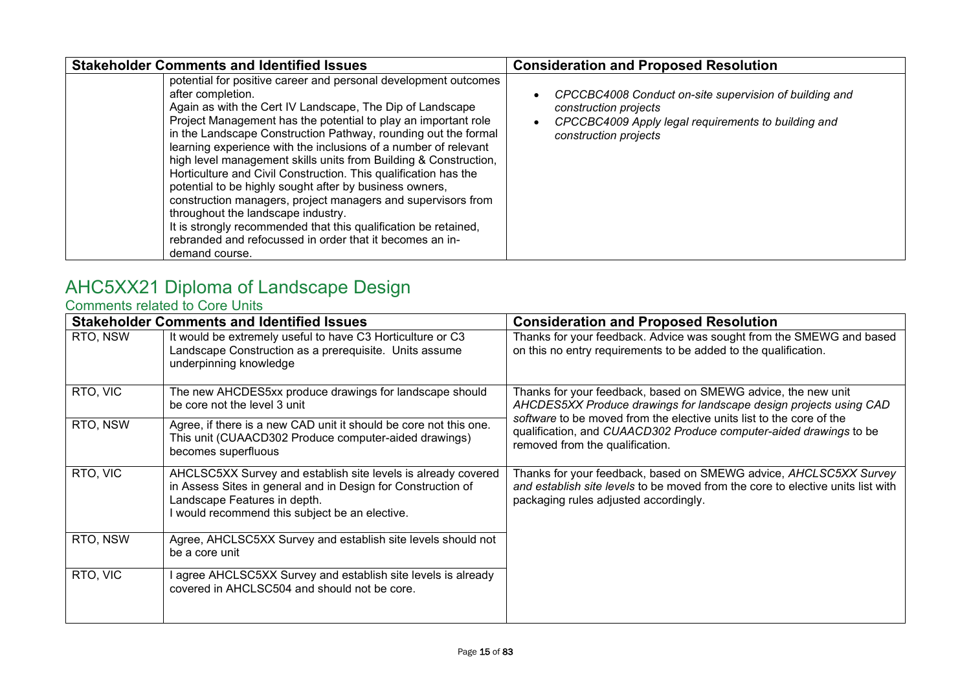| <b>Stakeholder Comments and Identified Issues</b>                                                                                                                                                                                                                                                                                                                                                                                                                                                                                                                                                                                                                                                                                                                                                                 | <b>Consideration and Proposed Resolution</b>                                                                                                                    |
|-------------------------------------------------------------------------------------------------------------------------------------------------------------------------------------------------------------------------------------------------------------------------------------------------------------------------------------------------------------------------------------------------------------------------------------------------------------------------------------------------------------------------------------------------------------------------------------------------------------------------------------------------------------------------------------------------------------------------------------------------------------------------------------------------------------------|-----------------------------------------------------------------------------------------------------------------------------------------------------------------|
| potential for positive career and personal development outcomes<br>after completion.<br>Again as with the Cert IV Landscape, The Dip of Landscape<br>Project Management has the potential to play an important role<br>in the Landscape Construction Pathway, rounding out the formal<br>learning experience with the inclusions of a number of relevant<br>high level management skills units from Building & Construction,<br>Horticulture and Civil Construction. This qualification has the<br>potential to be highly sought after by business owners,<br>construction managers, project managers and supervisors from<br>throughout the landscape industry.<br>It is strongly recommended that this qualification be retained,<br>rebranded and refocussed in order that it becomes an in-<br>demand course. | CPCCBC4008 Conduct on-site supervision of building and<br>construction projects<br>CPCCBC4009 Apply legal requirements to building and<br>construction projects |

### <span id="page-14-0"></span>AHC5XX21 Diploma of Landscape Design

#### <span id="page-14-1"></span>Comments related to Core Units

| <b>Stakeholder Comments and Identified Issues</b> |                                                                                                                                                                                                               | <b>Consideration and Proposed Resolution</b>                                                                                                                                                  |
|---------------------------------------------------|---------------------------------------------------------------------------------------------------------------------------------------------------------------------------------------------------------------|-----------------------------------------------------------------------------------------------------------------------------------------------------------------------------------------------|
| RTO, NSW                                          | It would be extremely useful to have C3 Horticulture or C3<br>Landscape Construction as a prerequisite. Units assume<br>underpinning knowledge                                                                | Thanks for your feedback. Advice was sought from the SMEWG and based<br>on this no entry requirements to be added to the qualification.                                                       |
| RTO, VIC                                          | The new AHCDES5xx produce drawings for landscape should<br>be core not the level 3 unit                                                                                                                       | Thanks for your feedback, based on SMEWG advice, the new unit<br>AHCDES5XX Produce drawings for landscape design projects using CAD                                                           |
| RTO, NSW                                          | Agree, if there is a new CAD unit it should be core not this one.<br>This unit (CUAACD302 Produce computer-aided drawings)<br>becomes superfluous                                                             | software to be moved from the elective units list to the core of the<br>qualification, and CUAACD302 Produce computer-aided drawings to be<br>removed from the qualification.                 |
| RTO, VIC                                          | AHCLSC5XX Survey and establish site levels is already covered<br>in Assess Sites in general and in Design for Construction of<br>Landscape Features in depth.<br>would recommend this subject be an elective. | Thanks for your feedback, based on SMEWG advice, AHCLSC5XX Survey<br>and establish site levels to be moved from the core to elective units list with<br>packaging rules adjusted accordingly. |
| RTO, NSW                                          | Agree, AHCLSC5XX Survey and establish site levels should not<br>be a core unit                                                                                                                                |                                                                                                                                                                                               |
| RTO, VIC                                          | agree AHCLSC5XX Survey and establish site levels is already<br>covered in AHCLSC504 and should not be core.                                                                                                   |                                                                                                                                                                                               |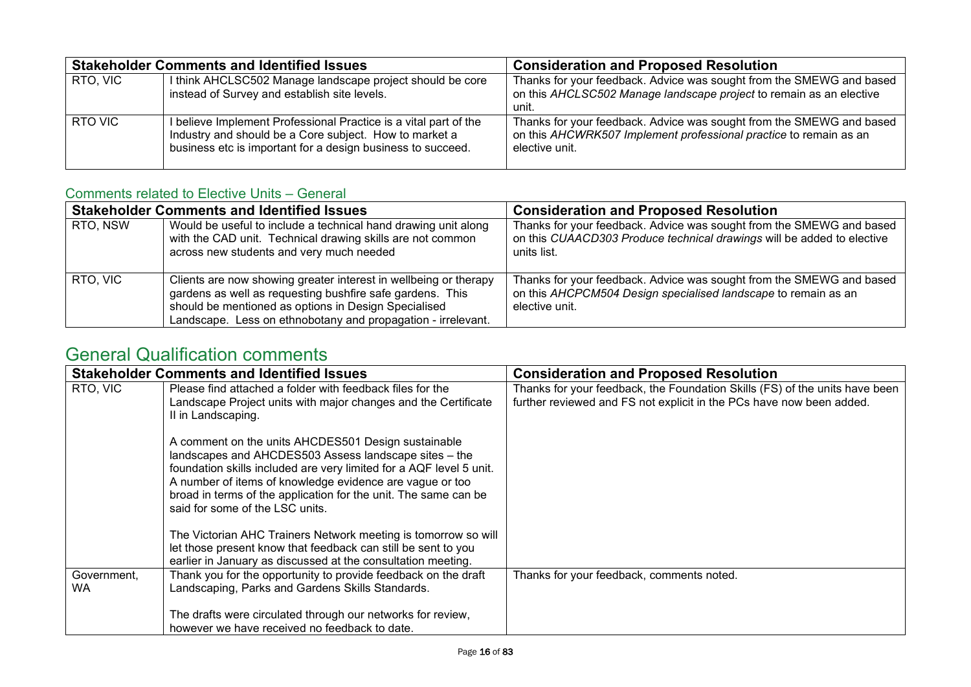| <b>Stakeholder Comments and Identified Issues</b> |                                                                                                                                                                                         | <b>Consideration and Proposed Resolution</b>                                                                                                                |
|---------------------------------------------------|-----------------------------------------------------------------------------------------------------------------------------------------------------------------------------------------|-------------------------------------------------------------------------------------------------------------------------------------------------------------|
| RTO, VIC                                          | I think AHCLSC502 Manage landscape project should be core<br>instead of Survey and establish site levels.                                                                               | Thanks for your feedback. Advice was sought from the SMEWG and based<br>on this AHCLSC502 Manage landscape project to remain as an elective<br>unit.        |
| RTO VIC                                           | believe Implement Professional Practice is a vital part of the<br>Industry and should be a Core subject. How to market a<br>business etc is important for a design business to succeed. | Thanks for your feedback. Advice was sought from the SMEWG and based<br>on this AHCWRK507 Implement professional practice to remain as an<br>elective unit. |

### <span id="page-15-0"></span>Comments related to Elective Units – General

| <b>Stakeholder Comments and Identified Issues</b> |                                                                                                                                                                                                                                                       | <b>Consideration and Proposed Resolution</b>                                                                                                                  |
|---------------------------------------------------|-------------------------------------------------------------------------------------------------------------------------------------------------------------------------------------------------------------------------------------------------------|---------------------------------------------------------------------------------------------------------------------------------------------------------------|
| RTO, NSW                                          | Would be useful to include a technical hand drawing unit along<br>with the CAD unit. Technical drawing skills are not common<br>across new students and very much needed                                                                              | Thanks for your feedback. Advice was sought from the SMEWG and based<br>on this CUAACD303 Produce technical drawings will be added to elective<br>units list. |
| RTO, VIC                                          | Clients are now showing greater interest in wellbeing or therapy<br>gardens as well as requesting bushfire safe gardens. This<br>should be mentioned as options in Design Specialised<br>Landscape. Less on ethnobotany and propagation - irrelevant. | Thanks for your feedback. Advice was sought from the SMEWG and based<br>on this AHCPCM504 Design specialised landscape to remain as an<br>elective unit.      |

<span id="page-15-1"></span>

|                   | <b>Stakeholder Comments and Identified Issues</b>                                                                                                                                                                                                                                                                                                     | <b>Consideration and Proposed Resolution</b>                                                                                                        |
|-------------------|-------------------------------------------------------------------------------------------------------------------------------------------------------------------------------------------------------------------------------------------------------------------------------------------------------------------------------------------------------|-----------------------------------------------------------------------------------------------------------------------------------------------------|
| RTO, VIC          | Please find attached a folder with feedback files for the<br>Landscape Project units with major changes and the Certificate<br>II in Landscaping.                                                                                                                                                                                                     | Thanks for your feedback, the Foundation Skills (FS) of the units have been<br>further reviewed and FS not explicit in the PCs have now been added. |
|                   | A comment on the units AHCDES501 Design sustainable<br>landscapes and AHCDES503 Assess landscape sites - the<br>foundation skills included are very limited for a AQF level 5 unit.<br>A number of items of knowledge evidence are vague or too<br>broad in terms of the application for the unit. The same can be<br>said for some of the LSC units. |                                                                                                                                                     |
|                   | The Victorian AHC Trainers Network meeting is tomorrow so will<br>let those present know that feedback can still be sent to you<br>earlier in January as discussed at the consultation meeting.                                                                                                                                                       |                                                                                                                                                     |
| Government,<br>WA | Thank you for the opportunity to provide feedback on the draft<br>Landscaping, Parks and Gardens Skills Standards.                                                                                                                                                                                                                                    | Thanks for your feedback, comments noted.                                                                                                           |
|                   | The drafts were circulated through our networks for review,<br>however we have received no feedback to date.                                                                                                                                                                                                                                          |                                                                                                                                                     |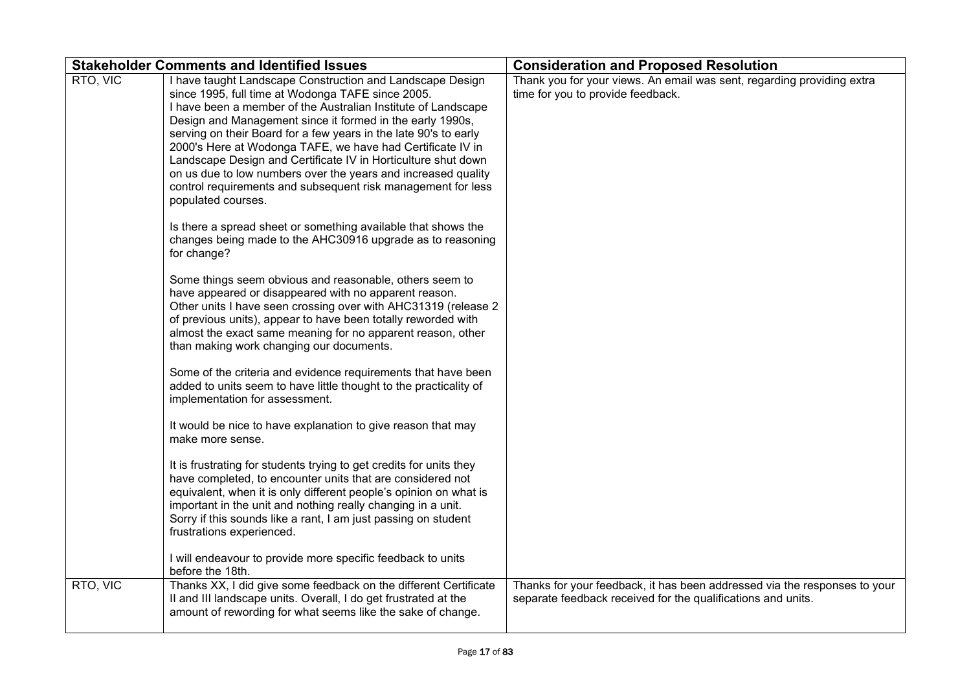| <b>Stakeholder Comments and Identified Issues</b> |                                                                                                                                                                                                                                                                                                                                                                                                                                                                                                                                                                                                        | <b>Consideration and Proposed Resolution</b>                                                                                              |
|---------------------------------------------------|--------------------------------------------------------------------------------------------------------------------------------------------------------------------------------------------------------------------------------------------------------------------------------------------------------------------------------------------------------------------------------------------------------------------------------------------------------------------------------------------------------------------------------------------------------------------------------------------------------|-------------------------------------------------------------------------------------------------------------------------------------------|
| RTO, VIC                                          | I have taught Landscape Construction and Landscape Design<br>since 1995, full time at Wodonga TAFE since 2005.<br>I have been a member of the Australian Institute of Landscape<br>Design and Management since it formed in the early 1990s,<br>serving on their Board for a few years in the late 90's to early<br>2000's Here at Wodonga TAFE, we have had Certificate IV in<br>Landscape Design and Certificate IV in Horticulture shut down<br>on us due to low numbers over the years and increased quality<br>control requirements and subsequent risk management for less<br>populated courses. | Thank you for your views. An email was sent, regarding providing extra<br>time for you to provide feedback.                               |
|                                                   | Is there a spread sheet or something available that shows the<br>changes being made to the AHC30916 upgrade as to reasoning<br>for change?                                                                                                                                                                                                                                                                                                                                                                                                                                                             |                                                                                                                                           |
|                                                   | Some things seem obvious and reasonable, others seem to<br>have appeared or disappeared with no apparent reason.<br>Other units I have seen crossing over with AHC31319 (release 2<br>of previous units), appear to have been totally reworded with<br>almost the exact same meaning for no apparent reason, other<br>than making work changing our documents.                                                                                                                                                                                                                                         |                                                                                                                                           |
|                                                   | Some of the criteria and evidence requirements that have been<br>added to units seem to have little thought to the practicality of<br>implementation for assessment.                                                                                                                                                                                                                                                                                                                                                                                                                                   |                                                                                                                                           |
|                                                   | It would be nice to have explanation to give reason that may<br>make more sense.                                                                                                                                                                                                                                                                                                                                                                                                                                                                                                                       |                                                                                                                                           |
|                                                   | It is frustrating for students trying to get credits for units they<br>have completed, to encounter units that are considered not<br>equivalent, when it is only different people's opinion on what is<br>important in the unit and nothing really changing in a unit.<br>Sorry if this sounds like a rant, I am just passing on student<br>frustrations experienced.                                                                                                                                                                                                                                  |                                                                                                                                           |
|                                                   | I will endeavour to provide more specific feedback to units<br>before the 18th.                                                                                                                                                                                                                                                                                                                                                                                                                                                                                                                        |                                                                                                                                           |
| RTO, VIC                                          | Thanks XX, I did give some feedback on the different Certificate<br>Il and III landscape units. Overall, I do get frustrated at the<br>amount of rewording for what seems like the sake of change.                                                                                                                                                                                                                                                                                                                                                                                                     | Thanks for your feedback, it has been addressed via the responses to your<br>separate feedback received for the qualifications and units. |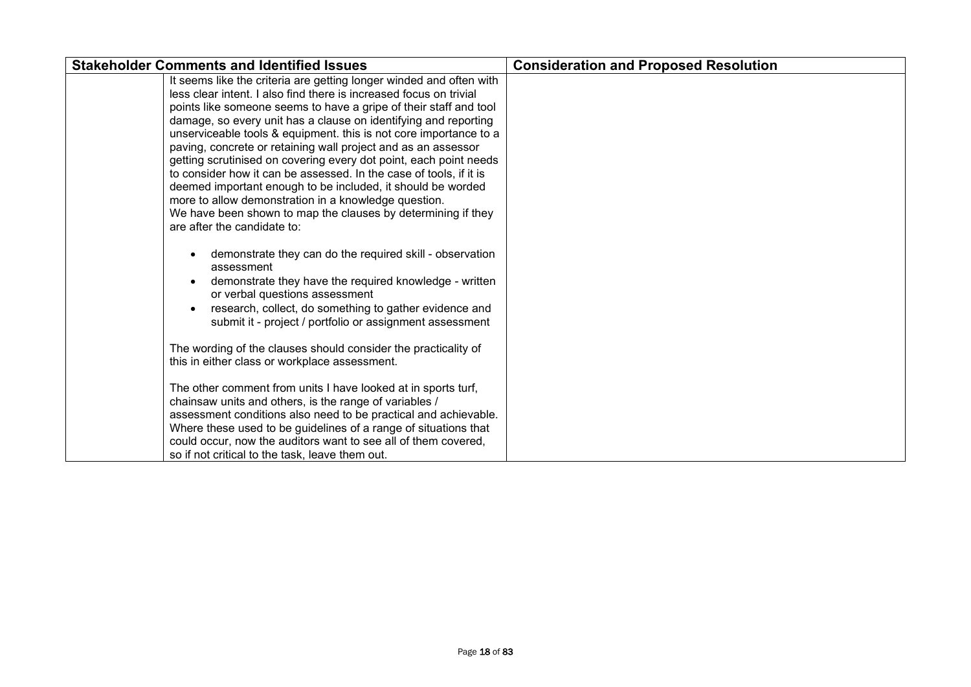| <b>Stakeholder Comments and Identified Issues</b>                                                                                                                                                                                                                                                                                                                                                                                                                                                                                                                                                                                                                                                                                                                                        | <b>Consideration and Proposed Resolution</b> |
|------------------------------------------------------------------------------------------------------------------------------------------------------------------------------------------------------------------------------------------------------------------------------------------------------------------------------------------------------------------------------------------------------------------------------------------------------------------------------------------------------------------------------------------------------------------------------------------------------------------------------------------------------------------------------------------------------------------------------------------------------------------------------------------|----------------------------------------------|
| It seems like the criteria are getting longer winded and often with<br>less clear intent. I also find there is increased focus on trivial<br>points like someone seems to have a gripe of their staff and tool<br>damage, so every unit has a clause on identifying and reporting<br>unserviceable tools & equipment. this is not core importance to a<br>paving, concrete or retaining wall project and as an assessor<br>getting scrutinised on covering every dot point, each point needs<br>to consider how it can be assessed. In the case of tools, if it is<br>deemed important enough to be included, it should be worded<br>more to allow demonstration in a knowledge question.<br>We have been shown to map the clauses by determining if they<br>are after the candidate to: |                                              |
| demonstrate they can do the required skill - observation<br>assessment<br>demonstrate they have the required knowledge - written<br>or verbal questions assessment<br>research, collect, do something to gather evidence and<br>submit it - project / portfolio or assignment assessment<br>The wording of the clauses should consider the practicality of<br>this in either class or workplace assessment.                                                                                                                                                                                                                                                                                                                                                                              |                                              |
| The other comment from units I have looked at in sports turf,<br>chainsaw units and others, is the range of variables /<br>assessment conditions also need to be practical and achievable.<br>Where these used to be guidelines of a range of situations that<br>could occur, now the auditors want to see all of them covered,<br>so if not critical to the task, leave them out.                                                                                                                                                                                                                                                                                                                                                                                                       |                                              |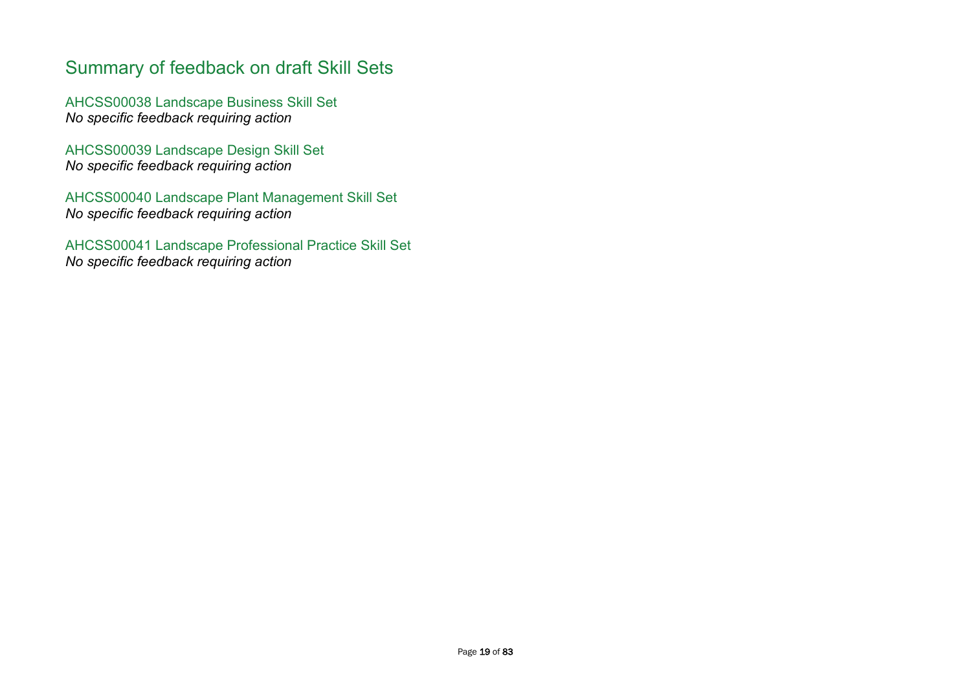### <span id="page-18-0"></span>Summary of feedback on draft Skill Sets

<span id="page-18-1"></span>AHCSS00038 Landscape Business Skill Set *No specific feedback requiring action*

<span id="page-18-2"></span>AHCSS00039 Landscape Design Skill Set *No specific feedback requiring action*

<span id="page-18-3"></span>AHCSS00040 Landscape Plant Management Skill Set *No specific feedback requiring action*

<span id="page-18-4"></span>AHCSS00041 Landscape Professional Practice Skill Set *No specific feedback requiring action*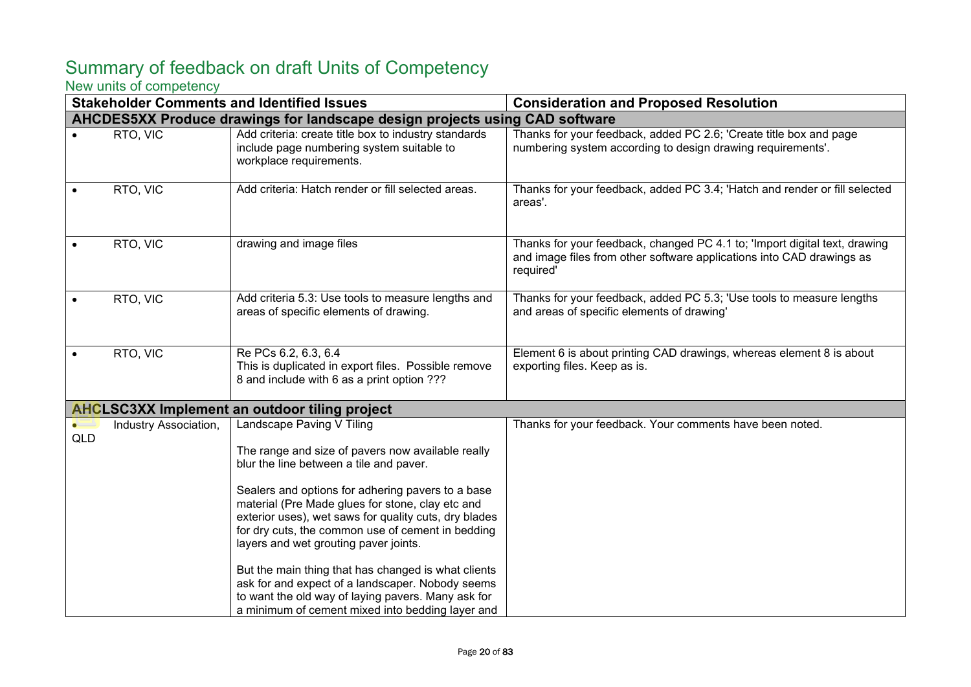### <span id="page-19-0"></span>Summary of feedback on draft Units of Competency

#### <span id="page-19-1"></span>New units of competency

|                         |                       | <b>Stakeholder Comments and Identified Issues</b>                                                                                                                                                                                                                                                                                                                                                                                                                                                                                                                                                              | <b>Consideration and Proposed Resolution</b>                                                                                                                     |
|-------------------------|-----------------------|----------------------------------------------------------------------------------------------------------------------------------------------------------------------------------------------------------------------------------------------------------------------------------------------------------------------------------------------------------------------------------------------------------------------------------------------------------------------------------------------------------------------------------------------------------------------------------------------------------------|------------------------------------------------------------------------------------------------------------------------------------------------------------------|
|                         |                       | AHCDES5XX Produce drawings for landscape design projects using CAD software                                                                                                                                                                                                                                                                                                                                                                                                                                                                                                                                    |                                                                                                                                                                  |
|                         | RTO, VIC              | Add criteria: create title box to industry standards<br>include page numbering system suitable to<br>workplace requirements.                                                                                                                                                                                                                                                                                                                                                                                                                                                                                   | Thanks for your feedback, added PC 2.6; 'Create title box and page<br>numbering system according to design drawing requirements'.                                |
|                         | RTO, VIC              | Add criteria: Hatch render or fill selected areas.                                                                                                                                                                                                                                                                                                                                                                                                                                                                                                                                                             | Thanks for your feedback, added PC 3.4; 'Hatch and render or fill selected<br>areas'.                                                                            |
|                         | RTO, VIC              | drawing and image files                                                                                                                                                                                                                                                                                                                                                                                                                                                                                                                                                                                        | Thanks for your feedback, changed PC 4.1 to; 'Import digital text, drawing<br>and image files from other software applications into CAD drawings as<br>required' |
|                         | RTO, VIC              | Add criteria 5.3: Use tools to measure lengths and<br>areas of specific elements of drawing.                                                                                                                                                                                                                                                                                                                                                                                                                                                                                                                   | Thanks for your feedback, added PC 5.3; 'Use tools to measure lengths<br>and areas of specific elements of drawing'                                              |
|                         | RTO, VIC              | Re PCs 6.2, 6.3, 6.4<br>This is duplicated in export files. Possible remove<br>8 and include with 6 as a print option ???                                                                                                                                                                                                                                                                                                                                                                                                                                                                                      | Element 6 is about printing CAD drawings, whereas element 8 is about<br>exporting files. Keep as is.                                                             |
|                         |                       | <b>AHCLSC3XX Implement an outdoor tiling project</b>                                                                                                                                                                                                                                                                                                                                                                                                                                                                                                                                                           |                                                                                                                                                                  |
| $\bullet$<br><b>QLD</b> | Industry Association, | Landscape Paving V Tiling<br>The range and size of pavers now available really<br>blur the line between a tile and paver.<br>Sealers and options for adhering pavers to a base<br>material (Pre Made glues for stone, clay etc and<br>exterior uses), wet saws for quality cuts, dry blades<br>for dry cuts, the common use of cement in bedding<br>layers and wet grouting paver joints.<br>But the main thing that has changed is what clients<br>ask for and expect of a landscaper. Nobody seems<br>to want the old way of laying pavers. Many ask for<br>a minimum of cement mixed into bedding layer and | Thanks for your feedback. Your comments have been noted.                                                                                                         |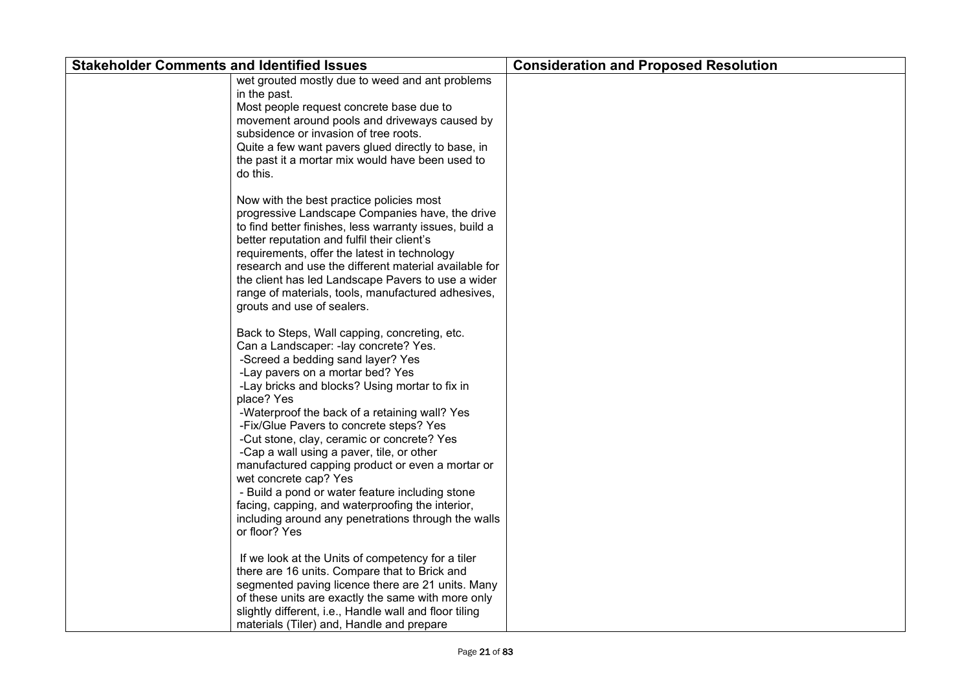| <b>Stakeholder Comments and Identified Issues</b>                                                                                                                                                                                                                                                                                                                                                                                                                                                                                                                                                                                                                                   | <b>Consideration and Proposed Resolution</b> |
|-------------------------------------------------------------------------------------------------------------------------------------------------------------------------------------------------------------------------------------------------------------------------------------------------------------------------------------------------------------------------------------------------------------------------------------------------------------------------------------------------------------------------------------------------------------------------------------------------------------------------------------------------------------------------------------|----------------------------------------------|
| wet grouted mostly due to weed and ant problems<br>in the past.<br>Most people request concrete base due to<br>movement around pools and driveways caused by<br>subsidence or invasion of tree roots.<br>Quite a few want pavers glued directly to base, in<br>the past it a mortar mix would have been used to<br>do this.                                                                                                                                                                                                                                                                                                                                                         |                                              |
| Now with the best practice policies most<br>progressive Landscape Companies have, the drive<br>to find better finishes, less warranty issues, build a<br>better reputation and fulfil their client's<br>requirements, offer the latest in technology<br>research and use the different material available for<br>the client has led Landscape Pavers to use a wider<br>range of materials, tools, manufactured adhesives,<br>grouts and use of sealers.                                                                                                                                                                                                                             |                                              |
| Back to Steps, Wall capping, concreting, etc.<br>Can a Landscaper: - lay concrete? Yes.<br>-Screed a bedding sand layer? Yes<br>-Lay pavers on a mortar bed? Yes<br>-Lay bricks and blocks? Using mortar to fix in<br>place? Yes<br>-Waterproof the back of a retaining wall? Yes<br>-Fix/Glue Pavers to concrete steps? Yes<br>-Cut stone, clay, ceramic or concrete? Yes<br>-Cap a wall using a paver, tile, or other<br>manufactured capping product or even a mortar or<br>wet concrete cap? Yes<br>- Build a pond or water feature including stone<br>facing, capping, and waterproofing the interior,<br>including around any penetrations through the walls<br>or floor? Yes |                                              |
| If we look at the Units of competency for a tiler<br>there are 16 units. Compare that to Brick and<br>segmented paving licence there are 21 units. Many<br>of these units are exactly the same with more only<br>slightly different, i.e., Handle wall and floor tiling<br>materials (Tiler) and, Handle and prepare                                                                                                                                                                                                                                                                                                                                                                |                                              |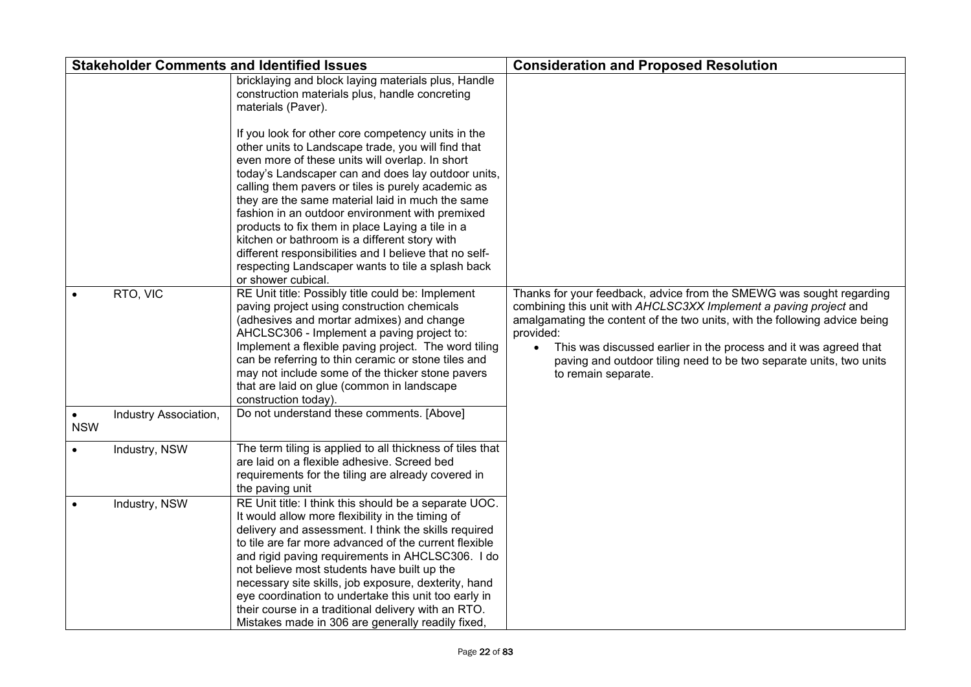|            |                       | <b>Stakeholder Comments and Identified Issues</b>                                                                                                                                                                                                                                                                                                                                                                                                                                                                                                         | <b>Consideration and Proposed Resolution</b>                                                                                                                                                                                                                                                                                                                                                          |
|------------|-----------------------|-----------------------------------------------------------------------------------------------------------------------------------------------------------------------------------------------------------------------------------------------------------------------------------------------------------------------------------------------------------------------------------------------------------------------------------------------------------------------------------------------------------------------------------------------------------|-------------------------------------------------------------------------------------------------------------------------------------------------------------------------------------------------------------------------------------------------------------------------------------------------------------------------------------------------------------------------------------------------------|
|            |                       | bricklaying and block laying materials plus, Handle<br>construction materials plus, handle concreting<br>materials (Paver).<br>If you look for other core competency units in the<br>other units to Landscape trade, you will find that<br>even more of these units will overlap. In short<br>today's Landscaper can and does lay outdoor units,<br>calling them pavers or tiles is purely academic as<br>they are the same material laid in much the same                                                                                                |                                                                                                                                                                                                                                                                                                                                                                                                       |
|            |                       | fashion in an outdoor environment with premixed<br>products to fix them in place Laying a tile in a                                                                                                                                                                                                                                                                                                                                                                                                                                                       |                                                                                                                                                                                                                                                                                                                                                                                                       |
|            |                       | kitchen or bathroom is a different story with<br>different responsibilities and I believe that no self-<br>respecting Landscaper wants to tile a splash back<br>or shower cubical.                                                                                                                                                                                                                                                                                                                                                                        |                                                                                                                                                                                                                                                                                                                                                                                                       |
|            | RTO, VIC              | RE Unit title: Possibly title could be: Implement<br>paving project using construction chemicals<br>(adhesives and mortar admixes) and change<br>AHCLSC306 - Implement a paving project to:<br>Implement a flexible paving project. The word tiling<br>can be referring to thin ceramic or stone tiles and<br>may not include some of the thicker stone pavers<br>that are laid on glue (common in landscape<br>construction today).                                                                                                                      | Thanks for your feedback, advice from the SMEWG was sought regarding<br>combining this unit with AHCLSC3XX Implement a paving project and<br>amalgamating the content of the two units, with the following advice being<br>provided:<br>This was discussed earlier in the process and it was agreed that<br>paving and outdoor tiling need to be two separate units, two units<br>to remain separate. |
| <b>NSW</b> | Industry Association, | Do not understand these comments. [Above]                                                                                                                                                                                                                                                                                                                                                                                                                                                                                                                 |                                                                                                                                                                                                                                                                                                                                                                                                       |
|            | Industry, NSW         | The term tiling is applied to all thickness of tiles that<br>are laid on a flexible adhesive. Screed bed<br>requirements for the tiling are already covered in<br>the paving unit                                                                                                                                                                                                                                                                                                                                                                         |                                                                                                                                                                                                                                                                                                                                                                                                       |
| $\bullet$  | Industry, NSW         | RE Unit title: I think this should be a separate UOC.<br>It would allow more flexibility in the timing of<br>delivery and assessment. I think the skills required<br>to tile are far more advanced of the current flexible<br>and rigid paving requirements in AHCLSC306. I do<br>not believe most students have built up the<br>necessary site skills, job exposure, dexterity, hand<br>eye coordination to undertake this unit too early in<br>their course in a traditional delivery with an RTO.<br>Mistakes made in 306 are generally readily fixed, |                                                                                                                                                                                                                                                                                                                                                                                                       |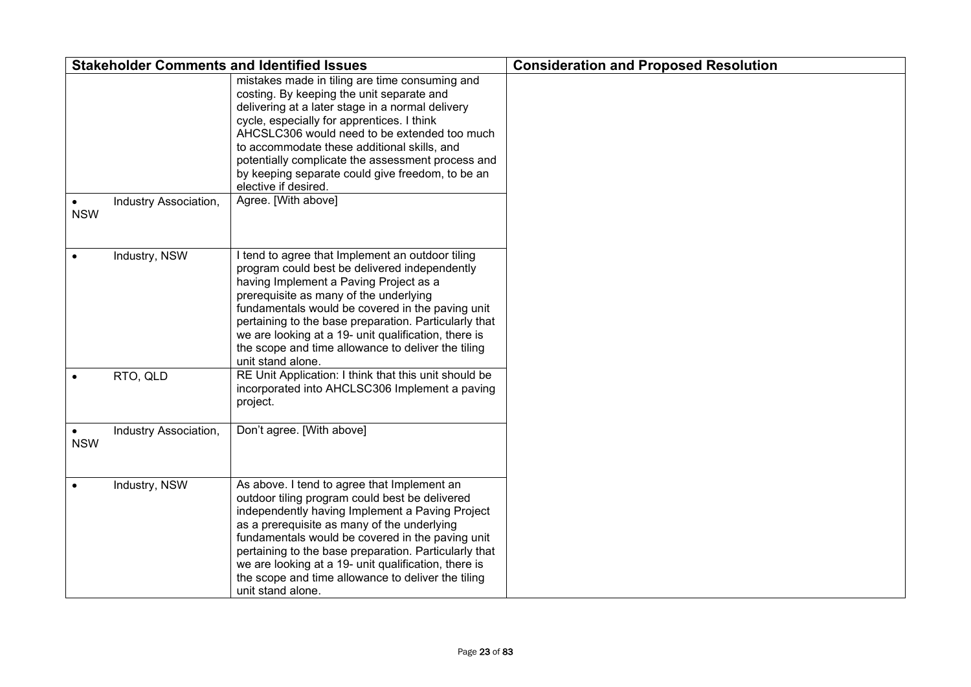|                         |                       | <b>Stakeholder Comments and Identified Issues</b>                                                                                                                                                                                                                                                                                                                                                                                                    | <b>Consideration and Proposed Resolution</b> |
|-------------------------|-----------------------|------------------------------------------------------------------------------------------------------------------------------------------------------------------------------------------------------------------------------------------------------------------------------------------------------------------------------------------------------------------------------------------------------------------------------------------------------|----------------------------------------------|
| $\bullet$<br><b>NSW</b> | Industry Association, | mistakes made in tiling are time consuming and<br>costing. By keeping the unit separate and<br>delivering at a later stage in a normal delivery<br>cycle, especially for apprentices. I think<br>AHCSLC306 would need to be extended too much<br>to accommodate these additional skills, and<br>potentially complicate the assessment process and<br>by keeping separate could give freedom, to be an<br>elective if desired.<br>Agree. [With above] |                                              |
|                         | Industry, NSW         | I tend to agree that Implement an outdoor tiling<br>program could best be delivered independently<br>having Implement a Paving Project as a<br>prerequisite as many of the underlying<br>fundamentals would be covered in the paving unit<br>pertaining to the base preparation. Particularly that<br>we are looking at a 19- unit qualification, there is<br>the scope and time allowance to deliver the tiling<br>unit stand alone.                |                                              |
|                         | RTO, QLD              | RE Unit Application: I think that this unit should be<br>incorporated into AHCLSC306 Implement a paving<br>project.                                                                                                                                                                                                                                                                                                                                  |                                              |
| $\bullet$<br><b>NSW</b> | Industry Association, | Don't agree. [With above]                                                                                                                                                                                                                                                                                                                                                                                                                            |                                              |
| $\bullet$               | Industry, NSW         | As above. I tend to agree that Implement an<br>outdoor tiling program could best be delivered<br>independently having Implement a Paving Project<br>as a prerequisite as many of the underlying<br>fundamentals would be covered in the paving unit<br>pertaining to the base preparation. Particularly that<br>we are looking at a 19- unit qualification, there is<br>the scope and time allowance to deliver the tiling<br>unit stand alone.      |                                              |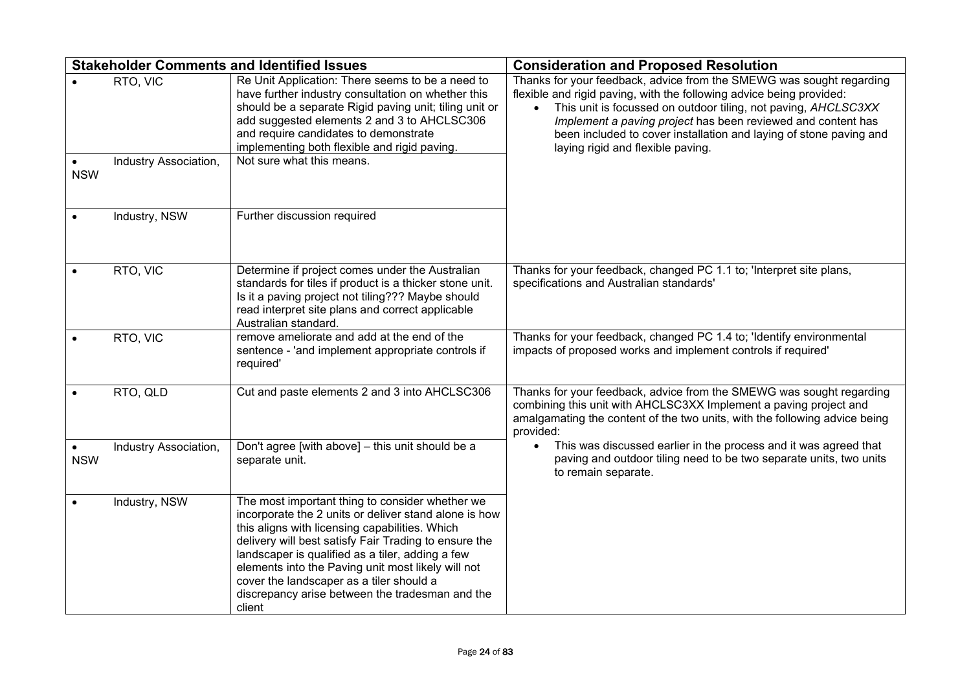|            |                       | <b>Stakeholder Comments and Identified Issues</b>                                                                                                                                                                                                                                                                                                                                                                                      | <b>Consideration and Proposed Resolution</b>                                                                                                                                                                                                                                                                                                                                              |
|------------|-----------------------|----------------------------------------------------------------------------------------------------------------------------------------------------------------------------------------------------------------------------------------------------------------------------------------------------------------------------------------------------------------------------------------------------------------------------------------|-------------------------------------------------------------------------------------------------------------------------------------------------------------------------------------------------------------------------------------------------------------------------------------------------------------------------------------------------------------------------------------------|
|            | RTO, VIC              | Re Unit Application: There seems to be a need to<br>have further industry consultation on whether this<br>should be a separate Rigid paving unit; tiling unit or<br>add suggested elements 2 and 3 to AHCLSC306<br>and require candidates to demonstrate<br>implementing both flexible and rigid paving.                                                                                                                               | Thanks for your feedback, advice from the SMEWG was sought regarding<br>flexible and rigid paving, with the following advice being provided:<br>This unit is focussed on outdoor tiling, not paving, AHCLSC3XX<br>Implement a paving project has been reviewed and content has<br>been included to cover installation and laying of stone paving and<br>laying rigid and flexible paving. |
| <b>NSW</b> | Industry Association, | Not sure what this means.                                                                                                                                                                                                                                                                                                                                                                                                              |                                                                                                                                                                                                                                                                                                                                                                                           |
|            | Industry, NSW         | Further discussion required                                                                                                                                                                                                                                                                                                                                                                                                            |                                                                                                                                                                                                                                                                                                                                                                                           |
|            | RTO, VIC              | Determine if project comes under the Australian<br>standards for tiles if product is a thicker stone unit.<br>Is it a paving project not tiling??? Maybe should<br>read interpret site plans and correct applicable<br>Australian standard.                                                                                                                                                                                            | Thanks for your feedback, changed PC 1.1 to; 'Interpret site plans,<br>specifications and Australian standards'                                                                                                                                                                                                                                                                           |
|            | RTO, VIC              | remove ameliorate and add at the end of the<br>sentence - 'and implement appropriate controls if<br>required'                                                                                                                                                                                                                                                                                                                          | Thanks for your feedback, changed PC 1.4 to; 'Identify environmental<br>impacts of proposed works and implement controls if required'                                                                                                                                                                                                                                                     |
|            | RTO, QLD              | Cut and paste elements 2 and 3 into AHCLSC306                                                                                                                                                                                                                                                                                                                                                                                          | Thanks for your feedback, advice from the SMEWG was sought regarding<br>combining this unit with AHCLSC3XX Implement a paving project and<br>amalgamating the content of the two units, with the following advice being<br>provided:                                                                                                                                                      |
| <b>NSW</b> | Industry Association, | Don't agree [with above] - this unit should be a<br>separate unit.                                                                                                                                                                                                                                                                                                                                                                     | This was discussed earlier in the process and it was agreed that<br>paving and outdoor tiling need to be two separate units, two units<br>to remain separate.                                                                                                                                                                                                                             |
|            | Industry, NSW         | The most important thing to consider whether we<br>incorporate the 2 units or deliver stand alone is how<br>this aligns with licensing capabilities. Which<br>delivery will best satisfy Fair Trading to ensure the<br>landscaper is qualified as a tiler, adding a few<br>elements into the Paving unit most likely will not<br>cover the landscaper as a tiler should a<br>discrepancy arise between the tradesman and the<br>client |                                                                                                                                                                                                                                                                                                                                                                                           |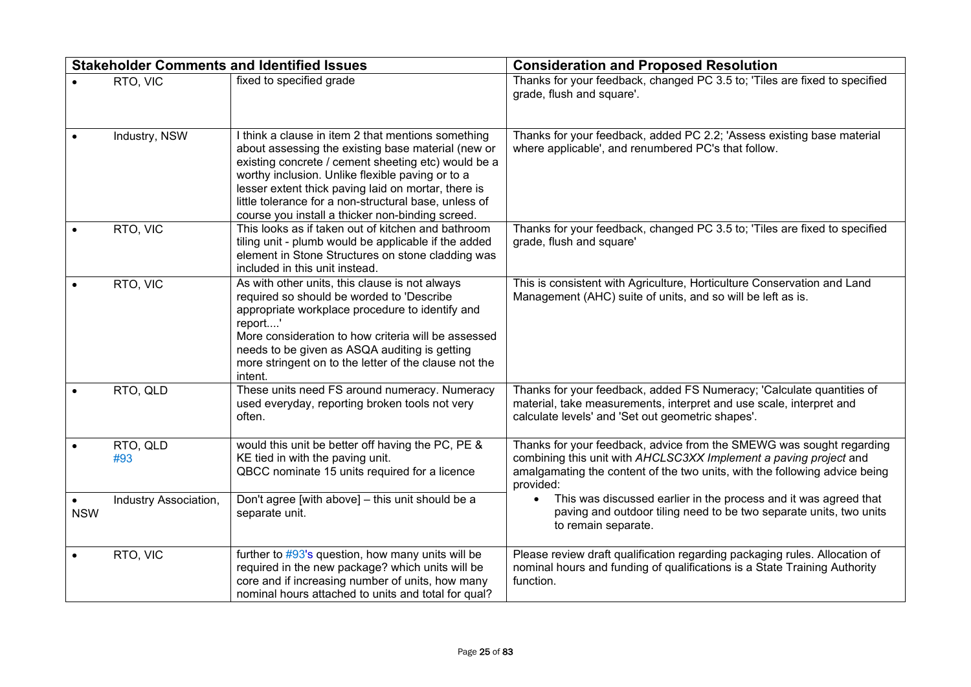|            |                       | <b>Stakeholder Comments and Identified Issues</b>                                                                                                                                                                                                                                                                                                                                       | <b>Consideration and Proposed Resolution</b>                                                                                                                                                                                         |
|------------|-----------------------|-----------------------------------------------------------------------------------------------------------------------------------------------------------------------------------------------------------------------------------------------------------------------------------------------------------------------------------------------------------------------------------------|--------------------------------------------------------------------------------------------------------------------------------------------------------------------------------------------------------------------------------------|
|            | RTO, VIC              | fixed to specified grade                                                                                                                                                                                                                                                                                                                                                                | Thanks for your feedback, changed PC 3.5 to; 'Tiles are fixed to specified<br>grade, flush and square'.                                                                                                                              |
|            | Industry, NSW         | I think a clause in item 2 that mentions something<br>about assessing the existing base material (new or<br>existing concrete / cement sheeting etc) would be a<br>worthy inclusion. Unlike flexible paving or to a<br>lesser extent thick paving laid on mortar, there is<br>little tolerance for a non-structural base, unless of<br>course you install a thicker non-binding screed. | Thanks for your feedback, added PC 2.2; 'Assess existing base material<br>where applicable', and renumbered PC's that follow.                                                                                                        |
|            | RTO, VIC              | This looks as if taken out of kitchen and bathroom<br>tiling unit - plumb would be applicable if the added<br>element in Stone Structures on stone cladding was<br>included in this unit instead.                                                                                                                                                                                       | Thanks for your feedback, changed PC 3.5 to; 'Tiles are fixed to specified<br>grade, flush and square'                                                                                                                               |
|            | RTO, VIC              | As with other units, this clause is not always<br>required so should be worded to 'Describe<br>appropriate workplace procedure to identify and<br>report'<br>More consideration to how criteria will be assessed<br>needs to be given as ASQA auditing is getting<br>more stringent on to the letter of the clause not the<br>intent.                                                   | This is consistent with Agriculture, Horticulture Conservation and Land<br>Management (AHC) suite of units, and so will be left as is.                                                                                               |
|            | RTO, QLD              | These units need FS around numeracy. Numeracy<br>used everyday, reporting broken tools not very<br>often.                                                                                                                                                                                                                                                                               | Thanks for your feedback, added FS Numeracy; 'Calculate quantities of<br>material, take measurements, interpret and use scale, interpret and<br>calculate levels' and 'Set out geometric shapes'.                                    |
|            | RTO, QLD<br>#93       | would this unit be better off having the PC, PE &<br>KE tied in with the paving unit.<br>QBCC nominate 15 units required for a licence                                                                                                                                                                                                                                                  | Thanks for your feedback, advice from the SMEWG was sought regarding<br>combining this unit with AHCLSC3XX Implement a paving project and<br>amalgamating the content of the two units, with the following advice being<br>provided: |
| <b>NSW</b> | Industry Association, | Don't agree [with above] - this unit should be a<br>separate unit.                                                                                                                                                                                                                                                                                                                      | This was discussed earlier in the process and it was agreed that<br>$\bullet$<br>paving and outdoor tiling need to be two separate units, two units<br>to remain separate.                                                           |
|            | RTO, VIC              | further to $\#93$ 's question, how many units will be<br>required in the new package? which units will be<br>core and if increasing number of units, how many<br>nominal hours attached to units and total for qual?                                                                                                                                                                    | Please review draft qualification regarding packaging rules. Allocation of<br>nominal hours and funding of qualifications is a State Training Authority<br>function.                                                                 |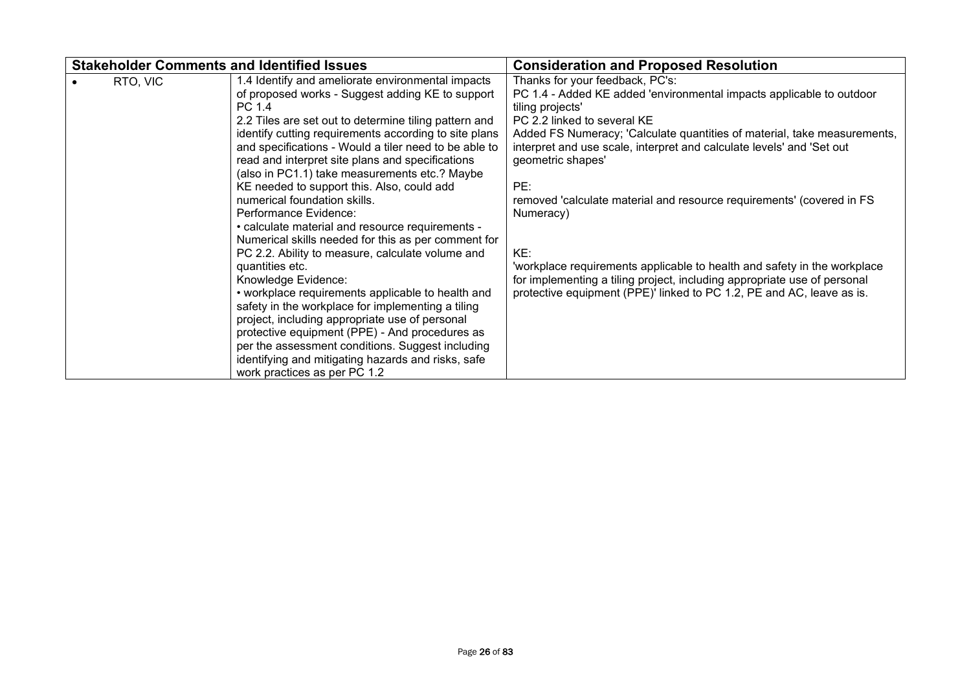| <b>Stakeholder Comments and Identified Issues</b>                                                                                                                                                                                                                                                                                                                                                                                                                                                                                                                                                                                                                                                                                                                                                                                                                                                                                                                                                                                                                                   | <b>Consideration and Proposed Resolution</b>                                                                                                                                                                                                                                                                                                                                                                                                                                                                                                                                                                                                                              |
|-------------------------------------------------------------------------------------------------------------------------------------------------------------------------------------------------------------------------------------------------------------------------------------------------------------------------------------------------------------------------------------------------------------------------------------------------------------------------------------------------------------------------------------------------------------------------------------------------------------------------------------------------------------------------------------------------------------------------------------------------------------------------------------------------------------------------------------------------------------------------------------------------------------------------------------------------------------------------------------------------------------------------------------------------------------------------------------|---------------------------------------------------------------------------------------------------------------------------------------------------------------------------------------------------------------------------------------------------------------------------------------------------------------------------------------------------------------------------------------------------------------------------------------------------------------------------------------------------------------------------------------------------------------------------------------------------------------------------------------------------------------------------|
| 1.4 Identify and ameliorate environmental impacts<br>RTO, VIC<br>of proposed works - Suggest adding KE to support<br>PC 1.4<br>2.2 Tiles are set out to determine tiling pattern and<br>identify cutting requirements according to site plans<br>and specifications - Would a tiler need to be able to<br>read and interpret site plans and specifications<br>(also in PC1.1) take measurements etc.? Maybe<br>KE needed to support this. Also, could add<br>numerical foundation skills.<br>Performance Evidence:<br>. calculate material and resource requirements -<br>Numerical skills needed for this as per comment for<br>PC 2.2. Ability to measure, calculate volume and<br>quantities etc.<br>Knowledge Evidence:<br>• workplace requirements applicable to health and<br>safety in the workplace for implementing a tiling<br>project, including appropriate use of personal<br>protective equipment (PPE) - And procedures as<br>per the assessment conditions. Suggest including<br>identifying and mitigating hazards and risks, safe<br>work practices as per PC 1.2 | Thanks for your feedback, PC's:<br>PC 1.4 - Added KE added 'environmental impacts applicable to outdoor<br>tiling projects'<br>PC 2.2 linked to several KE<br>Added FS Numeracy; 'Calculate quantities of material, take measurements,<br>interpret and use scale, interpret and calculate levels' and 'Set out<br>geometric shapes'<br>PE:<br>removed 'calculate material and resource requirements' (covered in FS<br>Numeracy)<br>KE:<br>'workplace requirements applicable to health and safety in the workplace<br>for implementing a tiling project, including appropriate use of personal<br>protective equipment (PPE)' linked to PC 1.2, PE and AC, leave as is. |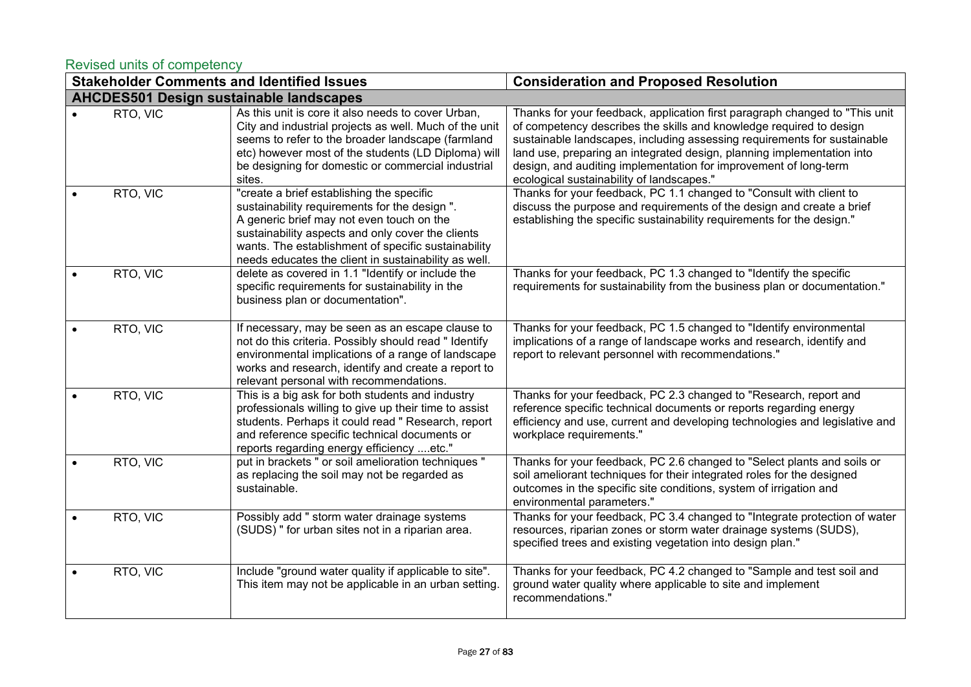### <span id="page-26-0"></span>Revised units of competency

|                                                | <b>Stakeholder Comments and Identified Issues</b>                                                                                                                                                                                                                                                           | <b>Consideration and Proposed Resolution</b>                                                                                                                                                                                                                                                                                                                                                                              |
|------------------------------------------------|-------------------------------------------------------------------------------------------------------------------------------------------------------------------------------------------------------------------------------------------------------------------------------------------------------------|---------------------------------------------------------------------------------------------------------------------------------------------------------------------------------------------------------------------------------------------------------------------------------------------------------------------------------------------------------------------------------------------------------------------------|
| <b>AHCDES501 Design sustainable landscapes</b> |                                                                                                                                                                                                                                                                                                             |                                                                                                                                                                                                                                                                                                                                                                                                                           |
| RTO, VIC                                       | As this unit is core it also needs to cover Urban,<br>City and industrial projects as well. Much of the unit<br>seems to refer to the broader landscape (farmland<br>etc) however most of the students (LD Diploma) will<br>be designing for domestic or commercial industrial<br>sites.                    | Thanks for your feedback, application first paragraph changed to "This unit<br>of competency describes the skills and knowledge required to design<br>sustainable landscapes, including assessing requirements for sustainable<br>land use, preparing an integrated design, planning implementation into<br>design, and auditing implementation for improvement of long-term<br>ecological sustainability of landscapes." |
| RTO, VIC                                       | "create a brief establishing the specific<br>sustainability requirements for the design ".<br>A generic brief may not even touch on the<br>sustainability aspects and only cover the clients<br>wants. The establishment of specific sustainability<br>needs educates the client in sustainability as well. | Thanks for your feedback, PC 1.1 changed to "Consult with client to<br>discuss the purpose and requirements of the design and create a brief<br>establishing the specific sustainability requirements for the design."                                                                                                                                                                                                    |
| RTO, VIC                                       | delete as covered in 1.1 "Identify or include the<br>specific requirements for sustainability in the<br>business plan or documentation".                                                                                                                                                                    | Thanks for your feedback, PC 1.3 changed to "Identify the specific<br>requirements for sustainability from the business plan or documentation."                                                                                                                                                                                                                                                                           |
| RTO, VIC                                       | If necessary, may be seen as an escape clause to<br>not do this criteria. Possibly should read " Identify<br>environmental implications of a range of landscape<br>works and research, identify and create a report to<br>relevant personal with recommendations.                                           | Thanks for your feedback, PC 1.5 changed to "Identify environmental<br>implications of a range of landscape works and research, identify and<br>report to relevant personnel with recommendations."                                                                                                                                                                                                                       |
| RTO, VIC                                       | This is a big ask for both students and industry<br>professionals willing to give up their time to assist<br>students. Perhaps it could read " Research, report<br>and reference specific technical documents or<br>reports regarding energy efficiency etc."                                               | Thanks for your feedback, PC 2.3 changed to "Research, report and<br>reference specific technical documents or reports regarding energy<br>efficiency and use, current and developing technologies and legislative and<br>workplace requirements."                                                                                                                                                                        |
| RTO, VIC                                       | put in brackets " or soil amelioration techniques "<br>as replacing the soil may not be regarded as<br>sustainable.                                                                                                                                                                                         | Thanks for your feedback, PC 2.6 changed to "Select plants and soils or<br>soil ameliorant techniques for their integrated roles for the designed<br>outcomes in the specific site conditions, system of irrigation and<br>environmental parameters."                                                                                                                                                                     |
| RTO, VIC                                       | Possibly add " storm water drainage systems<br>(SUDS) " for urban sites not in a riparian area.                                                                                                                                                                                                             | Thanks for your feedback, PC 3.4 changed to "Integrate protection of water<br>resources, riparian zones or storm water drainage systems (SUDS),<br>specified trees and existing vegetation into design plan."                                                                                                                                                                                                             |
| RTO, VIC                                       | Include "ground water quality if applicable to site".<br>This item may not be applicable in an urban setting.                                                                                                                                                                                               | Thanks for your feedback, PC 4.2 changed to "Sample and test soil and<br>ground water quality where applicable to site and implement<br>recommendations."                                                                                                                                                                                                                                                                 |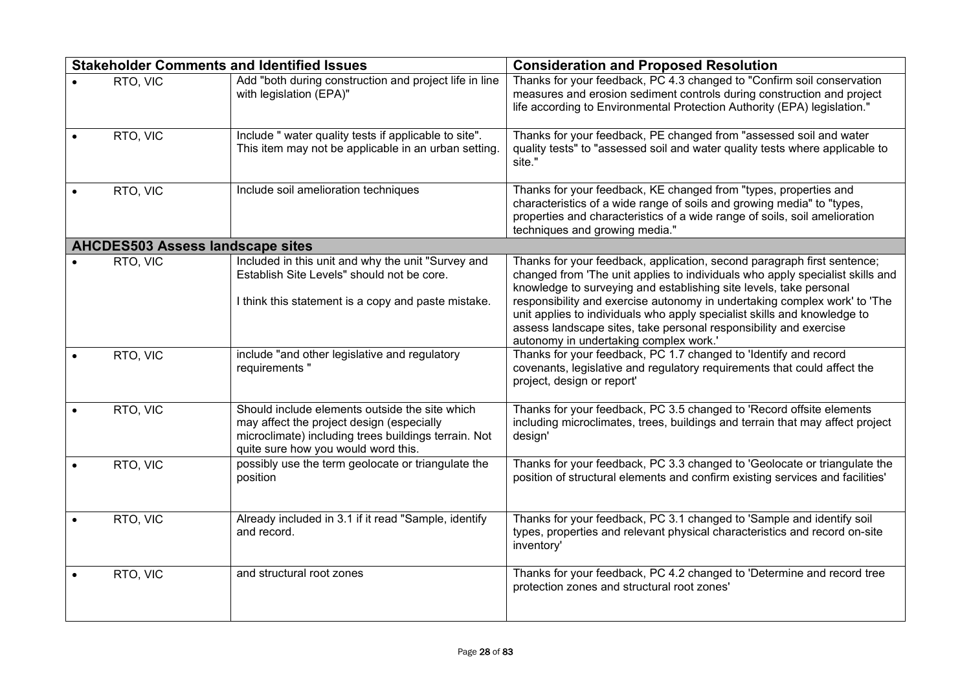|                                         | <b>Stakeholder Comments and Identified Issues</b>                                                                                                                                          | <b>Consideration and Proposed Resolution</b>                                                                                                                                                                                                                                                                                                                                                                                                                 |
|-----------------------------------------|--------------------------------------------------------------------------------------------------------------------------------------------------------------------------------------------|--------------------------------------------------------------------------------------------------------------------------------------------------------------------------------------------------------------------------------------------------------------------------------------------------------------------------------------------------------------------------------------------------------------------------------------------------------------|
| RTO, VIC                                | Add "both during construction and project life in line<br>with legislation (EPA)"                                                                                                          | Thanks for your feedback, PC 4.3 changed to "Confirm soil conservation<br>measures and erosion sediment controls during construction and project<br>life according to Environmental Protection Authority (EPA) legislation."                                                                                                                                                                                                                                 |
| RTO, VIC                                | Include " water quality tests if applicable to site".<br>This item may not be applicable in an urban setting.                                                                              | Thanks for your feedback, PE changed from "assessed soil and water<br>quality tests" to "assessed soil and water quality tests where applicable to<br>site."                                                                                                                                                                                                                                                                                                 |
| RTO, VIC                                | Include soil amelioration techniques                                                                                                                                                       | Thanks for your feedback, KE changed from "types, properties and<br>characteristics of a wide range of soils and growing media" to "types,<br>properties and characteristics of a wide range of soils, soil amelioration<br>techniques and growing media."                                                                                                                                                                                                   |
| <b>AHCDES503 Assess landscape sites</b> |                                                                                                                                                                                            |                                                                                                                                                                                                                                                                                                                                                                                                                                                              |
| RTO, VIC                                | Included in this unit and why the unit "Survey and<br>Establish Site Levels" should not be core.<br>I think this statement is a copy and paste mistake.                                    | Thanks for your feedback, application, second paragraph first sentence;<br>changed from 'The unit applies to individuals who apply specialist skills and<br>knowledge to surveying and establishing site levels, take personal<br>responsibility and exercise autonomy in undertaking complex work' to 'The<br>unit applies to individuals who apply specialist skills and knowledge to<br>assess landscape sites, take personal responsibility and exercise |
|                                         |                                                                                                                                                                                            | autonomy in undertaking complex work.'                                                                                                                                                                                                                                                                                                                                                                                                                       |
| RTO, VIC                                | include "and other legislative and regulatory<br>requirements "                                                                                                                            | Thanks for your feedback, PC 1.7 changed to 'Identify and record<br>covenants, legislative and regulatory requirements that could affect the<br>project, design or report'                                                                                                                                                                                                                                                                                   |
| RTO, VIC                                | Should include elements outside the site which<br>may affect the project design (especially<br>microclimate) including trees buildings terrain. Not<br>quite sure how you would word this. | Thanks for your feedback, PC 3.5 changed to 'Record offsite elements<br>including microclimates, trees, buildings and terrain that may affect project<br>design'                                                                                                                                                                                                                                                                                             |
| RTO, VIC                                | possibly use the term geolocate or triangulate the<br>position                                                                                                                             | Thanks for your feedback, PC 3.3 changed to 'Geolocate or triangulate the<br>position of structural elements and confirm existing services and facilities'                                                                                                                                                                                                                                                                                                   |
| RTO, VIC                                | Already included in 3.1 if it read "Sample, identify<br>and record.                                                                                                                        | Thanks for your feedback, PC 3.1 changed to 'Sample and identify soil<br>types, properties and relevant physical characteristics and record on-site<br>inventory'                                                                                                                                                                                                                                                                                            |
| RTO, VIC                                | and structural root zones                                                                                                                                                                  | Thanks for your feedback, PC 4.2 changed to 'Determine and record tree<br>protection zones and structural root zones'                                                                                                                                                                                                                                                                                                                                        |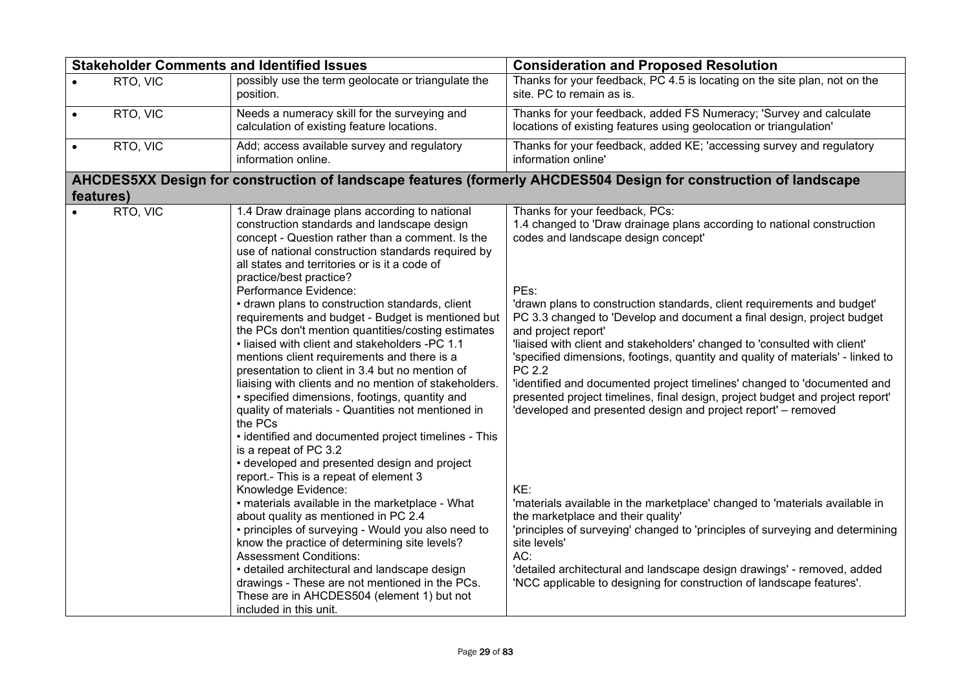| <b>Stakeholder Comments and Identified Issues</b> |          |                                                                                                                                                                                                                                                                                                                                                                                                                                                                                                                                                                                                                                                                                                                                                                                                                                                                                                                                                                                                                                                                                                                                                                                                                                                                                                                                                                                                                           | <b>Consideration and Proposed Resolution</b>                                                                                                                                                                                                                                                                                                                                                                                                                                                                                                                                                                                                                                                                                                                                                                                                                                                                                                                                                                                                                                                                                        |
|---------------------------------------------------|----------|---------------------------------------------------------------------------------------------------------------------------------------------------------------------------------------------------------------------------------------------------------------------------------------------------------------------------------------------------------------------------------------------------------------------------------------------------------------------------------------------------------------------------------------------------------------------------------------------------------------------------------------------------------------------------------------------------------------------------------------------------------------------------------------------------------------------------------------------------------------------------------------------------------------------------------------------------------------------------------------------------------------------------------------------------------------------------------------------------------------------------------------------------------------------------------------------------------------------------------------------------------------------------------------------------------------------------------------------------------------------------------------------------------------------------|-------------------------------------------------------------------------------------------------------------------------------------------------------------------------------------------------------------------------------------------------------------------------------------------------------------------------------------------------------------------------------------------------------------------------------------------------------------------------------------------------------------------------------------------------------------------------------------------------------------------------------------------------------------------------------------------------------------------------------------------------------------------------------------------------------------------------------------------------------------------------------------------------------------------------------------------------------------------------------------------------------------------------------------------------------------------------------------------------------------------------------------|
|                                                   | RTO, VIC | possibly use the term geolocate or triangulate the<br>position.                                                                                                                                                                                                                                                                                                                                                                                                                                                                                                                                                                                                                                                                                                                                                                                                                                                                                                                                                                                                                                                                                                                                                                                                                                                                                                                                                           | Thanks for your feedback, PC 4.5 is locating on the site plan, not on the<br>site. PC to remain as is.                                                                                                                                                                                                                                                                                                                                                                                                                                                                                                                                                                                                                                                                                                                                                                                                                                                                                                                                                                                                                              |
| $\bullet$                                         | RTO, VIC | Needs a numeracy skill for the surveying and<br>calculation of existing feature locations.                                                                                                                                                                                                                                                                                                                                                                                                                                                                                                                                                                                                                                                                                                                                                                                                                                                                                                                                                                                                                                                                                                                                                                                                                                                                                                                                | Thanks for your feedback, added FS Numeracy; 'Survey and calculate<br>locations of existing features using geolocation or triangulation'                                                                                                                                                                                                                                                                                                                                                                                                                                                                                                                                                                                                                                                                                                                                                                                                                                                                                                                                                                                            |
| $\bullet$                                         | RTO, VIC | Add; access available survey and regulatory<br>information online.                                                                                                                                                                                                                                                                                                                                                                                                                                                                                                                                                                                                                                                                                                                                                                                                                                                                                                                                                                                                                                                                                                                                                                                                                                                                                                                                                        | Thanks for your feedback, added KE; 'accessing survey and regulatory<br>information online'                                                                                                                                                                                                                                                                                                                                                                                                                                                                                                                                                                                                                                                                                                                                                                                                                                                                                                                                                                                                                                         |
| features)                                         |          |                                                                                                                                                                                                                                                                                                                                                                                                                                                                                                                                                                                                                                                                                                                                                                                                                                                                                                                                                                                                                                                                                                                                                                                                                                                                                                                                                                                                                           | AHCDES5XX Design for construction of landscape features (formerly AHCDES504 Design for construction of landscape                                                                                                                                                                                                                                                                                                                                                                                                                                                                                                                                                                                                                                                                                                                                                                                                                                                                                                                                                                                                                    |
|                                                   | RTO, VIC | 1.4 Draw drainage plans according to national<br>construction standards and landscape design<br>concept - Question rather than a comment. Is the<br>use of national construction standards required by<br>all states and territories or is it a code of<br>practice/best practice?<br>Performance Evidence:<br>• drawn plans to construction standards, client<br>requirements and budget - Budget is mentioned but<br>the PCs don't mention quantities/costing estimates<br>• liaised with client and stakeholders -PC 1.1<br>mentions client requirements and there is a<br>presentation to client in 3.4 but no mention of<br>liaising with clients and no mention of stakeholders.<br>• specified dimensions, footings, quantity and<br>quality of materials - Quantities not mentioned in<br>the PCs<br>• identified and documented project timelines - This<br>is a repeat of PC 3.2<br>• developed and presented design and project<br>report.- This is a repeat of element 3<br>Knowledge Evidence:<br>• materials available in the marketplace - What<br>about quality as mentioned in PC 2.4<br>• principles of surveying - Would you also need to<br>know the practice of determining site levels?<br><b>Assessment Conditions:</b><br>• detailed architectural and landscape design<br>drawings - These are not mentioned in the PCs.<br>These are in AHCDES504 (element 1) but not<br>included in this unit. | Thanks for your feedback, PCs:<br>1.4 changed to 'Draw drainage plans according to national construction<br>codes and landscape design concept'<br>PEs:<br>'drawn plans to construction standards, client requirements and budget'<br>PC 3.3 changed to 'Develop and document a final design, project budget<br>and project report'<br>'liaised with client and stakeholders' changed to 'consulted with client'<br>'specified dimensions, footings, quantity and quality of materials' - linked to<br>PC 2.2<br>'identified and documented project timelines' changed to 'documented and<br>presented project timelines, final design, project budget and project report'<br>'developed and presented design and project report' - removed<br>KE:<br>'materials available in the marketplace' changed to 'materials available in<br>the marketplace and their quality'<br>'principles of surveying' changed to 'principles of surveying and determining<br>site levels'<br>AC:<br>'detailed architectural and landscape design drawings' - removed, added<br>'NCC applicable to designing for construction of landscape features'. |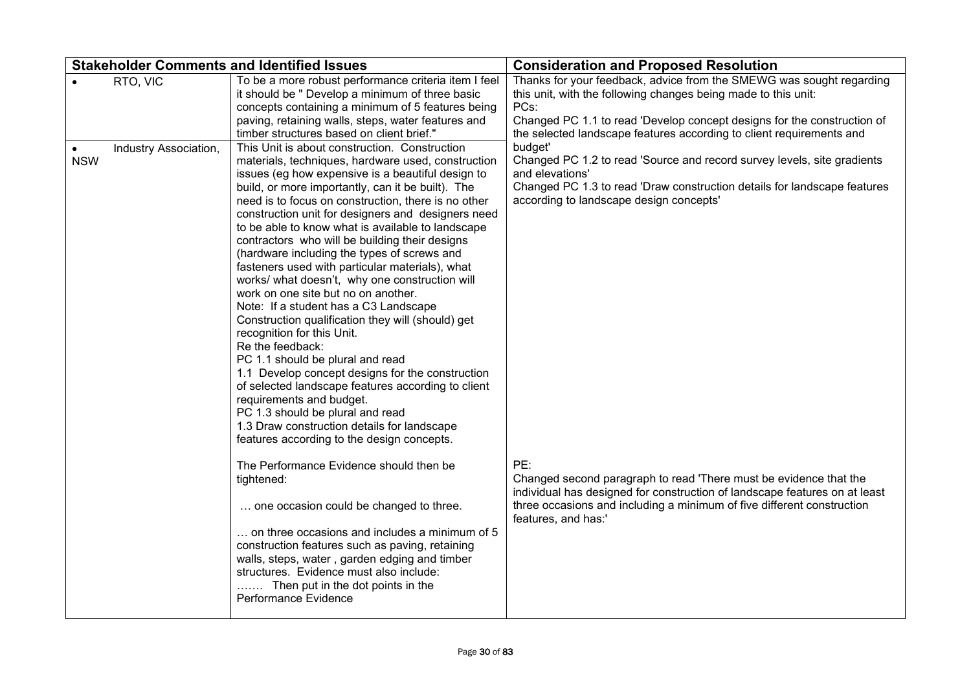|                         |                       | <b>Stakeholder Comments and Identified Issues</b>                                                                                                                                                                                                                                                                                                                                                                                                                                                                                                                                                                                                                                                                                                                                                                                                                                                                                                                                                                                                                                                                                                | <b>Consideration and Proposed Resolution</b>                                                                                                                                                                                                                                                                                                                                           |
|-------------------------|-----------------------|--------------------------------------------------------------------------------------------------------------------------------------------------------------------------------------------------------------------------------------------------------------------------------------------------------------------------------------------------------------------------------------------------------------------------------------------------------------------------------------------------------------------------------------------------------------------------------------------------------------------------------------------------------------------------------------------------------------------------------------------------------------------------------------------------------------------------------------------------------------------------------------------------------------------------------------------------------------------------------------------------------------------------------------------------------------------------------------------------------------------------------------------------|----------------------------------------------------------------------------------------------------------------------------------------------------------------------------------------------------------------------------------------------------------------------------------------------------------------------------------------------------------------------------------------|
|                         | RTO, VIC              | To be a more robust performance criteria item I feel<br>it should be " Develop a minimum of three basic<br>concepts containing a minimum of 5 features being<br>paving, retaining walls, steps, water features and<br>timber structures based on client brief."                                                                                                                                                                                                                                                                                                                                                                                                                                                                                                                                                                                                                                                                                                                                                                                                                                                                                  | Thanks for your feedback, advice from the SMEWG was sought regarding<br>this unit, with the following changes being made to this unit:<br>PCs:<br>Changed PC 1.1 to read 'Develop concept designs for the construction of<br>the selected landscape features according to client requirements and                                                                                      |
| $\bullet$<br><b>NSW</b> | Industry Association, | This Unit is about construction. Construction<br>materials, techniques, hardware used, construction<br>issues (eg how expensive is a beautiful design to<br>build, or more importantly, can it be built). The<br>need is to focus on construction, there is no other<br>construction unit for designers and designers need<br>to be able to know what is available to landscape<br>contractors who will be building their designs<br>(hardware including the types of screws and<br>fasteners used with particular materials), what<br>works/ what doesn't, why one construction will<br>work on one site but no on another.<br>Note: If a student has a C3 Landscape<br>Construction qualification they will (should) get<br>recognition for this Unit.<br>Re the feedback:<br>PC 1.1 should be plural and read<br>1.1 Develop concept designs for the construction<br>of selected landscape features according to client<br>requirements and budget.<br>PC 1.3 should be plural and read<br>1.3 Draw construction details for landscape<br>features according to the design concepts.<br>The Performance Evidence should then be<br>tightened: | budget'<br>Changed PC 1.2 to read 'Source and record survey levels, site gradients<br>and elevations'<br>Changed PC 1.3 to read 'Draw construction details for landscape features<br>according to landscape design concepts'<br>PE:<br>Changed second paragraph to read 'There must be evidence that the<br>individual has designed for construction of landscape features on at least |
|                         |                       | one occasion could be changed to three.<br>on three occasions and includes a minimum of 5<br>construction features such as paving, retaining<br>walls, steps, water, garden edging and timber<br>structures. Evidence must also include:<br>Then put in the dot points in the<br>Performance Evidence                                                                                                                                                                                                                                                                                                                                                                                                                                                                                                                                                                                                                                                                                                                                                                                                                                            | three occasions and including a minimum of five different construction<br>features, and has:'                                                                                                                                                                                                                                                                                          |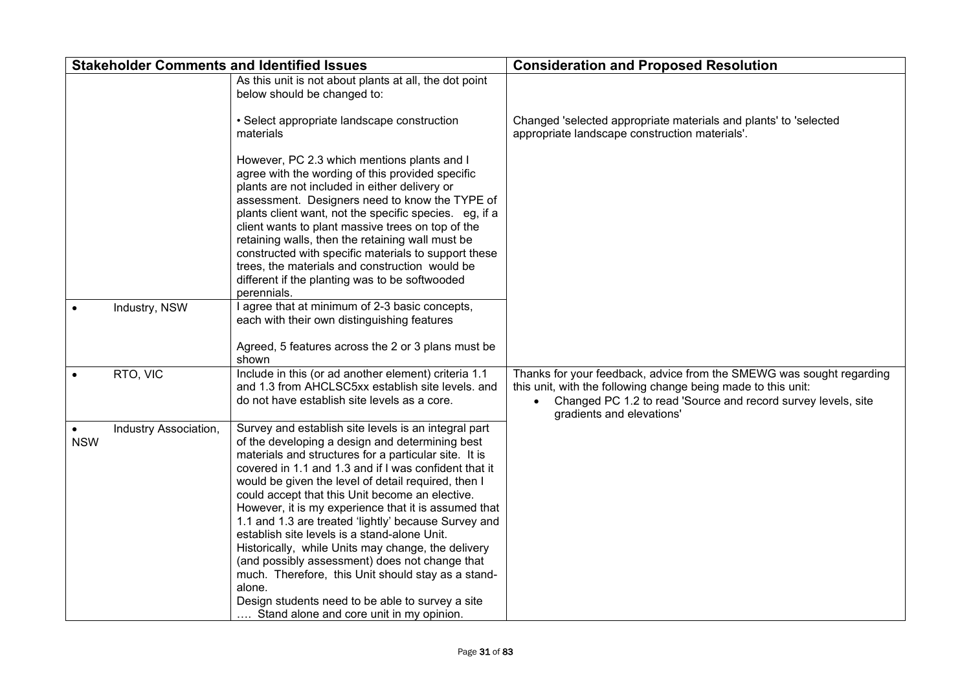|            |                       | <b>Stakeholder Comments and Identified Issues</b>                                                                                                                                                                                                                                                                                                                                                                                                                                                                                                                                                                                                                                                                                                                           | <b>Consideration and Proposed Resolution</b>                                                                                                                                                                                                     |
|------------|-----------------------|-----------------------------------------------------------------------------------------------------------------------------------------------------------------------------------------------------------------------------------------------------------------------------------------------------------------------------------------------------------------------------------------------------------------------------------------------------------------------------------------------------------------------------------------------------------------------------------------------------------------------------------------------------------------------------------------------------------------------------------------------------------------------------|--------------------------------------------------------------------------------------------------------------------------------------------------------------------------------------------------------------------------------------------------|
|            |                       | As this unit is not about plants at all, the dot point<br>below should be changed to:                                                                                                                                                                                                                                                                                                                                                                                                                                                                                                                                                                                                                                                                                       |                                                                                                                                                                                                                                                  |
|            |                       | • Select appropriate landscape construction<br>materials                                                                                                                                                                                                                                                                                                                                                                                                                                                                                                                                                                                                                                                                                                                    | Changed 'selected appropriate materials and plants' to 'selected<br>appropriate landscape construction materials'.                                                                                                                               |
|            |                       | However, PC 2.3 which mentions plants and I<br>agree with the wording of this provided specific<br>plants are not included in either delivery or<br>assessment. Designers need to know the TYPE of<br>plants client want, not the specific species. eg, if a<br>client wants to plant massive trees on top of the<br>retaining walls, then the retaining wall must be<br>constructed with specific materials to support these<br>trees, the materials and construction would be<br>different if the planting was to be softwooded<br>perennials.                                                                                                                                                                                                                            |                                                                                                                                                                                                                                                  |
|            | Industry, NSW         | I agree that at minimum of 2-3 basic concepts,<br>each with their own distinguishing features<br>Agreed, 5 features across the 2 or 3 plans must be<br>shown                                                                                                                                                                                                                                                                                                                                                                                                                                                                                                                                                                                                                |                                                                                                                                                                                                                                                  |
|            | RTO, VIC              | Include in this (or ad another element) criteria 1.1<br>and 1.3 from AHCLSC5xx establish site levels. and<br>do not have establish site levels as a core.                                                                                                                                                                                                                                                                                                                                                                                                                                                                                                                                                                                                                   | Thanks for your feedback, advice from the SMEWG was sought regarding<br>this unit, with the following change being made to this unit:<br>Changed PC 1.2 to read 'Source and record survey levels, site<br>$\bullet$<br>gradients and elevations' |
| <b>NSW</b> | Industry Association, | Survey and establish site levels is an integral part<br>of the developing a design and determining best<br>materials and structures for a particular site. It is<br>covered in 1.1 and 1.3 and if I was confident that it<br>would be given the level of detail required, then I<br>could accept that this Unit become an elective.<br>However, it is my experience that it is assumed that<br>1.1 and 1.3 are treated 'lightly' because Survey and<br>establish site levels is a stand-alone Unit.<br>Historically, while Units may change, the delivery<br>(and possibly assessment) does not change that<br>much. Therefore, this Unit should stay as a stand-<br>alone.<br>Design students need to be able to survey a site<br>Stand alone and core unit in my opinion. |                                                                                                                                                                                                                                                  |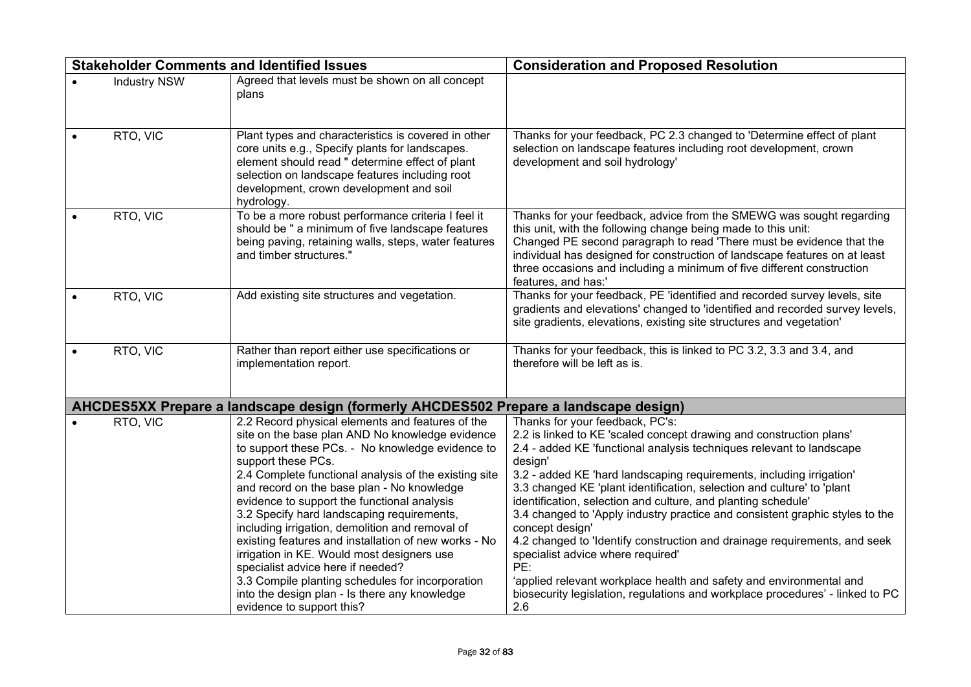|                     | <b>Stakeholder Comments and Identified Issues</b>                                                                                                                                                                                                                                                                                                                                                                                                                                                                                                                                                                                                                                                                 | <b>Consideration and Proposed Resolution</b>                                                                                                                                                                                                                                                                                                                                                                                                                                                                                                                                                                                                                                                                                                                                                            |
|---------------------|-------------------------------------------------------------------------------------------------------------------------------------------------------------------------------------------------------------------------------------------------------------------------------------------------------------------------------------------------------------------------------------------------------------------------------------------------------------------------------------------------------------------------------------------------------------------------------------------------------------------------------------------------------------------------------------------------------------------|---------------------------------------------------------------------------------------------------------------------------------------------------------------------------------------------------------------------------------------------------------------------------------------------------------------------------------------------------------------------------------------------------------------------------------------------------------------------------------------------------------------------------------------------------------------------------------------------------------------------------------------------------------------------------------------------------------------------------------------------------------------------------------------------------------|
| <b>Industry NSW</b> | Agreed that levels must be shown on all concept<br>plans                                                                                                                                                                                                                                                                                                                                                                                                                                                                                                                                                                                                                                                          |                                                                                                                                                                                                                                                                                                                                                                                                                                                                                                                                                                                                                                                                                                                                                                                                         |
| RTO, VIC            | Plant types and characteristics is covered in other<br>core units e.g., Specify plants for landscapes.<br>element should read " determine effect of plant<br>selection on landscape features including root<br>development, crown development and soil<br>hydrology.                                                                                                                                                                                                                                                                                                                                                                                                                                              | Thanks for your feedback, PC 2.3 changed to 'Determine effect of plant<br>selection on landscape features including root development, crown<br>development and soil hydrology'                                                                                                                                                                                                                                                                                                                                                                                                                                                                                                                                                                                                                          |
| RTO, VIC            | To be a more robust performance criteria I feel it<br>should be " a minimum of five landscape features<br>being paving, retaining walls, steps, water features<br>and timber structures.'                                                                                                                                                                                                                                                                                                                                                                                                                                                                                                                         | Thanks for your feedback, advice from the SMEWG was sought regarding<br>this unit, with the following change being made to this unit:<br>Changed PE second paragraph to read 'There must be evidence that the<br>individual has designed for construction of landscape features on at least<br>three occasions and including a minimum of five different construction<br>features, and has:'                                                                                                                                                                                                                                                                                                                                                                                                            |
| RTO, VIC            | Add existing site structures and vegetation.                                                                                                                                                                                                                                                                                                                                                                                                                                                                                                                                                                                                                                                                      | Thanks for your feedback, PE 'identified and recorded survey levels, site<br>gradients and elevations' changed to 'identified and recorded survey levels,<br>site gradients, elevations, existing site structures and vegetation'                                                                                                                                                                                                                                                                                                                                                                                                                                                                                                                                                                       |
| RTO, VIC            | Rather than report either use specifications or<br>implementation report.                                                                                                                                                                                                                                                                                                                                                                                                                                                                                                                                                                                                                                         | Thanks for your feedback, this is linked to PC 3.2, 3.3 and 3.4, and<br>therefore will be left as is.                                                                                                                                                                                                                                                                                                                                                                                                                                                                                                                                                                                                                                                                                                   |
|                     | AHCDES5XX Prepare a landscape design (formerly AHCDES502 Prepare a landscape design)                                                                                                                                                                                                                                                                                                                                                                                                                                                                                                                                                                                                                              |                                                                                                                                                                                                                                                                                                                                                                                                                                                                                                                                                                                                                                                                                                                                                                                                         |
| RTO, VIC            | 2.2 Record physical elements and features of the<br>site on the base plan AND No knowledge evidence<br>to support these PCs. - No knowledge evidence to<br>support these PCs.<br>2.4 Complete functional analysis of the existing site<br>and record on the base plan - No knowledge<br>evidence to support the functional analysis<br>3.2 Specify hard landscaping requirements,<br>including irrigation, demolition and removal of<br>existing features and installation of new works - No<br>irrigation in KE. Would most designers use<br>specialist advice here if needed?<br>3.3 Compile planting schedules for incorporation<br>into the design plan - Is there any knowledge<br>evidence to support this? | Thanks for your feedback, PC's:<br>2.2 is linked to KE 'scaled concept drawing and construction plans'<br>2.4 - added KE 'functional analysis techniques relevant to landscape<br>design'<br>3.2 - added KE 'hard landscaping requirements, including irrigation'<br>3.3 changed KE 'plant identification, selection and culture' to 'plant<br>identification, selection and culture, and planting schedule'<br>3.4 changed to 'Apply industry practice and consistent graphic styles to the<br>concept design'<br>4.2 changed to 'Identify construction and drainage requirements, and seek<br>specialist advice where required'<br>PE:<br>'applied relevant workplace health and safety and environmental and<br>biosecurity legislation, regulations and workplace procedures' - linked to PC<br>2.6 |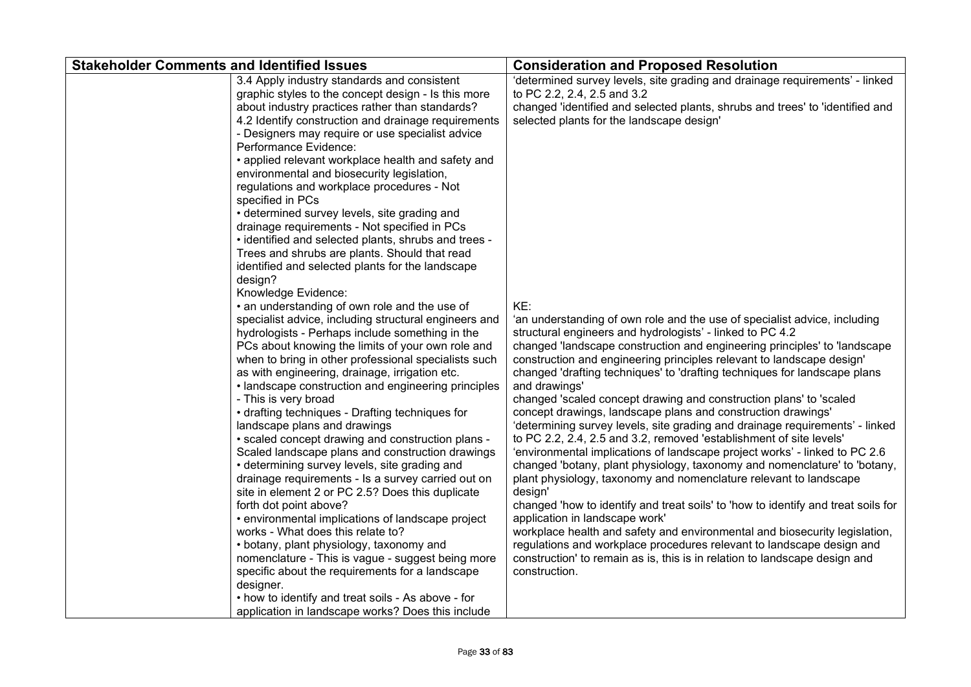| <b>Stakeholder Comments and Identified Issues</b> |                                                       | <b>Consideration and Proposed Resolution</b>                                      |
|---------------------------------------------------|-------------------------------------------------------|-----------------------------------------------------------------------------------|
|                                                   | 3.4 Apply industry standards and consistent           | 'determined survey levels, site grading and drainage requirements' - linked       |
|                                                   | graphic styles to the concept design - Is this more   | to PC 2.2, 2.4, 2.5 and 3.2                                                       |
|                                                   | about industry practices rather than standards?       | changed 'identified and selected plants, shrubs and trees' to 'identified and     |
|                                                   | 4.2 Identify construction and drainage requirements   | selected plants for the landscape design'                                         |
|                                                   | - Designers may require or use specialist advice      |                                                                                   |
|                                                   | Performance Evidence:                                 |                                                                                   |
|                                                   | • applied relevant workplace health and safety and    |                                                                                   |
|                                                   | environmental and biosecurity legislation,            |                                                                                   |
|                                                   | regulations and workplace procedures - Not            |                                                                                   |
|                                                   | specified in PCs                                      |                                                                                   |
|                                                   | • determined survey levels, site grading and          |                                                                                   |
|                                                   | drainage requirements - Not specified in PCs          |                                                                                   |
|                                                   | • identified and selected plants, shrubs and trees -  |                                                                                   |
|                                                   | Trees and shrubs are plants. Should that read         |                                                                                   |
|                                                   | identified and selected plants for the landscape      |                                                                                   |
|                                                   | design?                                               |                                                                                   |
|                                                   | Knowledge Evidence:                                   |                                                                                   |
|                                                   | • an understanding of own role and the use of         | KE:                                                                               |
|                                                   | specialist advice, including structural engineers and | 'an understanding of own role and the use of specialist advice, including         |
|                                                   | hydrologists - Perhaps include something in the       | structural engineers and hydrologists' - linked to PC 4.2                         |
|                                                   | PCs about knowing the limits of your own role and     | changed 'landscape construction and engineering principles' to 'landscape         |
|                                                   | when to bring in other professional specialists such  | construction and engineering principles relevant to landscape design'             |
|                                                   | as with engineering, drainage, irrigation etc.        | changed 'drafting techniques' to 'drafting techniques for landscape plans         |
|                                                   | • landscape construction and engineering principles   | and drawings'                                                                     |
|                                                   | - This is very broad                                  | changed 'scaled concept drawing and construction plans' to 'scaled                |
|                                                   | • drafting techniques - Drafting techniques for       | concept drawings, landscape plans and construction drawings'                      |
|                                                   | landscape plans and drawings                          | 'determining survey levels, site grading and drainage requirements' - linked      |
|                                                   | • scaled concept drawing and construction plans -     | to PC 2.2, 2.4, 2.5 and 3.2, removed 'establishment of site levels'               |
|                                                   | Scaled landscape plans and construction drawings      | 'environmental implications of landscape project works' - linked to PC 2.6        |
|                                                   | • determining survey levels, site grading and         | changed 'botany, plant physiology, taxonomy and nomenclature' to 'botany,         |
|                                                   | drainage requirements - Is a survey carried out on    | plant physiology, taxonomy and nomenclature relevant to landscape                 |
|                                                   | site in element 2 or PC 2.5? Does this duplicate      | design'                                                                           |
|                                                   | forth dot point above?                                | changed 'how to identify and treat soils' to 'how to identify and treat soils for |
|                                                   | • environmental implications of landscape project     | application in landscape work'                                                    |
|                                                   | works - What does this relate to?                     | workplace health and safety and environmental and biosecurity legislation,        |
|                                                   | • botany, plant physiology, taxonomy and              | regulations and workplace procedures relevant to landscape design and             |
|                                                   | nomenclature - This is vague - suggest being more     | construction' to remain as is, this is in relation to landscape design and        |
|                                                   | specific about the requirements for a landscape       | construction.                                                                     |
|                                                   | designer.                                             |                                                                                   |
|                                                   | • how to identify and treat soils - As above - for    |                                                                                   |
|                                                   |                                                       |                                                                                   |
|                                                   | application in landscape works? Does this include     |                                                                                   |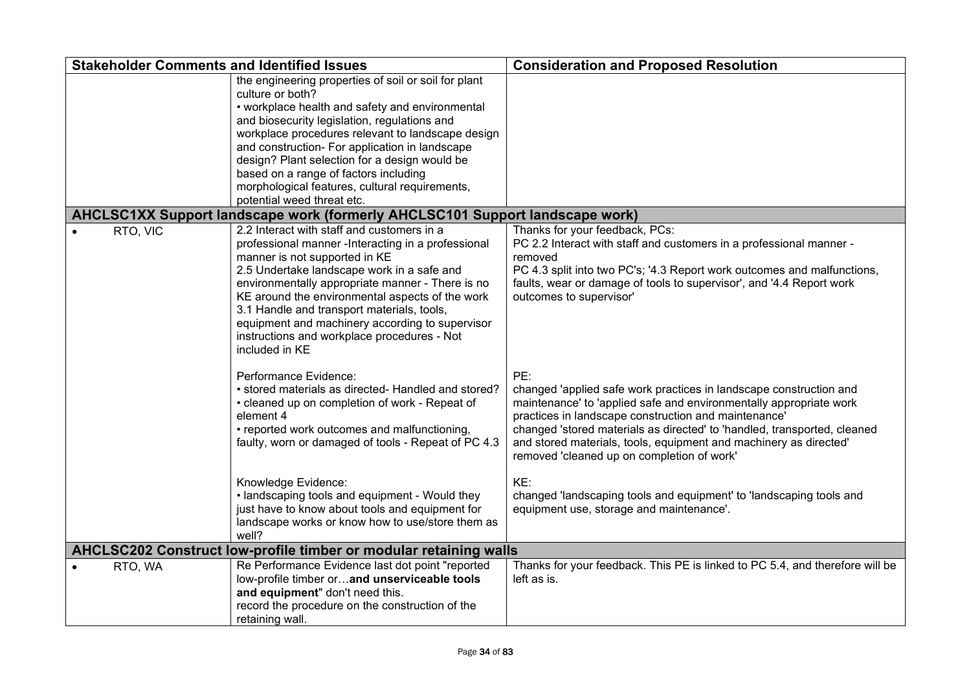| <b>Stakeholder Comments and Identified Issues</b>                            |                                                                                                                                                                                                                                                                                                                                                                                                                                                              | <b>Consideration and Proposed Resolution</b>                                                                                                                                                                                                                                                                                                                                                                                                                                                                                     |  |  |  |
|------------------------------------------------------------------------------|--------------------------------------------------------------------------------------------------------------------------------------------------------------------------------------------------------------------------------------------------------------------------------------------------------------------------------------------------------------------------------------------------------------------------------------------------------------|----------------------------------------------------------------------------------------------------------------------------------------------------------------------------------------------------------------------------------------------------------------------------------------------------------------------------------------------------------------------------------------------------------------------------------------------------------------------------------------------------------------------------------|--|--|--|
|                                                                              | the engineering properties of soil or soil for plant<br>culture or both?<br>• workplace health and safety and environmental<br>and biosecurity legislation, regulations and<br>workplace procedures relevant to landscape design<br>and construction- For application in landscape<br>design? Plant selection for a design would be<br>based on a range of factors including<br>morphological features, cultural requirements,<br>potential weed threat etc. |                                                                                                                                                                                                                                                                                                                                                                                                                                                                                                                                  |  |  |  |
| AHCLSC1XX Support landscape work (formerly AHCLSC101 Support landscape work) |                                                                                                                                                                                                                                                                                                                                                                                                                                                              |                                                                                                                                                                                                                                                                                                                                                                                                                                                                                                                                  |  |  |  |
| RTO, VIC                                                                     | 2.2 Interact with staff and customers in a<br>professional manner - Interacting in a professional<br>manner is not supported in KE<br>2.5 Undertake landscape work in a safe and<br>environmentally appropriate manner - There is no<br>KE around the environmental aspects of the work<br>3.1 Handle and transport materials, tools,<br>equipment and machinery according to supervisor<br>instructions and workplace procedures - Not<br>included in KE    | Thanks for your feedback, PCs:<br>PC 2.2 Interact with staff and customers in a professional manner -<br>removed<br>PC 4.3 split into two PC's; '4.3 Report work outcomes and malfunctions,<br>faults, wear or damage of tools to supervisor', and '4.4 Report work<br>outcomes to supervisor'                                                                                                                                                                                                                                   |  |  |  |
|                                                                              | Performance Evidence:<br>• stored materials as directed- Handled and stored?<br>• cleaned up on completion of work - Repeat of<br>element 4<br>• reported work outcomes and malfunctioning,<br>faulty, worn or damaged of tools - Repeat of PC 4.3<br>Knowledge Evidence:<br>• landscaping tools and equipment - Would they<br>just have to know about tools and equipment for<br>landscape works or know how to use/store them as                           | PE:<br>changed 'applied safe work practices in landscape construction and<br>maintenance' to 'applied safe and environmentally appropriate work<br>practices in landscape construction and maintenance'<br>changed 'stored materials as directed' to 'handled, transported, cleaned<br>and stored materials, tools, equipment and machinery as directed'<br>removed 'cleaned up on completion of work'<br>KE:<br>changed 'landscaping tools and equipment' to 'landscaping tools and<br>equipment use, storage and maintenance'. |  |  |  |
| well?<br>AHCLSC202 Construct low-profile timber or modular retaining walls   |                                                                                                                                                                                                                                                                                                                                                                                                                                                              |                                                                                                                                                                                                                                                                                                                                                                                                                                                                                                                                  |  |  |  |
| RTO, WA                                                                      | Re Performance Evidence last dot point "reported<br>low-profile timber orand unserviceable tools<br>and equipment" don't need this.<br>record the procedure on the construction of the<br>retaining wall.                                                                                                                                                                                                                                                    | Thanks for your feedback. This PE is linked to PC 5.4, and therefore will be<br>left as is.                                                                                                                                                                                                                                                                                                                                                                                                                                      |  |  |  |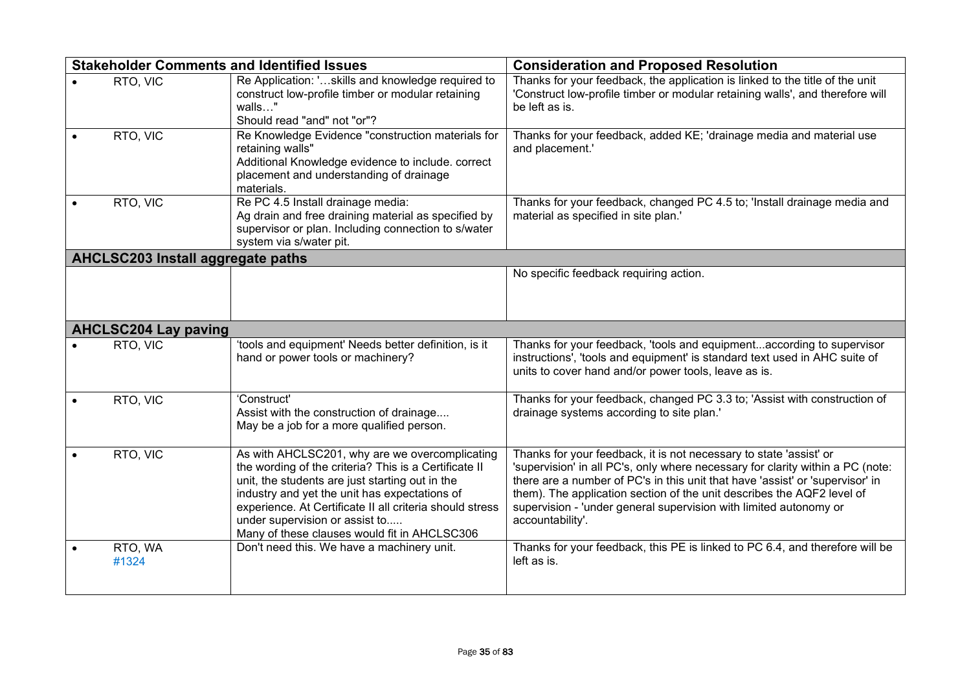| <b>Stakeholder Comments and Identified Issues</b> |                             |                                                                                                                                                                                                                                                                                                                                                           | <b>Consideration and Proposed Resolution</b>                                                                                                                                                                                                                                                                                                                                                             |  |
|---------------------------------------------------|-----------------------------|-----------------------------------------------------------------------------------------------------------------------------------------------------------------------------------------------------------------------------------------------------------------------------------------------------------------------------------------------------------|----------------------------------------------------------------------------------------------------------------------------------------------------------------------------------------------------------------------------------------------------------------------------------------------------------------------------------------------------------------------------------------------------------|--|
|                                                   | RTO, VIC                    | Re Application: 'skills and knowledge required to<br>construct low-profile timber or modular retaining<br>walls"<br>Should read "and" not "or"?                                                                                                                                                                                                           | Thanks for your feedback, the application is linked to the title of the unit<br>'Construct low-profile timber or modular retaining walls', and therefore will<br>be left as is.                                                                                                                                                                                                                          |  |
|                                                   | RTO, VIC                    | Re Knowledge Evidence "construction materials for<br>retaining walls"<br>Additional Knowledge evidence to include. correct<br>placement and understanding of drainage<br>materials.                                                                                                                                                                       | Thanks for your feedback, added KE; 'drainage media and material use<br>and placement.'                                                                                                                                                                                                                                                                                                                  |  |
|                                                   | RTO, VIC                    | Re PC 4.5 Install drainage media:<br>Ag drain and free draining material as specified by<br>supervisor or plan. Including connection to s/water<br>system via s/water pit.                                                                                                                                                                                | Thanks for your feedback, changed PC 4.5 to; 'Install drainage media and<br>material as specified in site plan.'                                                                                                                                                                                                                                                                                         |  |
| AHCLSC203 Install aggregate paths                 |                             |                                                                                                                                                                                                                                                                                                                                                           |                                                                                                                                                                                                                                                                                                                                                                                                          |  |
|                                                   |                             |                                                                                                                                                                                                                                                                                                                                                           | No specific feedback requiring action.                                                                                                                                                                                                                                                                                                                                                                   |  |
|                                                   | <b>AHCLSC204 Lay paving</b> |                                                                                                                                                                                                                                                                                                                                                           |                                                                                                                                                                                                                                                                                                                                                                                                          |  |
|                                                   | RTO, VIC                    | 'tools and equipment' Needs better definition, is it<br>hand or power tools or machinery?                                                                                                                                                                                                                                                                 | Thanks for your feedback, 'tools and equipmentaccording to supervisor<br>instructions', 'tools and equipment' is standard text used in AHC suite of<br>units to cover hand and/or power tools, leave as is.                                                                                                                                                                                              |  |
|                                                   | RTO, VIC                    | 'Construct'<br>Assist with the construction of drainage<br>May be a job for a more qualified person.                                                                                                                                                                                                                                                      | Thanks for your feedback, changed PC 3.3 to; 'Assist with construction of<br>drainage systems according to site plan.'                                                                                                                                                                                                                                                                                   |  |
|                                                   | RTO, VIC                    | As with AHCLSC201, why are we overcomplicating<br>the wording of the criteria? This is a Certificate II<br>unit, the students are just starting out in the<br>industry and yet the unit has expectations of<br>experience. At Certificate II all criteria should stress<br>under supervision or assist to<br>Many of these clauses would fit in AHCLSC306 | Thanks for your feedback, it is not necessary to state 'assist' or<br>'supervision' in all PC's, only where necessary for clarity within a PC (note:<br>there are a number of PC's in this unit that have 'assist' or 'supervisor' in<br>them). The application section of the unit describes the AQF2 level of<br>supervision - 'under general supervision with limited autonomy or<br>accountability'. |  |
|                                                   | RTO, WA<br>#1324            | Don't need this. We have a machinery unit.                                                                                                                                                                                                                                                                                                                | Thanks for your feedback, this PE is linked to PC 6.4, and therefore will be<br>left as is.                                                                                                                                                                                                                                                                                                              |  |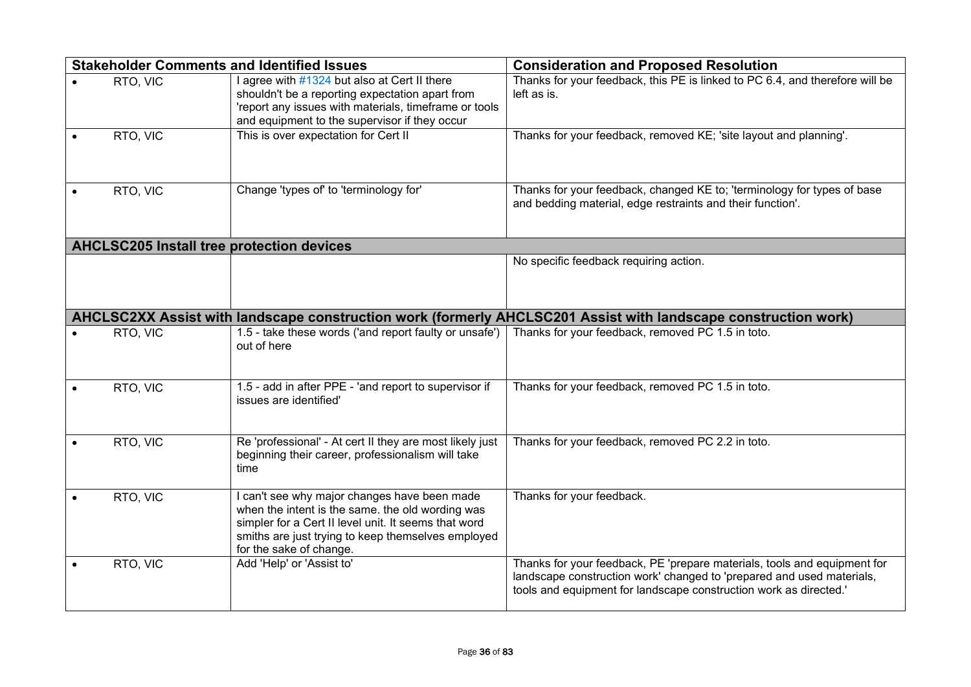| <b>Stakeholder Comments and Identified Issues</b> |          |                                                                                                                                                                                                                                           | <b>Consideration and Proposed Resolution</b>                                                                                                                                                                           |  |  |
|---------------------------------------------------|----------|-------------------------------------------------------------------------------------------------------------------------------------------------------------------------------------------------------------------------------------------|------------------------------------------------------------------------------------------------------------------------------------------------------------------------------------------------------------------------|--|--|
|                                                   | RTO, VIC | I agree with #1324 but also at Cert II there<br>shouldn't be a reporting expectation apart from<br>'report any issues with materials, timeframe or tools<br>and equipment to the supervisor if they occur                                 | Thanks for your feedback, this PE is linked to PC 6.4, and therefore will be<br>left as is.                                                                                                                            |  |  |
|                                                   | RTO, VIC | This is over expectation for Cert II                                                                                                                                                                                                      | Thanks for your feedback, removed KE; 'site layout and planning'.                                                                                                                                                      |  |  |
|                                                   | RTO, VIC | Change 'types of' to 'terminology for'                                                                                                                                                                                                    | Thanks for your feedback, changed KE to; 'terminology for types of base<br>and bedding material, edge restraints and their function'.                                                                                  |  |  |
| <b>AHCLSC205 Install tree protection devices</b>  |          |                                                                                                                                                                                                                                           |                                                                                                                                                                                                                        |  |  |
|                                                   |          |                                                                                                                                                                                                                                           | No specific feedback requiring action.                                                                                                                                                                                 |  |  |
|                                                   |          |                                                                                                                                                                                                                                           | AHCLSC2XX Assist with landscape construction work (formerly AHCLSC201 Assist with landscape construction work)                                                                                                         |  |  |
|                                                   | RTO, VIC | 1.5 - take these words ('and report faulty or unsafe')<br>out of here                                                                                                                                                                     | Thanks for your feedback, removed PC 1.5 in toto.                                                                                                                                                                      |  |  |
|                                                   | RTO, VIC | 1.5 - add in after PPE - 'and report to supervisor if<br>issues are identified'                                                                                                                                                           | Thanks for your feedback, removed PC 1.5 in toto.                                                                                                                                                                      |  |  |
|                                                   | RTO, VIC | Re 'professional' - At cert II they are most likely just<br>beginning their career, professionalism will take<br>time                                                                                                                     | Thanks for your feedback, removed PC 2.2 in toto.                                                                                                                                                                      |  |  |
|                                                   | RTO, VIC | I can't see why major changes have been made<br>when the intent is the same. the old wording was<br>simpler for a Cert II level unit. It seems that word<br>smiths are just trying to keep themselves employed<br>for the sake of change. | Thanks for your feedback.                                                                                                                                                                                              |  |  |
|                                                   | RTO, VIC | Add 'Help' or 'Assist to'                                                                                                                                                                                                                 | Thanks for your feedback, PE 'prepare materials, tools and equipment for<br>landscape construction work' changed to 'prepared and used materials,<br>tools and equipment for landscape construction work as directed.' |  |  |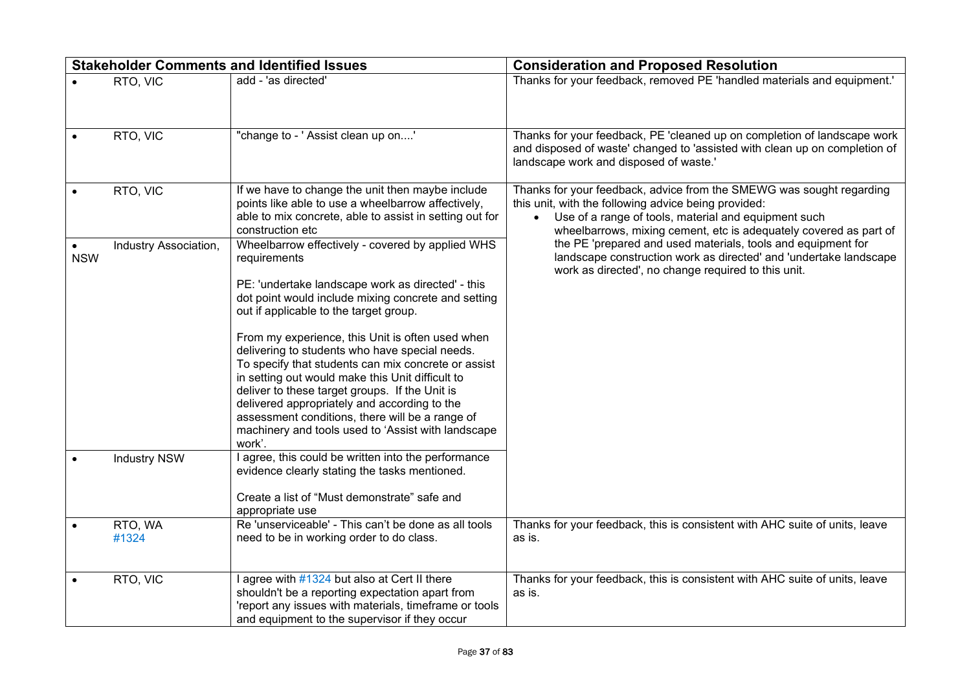|            |                       | <b>Stakeholder Comments and Identified Issues</b>                                                                                                                                                                                                                                                                                                                                                                                                                                                                                                                                                                                                            | <b>Consideration and Proposed Resolution</b>                                                                                                                                                                                                                           |  |
|------------|-----------------------|--------------------------------------------------------------------------------------------------------------------------------------------------------------------------------------------------------------------------------------------------------------------------------------------------------------------------------------------------------------------------------------------------------------------------------------------------------------------------------------------------------------------------------------------------------------------------------------------------------------------------------------------------------------|------------------------------------------------------------------------------------------------------------------------------------------------------------------------------------------------------------------------------------------------------------------------|--|
|            | RTO, VIC              | add - 'as directed'                                                                                                                                                                                                                                                                                                                                                                                                                                                                                                                                                                                                                                          | Thanks for your feedback, removed PE 'handled materials and equipment.'                                                                                                                                                                                                |  |
|            | RTO, VIC              | "change to - ' Assist clean up on'                                                                                                                                                                                                                                                                                                                                                                                                                                                                                                                                                                                                                           | Thanks for your feedback, PE 'cleaned up on completion of landscape work<br>and disposed of waste' changed to 'assisted with clean up on completion of<br>landscape work and disposed of waste.'                                                                       |  |
|            | RTO, VIC              | If we have to change the unit then maybe include<br>points like able to use a wheelbarrow affectively,<br>able to mix concrete, able to assist in setting out for<br>construction etc                                                                                                                                                                                                                                                                                                                                                                                                                                                                        | Thanks for your feedback, advice from the SMEWG was sought regarding<br>this unit, with the following advice being provided:<br>Use of a range of tools, material and equipment such<br>$\bullet$<br>wheelbarrows, mixing cement, etc is adequately covered as part of |  |
| <b>NSW</b> | Industry Association, | Wheelbarrow effectively - covered by applied WHS<br>requirements<br>PE: 'undertake landscape work as directed' - this<br>dot point would include mixing concrete and setting<br>out if applicable to the target group.<br>From my experience, this Unit is often used when<br>delivering to students who have special needs.<br>To specify that students can mix concrete or assist<br>in setting out would make this Unit difficult to<br>deliver to these target groups. If the Unit is<br>delivered appropriately and according to the<br>assessment conditions, there will be a range of<br>machinery and tools used to 'Assist with landscape<br>work'. | the PE 'prepared and used materials, tools and equipment for<br>landscape construction work as directed' and 'undertake landscape<br>work as directed', no change required to this unit.                                                                               |  |
|            | <b>Industry NSW</b>   | I agree, this could be written into the performance<br>evidence clearly stating the tasks mentioned.<br>Create a list of "Must demonstrate" safe and<br>appropriate use                                                                                                                                                                                                                                                                                                                                                                                                                                                                                      |                                                                                                                                                                                                                                                                        |  |
|            | RTO, WA<br>#1324      | Re 'unserviceable' - This can't be done as all tools<br>need to be in working order to do class.                                                                                                                                                                                                                                                                                                                                                                                                                                                                                                                                                             | Thanks for your feedback, this is consistent with AHC suite of units, leave<br>as is.                                                                                                                                                                                  |  |
|            | RTO, VIC              | I agree with #1324 but also at Cert II there<br>shouldn't be a reporting expectation apart from<br>'report any issues with materials, timeframe or tools<br>and equipment to the supervisor if they occur                                                                                                                                                                                                                                                                                                                                                                                                                                                    | Thanks for your feedback, this is consistent with AHC suite of units, leave<br>as is.                                                                                                                                                                                  |  |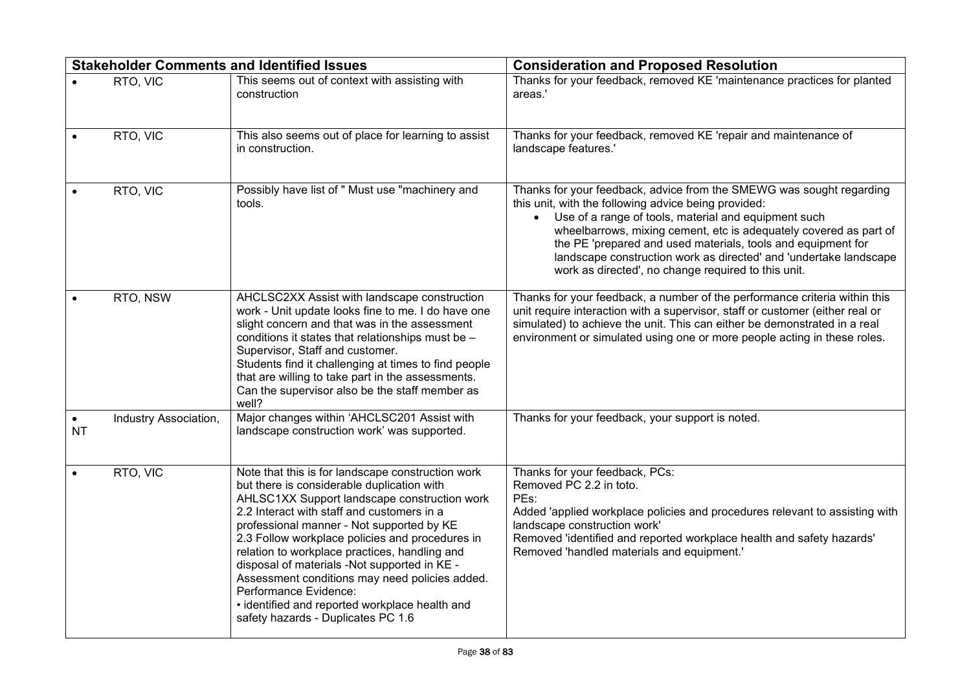|           |                       | <b>Stakeholder Comments and Identified Issues</b>                                                                                                                                                                                                                                                                                                                                                                                                                                                                                                                 | <b>Consideration and Proposed Resolution</b>                                                                                                                                                                                                                                                                                                                                                                                                          |
|-----------|-----------------------|-------------------------------------------------------------------------------------------------------------------------------------------------------------------------------------------------------------------------------------------------------------------------------------------------------------------------------------------------------------------------------------------------------------------------------------------------------------------------------------------------------------------------------------------------------------------|-------------------------------------------------------------------------------------------------------------------------------------------------------------------------------------------------------------------------------------------------------------------------------------------------------------------------------------------------------------------------------------------------------------------------------------------------------|
|           | RTO, VIC              | This seems out of context with assisting with<br>construction                                                                                                                                                                                                                                                                                                                                                                                                                                                                                                     | Thanks for your feedback, removed KE 'maintenance practices for planted<br>areas.'                                                                                                                                                                                                                                                                                                                                                                    |
|           | RTO, VIC              | This also seems out of place for learning to assist<br>in construction.                                                                                                                                                                                                                                                                                                                                                                                                                                                                                           | Thanks for your feedback, removed KE 'repair and maintenance of<br>landscape features.'                                                                                                                                                                                                                                                                                                                                                               |
|           | RTO, VIC              | Possibly have list of " Must use "machinery and<br>tools.                                                                                                                                                                                                                                                                                                                                                                                                                                                                                                         | Thanks for your feedback, advice from the SMEWG was sought regarding<br>this unit, with the following advice being provided:<br>Use of a range of tools, material and equipment such<br>wheelbarrows, mixing cement, etc is adequately covered as part of<br>the PE 'prepared and used materials, tools and equipment for<br>landscape construction work as directed' and 'undertake landscape<br>work as directed', no change required to this unit. |
|           | RTO, NSW              | AHCLSC2XX Assist with landscape construction<br>work - Unit update looks fine to me. I do have one<br>slight concern and that was in the assessment<br>conditions it states that relationships must be -<br>Supervisor, Staff and customer.<br>Students find it challenging at times to find people<br>that are willing to take part in the assessments.<br>Can the supervisor also be the staff member as<br>well?                                                                                                                                               | Thanks for your feedback, a number of the performance criteria within this<br>unit require interaction with a supervisor, staff or customer (either real or<br>simulated) to achieve the unit. This can either be demonstrated in a real<br>environment or simulated using one or more people acting in these roles.                                                                                                                                  |
| <b>NT</b> | Industry Association, | Major changes within 'AHCLSC201 Assist with<br>landscape construction work' was supported.                                                                                                                                                                                                                                                                                                                                                                                                                                                                        | Thanks for your feedback, your support is noted.                                                                                                                                                                                                                                                                                                                                                                                                      |
|           | RTO, VIC              | Note that this is for landscape construction work<br>but there is considerable duplication with<br>AHLSC1XX Support landscape construction work<br>2.2 Interact with staff and customers in a<br>professional manner - Not supported by KE<br>2.3 Follow workplace policies and procedures in<br>relation to workplace practices, handling and<br>disposal of materials -Not supported in KE -<br>Assessment conditions may need policies added.<br>Performance Evidence:<br>· identified and reported workplace health and<br>safety hazards - Duplicates PC 1.6 | Thanks for your feedback, PCs:<br>Removed PC 2.2 in toto.<br>PEs:<br>Added 'applied workplace policies and procedures relevant to assisting with<br>landscape construction work'<br>Removed 'identified and reported workplace health and safety hazards'<br>Removed 'handled materials and equipment.'                                                                                                                                               |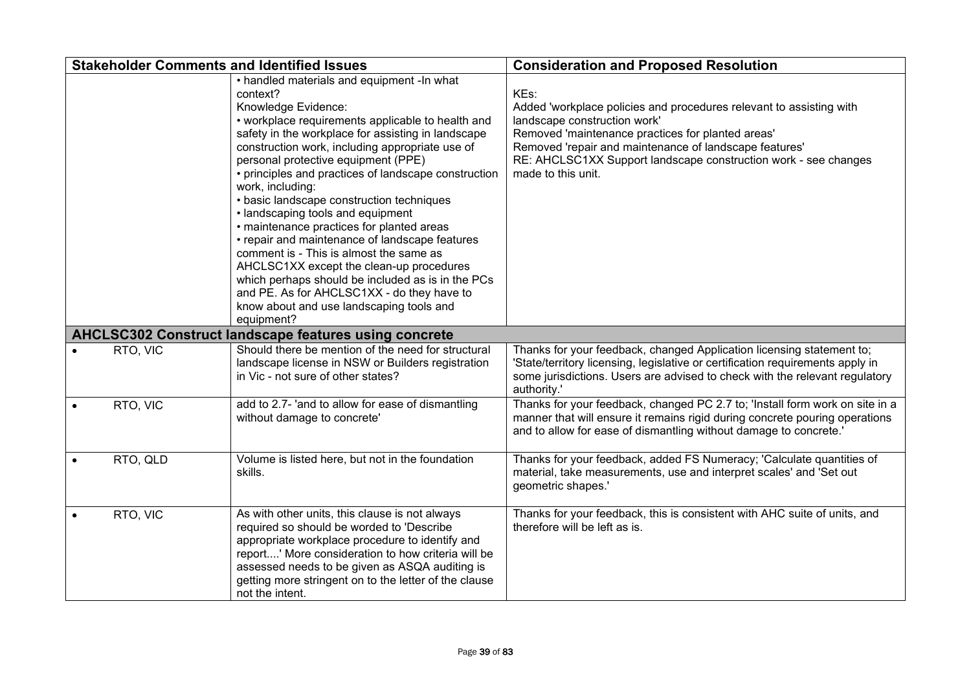|          | <b>Stakeholder Comments and Identified Issues</b>                                                                                                                                                                                                                                                                                                                                                                                                                                                                                                                                                                                                                                                                                                                                                   | <b>Consideration and Proposed Resolution</b>                                                                                                                                                                                                                                                                        |
|----------|-----------------------------------------------------------------------------------------------------------------------------------------------------------------------------------------------------------------------------------------------------------------------------------------------------------------------------------------------------------------------------------------------------------------------------------------------------------------------------------------------------------------------------------------------------------------------------------------------------------------------------------------------------------------------------------------------------------------------------------------------------------------------------------------------------|---------------------------------------------------------------------------------------------------------------------------------------------------------------------------------------------------------------------------------------------------------------------------------------------------------------------|
|          | • handled materials and equipment -In what<br>context?<br>Knowledge Evidence:<br>• workplace requirements applicable to health and<br>safety in the workplace for assisting in landscape<br>construction work, including appropriate use of<br>personal protective equipment (PPE)<br>• principles and practices of landscape construction<br>work, including:<br>• basic landscape construction techniques<br>• landscaping tools and equipment<br>• maintenance practices for planted areas<br>• repair and maintenance of landscape features<br>comment is - This is almost the same as<br>AHCLSC1XX except the clean-up procedures<br>which perhaps should be included as is in the PCs<br>and PE. As for AHCLSC1XX - do they have to<br>know about and use landscaping tools and<br>equipment? | KEs:<br>Added 'workplace policies and procedures relevant to assisting with<br>landscape construction work'<br>Removed 'maintenance practices for planted areas'<br>Removed 'repair and maintenance of landscape features'<br>RE: AHCLSC1XX Support landscape construction work - see changes<br>made to this unit. |
|          | <b>AHCLSC302 Construct landscape features using concrete</b>                                                                                                                                                                                                                                                                                                                                                                                                                                                                                                                                                                                                                                                                                                                                        |                                                                                                                                                                                                                                                                                                                     |
| RTO, VIC | Should there be mention of the need for structural<br>landscape license in NSW or Builders registration<br>in Vic - not sure of other states?                                                                                                                                                                                                                                                                                                                                                                                                                                                                                                                                                                                                                                                       | Thanks for your feedback, changed Application licensing statement to;<br>'State/territory licensing, legislative or certification requirements apply in<br>some jurisdictions. Users are advised to check with the relevant regulatory<br>authority.'                                                               |
| RTO, VIC | add to 2.7- 'and to allow for ease of dismantling<br>without damage to concrete'                                                                                                                                                                                                                                                                                                                                                                                                                                                                                                                                                                                                                                                                                                                    | Thanks for your feedback, changed PC 2.7 to; 'Install form work on site in a<br>manner that will ensure it remains rigid during concrete pouring operations<br>and to allow for ease of dismantling without damage to concrete.'                                                                                    |
| RTO, QLD | Volume is listed here, but not in the foundation<br>skills.                                                                                                                                                                                                                                                                                                                                                                                                                                                                                                                                                                                                                                                                                                                                         | Thanks for your feedback, added FS Numeracy; 'Calculate quantities of<br>material, take measurements, use and interpret scales' and 'Set out<br>geometric shapes.'                                                                                                                                                  |
| RTO, VIC | As with other units, this clause is not always<br>required so should be worded to 'Describe<br>appropriate workplace procedure to identify and<br>report' More consideration to how criteria will be<br>assessed needs to be given as ASQA auditing is<br>getting more stringent on to the letter of the clause<br>not the intent.                                                                                                                                                                                                                                                                                                                                                                                                                                                                  | Thanks for your feedback, this is consistent with AHC suite of units, and<br>therefore will be left as is.                                                                                                                                                                                                          |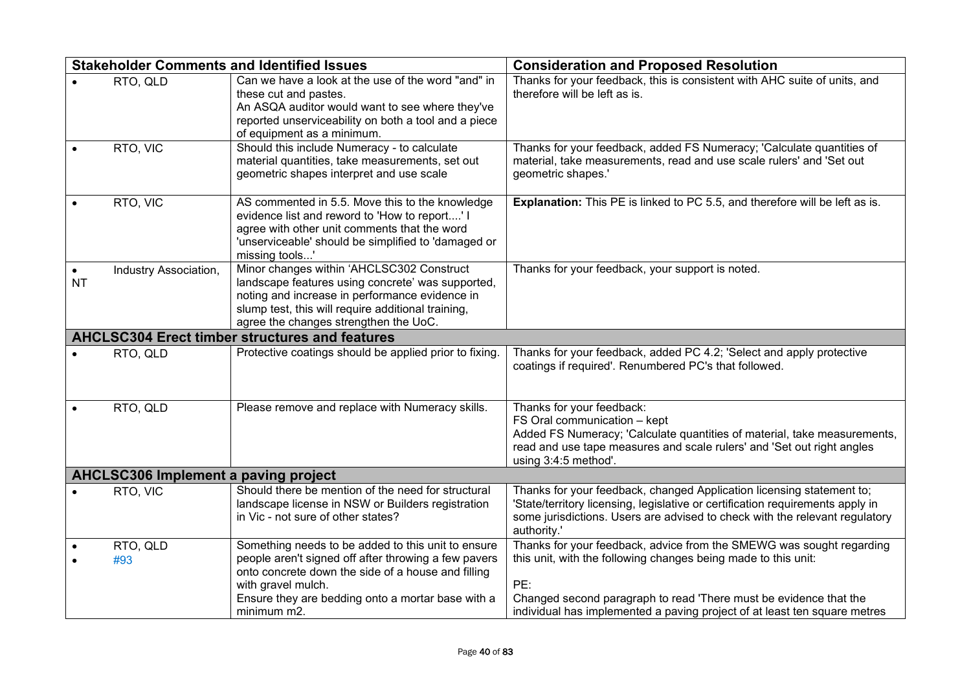|           |                                                       | <b>Stakeholder Comments and Identified Issues</b>                                                                                                                                                                                                          | <b>Consideration and Proposed Resolution</b>                                                                                                                                                                                                                                                    |  |  |
|-----------|-------------------------------------------------------|------------------------------------------------------------------------------------------------------------------------------------------------------------------------------------------------------------------------------------------------------------|-------------------------------------------------------------------------------------------------------------------------------------------------------------------------------------------------------------------------------------------------------------------------------------------------|--|--|
|           | RTO, QLD                                              | Can we have a look at the use of the word "and" in<br>these cut and pastes.<br>An ASQA auditor would want to see where they've<br>reported unserviceability on both a tool and a piece<br>of equipment as a minimum.                                       | Thanks for your feedback, this is consistent with AHC suite of units, and<br>therefore will be left as is.                                                                                                                                                                                      |  |  |
|           | RTO, VIC                                              | Should this include Numeracy - to calculate<br>material quantities, take measurements, set out<br>geometric shapes interpret and use scale                                                                                                                 | Thanks for your feedback, added FS Numeracy; 'Calculate quantities of<br>material, take measurements, read and use scale rulers' and 'Set out<br>geometric shapes.'                                                                                                                             |  |  |
|           | RTO, VIC                                              | AS commented in 5.5. Move this to the knowledge<br>evidence list and reword to 'How to report' I<br>agree with other unit comments that the word<br>'unserviceable' should be simplified to 'damaged or<br>missing tools'                                  | Explanation: This PE is linked to PC 5.5, and therefore will be left as is.                                                                                                                                                                                                                     |  |  |
| <b>NT</b> | Industry Association,                                 | Minor changes within 'AHCLSC302 Construct<br>landscape features using concrete' was supported,<br>noting and increase in performance evidence in<br>slump test, this will require additional training,<br>agree the changes strengthen the UoC.            | Thanks for your feedback, your support is noted.                                                                                                                                                                                                                                                |  |  |
|           | <b>AHCLSC304 Erect timber structures and features</b> |                                                                                                                                                                                                                                                            |                                                                                                                                                                                                                                                                                                 |  |  |
|           | RTO, QLD                                              | Protective coatings should be applied prior to fixing.                                                                                                                                                                                                     | Thanks for your feedback, added PC 4.2; 'Select and apply protective<br>coatings if required'. Renumbered PC's that followed.                                                                                                                                                                   |  |  |
|           | RTO, QLD                                              | Please remove and replace with Numeracy skills.                                                                                                                                                                                                            | Thanks for your feedback:<br>FS Oral communication - kept<br>Added FS Numeracy; 'Calculate quantities of material, take measurements,<br>read and use tape measures and scale rulers' and 'Set out right angles<br>using 3:4:5 method'.                                                         |  |  |
|           | <b>AHCLSC306 Implement a paving project</b>           |                                                                                                                                                                                                                                                            |                                                                                                                                                                                                                                                                                                 |  |  |
|           | RTO, VIC                                              | Should there be mention of the need for structural<br>landscape license in NSW or Builders registration<br>in Vic - not sure of other states?                                                                                                              | Thanks for your feedback, changed Application licensing statement to;<br>'State/territory licensing, legislative or certification requirements apply in<br>some jurisdictions. Users are advised to check with the relevant regulatory<br>authority.'                                           |  |  |
|           | RTO, QLD<br>#93                                       | Something needs to be added to this unit to ensure<br>people aren't signed off after throwing a few pavers<br>onto concrete down the side of a house and filling<br>with gravel mulch.<br>Ensure they are bedding onto a mortar base with a<br>minimum m2. | Thanks for your feedback, advice from the SMEWG was sought regarding<br>this unit, with the following changes being made to this unit:<br>PE:<br>Changed second paragraph to read 'There must be evidence that the<br>individual has implemented a paving project of at least ten square metres |  |  |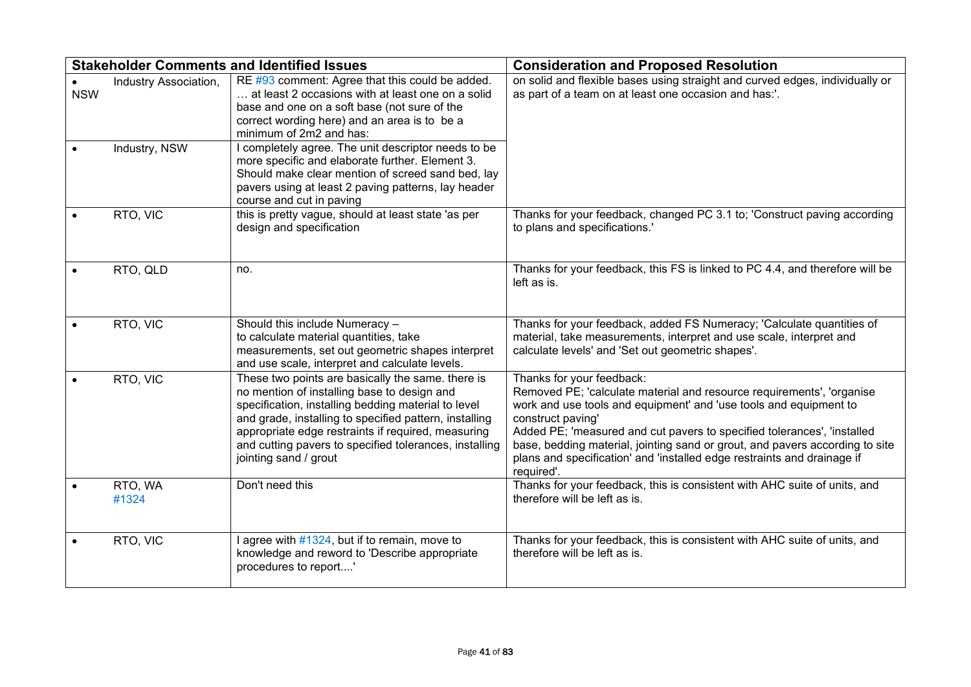|            |                                        | <b>Stakeholder Comments and Identified Issues</b>                                                                                                                                                                                                                                                                                                          | <b>Consideration and Proposed Resolution</b>                                                                                                                                                                                                                                                                                                                                                                                                     |
|------------|----------------------------------------|------------------------------------------------------------------------------------------------------------------------------------------------------------------------------------------------------------------------------------------------------------------------------------------------------------------------------------------------------------|--------------------------------------------------------------------------------------------------------------------------------------------------------------------------------------------------------------------------------------------------------------------------------------------------------------------------------------------------------------------------------------------------------------------------------------------------|
| <b>NSW</b> | Industry Association,<br>Industry, NSW | RE #93 comment: Agree that this could be added.<br>at least 2 occasions with at least one on a solid<br>base and one on a soft base (not sure of the<br>correct wording here) and an area is to be a<br>minimum of 2m2 and has:<br>I completely agree. The unit descriptor needs to be                                                                     | on solid and flexible bases using straight and curved edges, individually or<br>as part of a team on at least one occasion and has:'.                                                                                                                                                                                                                                                                                                            |
|            |                                        | more specific and elaborate further. Element 3.<br>Should make clear mention of screed sand bed, lay<br>pavers using at least 2 paving patterns, lay header<br>course and cut in paving                                                                                                                                                                    |                                                                                                                                                                                                                                                                                                                                                                                                                                                  |
|            | RTO, VIC                               | this is pretty vague, should at least state 'as per<br>design and specification                                                                                                                                                                                                                                                                            | Thanks for your feedback, changed PC 3.1 to; 'Construct paving according<br>to plans and specifications.'                                                                                                                                                                                                                                                                                                                                        |
|            | RTO, QLD                               | no.                                                                                                                                                                                                                                                                                                                                                        | Thanks for your feedback, this FS is linked to PC 4.4, and therefore will be<br>left as is.                                                                                                                                                                                                                                                                                                                                                      |
|            | RTO, VIC                               | Should this include Numeracy -<br>to calculate material quantities, take<br>measurements, set out geometric shapes interpret<br>and use scale, interpret and calculate levels.                                                                                                                                                                             | Thanks for your feedback, added FS Numeracy; 'Calculate quantities of<br>material, take measurements, interpret and use scale, interpret and<br>calculate levels' and 'Set out geometric shapes'.                                                                                                                                                                                                                                                |
|            | RTO, VIC                               | These two points are basically the same. there is<br>no mention of installing base to design and<br>specification, installing bedding material to level<br>and grade, installing to specified pattern, installing<br>appropriate edge restraints if required, measuring<br>and cutting pavers to specified tolerances, installing<br>jointing sand / grout | Thanks for your feedback:<br>Removed PE; 'calculate material and resource requirements', 'organise<br>work and use tools and equipment' and 'use tools and equipment to<br>construct paving'<br>Added PE; 'measured and cut pavers to specified tolerances', 'installed<br>base, bedding material, jointing sand or grout, and pavers according to site<br>plans and specification' and 'installed edge restraints and drainage if<br>required'. |
|            | RTO, WA<br>#1324                       | Don't need this                                                                                                                                                                                                                                                                                                                                            | Thanks for your feedback, this is consistent with AHC suite of units, and<br>therefore will be left as is.                                                                                                                                                                                                                                                                                                                                       |
|            | RTO, VIC                               | I agree with #1324, but if to remain, move to<br>knowledge and reword to 'Describe appropriate<br>procedures to report'                                                                                                                                                                                                                                    | Thanks for your feedback, this is consistent with AHC suite of units, and<br>therefore will be left as is.                                                                                                                                                                                                                                                                                                                                       |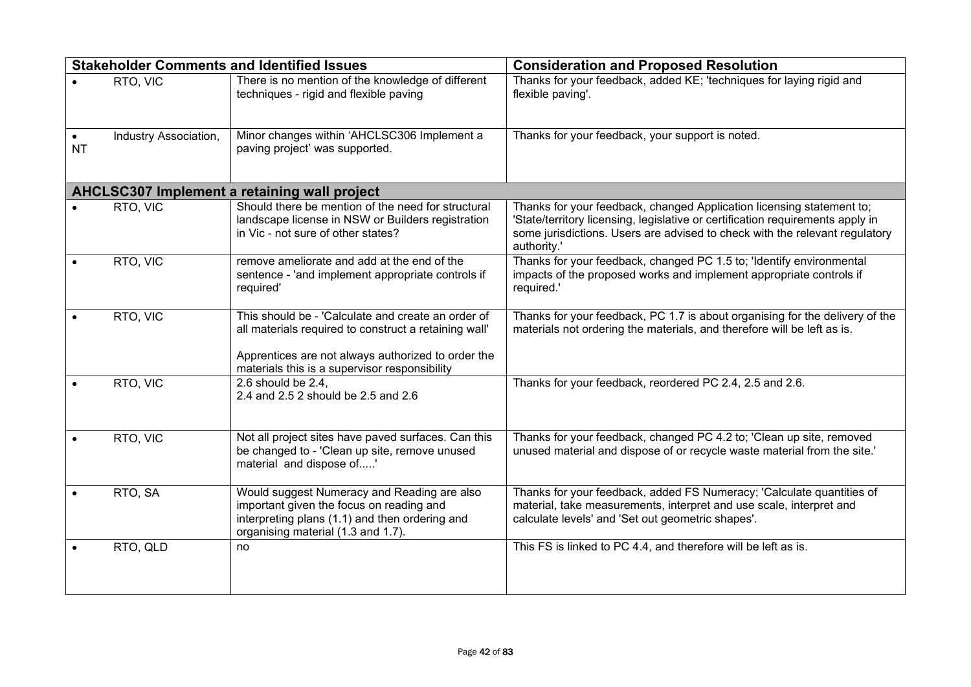|           |                       | <b>Stakeholder Comments and Identified Issues</b>                                                                                                                                                                  | <b>Consideration and Proposed Resolution</b>                                                                                                                                                                                                          |
|-----------|-----------------------|--------------------------------------------------------------------------------------------------------------------------------------------------------------------------------------------------------------------|-------------------------------------------------------------------------------------------------------------------------------------------------------------------------------------------------------------------------------------------------------|
|           | RTO, VIC              | There is no mention of the knowledge of different<br>techniques - rigid and flexible paving                                                                                                                        | Thanks for your feedback, added KE; 'techniques for laying rigid and<br>flexible paving'.                                                                                                                                                             |
| <b>NT</b> | Industry Association, | Minor changes within 'AHCLSC306 Implement a<br>paving project' was supported.                                                                                                                                      | Thanks for your feedback, your support is noted.                                                                                                                                                                                                      |
|           |                       | AHCLSC307 Implement a retaining wall project                                                                                                                                                                       |                                                                                                                                                                                                                                                       |
|           | RTO, VIC              | Should there be mention of the need for structural<br>landscape license in NSW or Builders registration<br>in Vic - not sure of other states?                                                                      | Thanks for your feedback, changed Application licensing statement to;<br>'State/territory licensing, legislative or certification requirements apply in<br>some jurisdictions. Users are advised to check with the relevant regulatory<br>authority.' |
|           | RTO, VIC              | remove ameliorate and add at the end of the<br>sentence - 'and implement appropriate controls if<br>required'                                                                                                      | Thanks for your feedback, changed PC 1.5 to; 'Identify environmental<br>impacts of the proposed works and implement appropriate controls if<br>required.'                                                                                             |
|           | RTO, VIC              | This should be - 'Calculate and create an order of<br>all materials required to construct a retaining wall'<br>Apprentices are not always authorized to order the<br>materials this is a supervisor responsibility | Thanks for your feedback, PC 1.7 is about organising for the delivery of the<br>materials not ordering the materials, and therefore will be left as is.                                                                                               |
|           | RTO, VIC              | 2.6 should be $2.4$ .<br>2.4 and 2.5 2 should be 2.5 and 2.6                                                                                                                                                       | Thanks for your feedback, reordered PC 2.4, 2.5 and 2.6.                                                                                                                                                                                              |
|           | RTO, VIC              | Not all project sites have paved surfaces. Can this<br>be changed to - 'Clean up site, remove unused<br>material and dispose of'                                                                                   | Thanks for your feedback, changed PC 4.2 to; 'Clean up site, removed<br>unused material and dispose of or recycle waste material from the site.'                                                                                                      |
|           | RTO, SA               | Would suggest Numeracy and Reading are also<br>important given the focus on reading and<br>interpreting plans (1.1) and then ordering and<br>organising material (1.3 and 1.7).                                    | Thanks for your feedback, added FS Numeracy; 'Calculate quantities of<br>material, take measurements, interpret and use scale, interpret and<br>calculate levels' and 'Set out geometric shapes'.                                                     |
|           | RTO, QLD              | no                                                                                                                                                                                                                 | This FS is linked to PC 4.4, and therefore will be left as is.                                                                                                                                                                                        |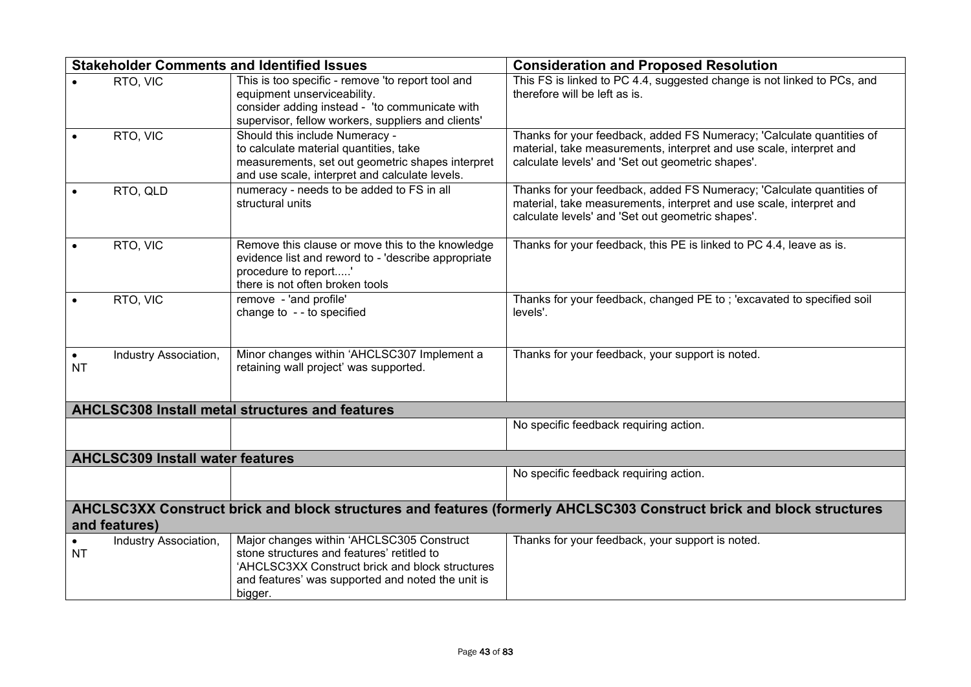|                        |                                         | <b>Stakeholder Comments and Identified Issues</b>                                                                                                                                                          | <b>Consideration and Proposed Resolution</b>                                                                                                                                                      |
|------------------------|-----------------------------------------|------------------------------------------------------------------------------------------------------------------------------------------------------------------------------------------------------------|---------------------------------------------------------------------------------------------------------------------------------------------------------------------------------------------------|
|                        | RTO, VIC                                | This is too specific - remove 'to report tool and<br>equipment unserviceability.<br>consider adding instead - 'to communicate with<br>supervisor, fellow workers, suppliers and clients'                   | This FS is linked to PC 4.4, suggested change is not linked to PCs, and<br>therefore will be left as is.                                                                                          |
|                        | RTO, VIC                                | Should this include Numeracy -<br>to calculate material quantities, take<br>measurements, set out geometric shapes interpret<br>and use scale, interpret and calculate levels.                             | Thanks for your feedback, added FS Numeracy; 'Calculate quantities of<br>material, take measurements, interpret and use scale, interpret and<br>calculate levels' and 'Set out geometric shapes'. |
|                        | RTO, QLD                                | numeracy - needs to be added to FS in all<br>structural units                                                                                                                                              | Thanks for your feedback, added FS Numeracy; 'Calculate quantities of<br>material, take measurements, interpret and use scale, interpret and<br>calculate levels' and 'Set out geometric shapes'. |
|                        | RTO, VIC                                | Remove this clause or move this to the knowledge<br>evidence list and reword to - 'describe appropriate<br>procedure to report'<br>there is not often broken tools                                         | Thanks for your feedback, this PE is linked to PC 4.4, leave as is.                                                                                                                               |
|                        | RTO, VIC                                | remove - 'and profile'<br>change to - - to specified                                                                                                                                                       | Thanks for your feedback, changed PE to; 'excavated to specified soil<br>levels'.                                                                                                                 |
| $\bullet$<br><b>NT</b> | Industry Association,                   | Minor changes within 'AHCLSC307 Implement a<br>retaining wall project' was supported.                                                                                                                      | Thanks for your feedback, your support is noted.                                                                                                                                                  |
|                        |                                         | <b>AHCLSC308 Install metal structures and features</b>                                                                                                                                                     |                                                                                                                                                                                                   |
|                        |                                         |                                                                                                                                                                                                            | No specific feedback requiring action.                                                                                                                                                            |
|                        | <b>AHCLSC309 Install water features</b> |                                                                                                                                                                                                            |                                                                                                                                                                                                   |
|                        |                                         |                                                                                                                                                                                                            | No specific feedback requiring action.                                                                                                                                                            |
|                        | and features)                           |                                                                                                                                                                                                            | AHCLSC3XX Construct brick and block structures and features (formerly AHCLSC303 Construct brick and block structures                                                                              |
| <b>NT</b>              | Industry Association,                   | Major changes within 'AHCLSC305 Construct<br>stone structures and features' retitled to<br>'AHCLSC3XX Construct brick and block structures<br>and features' was supported and noted the unit is<br>bigger. | Thanks for your feedback, your support is noted.                                                                                                                                                  |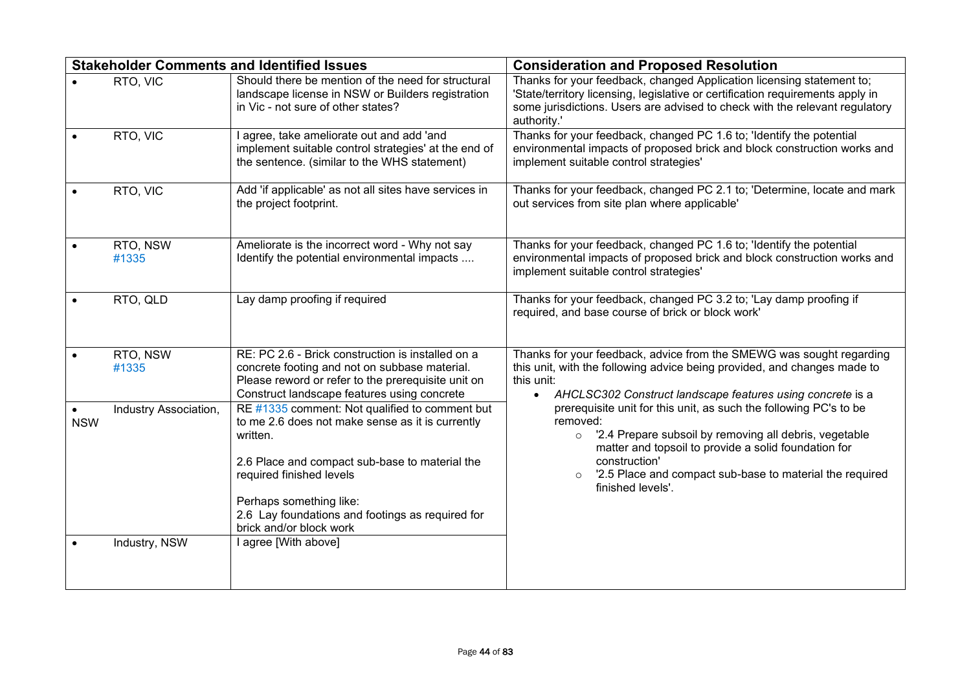|                         |                                        | <b>Stakeholder Comments and Identified Issues</b>                                                                                                                                                                                                                                                                              | <b>Consideration and Proposed Resolution</b>                                                                                                                                                                                                                                                                   |
|-------------------------|----------------------------------------|--------------------------------------------------------------------------------------------------------------------------------------------------------------------------------------------------------------------------------------------------------------------------------------------------------------------------------|----------------------------------------------------------------------------------------------------------------------------------------------------------------------------------------------------------------------------------------------------------------------------------------------------------------|
|                         | RTO, VIC                               | Should there be mention of the need for structural<br>landscape license in NSW or Builders registration<br>in Vic - not sure of other states?                                                                                                                                                                                  | Thanks for your feedback, changed Application licensing statement to;<br>'State/territory licensing, legislative or certification requirements apply in<br>some jurisdictions. Users are advised to check with the relevant regulatory<br>authority.'                                                          |
|                         | RTO, VIC                               | I agree, take ameliorate out and add 'and<br>implement suitable control strategies' at the end of<br>the sentence. (similar to the WHS statement)                                                                                                                                                                              | Thanks for your feedback, changed PC 1.6 to; 'Identify the potential<br>environmental impacts of proposed brick and block construction works and<br>implement suitable control strategies'                                                                                                                     |
|                         | RTO, VIC                               | Add 'if applicable' as not all sites have services in<br>the project footprint.                                                                                                                                                                                                                                                | Thanks for your feedback, changed PC 2.1 to; 'Determine, locate and mark<br>out services from site plan where applicable'                                                                                                                                                                                      |
|                         | RTO, NSW<br>#1335                      | Ameliorate is the incorrect word - Why not say<br>Identify the potential environmental impacts                                                                                                                                                                                                                                 | Thanks for your feedback, changed PC 1.6 to; 'Identify the potential<br>environmental impacts of proposed brick and block construction works and<br>implement suitable control strategies'                                                                                                                     |
|                         | RTO, QLD                               | Lay damp proofing if required                                                                                                                                                                                                                                                                                                  | Thanks for your feedback, changed PC 3.2 to; 'Lay damp proofing if<br>required, and base course of brick or block work'                                                                                                                                                                                        |
|                         | RTO, NSW<br>#1335                      | RE: PC 2.6 - Brick construction is installed on a<br>concrete footing and not on subbase material.<br>Please reword or refer to the prerequisite unit on<br>Construct landscape features using concrete                                                                                                                        | Thanks for your feedback, advice from the SMEWG was sought regarding<br>this unit, with the following advice being provided, and changes made to<br>this unit:<br>AHCLSC302 Construct landscape features using concrete is a<br>$\bullet$                                                                      |
| $\bullet$<br><b>NSW</b> | Industry Association,<br>Industry, NSW | RE #1335 comment: Not qualified to comment but<br>to me 2.6 does not make sense as it is currently<br>written.<br>2.6 Place and compact sub-base to material the<br>required finished levels<br>Perhaps something like:<br>2.6 Lay foundations and footings as required for<br>brick and/or block work<br>I agree [With above] | prerequisite unit for this unit, as such the following PC's to be<br>removed:<br>o '2.4 Prepare subsoil by removing all debris, vegetable<br>matter and topsoil to provide a solid foundation for<br>construction'<br>'2.5 Place and compact sub-base to material the required<br>$\circ$<br>finished levels'. |
|                         |                                        |                                                                                                                                                                                                                                                                                                                                |                                                                                                                                                                                                                                                                                                                |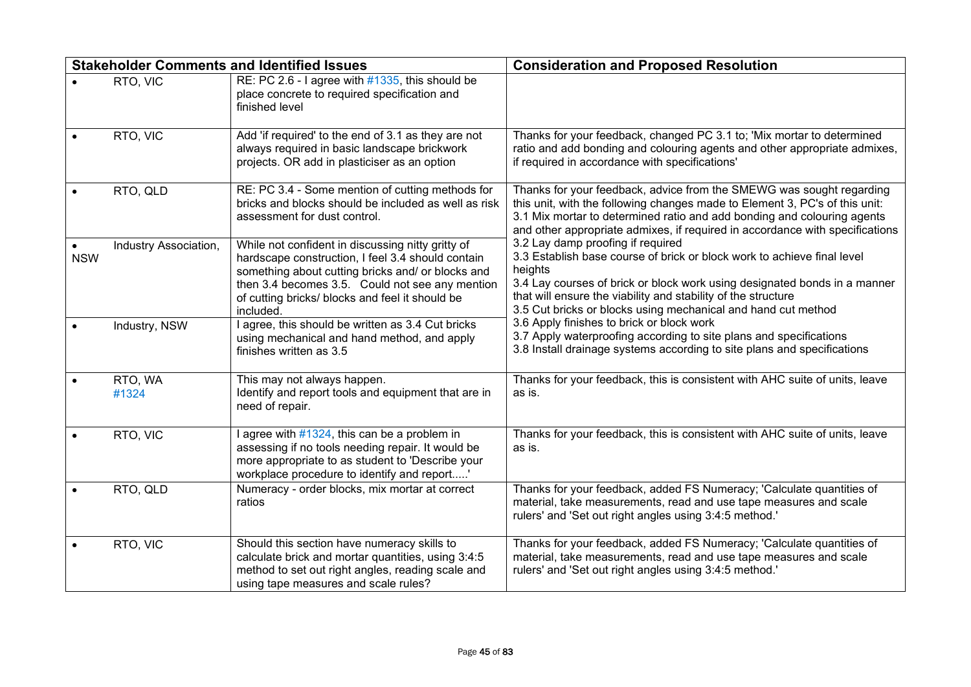|            |                       | <b>Stakeholder Comments and Identified Issues</b>                                                                                                                                                                                                                              | <b>Consideration and Proposed Resolution</b>                                                                                                                                                                                                                                                                                           |
|------------|-----------------------|--------------------------------------------------------------------------------------------------------------------------------------------------------------------------------------------------------------------------------------------------------------------------------|----------------------------------------------------------------------------------------------------------------------------------------------------------------------------------------------------------------------------------------------------------------------------------------------------------------------------------------|
|            | RTO, VIC              | RE: PC 2.6 - I agree with $#1335$ , this should be<br>place concrete to required specification and<br>finished level                                                                                                                                                           |                                                                                                                                                                                                                                                                                                                                        |
|            | RTO, VIC              | Add 'if required' to the end of 3.1 as they are not<br>always required in basic landscape brickwork<br>projects. OR add in plasticiser as an option                                                                                                                            | Thanks for your feedback, changed PC 3.1 to; 'Mix mortar to determined<br>ratio and add bonding and colouring agents and other appropriate admixes,<br>if required in accordance with specifications'                                                                                                                                  |
|            | RTO, QLD              | RE: PC 3.4 - Some mention of cutting methods for<br>bricks and blocks should be included as well as risk<br>assessment for dust control.                                                                                                                                       | Thanks for your feedback, advice from the SMEWG was sought regarding<br>this unit, with the following changes made to Element 3, PC's of this unit:<br>3.1 Mix mortar to determined ratio and add bonding and colouring agents<br>and other appropriate admixes, if required in accordance with specifications                         |
| <b>NSW</b> | Industry Association, | While not confident in discussing nitty gritty of<br>hardscape construction, I feel 3.4 should contain<br>something about cutting bricks and/ or blocks and<br>then 3.4 becomes 3.5. Could not see any mention<br>of cutting bricks/ blocks and feel it should be<br>included. | 3.2 Lay damp proofing if required<br>3.3 Establish base course of brick or block work to achieve final level<br>heights<br>3.4 Lay courses of brick or block work using designated bonds in a manner<br>that will ensure the viability and stability of the structure<br>3.5 Cut bricks or blocks using mechanical and hand cut method |
|            | Industry, NSW         | I agree, this should be written as 3.4 Cut bricks<br>using mechanical and hand method, and apply<br>finishes written as 3.5                                                                                                                                                    | 3.6 Apply finishes to brick or block work<br>3.7 Apply waterproofing according to site plans and specifications<br>3.8 Install drainage systems according to site plans and specifications                                                                                                                                             |
|            | RTO, WA<br>#1324      | This may not always happen.<br>Identify and report tools and equipment that are in<br>need of repair.                                                                                                                                                                          | Thanks for your feedback, this is consistent with AHC suite of units, leave<br>as is.                                                                                                                                                                                                                                                  |
|            | RTO, VIC              | I agree with #1324, this can be a problem in<br>assessing if no tools needing repair. It would be<br>more appropriate to as student to 'Describe your<br>workplace procedure to identify and report'                                                                           | Thanks for your feedback, this is consistent with AHC suite of units, leave<br>as is.                                                                                                                                                                                                                                                  |
|            | RTO, QLD              | Numeracy - order blocks, mix mortar at correct<br>ratios                                                                                                                                                                                                                       | Thanks for your feedback, added FS Numeracy; 'Calculate quantities of<br>material, take measurements, read and use tape measures and scale<br>rulers' and 'Set out right angles using 3:4:5 method.'                                                                                                                                   |
|            | RTO, VIC              | Should this section have numeracy skills to<br>calculate brick and mortar quantities, using 3:4:5<br>method to set out right angles, reading scale and<br>using tape measures and scale rules?                                                                                 | Thanks for your feedback, added FS Numeracy; 'Calculate quantities of<br>material, take measurements, read and use tape measures and scale<br>rulers' and 'Set out right angles using 3:4:5 method.'                                                                                                                                   |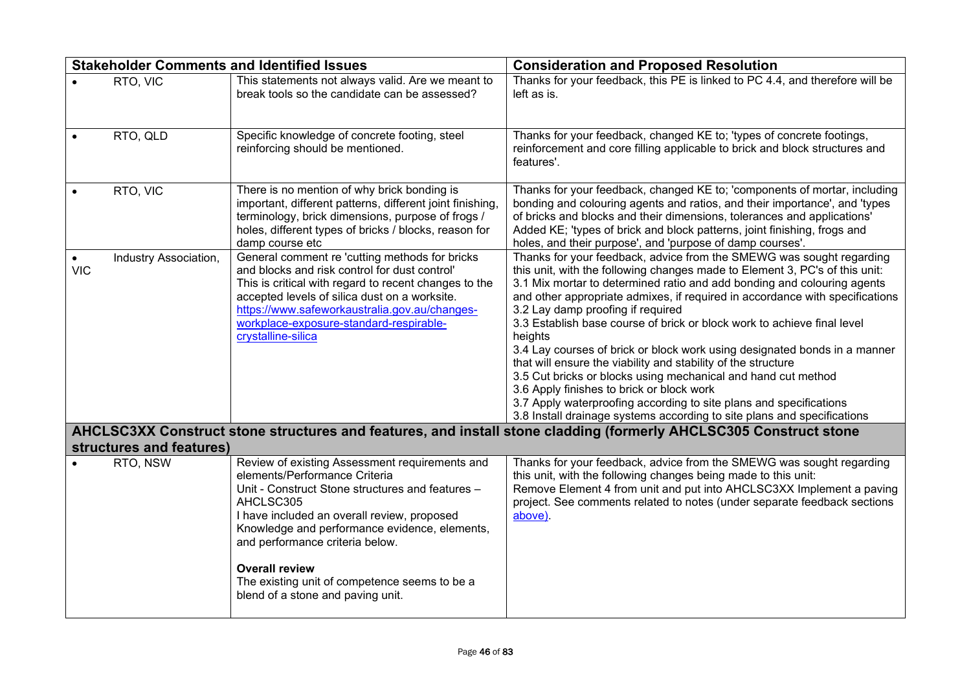|            |                          | <b>Stakeholder Comments and Identified Issues</b>                                                                                                                                                                                                                                                                                                                                                  | <b>Consideration and Proposed Resolution</b>                                                                                                                                                                                                                                                                                                                                                                                                                                                                                                                                                                                                                                                                                                                                                                                                           |
|------------|--------------------------|----------------------------------------------------------------------------------------------------------------------------------------------------------------------------------------------------------------------------------------------------------------------------------------------------------------------------------------------------------------------------------------------------|--------------------------------------------------------------------------------------------------------------------------------------------------------------------------------------------------------------------------------------------------------------------------------------------------------------------------------------------------------------------------------------------------------------------------------------------------------------------------------------------------------------------------------------------------------------------------------------------------------------------------------------------------------------------------------------------------------------------------------------------------------------------------------------------------------------------------------------------------------|
|            | RTO, VIC                 | This statements not always valid. Are we meant to<br>break tools so the candidate can be assessed?                                                                                                                                                                                                                                                                                                 | Thanks for your feedback, this PE is linked to PC 4.4, and therefore will be<br>left as is.                                                                                                                                                                                                                                                                                                                                                                                                                                                                                                                                                                                                                                                                                                                                                            |
|            | RTO, QLD                 | Specific knowledge of concrete footing, steel<br>reinforcing should be mentioned.                                                                                                                                                                                                                                                                                                                  | Thanks for your feedback, changed KE to; 'types of concrete footings,<br>reinforcement and core filling applicable to brick and block structures and<br>features'.                                                                                                                                                                                                                                                                                                                                                                                                                                                                                                                                                                                                                                                                                     |
|            | RTO, VIC                 | There is no mention of why brick bonding is<br>important, different patterns, different joint finishing,<br>terminology, brick dimensions, purpose of frogs /<br>holes, different types of bricks / blocks, reason for<br>damp course etc                                                                                                                                                          | Thanks for your feedback, changed KE to; 'components of mortar, including<br>bonding and colouring agents and ratios, and their importance', and 'types<br>of bricks and blocks and their dimensions, tolerances and applications'<br>Added KE; 'types of brick and block patterns, joint finishing, frogs and<br>holes, and their purpose', and 'purpose of damp courses'.                                                                                                                                                                                                                                                                                                                                                                                                                                                                            |
| <b>VIC</b> | Industry Association,    | General comment re 'cutting methods for bricks<br>and blocks and risk control for dust control'<br>This is critical with regard to recent changes to the<br>accepted levels of silica dust on a worksite.<br>https://www.safeworkaustralia.gov.au/changes-<br>workplace-exposure-standard-respirable-<br>crystalline-silica                                                                        | Thanks for your feedback, advice from the SMEWG was sought regarding<br>this unit, with the following changes made to Element 3, PC's of this unit:<br>3.1 Mix mortar to determined ratio and add bonding and colouring agents<br>and other appropriate admixes, if required in accordance with specifications<br>3.2 Lay damp proofing if required<br>3.3 Establish base course of brick or block work to achieve final level<br>heights<br>3.4 Lay courses of brick or block work using designated bonds in a manner<br>that will ensure the viability and stability of the structure<br>3.5 Cut bricks or blocks using mechanical and hand cut method<br>3.6 Apply finishes to brick or block work<br>3.7 Apply waterproofing according to site plans and specifications<br>3.8 Install drainage systems according to site plans and specifications |
|            | structures and features) |                                                                                                                                                                                                                                                                                                                                                                                                    | AHCLSC3XX Construct stone structures and features, and install stone cladding (formerly AHCLSC305 Construct stone                                                                                                                                                                                                                                                                                                                                                                                                                                                                                                                                                                                                                                                                                                                                      |
|            | RTO, NSW                 | Review of existing Assessment requirements and<br>elements/Performance Criteria<br>Unit - Construct Stone structures and features -<br>AHCLSC305<br>I have included an overall review, proposed<br>Knowledge and performance evidence, elements,<br>and performance criteria below.<br><b>Overall review</b><br>The existing unit of competence seems to be a<br>blend of a stone and paving unit. | Thanks for your feedback, advice from the SMEWG was sought regarding<br>this unit, with the following changes being made to this unit:<br>Remove Element 4 from unit and put into AHCLSC3XX Implement a paving<br>project. See comments related to notes (under separate feedback sections<br>above).                                                                                                                                                                                                                                                                                                                                                                                                                                                                                                                                                  |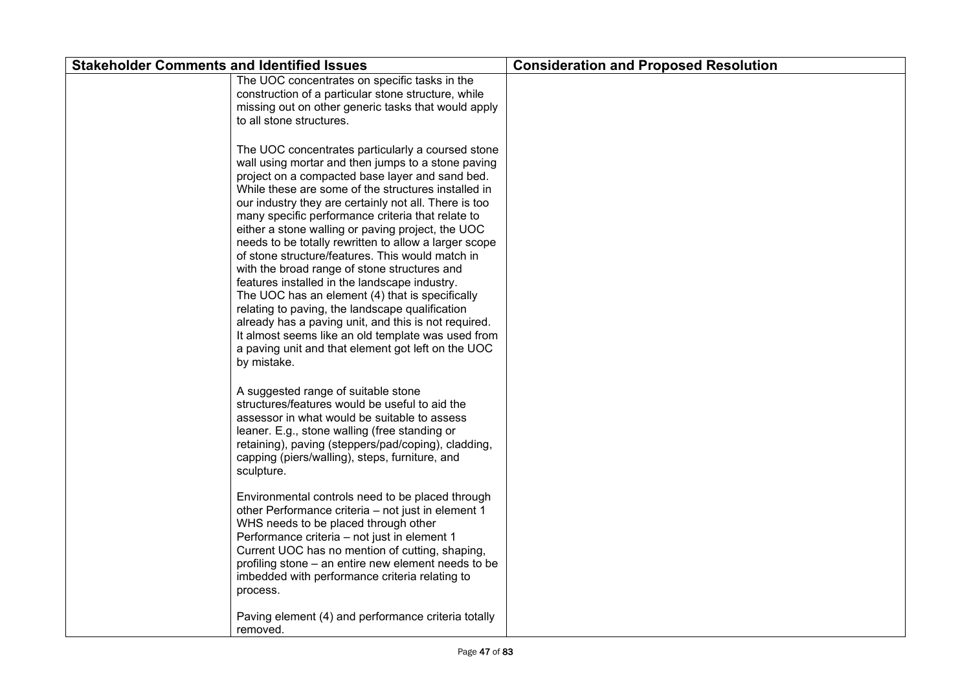| <b>Stakeholder Comments and Identified Issues</b> |                                                                                                                                                                                                                                                                                                                                                                                                                                                                                                                                                                                                                                                                                                                                                                                                                                                                                             | <b>Consideration and Proposed Resolution</b> |
|---------------------------------------------------|---------------------------------------------------------------------------------------------------------------------------------------------------------------------------------------------------------------------------------------------------------------------------------------------------------------------------------------------------------------------------------------------------------------------------------------------------------------------------------------------------------------------------------------------------------------------------------------------------------------------------------------------------------------------------------------------------------------------------------------------------------------------------------------------------------------------------------------------------------------------------------------------|----------------------------------------------|
|                                                   | The UOC concentrates on specific tasks in the<br>construction of a particular stone structure, while<br>missing out on other generic tasks that would apply<br>to all stone structures.                                                                                                                                                                                                                                                                                                                                                                                                                                                                                                                                                                                                                                                                                                     |                                              |
|                                                   | The UOC concentrates particularly a coursed stone<br>wall using mortar and then jumps to a stone paving<br>project on a compacted base layer and sand bed.<br>While these are some of the structures installed in<br>our industry they are certainly not all. There is too<br>many specific performance criteria that relate to<br>either a stone walling or paving project, the UOC<br>needs to be totally rewritten to allow a larger scope<br>of stone structure/features. This would match in<br>with the broad range of stone structures and<br>features installed in the landscape industry.<br>The UOC has an element (4) that is specifically<br>relating to paving, the landscape qualification<br>already has a paving unit, and this is not required.<br>It almost seems like an old template was used from<br>a paving unit and that element got left on the UOC<br>by mistake. |                                              |
|                                                   | A suggested range of suitable stone<br>structures/features would be useful to aid the<br>assessor in what would be suitable to assess<br>leaner. E.g., stone walling (free standing or<br>retaining), paving (steppers/pad/coping), cladding,<br>capping (piers/walling), steps, furniture, and<br>sculpture.                                                                                                                                                                                                                                                                                                                                                                                                                                                                                                                                                                               |                                              |
|                                                   | Environmental controls need to be placed through<br>other Performance criteria - not just in element 1<br>WHS needs to be placed through other<br>Performance criteria - not just in element 1<br>Current UOC has no mention of cutting, shaping,<br>profiling stone – an entire new element needs to be<br>imbedded with performance criteria relating to<br>process.                                                                                                                                                                                                                                                                                                                                                                                                                                                                                                                      |                                              |
|                                                   | Paving element (4) and performance criteria totally<br>removed.                                                                                                                                                                                                                                                                                                                                                                                                                                                                                                                                                                                                                                                                                                                                                                                                                             |                                              |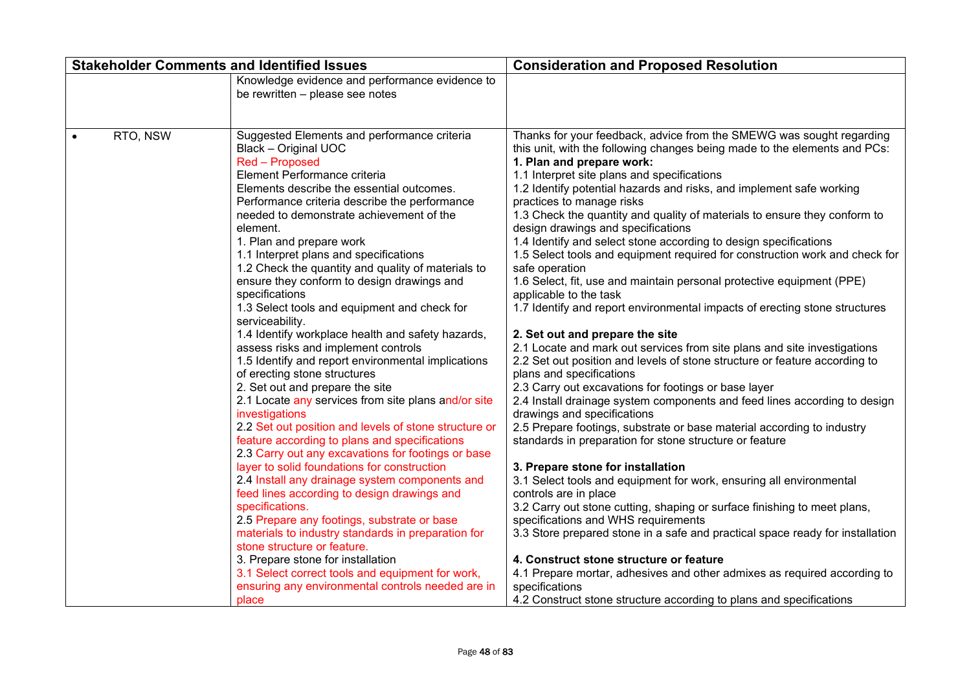|           |          | <b>Stakeholder Comments and Identified Issues</b>                                                                                                                                                                                                                                                                                                                                                                                                                                                                                                                                                                                                                                                                                                                                                                                                                                                                                                                                                                                                                                                                                                                                                                                                                                                                                                                                                                                                                             | <b>Consideration and Proposed Resolution</b>                                                                                                                                                                                                                                                                                                                                                                                                                                                                                                                                                                                                                                                                                                                                                                                                                                                                                                                                                                                                                                                                                                                                                                                                                                                                                                                                                                                                                                                                                                                                                                                                                                                                                                                                                                                                                                                           |
|-----------|----------|-------------------------------------------------------------------------------------------------------------------------------------------------------------------------------------------------------------------------------------------------------------------------------------------------------------------------------------------------------------------------------------------------------------------------------------------------------------------------------------------------------------------------------------------------------------------------------------------------------------------------------------------------------------------------------------------------------------------------------------------------------------------------------------------------------------------------------------------------------------------------------------------------------------------------------------------------------------------------------------------------------------------------------------------------------------------------------------------------------------------------------------------------------------------------------------------------------------------------------------------------------------------------------------------------------------------------------------------------------------------------------------------------------------------------------------------------------------------------------|--------------------------------------------------------------------------------------------------------------------------------------------------------------------------------------------------------------------------------------------------------------------------------------------------------------------------------------------------------------------------------------------------------------------------------------------------------------------------------------------------------------------------------------------------------------------------------------------------------------------------------------------------------------------------------------------------------------------------------------------------------------------------------------------------------------------------------------------------------------------------------------------------------------------------------------------------------------------------------------------------------------------------------------------------------------------------------------------------------------------------------------------------------------------------------------------------------------------------------------------------------------------------------------------------------------------------------------------------------------------------------------------------------------------------------------------------------------------------------------------------------------------------------------------------------------------------------------------------------------------------------------------------------------------------------------------------------------------------------------------------------------------------------------------------------------------------------------------------------------------------------------------------------|
|           |          | Knowledge evidence and performance evidence to<br>be rewritten - please see notes                                                                                                                                                                                                                                                                                                                                                                                                                                                                                                                                                                                                                                                                                                                                                                                                                                                                                                                                                                                                                                                                                                                                                                                                                                                                                                                                                                                             |                                                                                                                                                                                                                                                                                                                                                                                                                                                                                                                                                                                                                                                                                                                                                                                                                                                                                                                                                                                                                                                                                                                                                                                                                                                                                                                                                                                                                                                                                                                                                                                                                                                                                                                                                                                                                                                                                                        |
| $\bullet$ | RTO, NSW | Suggested Elements and performance criteria<br><b>Black - Original UOC</b><br>Red - Proposed<br>Element Performance criteria<br>Elements describe the essential outcomes.<br>Performance criteria describe the performance<br>needed to demonstrate achievement of the<br>element.<br>1. Plan and prepare work<br>1.1 Interpret plans and specifications<br>1.2 Check the quantity and quality of materials to<br>ensure they conform to design drawings and<br>specifications<br>1.3 Select tools and equipment and check for<br>serviceability.<br>1.4 Identify workplace health and safety hazards,<br>assess risks and implement controls<br>1.5 Identify and report environmental implications<br>of erecting stone structures<br>2. Set out and prepare the site<br>2.1 Locate any services from site plans and/or site<br>investigations<br>2.2 Set out position and levels of stone structure or<br>feature according to plans and specifications<br>2.3 Carry out any excavations for footings or base<br>layer to solid foundations for construction<br>2.4 Install any drainage system components and<br>feed lines according to design drawings and<br>specifications.<br>2.5 Prepare any footings, substrate or base<br>materials to industry standards in preparation for<br>stone structure or feature.<br>3. Prepare stone for installation<br>3.1 Select correct tools and equipment for work,<br>ensuring any environmental controls needed are in<br>place | Thanks for your feedback, advice from the SMEWG was sought regarding<br>this unit, with the following changes being made to the elements and PCs:<br>1. Plan and prepare work:<br>1.1 Interpret site plans and specifications<br>1.2 Identify potential hazards and risks, and implement safe working<br>practices to manage risks<br>1.3 Check the quantity and quality of materials to ensure they conform to<br>design drawings and specifications<br>1.4 Identify and select stone according to design specifications<br>1.5 Select tools and equipment required for construction work and check for<br>safe operation<br>1.6 Select, fit, use and maintain personal protective equipment (PPE)<br>applicable to the task<br>1.7 Identify and report environmental impacts of erecting stone structures<br>2. Set out and prepare the site<br>2.1 Locate and mark out services from site plans and site investigations<br>2.2 Set out position and levels of stone structure or feature according to<br>plans and specifications<br>2.3 Carry out excavations for footings or base layer<br>2.4 Install drainage system components and feed lines according to design<br>drawings and specifications<br>2.5 Prepare footings, substrate or base material according to industry<br>standards in preparation for stone structure or feature<br>3. Prepare stone for installation<br>3.1 Select tools and equipment for work, ensuring all environmental<br>controls are in place<br>3.2 Carry out stone cutting, shaping or surface finishing to meet plans,<br>specifications and WHS requirements<br>3.3 Store prepared stone in a safe and practical space ready for installation<br>4. Construct stone structure or feature<br>4.1 Prepare mortar, adhesives and other admixes as required according to<br>specifications<br>4.2 Construct stone structure according to plans and specifications |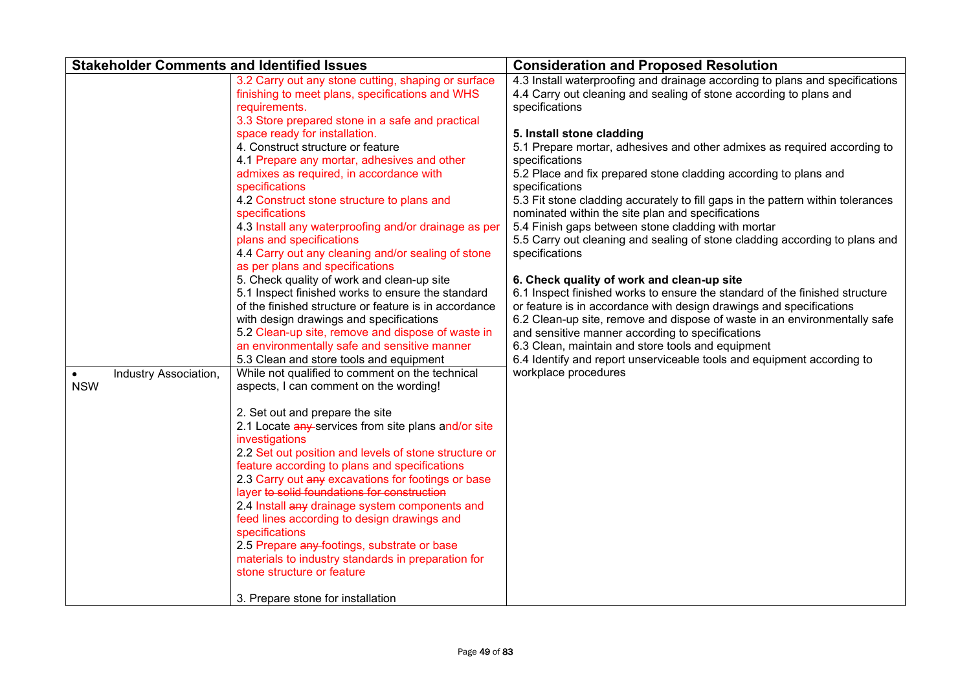| <b>Stakeholder Comments and Identified Issues</b> |                                                                                                                                                                                                                                                                                                                                                                                                                                                                                                                                                                                                                    | <b>Consideration and Proposed Resolution</b>                                                                                                                                                                                                                                                                                                                                                                                                                                                                                                                                                                                                                                         |
|---------------------------------------------------|--------------------------------------------------------------------------------------------------------------------------------------------------------------------------------------------------------------------------------------------------------------------------------------------------------------------------------------------------------------------------------------------------------------------------------------------------------------------------------------------------------------------------------------------------------------------------------------------------------------------|--------------------------------------------------------------------------------------------------------------------------------------------------------------------------------------------------------------------------------------------------------------------------------------------------------------------------------------------------------------------------------------------------------------------------------------------------------------------------------------------------------------------------------------------------------------------------------------------------------------------------------------------------------------------------------------|
|                                                   | 3.2 Carry out any stone cutting, shaping or surface<br>finishing to meet plans, specifications and WHS<br>requirements.<br>3.3 Store prepared stone in a safe and practical<br>space ready for installation.<br>4. Construct structure or feature<br>4.1 Prepare any mortar, adhesives and other<br>admixes as required, in accordance with<br>specifications<br>4.2 Construct stone structure to plans and<br>specifications<br>4.3 Install any waterproofing and/or drainage as per<br>plans and specifications<br>4.4 Carry out any cleaning and/or sealing of stone                                            | 4.3 Install waterproofing and drainage according to plans and specifications<br>4.4 Carry out cleaning and sealing of stone according to plans and<br>specifications<br>5. Install stone cladding<br>5.1 Prepare mortar, adhesives and other admixes as required according to<br>specifications<br>5.2 Place and fix prepared stone cladding according to plans and<br>specifications<br>5.3 Fit stone cladding accurately to fill gaps in the pattern within tolerances<br>nominated within the site plan and specifications<br>5.4 Finish gaps between stone cladding with mortar<br>5.5 Carry out cleaning and sealing of stone cladding according to plans and<br>specifications |
| Industry Association,<br><b>NSW</b>               | as per plans and specifications<br>5. Check quality of work and clean-up site<br>5.1 Inspect finished works to ensure the standard<br>of the finished structure or feature is in accordance<br>with design drawings and specifications<br>5.2 Clean-up site, remove and dispose of waste in<br>an environmentally safe and sensitive manner<br>5.3 Clean and store tools and equipment<br>While not qualified to comment on the technical<br>aspects, I can comment on the wording!                                                                                                                                | 6. Check quality of work and clean-up site<br>6.1 Inspect finished works to ensure the standard of the finished structure<br>or feature is in accordance with design drawings and specifications<br>6.2 Clean-up site, remove and dispose of waste in an environmentally safe<br>and sensitive manner according to specifications<br>6.3 Clean, maintain and store tools and equipment<br>6.4 Identify and report unserviceable tools and equipment according to<br>workplace procedures                                                                                                                                                                                             |
|                                                   | 2. Set out and prepare the site<br>2.1 Locate any services from site plans and/or site<br>investigations<br>2.2 Set out position and levels of stone structure or<br>feature according to plans and specifications<br>2.3 Carry out any excavations for footings or base<br>layer to solid foundations for construction<br>2.4 Install any drainage system components and<br>feed lines according to design drawings and<br>specifications<br>2.5 Prepare any footings, substrate or base<br>materials to industry standards in preparation for<br>stone structure or feature<br>3. Prepare stone for installation |                                                                                                                                                                                                                                                                                                                                                                                                                                                                                                                                                                                                                                                                                      |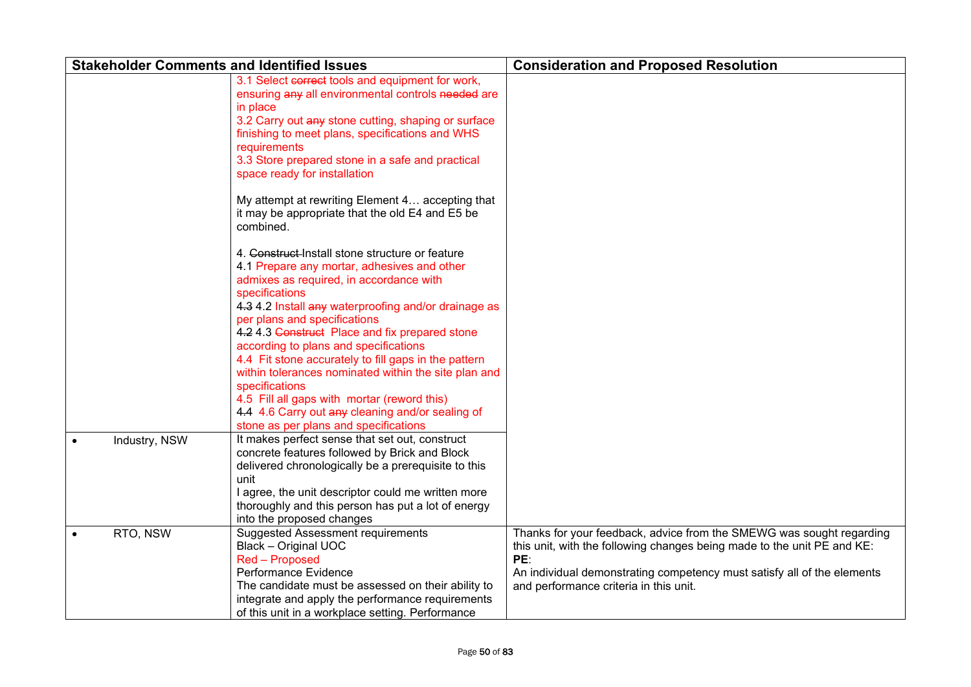| <b>Stakeholder Comments and Identified Issues</b> |                                                                                                                                                                                                                                                                                                                                                                                                                                                                                                                                                                                                                                                                                | <b>Consideration and Proposed Resolution</b>                                                                                                                                                                                                                                |
|---------------------------------------------------|--------------------------------------------------------------------------------------------------------------------------------------------------------------------------------------------------------------------------------------------------------------------------------------------------------------------------------------------------------------------------------------------------------------------------------------------------------------------------------------------------------------------------------------------------------------------------------------------------------------------------------------------------------------------------------|-----------------------------------------------------------------------------------------------------------------------------------------------------------------------------------------------------------------------------------------------------------------------------|
|                                                   | 3.1 Select correct tools and equipment for work,<br>ensuring any all environmental controls needed are<br>in place<br>3.2 Carry out any stone cutting, shaping or surface<br>finishing to meet plans, specifications and WHS<br>requirements<br>3.3 Store prepared stone in a safe and practical<br>space ready for installation                                                                                                                                                                                                                                                                                                                                               |                                                                                                                                                                                                                                                                             |
|                                                   | My attempt at rewriting Element 4 accepting that<br>it may be appropriate that the old E4 and E5 be<br>combined.                                                                                                                                                                                                                                                                                                                                                                                                                                                                                                                                                               |                                                                                                                                                                                                                                                                             |
| Industry, NSW                                     | 4. Construct Install stone structure or feature<br>4.1 Prepare any mortar, adhesives and other<br>admixes as required, in accordance with<br>specifications<br>4.3 4.2 Install any waterproofing and/or drainage as<br>per plans and specifications<br>4.2 4.3 Construct Place and fix prepared stone<br>according to plans and specifications<br>4.4 Fit stone accurately to fill gaps in the pattern<br>within tolerances nominated within the site plan and<br>specifications<br>4.5 Fill all gaps with mortar (reword this)<br>4.4 4.6 Carry out any cleaning and/or sealing of<br>stone as per plans and specifications<br>It makes perfect sense that set out, construct |                                                                                                                                                                                                                                                                             |
|                                                   | concrete features followed by Brick and Block<br>delivered chronologically be a prerequisite to this<br>unit<br>I agree, the unit descriptor could me written more<br>thoroughly and this person has put a lot of energy<br>into the proposed changes                                                                                                                                                                                                                                                                                                                                                                                                                          |                                                                                                                                                                                                                                                                             |
| RTO, NSW<br>$\bullet$                             | <b>Suggested Assessment requirements</b><br><b>Black - Original UOC</b><br>Red - Proposed<br>Performance Evidence<br>The candidate must be assessed on their ability to<br>integrate and apply the performance requirements<br>of this unit in a workplace setting. Performance                                                                                                                                                                                                                                                                                                                                                                                                | Thanks for your feedback, advice from the SMEWG was sought regarding<br>this unit, with the following changes being made to the unit PE and KE:<br>PE:<br>An individual demonstrating competency must satisfy all of the elements<br>and performance criteria in this unit. |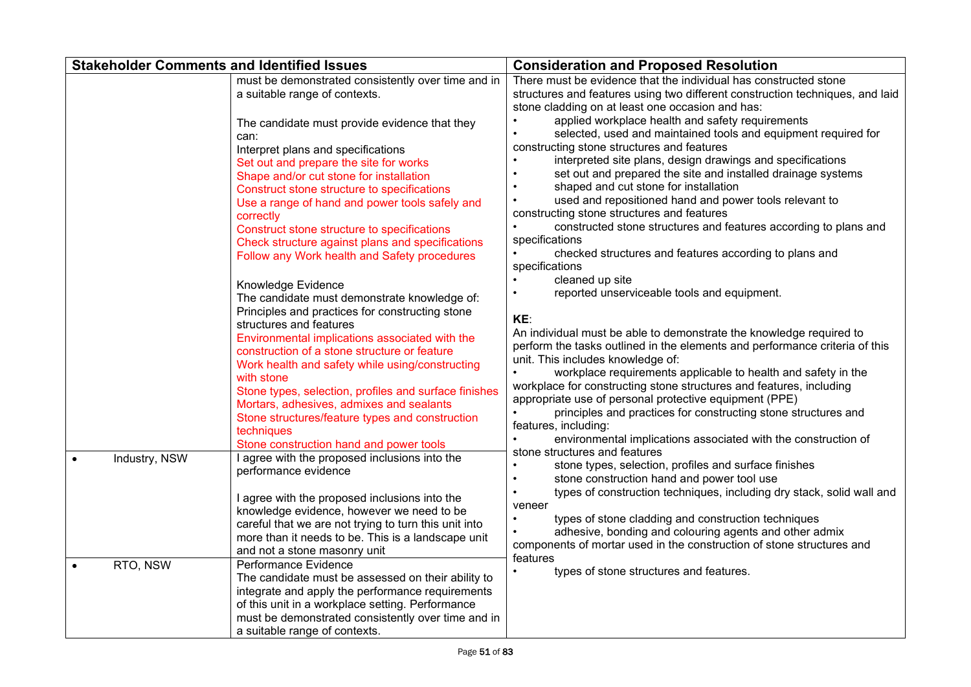| <b>Stakeholder Comments and Identified Issues</b> |                                                                                                                                                                                                                                                                                                                                                                                                                                                                                                                                      | <b>Consideration and Proposed Resolution</b>                                                                                                                                                                                                                                                                                                                                                                                                                                                                                                                                                                                                              |
|---------------------------------------------------|--------------------------------------------------------------------------------------------------------------------------------------------------------------------------------------------------------------------------------------------------------------------------------------------------------------------------------------------------------------------------------------------------------------------------------------------------------------------------------------------------------------------------------------|-----------------------------------------------------------------------------------------------------------------------------------------------------------------------------------------------------------------------------------------------------------------------------------------------------------------------------------------------------------------------------------------------------------------------------------------------------------------------------------------------------------------------------------------------------------------------------------------------------------------------------------------------------------|
|                                                   | must be demonstrated consistently over time and in<br>a suitable range of contexts.                                                                                                                                                                                                                                                                                                                                                                                                                                                  | There must be evidence that the individual has constructed stone<br>structures and features using two different construction techniques, and laid<br>stone cladding on at least one occasion and has:                                                                                                                                                                                                                                                                                                                                                                                                                                                     |
|                                                   | The candidate must provide evidence that they<br>can:<br>Interpret plans and specifications<br>Set out and prepare the site for works<br>Shape and/or cut stone for installation<br>Construct stone structure to specifications<br>Use a range of hand and power tools safely and<br>correctly<br>Construct stone structure to specifications<br>Check structure against plans and specifications<br>Follow any Work health and Safety procedures                                                                                    | applied workplace health and safety requirements<br>selected, used and maintained tools and equipment required for<br>constructing stone structures and features<br>interpreted site plans, design drawings and specifications<br>set out and prepared the site and installed drainage systems<br>shaped and cut stone for installation<br>used and repositioned hand and power tools relevant to<br>constructing stone structures and features<br>constructed stone structures and features according to plans and<br>specifications<br>checked structures and features according to plans and<br>$\bullet$<br>specifications<br>cleaned up site         |
|                                                   | Knowledge Evidence<br>The candidate must demonstrate knowledge of:<br>Principles and practices for constructing stone<br>structures and features<br>Environmental implications associated with the<br>construction of a stone structure or feature<br>Work health and safety while using/constructing<br>with stone<br>Stone types, selection, profiles and surface finishes<br>Mortars, adhesives, admixes and sealants<br>Stone structures/feature types and construction<br>techniques<br>Stone construction hand and power tools | reported unserviceable tools and equipment.<br>KE:<br>An individual must be able to demonstrate the knowledge required to<br>perform the tasks outlined in the elements and performance criteria of this<br>unit. This includes knowledge of:<br>workplace requirements applicable to health and safety in the<br>$\bullet$<br>workplace for constructing stone structures and features, including<br>appropriate use of personal protective equipment (PPE)<br>principles and practices for constructing stone structures and<br>features, including:<br>environmental implications associated with the construction of<br>stone structures and features |
| Industry, NSW                                     | I agree with the proposed inclusions into the<br>performance evidence<br>I agree with the proposed inclusions into the<br>knowledge evidence, however we need to be<br>careful that we are not trying to turn this unit into<br>more than it needs to be. This is a landscape unit<br>and not a stone masonry unit                                                                                                                                                                                                                   | stone types, selection, profiles and surface finishes<br>stone construction hand and power tool use<br>types of construction techniques, including dry stack, solid wall and<br>veneer<br>types of stone cladding and construction techniques<br>adhesive, bonding and colouring agents and other admix<br>components of mortar used in the construction of stone structures and<br>features                                                                                                                                                                                                                                                              |
| RTO, NSW<br>$\bullet$                             | Performance Evidence<br>The candidate must be assessed on their ability to<br>integrate and apply the performance requirements<br>of this unit in a workplace setting. Performance<br>must be demonstrated consistently over time and in<br>a suitable range of contexts.                                                                                                                                                                                                                                                            | types of stone structures and features.<br>$\bullet$                                                                                                                                                                                                                                                                                                                                                                                                                                                                                                                                                                                                      |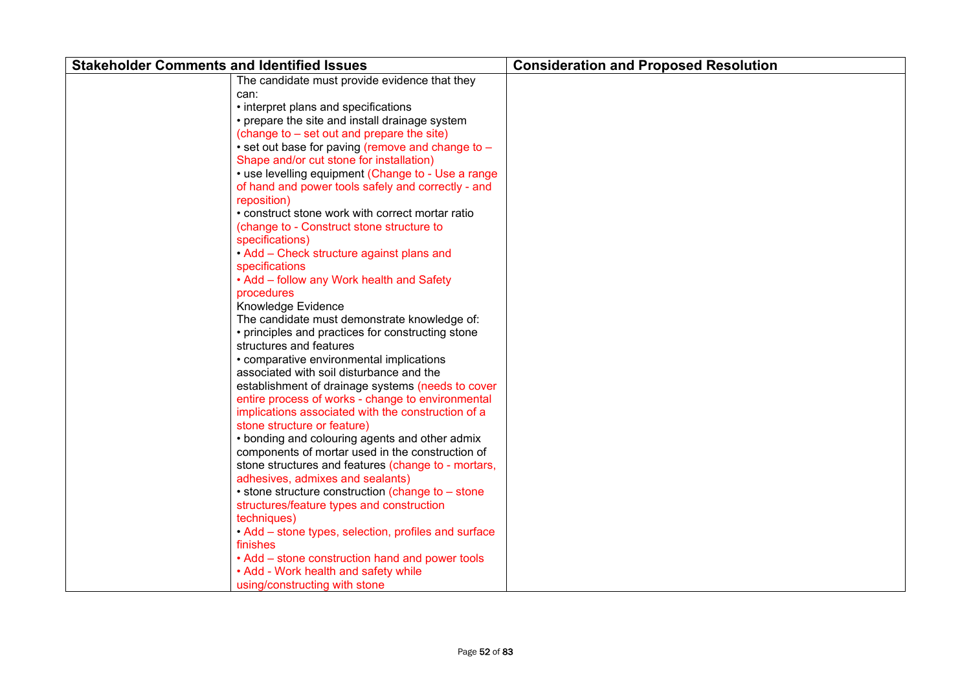| <b>Stakeholder Comments and Identified Issues</b>                                                                        | <b>Consideration and Proposed Resolution</b> |
|--------------------------------------------------------------------------------------------------------------------------|----------------------------------------------|
| The candidate must provide evidence that they                                                                            |                                              |
| can:                                                                                                                     |                                              |
| • interpret plans and specifications                                                                                     |                                              |
| • prepare the site and install drainage system                                                                           |                                              |
| (change to – set out and prepare the site)                                                                               |                                              |
| • set out base for paving (remove and change to -                                                                        |                                              |
| Shape and/or cut stone for installation)                                                                                 |                                              |
| • use levelling equipment (Change to - Use a range                                                                       |                                              |
| of hand and power tools safely and correctly - and                                                                       |                                              |
| reposition)                                                                                                              |                                              |
| • construct stone work with correct mortar ratio                                                                         |                                              |
| (change to - Construct stone structure to                                                                                |                                              |
| specifications)                                                                                                          |                                              |
| • Add – Check structure against plans and                                                                                |                                              |
| specifications                                                                                                           |                                              |
| • Add - follow any Work health and Safety                                                                                |                                              |
| procedures                                                                                                               |                                              |
| Knowledge Evidence                                                                                                       |                                              |
| The candidate must demonstrate knowledge of:                                                                             |                                              |
| • principles and practices for constructing stone                                                                        |                                              |
| structures and features                                                                                                  |                                              |
| • comparative environmental implications                                                                                 |                                              |
| associated with soil disturbance and the                                                                                 |                                              |
| establishment of drainage systems (needs to cover                                                                        |                                              |
| entire process of works - change to environmental                                                                        |                                              |
| implications associated with the construction of a                                                                       |                                              |
| stone structure or feature)                                                                                              |                                              |
| • bonding and colouring agents and other admix                                                                           |                                              |
| components of mortar used in the construction of                                                                         |                                              |
| stone structures and features (change to - mortars,                                                                      |                                              |
| adhesives, admixes and sealants)                                                                                         |                                              |
| • stone structure construction (change to - stone                                                                        |                                              |
| structures/feature types and construction                                                                                |                                              |
| techniques)<br>• Add – stone types, selection, profiles and surface                                                      |                                              |
| finishes                                                                                                                 |                                              |
|                                                                                                                          |                                              |
|                                                                                                                          |                                              |
|                                                                                                                          |                                              |
| • Add – stone construction hand and power tools<br>• Add - Work health and safety while<br>using/constructing with stone |                                              |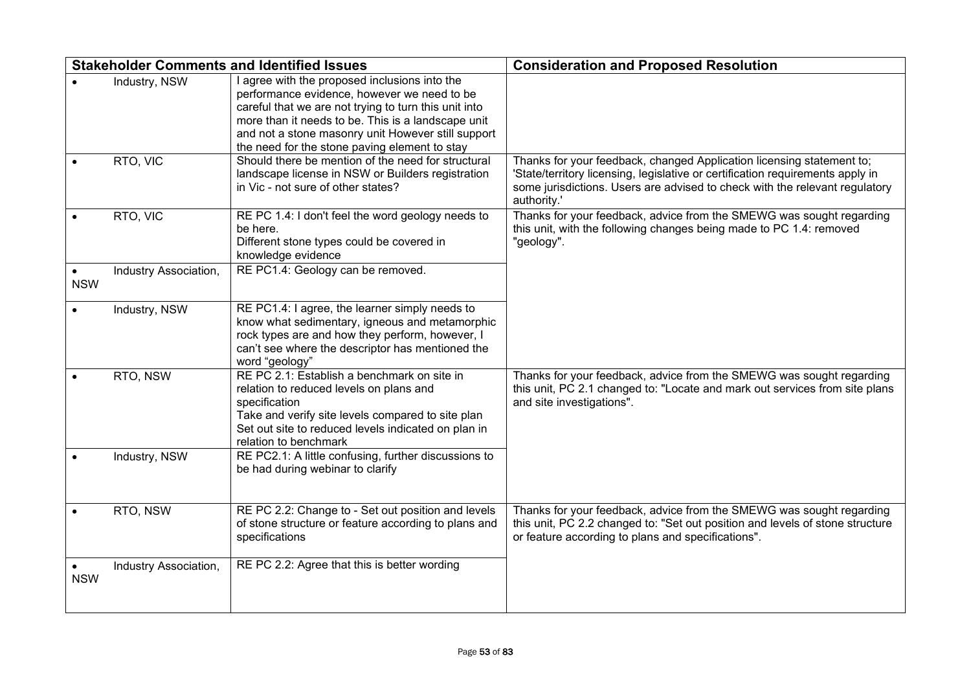|            | <b>Stakeholder Comments and Identified Issues</b> |                                                                                                                                                                                                                                                                                                                    | <b>Consideration and Proposed Resolution</b>                                                                                                                                                                                                          |
|------------|---------------------------------------------------|--------------------------------------------------------------------------------------------------------------------------------------------------------------------------------------------------------------------------------------------------------------------------------------------------------------------|-------------------------------------------------------------------------------------------------------------------------------------------------------------------------------------------------------------------------------------------------------|
|            | Industry, NSW                                     | I agree with the proposed inclusions into the<br>performance evidence, however we need to be<br>careful that we are not trying to turn this unit into<br>more than it needs to be. This is a landscape unit<br>and not a stone masonry unit However still support<br>the need for the stone paving element to stay |                                                                                                                                                                                                                                                       |
|            | RTO, VIC                                          | Should there be mention of the need for structural<br>landscape license in NSW or Builders registration<br>in Vic - not sure of other states?                                                                                                                                                                      | Thanks for your feedback, changed Application licensing statement to;<br>'State/territory licensing, legislative or certification requirements apply in<br>some jurisdictions. Users are advised to check with the relevant regulatory<br>authority.' |
|            | RTO, VIC                                          | RE PC 1.4: I don't feel the word geology needs to<br>be here.<br>Different stone types could be covered in<br>knowledge evidence                                                                                                                                                                                   | Thanks for your feedback, advice from the SMEWG was sought regarding<br>this unit, with the following changes being made to PC 1.4: removed<br>"geology".                                                                                             |
| <b>NSW</b> | Industry Association,                             | RE PC1.4: Geology can be removed.                                                                                                                                                                                                                                                                                  |                                                                                                                                                                                                                                                       |
|            | Industry, NSW                                     | RE PC1.4: I agree, the learner simply needs to<br>know what sedimentary, igneous and metamorphic<br>rock types are and how they perform, however, I<br>can't see where the descriptor has mentioned the<br>word "geology"                                                                                          |                                                                                                                                                                                                                                                       |
|            | RTO, NSW                                          | RE PC 2.1: Establish a benchmark on site in<br>relation to reduced levels on plans and<br>specification<br>Take and verify site levels compared to site plan<br>Set out site to reduced levels indicated on plan in<br>relation to benchmark                                                                       | Thanks for your feedback, advice from the SMEWG was sought regarding<br>this unit, PC 2.1 changed to: "Locate and mark out services from site plans<br>and site investigations".                                                                      |
|            | Industry, NSW                                     | RE PC2.1: A little confusing, further discussions to<br>be had during webinar to clarify                                                                                                                                                                                                                           |                                                                                                                                                                                                                                                       |
|            | RTO, NSW                                          | RE PC 2.2: Change to - Set out position and levels<br>of stone structure or feature according to plans and<br>specifications                                                                                                                                                                                       | Thanks for your feedback, advice from the SMEWG was sought regarding<br>this unit, PC 2.2 changed to: "Set out position and levels of stone structure<br>or feature according to plans and specifications".                                           |
| <b>NSW</b> | Industry Association,                             | RE PC 2.2: Agree that this is better wording                                                                                                                                                                                                                                                                       |                                                                                                                                                                                                                                                       |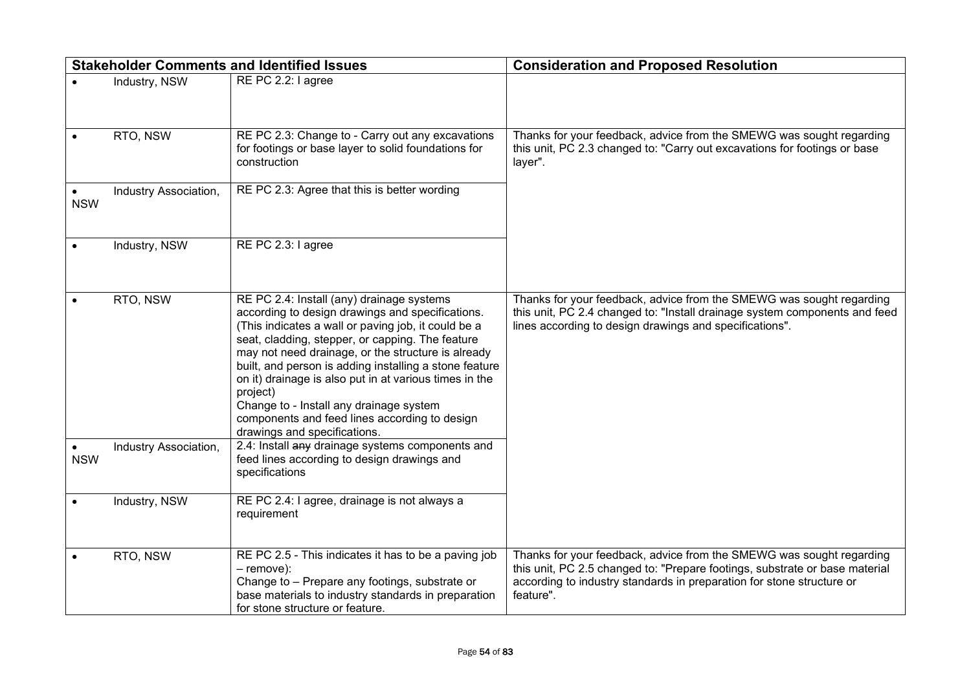|            | <b>Stakeholder Comments and Identified Issues</b> |                                                                                                                                                                                                                                                                                                                                                                                                                                                                                                                            | <b>Consideration and Proposed Resolution</b>                                                                                                                                                                                              |
|------------|---------------------------------------------------|----------------------------------------------------------------------------------------------------------------------------------------------------------------------------------------------------------------------------------------------------------------------------------------------------------------------------------------------------------------------------------------------------------------------------------------------------------------------------------------------------------------------------|-------------------------------------------------------------------------------------------------------------------------------------------------------------------------------------------------------------------------------------------|
|            | Industry, NSW                                     | RE PC 2.2: I agree                                                                                                                                                                                                                                                                                                                                                                                                                                                                                                         |                                                                                                                                                                                                                                           |
|            | RTO, NSW                                          | RE PC 2.3: Change to - Carry out any excavations<br>for footings or base layer to solid foundations for<br>construction                                                                                                                                                                                                                                                                                                                                                                                                    | Thanks for your feedback, advice from the SMEWG was sought regarding<br>this unit, PC 2.3 changed to: "Carry out excavations for footings or base<br>layer".                                                                              |
| <b>NSW</b> | Industry Association,                             | RE PC 2.3: Agree that this is better wording                                                                                                                                                                                                                                                                                                                                                                                                                                                                               |                                                                                                                                                                                                                                           |
|            | Industry, NSW                                     | RE PC 2.3: I agree                                                                                                                                                                                                                                                                                                                                                                                                                                                                                                         |                                                                                                                                                                                                                                           |
|            | RTO, NSW                                          | RE PC 2.4: Install (any) drainage systems<br>according to design drawings and specifications.<br>(This indicates a wall or paving job, it could be a<br>seat, cladding, stepper, or capping. The feature<br>may not need drainage, or the structure is already<br>built, and person is adding installing a stone feature<br>on it) drainage is also put in at various times in the<br>project)<br>Change to - Install any drainage system<br>components and feed lines according to design<br>drawings and specifications. | Thanks for your feedback, advice from the SMEWG was sought regarding<br>this unit, PC 2.4 changed to: "Install drainage system components and feed<br>lines according to design drawings and specifications".                             |
| <b>NSW</b> | Industry Association,                             | 2.4: Install any drainage systems components and<br>feed lines according to design drawings and<br>specifications                                                                                                                                                                                                                                                                                                                                                                                                          |                                                                                                                                                                                                                                           |
|            | Industry, NSW                                     | RE PC 2.4: I agree, drainage is not always a<br>requirement                                                                                                                                                                                                                                                                                                                                                                                                                                                                |                                                                                                                                                                                                                                           |
|            | RTO, NSW                                          | RE PC 2.5 - This indicates it has to be a paving job<br>$-$ remove):<br>Change to - Prepare any footings, substrate or<br>base materials to industry standards in preparation<br>for stone structure or feature.                                                                                                                                                                                                                                                                                                           | Thanks for your feedback, advice from the SMEWG was sought regarding<br>this unit, PC 2.5 changed to: "Prepare footings, substrate or base material<br>according to industry standards in preparation for stone structure or<br>feature". |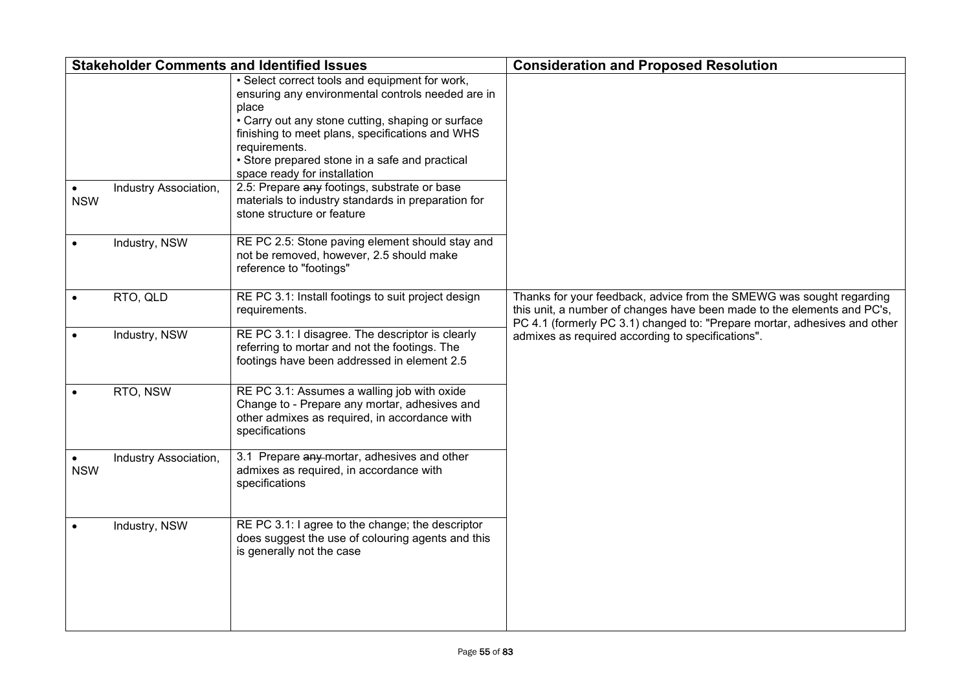| <b>Stakeholder Comments and Identified Issues</b> |                       |                                                                                                                                                                                                                                                                                                                         | <b>Consideration and Proposed Resolution</b>                                                                                                                                                                                 |
|---------------------------------------------------|-----------------------|-------------------------------------------------------------------------------------------------------------------------------------------------------------------------------------------------------------------------------------------------------------------------------------------------------------------------|------------------------------------------------------------------------------------------------------------------------------------------------------------------------------------------------------------------------------|
|                                                   |                       | • Select correct tools and equipment for work,<br>ensuring any environmental controls needed are in<br>place<br>• Carry out any stone cutting, shaping or surface<br>finishing to meet plans, specifications and WHS<br>requirements.<br>• Store prepared stone in a safe and practical<br>space ready for installation |                                                                                                                                                                                                                              |
| <b>NSW</b>                                        | Industry Association, | 2.5: Prepare any footings, substrate or base<br>materials to industry standards in preparation for<br>stone structure or feature                                                                                                                                                                                        |                                                                                                                                                                                                                              |
|                                                   | Industry, NSW         | RE PC 2.5: Stone paving element should stay and<br>not be removed, however, 2.5 should make<br>reference to "footings"                                                                                                                                                                                                  |                                                                                                                                                                                                                              |
|                                                   | RTO, QLD              | RE PC 3.1: Install footings to suit project design<br>requirements.                                                                                                                                                                                                                                                     | Thanks for your feedback, advice from the SMEWG was sought regarding<br>this unit, a number of changes have been made to the elements and PC's,<br>PC 4.1 (formerly PC 3.1) changed to: "Prepare mortar, adhesives and other |
|                                                   | Industry, NSW         | RE PC 3.1: I disagree. The descriptor is clearly<br>referring to mortar and not the footings. The<br>footings have been addressed in element 2.5                                                                                                                                                                        | admixes as required according to specifications".                                                                                                                                                                            |
|                                                   | RTO, NSW              | RE PC 3.1: Assumes a walling job with oxide<br>Change to - Prepare any mortar, adhesives and<br>other admixes as required, in accordance with<br>specifications                                                                                                                                                         |                                                                                                                                                                                                                              |
| <b>NSW</b>                                        | Industry Association, | 3.1 Prepare any mortar, adhesives and other<br>admixes as required, in accordance with<br>specifications                                                                                                                                                                                                                |                                                                                                                                                                                                                              |
|                                                   | Industry, NSW         | RE PC 3.1: I agree to the change; the descriptor<br>does suggest the use of colouring agents and this<br>is generally not the case                                                                                                                                                                                      |                                                                                                                                                                                                                              |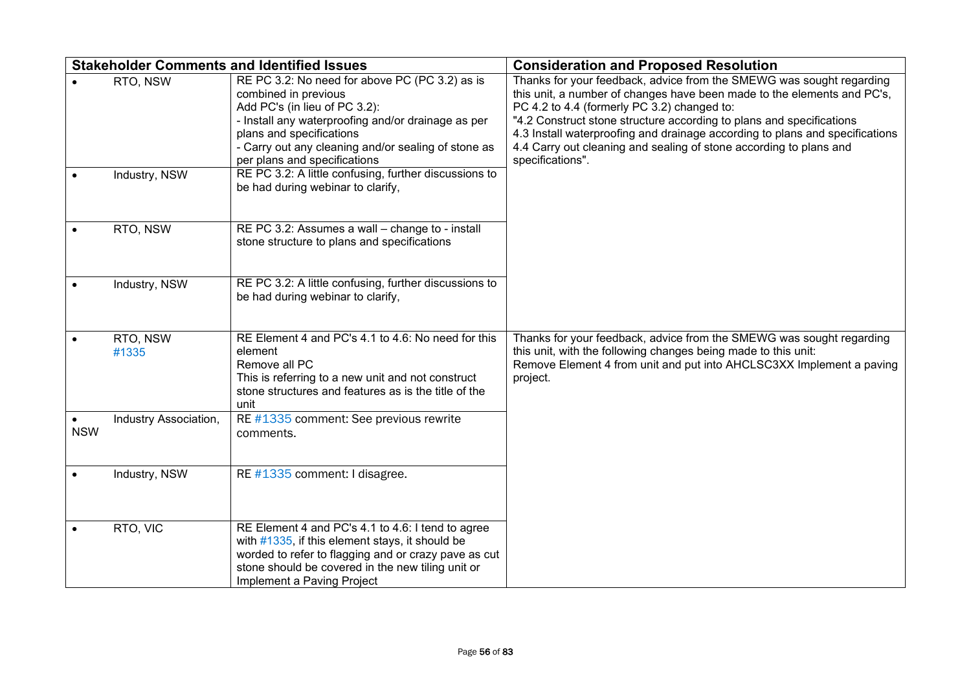|            |                           | <b>Stakeholder Comments and Identified Issues</b>                                                                                                                                                                                                                                                                                         | <b>Consideration and Proposed Resolution</b>                                                                                                                                                                                                                                                                                                                                                                                                     |
|------------|---------------------------|-------------------------------------------------------------------------------------------------------------------------------------------------------------------------------------------------------------------------------------------------------------------------------------------------------------------------------------------|--------------------------------------------------------------------------------------------------------------------------------------------------------------------------------------------------------------------------------------------------------------------------------------------------------------------------------------------------------------------------------------------------------------------------------------------------|
|            | RTO, NSW<br>Industry, NSW | RE PC 3.2: No need for above PC (PC 3.2) as is<br>combined in previous<br>Add PC's (in lieu of PC 3.2):<br>- Install any waterproofing and/or drainage as per<br>plans and specifications<br>- Carry out any cleaning and/or sealing of stone as<br>per plans and specifications<br>RE PC 3.2: A little confusing, further discussions to | Thanks for your feedback, advice from the SMEWG was sought regarding<br>this unit, a number of changes have been made to the elements and PC's,<br>PC 4.2 to 4.4 (formerly PC 3.2) changed to:<br>"4.2 Construct stone structure according to plans and specifications<br>4.3 Install waterproofing and drainage according to plans and specifications<br>4.4 Carry out cleaning and sealing of stone according to plans and<br>specifications". |
|            |                           | be had during webinar to clarify,                                                                                                                                                                                                                                                                                                         |                                                                                                                                                                                                                                                                                                                                                                                                                                                  |
|            | RTO, NSW                  | RE PC 3.2: Assumes a wall - change to - install<br>stone structure to plans and specifications                                                                                                                                                                                                                                            |                                                                                                                                                                                                                                                                                                                                                                                                                                                  |
|            | Industry, NSW             | RE PC 3.2: A little confusing, further discussions to<br>be had during webinar to clarify,                                                                                                                                                                                                                                                |                                                                                                                                                                                                                                                                                                                                                                                                                                                  |
|            | RTO, NSW<br>#1335         | RE Element 4 and PC's 4.1 to 4.6: No need for this<br>element<br>Remove all PC<br>This is referring to a new unit and not construct<br>stone structures and features as is the title of the<br>unit                                                                                                                                       | Thanks for your feedback, advice from the SMEWG was sought regarding<br>this unit, with the following changes being made to this unit:<br>Remove Element 4 from unit and put into AHCLSC3XX Implement a paving<br>project.                                                                                                                                                                                                                       |
| <b>NSW</b> | Industry Association,     | RE #1335 comment: See previous rewrite<br>comments.                                                                                                                                                                                                                                                                                       |                                                                                                                                                                                                                                                                                                                                                                                                                                                  |
|            | Industry, NSW             | RE #1335 comment: I disagree.                                                                                                                                                                                                                                                                                                             |                                                                                                                                                                                                                                                                                                                                                                                                                                                  |
|            | RTO, VIC                  | RE Element 4 and PC's 4.1 to 4.6: I tend to agree<br>with $\#1335$ , if this element stays, it should be<br>worded to refer to flagging and or crazy pave as cut<br>stone should be covered in the new tiling unit or<br>Implement a Paving Project                                                                                       |                                                                                                                                                                                                                                                                                                                                                                                                                                                  |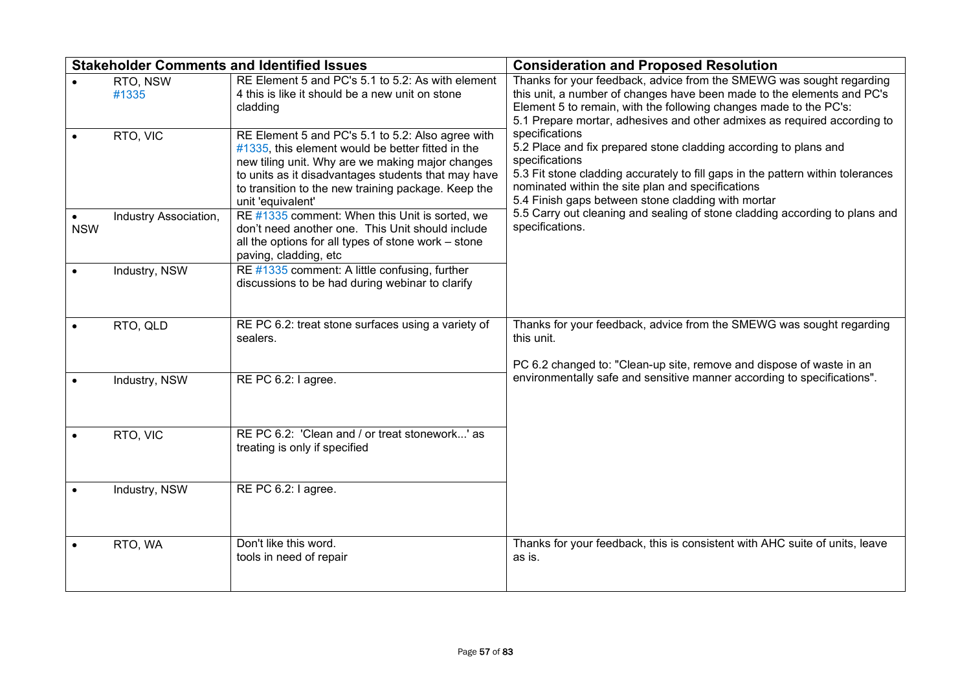|            |                       | <b>Stakeholder Comments and Identified Issues</b>                                                                                                                                                                                                                                             | <b>Consideration and Proposed Resolution</b>                                                                                                                                                                                                                                                       |
|------------|-----------------------|-----------------------------------------------------------------------------------------------------------------------------------------------------------------------------------------------------------------------------------------------------------------------------------------------|----------------------------------------------------------------------------------------------------------------------------------------------------------------------------------------------------------------------------------------------------------------------------------------------------|
|            | RTO, NSW<br>#1335     | RE Element 5 and PC's 5.1 to 5.2: As with element<br>4 this is like it should be a new unit on stone<br>cladding                                                                                                                                                                              | Thanks for your feedback, advice from the SMEWG was sought regarding<br>this unit, a number of changes have been made to the elements and PC's<br>Element 5 to remain, with the following changes made to the PC's:<br>5.1 Prepare mortar, adhesives and other admixes as required according to    |
|            | RTO, VIC              | RE Element 5 and PC's 5.1 to 5.2: Also agree with<br>#1335, this element would be better fitted in the<br>new tiling unit. Why are we making major changes<br>to units as it disadvantages students that may have<br>to transition to the new training package. Keep the<br>unit 'equivalent' | specifications<br>5.2 Place and fix prepared stone cladding according to plans and<br>specifications<br>5.3 Fit stone cladding accurately to fill gaps in the pattern within tolerances<br>nominated within the site plan and specifications<br>5.4 Finish gaps between stone cladding with mortar |
| <b>NSW</b> | Industry Association, | RE #1335 comment: When this Unit is sorted, we<br>don't need another one. This Unit should include<br>all the options for all types of stone work - stone<br>paving, cladding, etc                                                                                                            | 5.5 Carry out cleaning and sealing of stone cladding according to plans and<br>specifications.                                                                                                                                                                                                     |
|            | Industry, NSW         | RE #1335 comment: A little confusing, further<br>discussions to be had during webinar to clarify                                                                                                                                                                                              |                                                                                                                                                                                                                                                                                                    |
|            | RTO, QLD              | RE PC 6.2: treat stone surfaces using a variety of<br>sealers.                                                                                                                                                                                                                                | Thanks for your feedback, advice from the SMEWG was sought regarding<br>this unit.<br>PC 6.2 changed to: "Clean-up site, remove and dispose of waste in an                                                                                                                                         |
|            | Industry, NSW         | RE PC 6.2: I agree.                                                                                                                                                                                                                                                                           | environmentally safe and sensitive manner according to specifications".                                                                                                                                                                                                                            |
|            | RTO, VIC              | RE PC 6.2: 'Clean and / or treat stonework' as<br>treating is only if specified                                                                                                                                                                                                               |                                                                                                                                                                                                                                                                                                    |
|            | Industry, NSW         | RE PC 6.2: I agree.                                                                                                                                                                                                                                                                           |                                                                                                                                                                                                                                                                                                    |
|            | RTO, WA               | Don't like this word.<br>tools in need of repair                                                                                                                                                                                                                                              | Thanks for your feedback, this is consistent with AHC suite of units, leave<br>as is.                                                                                                                                                                                                              |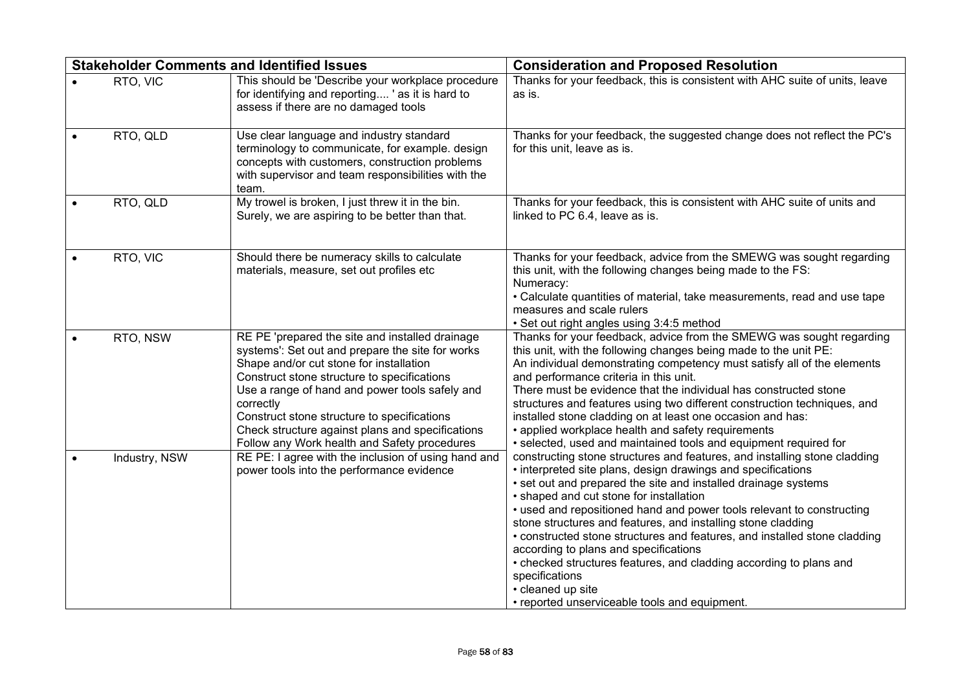|               | <b>Stakeholder Comments and Identified Issues</b>                                                                                                                                                                                                                                                                                                                                                               | <b>Consideration and Proposed Resolution</b>                                                                                                                                                                                                                                                                                                                                                                                                                                                                                                                                                                                                                                        |
|---------------|-----------------------------------------------------------------------------------------------------------------------------------------------------------------------------------------------------------------------------------------------------------------------------------------------------------------------------------------------------------------------------------------------------------------|-------------------------------------------------------------------------------------------------------------------------------------------------------------------------------------------------------------------------------------------------------------------------------------------------------------------------------------------------------------------------------------------------------------------------------------------------------------------------------------------------------------------------------------------------------------------------------------------------------------------------------------------------------------------------------------|
| RTO, VIC      | This should be 'Describe your workplace procedure<br>for identifying and reporting ' as it is hard to<br>assess if there are no damaged tools                                                                                                                                                                                                                                                                   | Thanks for your feedback, this is consistent with AHC suite of units, leave<br>as is.                                                                                                                                                                                                                                                                                                                                                                                                                                                                                                                                                                                               |
| RTO, QLD      | Use clear language and industry standard<br>terminology to communicate, for example. design<br>concepts with customers, construction problems<br>with supervisor and team responsibilities with the<br>team.                                                                                                                                                                                                    | Thanks for your feedback, the suggested change does not reflect the PC's<br>for this unit, leave as is.                                                                                                                                                                                                                                                                                                                                                                                                                                                                                                                                                                             |
| RTO, QLD      | My trowel is broken, I just threw it in the bin.<br>Surely, we are aspiring to be better than that.                                                                                                                                                                                                                                                                                                             | Thanks for your feedback, this is consistent with AHC suite of units and<br>linked to PC 6.4, leave as is.                                                                                                                                                                                                                                                                                                                                                                                                                                                                                                                                                                          |
| RTO, VIC      | Should there be numeracy skills to calculate<br>materials, measure, set out profiles etc                                                                                                                                                                                                                                                                                                                        | Thanks for your feedback, advice from the SMEWG was sought regarding<br>this unit, with the following changes being made to the FS:<br>Numeracy:<br>• Calculate quantities of material, take measurements, read and use tape<br>measures and scale rulers<br>• Set out right angles using 3:4:5 method                                                                                                                                                                                                                                                                                                                                                                              |
| RTO, NSW      | RE PE 'prepared the site and installed drainage<br>systems': Set out and prepare the site for works<br>Shape and/or cut stone for installation<br>Construct stone structure to specifications<br>Use a range of hand and power tools safely and<br>correctly<br>Construct stone structure to specifications<br>Check structure against plans and specifications<br>Follow any Work health and Safety procedures | Thanks for your feedback, advice from the SMEWG was sought regarding<br>this unit, with the following changes being made to the unit PE:<br>An individual demonstrating competency must satisfy all of the elements<br>and performance criteria in this unit.<br>There must be evidence that the individual has constructed stone<br>structures and features using two different construction techniques, and<br>installed stone cladding on at least one occasion and has:<br>• applied workplace health and safety requirements<br>· selected, used and maintained tools and equipment required for                                                                               |
| Industry, NSW | RE PE: I agree with the inclusion of using hand and<br>power tools into the performance evidence                                                                                                                                                                                                                                                                                                                | constructing stone structures and features, and installing stone cladding<br>• interpreted site plans, design drawings and specifications<br>• set out and prepared the site and installed drainage systems<br>• shaped and cut stone for installation<br>• used and repositioned hand and power tools relevant to constructing<br>stone structures and features, and installing stone cladding<br>• constructed stone structures and features, and installed stone cladding<br>according to plans and specifications<br>• checked structures features, and cladding according to plans and<br>specifications<br>• cleaned up site<br>• reported unserviceable tools and equipment. |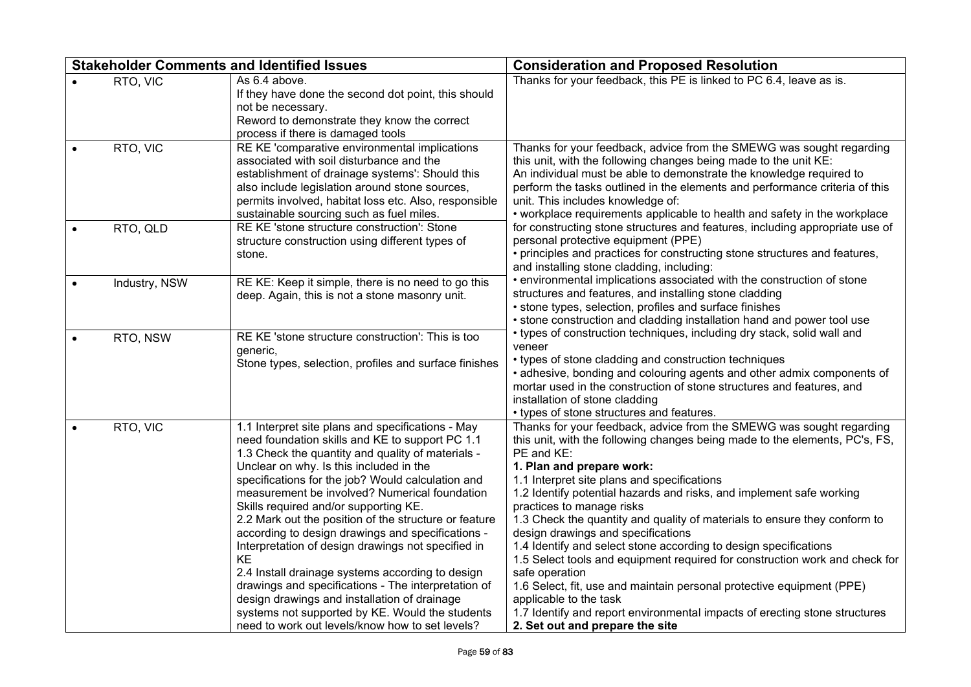| <b>Stakeholder Comments and Identified Issues</b> |               |                                                                                                                                                                                                                                                                                                                                                                                                                                                                                                                                                                                                                                                                                                                                                                                                | <b>Consideration and Proposed Resolution</b>                                                                                                                                                                                                                                                                                                                                                                                                                                                                                                                                                                                                                                                                                                                                                                                                                   |  |
|---------------------------------------------------|---------------|------------------------------------------------------------------------------------------------------------------------------------------------------------------------------------------------------------------------------------------------------------------------------------------------------------------------------------------------------------------------------------------------------------------------------------------------------------------------------------------------------------------------------------------------------------------------------------------------------------------------------------------------------------------------------------------------------------------------------------------------------------------------------------------------|----------------------------------------------------------------------------------------------------------------------------------------------------------------------------------------------------------------------------------------------------------------------------------------------------------------------------------------------------------------------------------------------------------------------------------------------------------------------------------------------------------------------------------------------------------------------------------------------------------------------------------------------------------------------------------------------------------------------------------------------------------------------------------------------------------------------------------------------------------------|--|
|                                                   | RTO, VIC      | As 6.4 above.<br>If they have done the second dot point, this should<br>not be necessary.<br>Reword to demonstrate they know the correct<br>process if there is damaged tools                                                                                                                                                                                                                                                                                                                                                                                                                                                                                                                                                                                                                  | Thanks for your feedback, this PE is linked to PC 6.4, leave as is.                                                                                                                                                                                                                                                                                                                                                                                                                                                                                                                                                                                                                                                                                                                                                                                            |  |
|                                                   | RTO, VIC      | RE KE 'comparative environmental implications<br>associated with soil disturbance and the<br>establishment of drainage systems': Should this<br>also include legislation around stone sources,<br>permits involved, habitat loss etc. Also, responsible<br>sustainable sourcing such as fuel miles.                                                                                                                                                                                                                                                                                                                                                                                                                                                                                            | Thanks for your feedback, advice from the SMEWG was sought regarding<br>this unit, with the following changes being made to the unit KE:<br>An individual must be able to demonstrate the knowledge required to<br>perform the tasks outlined in the elements and performance criteria of this<br>unit. This includes knowledge of:<br>• workplace requirements applicable to health and safety in the workplace                                                                                                                                                                                                                                                                                                                                                                                                                                               |  |
|                                                   | RTO, QLD      | RE KE 'stone structure construction': Stone<br>structure construction using different types of<br>stone.                                                                                                                                                                                                                                                                                                                                                                                                                                                                                                                                                                                                                                                                                       | for constructing stone structures and features, including appropriate use of<br>personal protective equipment (PPE)<br>• principles and practices for constructing stone structures and features,<br>and installing stone cladding, including:                                                                                                                                                                                                                                                                                                                                                                                                                                                                                                                                                                                                                 |  |
|                                                   | Industry, NSW | RE KE: Keep it simple, there is no need to go this<br>deep. Again, this is not a stone masonry unit.                                                                                                                                                                                                                                                                                                                                                                                                                                                                                                                                                                                                                                                                                           | • environmental implications associated with the construction of stone<br>structures and features, and installing stone cladding<br>• stone types, selection, profiles and surface finishes<br>• stone construction and cladding installation hand and power tool use                                                                                                                                                                                                                                                                                                                                                                                                                                                                                                                                                                                          |  |
|                                                   | RTO, NSW      | RE KE 'stone structure construction': This is too<br>generic,<br>Stone types, selection, profiles and surface finishes                                                                                                                                                                                                                                                                                                                                                                                                                                                                                                                                                                                                                                                                         | • types of construction techniques, including dry stack, solid wall and<br>veneer<br>• types of stone cladding and construction techniques<br>• adhesive, bonding and colouring agents and other admix components of<br>mortar used in the construction of stone structures and features, and<br>installation of stone cladding<br>• types of stone structures and features.                                                                                                                                                                                                                                                                                                                                                                                                                                                                                   |  |
|                                                   | RTO, VIC      | 1.1 Interpret site plans and specifications - May<br>need foundation skills and KE to support PC 1.1<br>1.3 Check the quantity and quality of materials -<br>Unclear on why. Is this included in the<br>specifications for the job? Would calculation and<br>measurement be involved? Numerical foundation<br>Skills required and/or supporting KE.<br>2.2 Mark out the position of the structure or feature<br>according to design drawings and specifications -<br>Interpretation of design drawings not specified in<br>KE<br>2.4 Install drainage systems according to design<br>drawings and specifications - The interpretation of<br>design drawings and installation of drainage<br>systems not supported by KE. Would the students<br>need to work out levels/know how to set levels? | Thanks for your feedback, advice from the SMEWG was sought regarding<br>this unit, with the following changes being made to the elements, PC's, FS,<br>PE and KE:<br>1. Plan and prepare work:<br>1.1 Interpret site plans and specifications<br>1.2 Identify potential hazards and risks, and implement safe working<br>practices to manage risks<br>1.3 Check the quantity and quality of materials to ensure they conform to<br>design drawings and specifications<br>1.4 Identify and select stone according to design specifications<br>1.5 Select tools and equipment required for construction work and check for<br>safe operation<br>1.6 Select, fit, use and maintain personal protective equipment (PPE)<br>applicable to the task<br>1.7 Identify and report environmental impacts of erecting stone structures<br>2. Set out and prepare the site |  |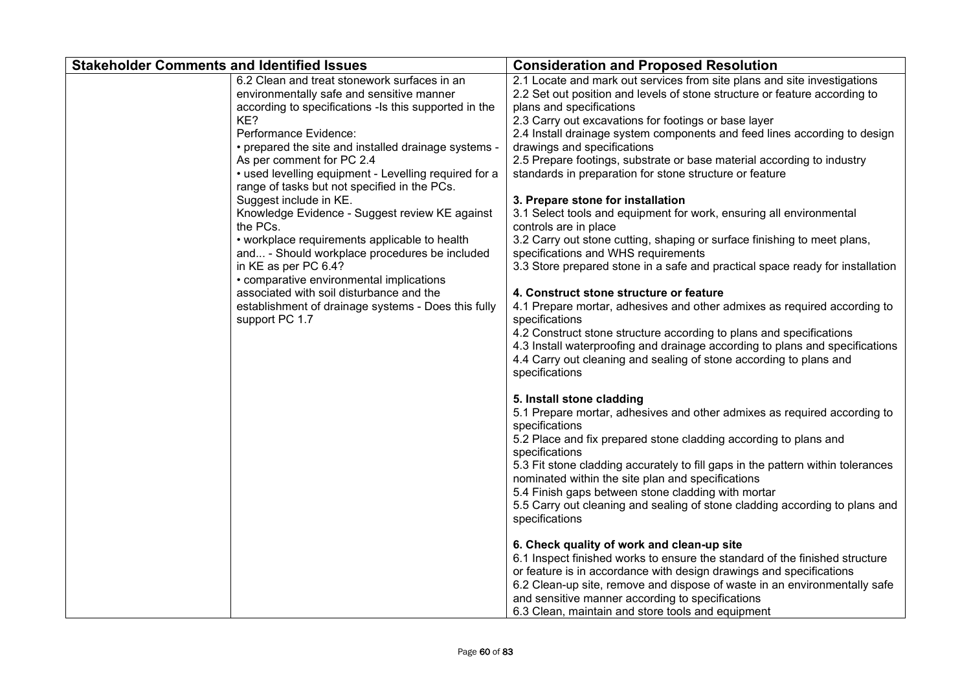| <b>Stakeholder Comments and Identified Issues</b>                                                                                                                                                                                                                                                                                                                                                                                                                                                                                                                                                                                                                                                                                                                   | <b>Consideration and Proposed Resolution</b>                                                                                                                                                                                                                                                                                                                                                                                                                                                                                                                                                                                                                                                                                                                                                                                                                                                                                                                                                                                                                                                                                                                                                               |
|---------------------------------------------------------------------------------------------------------------------------------------------------------------------------------------------------------------------------------------------------------------------------------------------------------------------------------------------------------------------------------------------------------------------------------------------------------------------------------------------------------------------------------------------------------------------------------------------------------------------------------------------------------------------------------------------------------------------------------------------------------------------|------------------------------------------------------------------------------------------------------------------------------------------------------------------------------------------------------------------------------------------------------------------------------------------------------------------------------------------------------------------------------------------------------------------------------------------------------------------------------------------------------------------------------------------------------------------------------------------------------------------------------------------------------------------------------------------------------------------------------------------------------------------------------------------------------------------------------------------------------------------------------------------------------------------------------------------------------------------------------------------------------------------------------------------------------------------------------------------------------------------------------------------------------------------------------------------------------------|
| 6.2 Clean and treat stonework surfaces in an<br>environmentally safe and sensitive manner<br>according to specifications -Is this supported in the<br>KE?<br>Performance Evidence:<br>• prepared the site and installed drainage systems -<br>As per comment for PC 2.4<br>• used levelling equipment - Levelling required for a<br>range of tasks but not specified in the PCs.<br>Suggest include in KE.<br>Knowledge Evidence - Suggest review KE against<br>the PCs.<br>• workplace requirements applicable to health<br>and - Should workplace procedures be included<br>in KE as per PC 6.4?<br>• comparative environmental implications<br>associated with soil disturbance and the<br>establishment of drainage systems - Does this fully<br>support PC 1.7 | 2.1 Locate and mark out services from site plans and site investigations<br>2.2 Set out position and levels of stone structure or feature according to<br>plans and specifications<br>2.3 Carry out excavations for footings or base layer<br>2.4 Install drainage system components and feed lines according to design<br>drawings and specifications<br>2.5 Prepare footings, substrate or base material according to industry<br>standards in preparation for stone structure or feature<br>3. Prepare stone for installation<br>3.1 Select tools and equipment for work, ensuring all environmental<br>controls are in place<br>3.2 Carry out stone cutting, shaping or surface finishing to meet plans,<br>specifications and WHS requirements<br>3.3 Store prepared stone in a safe and practical space ready for installation<br>4. Construct stone structure or feature<br>4.1 Prepare mortar, adhesives and other admixes as required according to<br>specifications<br>4.2 Construct stone structure according to plans and specifications<br>4.3 Install waterproofing and drainage according to plans and specifications<br>4.4 Carry out cleaning and sealing of stone according to plans and |
|                                                                                                                                                                                                                                                                                                                                                                                                                                                                                                                                                                                                                                                                                                                                                                     | specifications<br>5. Install stone cladding<br>5.1 Prepare mortar, adhesives and other admixes as required according to<br>specifications<br>5.2 Place and fix prepared stone cladding according to plans and<br>specifications<br>5.3 Fit stone cladding accurately to fill gaps in the pattern within tolerances<br>nominated within the site plan and specifications<br>5.4 Finish gaps between stone cladding with mortar<br>5.5 Carry out cleaning and sealing of stone cladding according to plans and<br>specifications<br>6. Check quality of work and clean-up site<br>6.1 Inspect finished works to ensure the standard of the finished structure<br>or feature is in accordance with design drawings and specifications<br>6.2 Clean-up site, remove and dispose of waste in an environmentally safe<br>and sensitive manner according to specifications<br>6.3 Clean, maintain and store tools and equipment                                                                                                                                                                                                                                                                                   |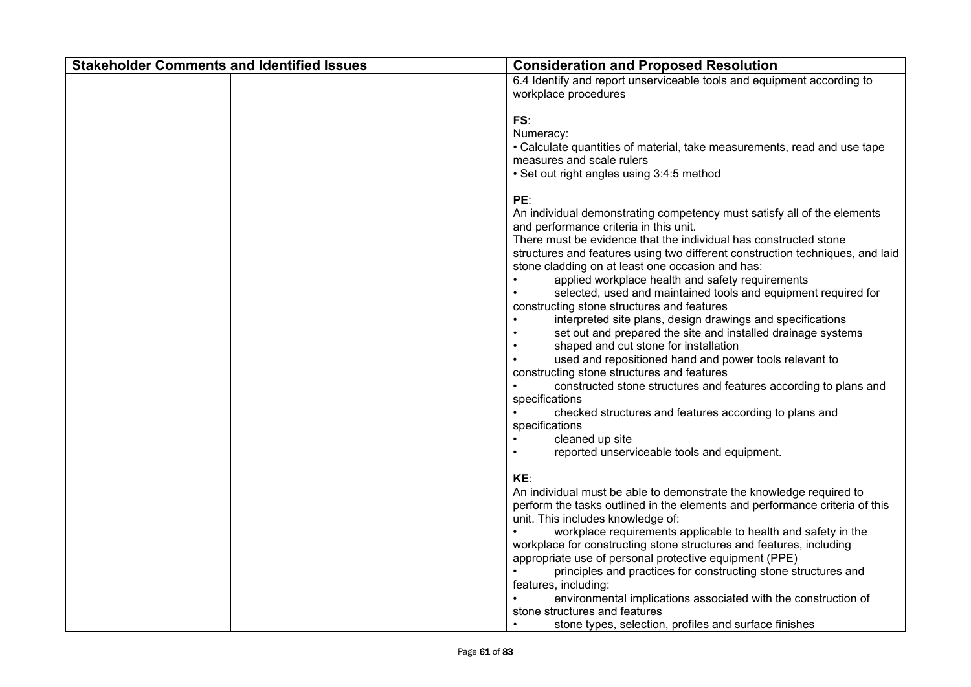| <b>Stakeholder Comments and Identified Issues</b> | <b>Consideration and Proposed Resolution</b>                                                                                                                                                                                                                                                                                                                                                                                                                                                                                                                                                                                                                                                                                                                                                                                                                                                                                                                              |
|---------------------------------------------------|---------------------------------------------------------------------------------------------------------------------------------------------------------------------------------------------------------------------------------------------------------------------------------------------------------------------------------------------------------------------------------------------------------------------------------------------------------------------------------------------------------------------------------------------------------------------------------------------------------------------------------------------------------------------------------------------------------------------------------------------------------------------------------------------------------------------------------------------------------------------------------------------------------------------------------------------------------------------------|
|                                                   | 6.4 Identify and report unserviceable tools and equipment according to<br>workplace procedures                                                                                                                                                                                                                                                                                                                                                                                                                                                                                                                                                                                                                                                                                                                                                                                                                                                                            |
|                                                   | FS:<br>Numeracy:<br>• Calculate quantities of material, take measurements, read and use tape<br>measures and scale rulers<br>• Set out right angles using 3:4:5 method                                                                                                                                                                                                                                                                                                                                                                                                                                                                                                                                                                                                                                                                                                                                                                                                    |
|                                                   | PE:<br>An individual demonstrating competency must satisfy all of the elements<br>and performance criteria in this unit.<br>There must be evidence that the individual has constructed stone<br>structures and features using two different construction techniques, and laid<br>stone cladding on at least one occasion and has:<br>applied workplace health and safety requirements<br>selected, used and maintained tools and equipment required for<br>constructing stone structures and features<br>interpreted site plans, design drawings and specifications<br>set out and prepared the site and installed drainage systems<br>shaped and cut stone for installation<br>used and repositioned hand and power tools relevant to<br>constructing stone structures and features<br>constructed stone structures and features according to plans and<br>specifications<br>checked structures and features according to plans and<br>specifications<br>cleaned up site |
|                                                   | reported unserviceable tools and equipment.<br>KE:<br>An individual must be able to demonstrate the knowledge required to<br>perform the tasks outlined in the elements and performance criteria of this<br>unit. This includes knowledge of:<br>workplace requirements applicable to health and safety in the<br>workplace for constructing stone structures and features, including<br>appropriate use of personal protective equipment (PPE)<br>principles and practices for constructing stone structures and<br>features, including:<br>environmental implications associated with the construction of<br>stone structures and features<br>stone types, selection, profiles and surface finishes                                                                                                                                                                                                                                                                     |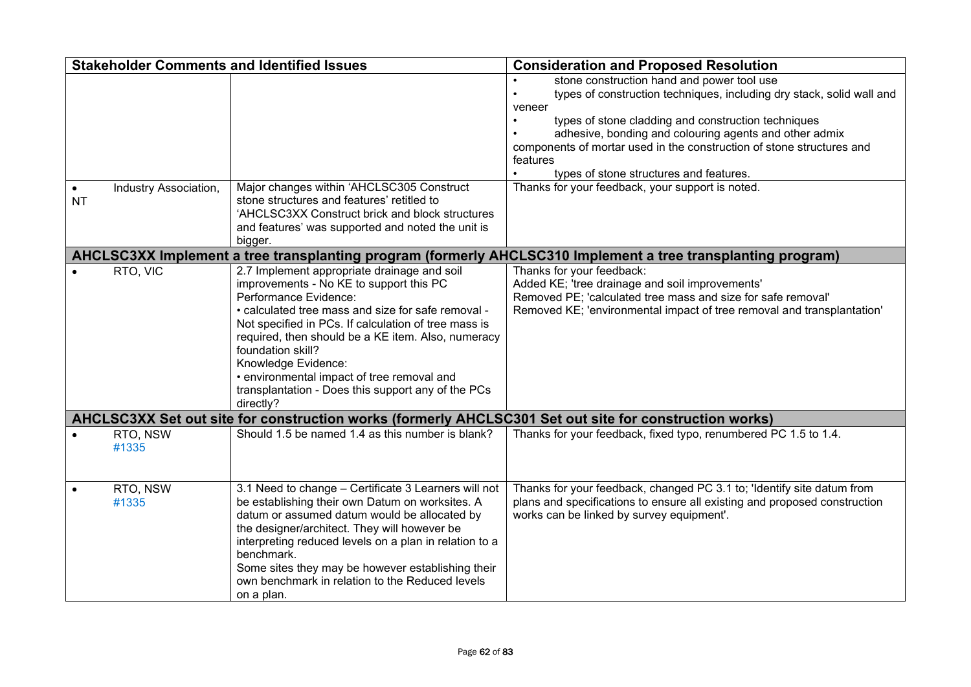|                        | <b>Stakeholder Comments and Identified Issues</b> |                                                                                                                                                                                                                                                                                                                                                                                                                                                  | <b>Consideration and Proposed Resolution</b>                                                                                                                                                                                                                                                                                                                                   |
|------------------------|---------------------------------------------------|--------------------------------------------------------------------------------------------------------------------------------------------------------------------------------------------------------------------------------------------------------------------------------------------------------------------------------------------------------------------------------------------------------------------------------------------------|--------------------------------------------------------------------------------------------------------------------------------------------------------------------------------------------------------------------------------------------------------------------------------------------------------------------------------------------------------------------------------|
|                        |                                                   |                                                                                                                                                                                                                                                                                                                                                                                                                                                  | stone construction hand and power tool use<br>types of construction techniques, including dry stack, solid wall and<br>veneer<br>types of stone cladding and construction techniques<br>adhesive, bonding and colouring agents and other admix<br>components of mortar used in the construction of stone structures and<br>features<br>types of stone structures and features. |
| $\bullet$<br><b>NT</b> | Industry Association,                             | Major changes within 'AHCLSC305 Construct<br>stone structures and features' retitled to<br>'AHCLSC3XX Construct brick and block structures<br>and features' was supported and noted the unit is<br>bigger.                                                                                                                                                                                                                                       | Thanks for your feedback, your support is noted.                                                                                                                                                                                                                                                                                                                               |
|                        |                                                   |                                                                                                                                                                                                                                                                                                                                                                                                                                                  | AHCLSC3XX Implement a tree transplanting program (formerly AHCLSC310 Implement a tree transplanting program)                                                                                                                                                                                                                                                                   |
|                        | RTO, VIC                                          | 2.7 Implement appropriate drainage and soil<br>improvements - No KE to support this PC<br>Performance Evidence:<br>• calculated tree mass and size for safe removal -<br>Not specified in PCs. If calculation of tree mass is<br>required, then should be a KE item. Also, numeracy<br>foundation skill?<br>Knowledge Evidence:<br>• environmental impact of tree removal and<br>transplantation - Does this support any of the PCs<br>directly? | Thanks for your feedback:<br>Added KE; 'tree drainage and soil improvements'<br>Removed PE; 'calculated tree mass and size for safe removal'<br>Removed KE; 'environmental impact of tree removal and transplantation'                                                                                                                                                         |
|                        |                                                   | AHCLSC3XX Set out site for construction works (formerly AHCLSC301 Set out site for construction works)                                                                                                                                                                                                                                                                                                                                           |                                                                                                                                                                                                                                                                                                                                                                                |
|                        | RTO, NSW<br>#1335                                 | Should 1.5 be named 1.4 as this number is blank?                                                                                                                                                                                                                                                                                                                                                                                                 | Thanks for your feedback, fixed typo, renumbered PC 1.5 to 1.4.                                                                                                                                                                                                                                                                                                                |
|                        | RTO, NSW<br>#1335                                 | 3.1 Need to change - Certificate 3 Learners will not<br>be establishing their own Datum on worksites. A<br>datum or assumed datum would be allocated by<br>the designer/architect. They will however be<br>interpreting reduced levels on a plan in relation to a<br>benchmark.<br>Some sites they may be however establishing their<br>own benchmark in relation to the Reduced levels<br>on a plan.                                            | Thanks for your feedback, changed PC 3.1 to; 'Identify site datum from<br>plans and specifications to ensure all existing and proposed construction<br>works can be linked by survey equipment'.                                                                                                                                                                               |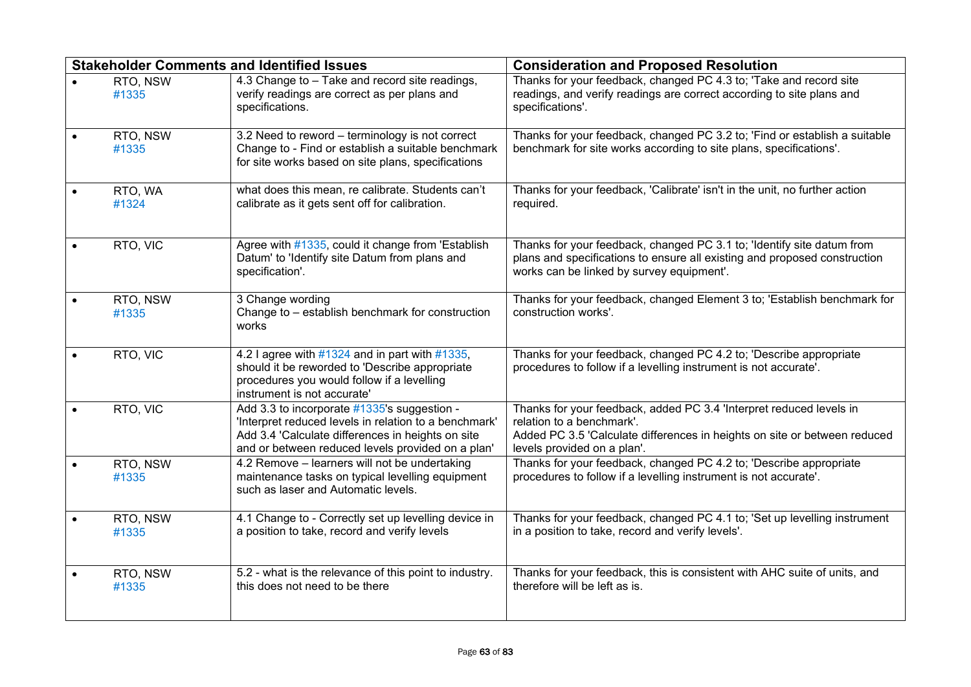| <b>Stakeholder Comments and Identified Issues</b> |                                                                                                                                                                                                                | <b>Consideration and Proposed Resolution</b>                                                                                                                                                                 |
|---------------------------------------------------|----------------------------------------------------------------------------------------------------------------------------------------------------------------------------------------------------------------|--------------------------------------------------------------------------------------------------------------------------------------------------------------------------------------------------------------|
| RTO, NSW<br>#1335                                 | 4.3 Change to - Take and record site readings,<br>verify readings are correct as per plans and<br>specifications.                                                                                              | Thanks for your feedback, changed PC 4.3 to; 'Take and record site<br>readings, and verify readings are correct according to site plans and<br>specifications'.                                              |
| RTO, NSW<br>#1335                                 | 3.2 Need to reword - terminology is not correct<br>Change to - Find or establish a suitable benchmark<br>for site works based on site plans, specifications                                                    | Thanks for your feedback, changed PC 3.2 to; 'Find or establish a suitable<br>benchmark for site works according to site plans, specifications'.                                                             |
| RTO, WA<br>#1324                                  | what does this mean, re calibrate. Students can't<br>calibrate as it gets sent off for calibration.                                                                                                            | Thanks for your feedback, 'Calibrate' isn't in the unit, no further action<br>required.                                                                                                                      |
| RTO, VIC                                          | Agree with #1335, could it change from 'Establish<br>Datum' to 'Identify site Datum from plans and<br>specification'.                                                                                          | Thanks for your feedback, changed PC 3.1 to; 'Identify site datum from<br>plans and specifications to ensure all existing and proposed construction<br>works can be linked by survey equipment'.             |
| RTO, NSW<br>#1335                                 | 3 Change wording<br>Change to - establish benchmark for construction<br>works                                                                                                                                  | Thanks for your feedback, changed Element 3 to; 'Establish benchmark for<br>construction works'.                                                                                                             |
| RTO, VIC                                          | 4.2 I agree with $\#1324$ and in part with $\#1335$ ,<br>should it be reworded to 'Describe appropriate<br>procedures you would follow if a levelling<br>instrument is not accurate'                           | Thanks for your feedback, changed PC 4.2 to; 'Describe appropriate<br>procedures to follow if a levelling instrument is not accurate'.                                                                       |
| RTO, VIC                                          | Add 3.3 to incorporate #1335's suggestion -<br>'Interpret reduced levels in relation to a benchmark'<br>Add 3.4 'Calculate differences in heights on site<br>and or between reduced levels provided on a plan' | Thanks for your feedback, added PC 3.4 'Interpret reduced levels in<br>relation to a benchmark'.<br>Added PC 3.5 'Calculate differences in heights on site or between reduced<br>levels provided on a plan'. |
| RTO, NSW<br>#1335                                 | 4.2 Remove - learners will not be undertaking<br>maintenance tasks on typical levelling equipment<br>such as laser and Automatic levels.                                                                       | Thanks for your feedback, changed PC 4.2 to; 'Describe appropriate<br>procedures to follow if a levelling instrument is not accurate'.                                                                       |
| RTO, NSW<br>#1335                                 | 4.1 Change to - Correctly set up levelling device in<br>a position to take, record and verify levels                                                                                                           | Thanks for your feedback, changed PC 4.1 to; 'Set up levelling instrument<br>in a position to take, record and verify levels'.                                                                               |
| RTO, NSW<br>#1335                                 | 5.2 - what is the relevance of this point to industry.<br>this does not need to be there                                                                                                                       | Thanks for your feedback, this is consistent with AHC suite of units, and<br>therefore will be left as is.                                                                                                   |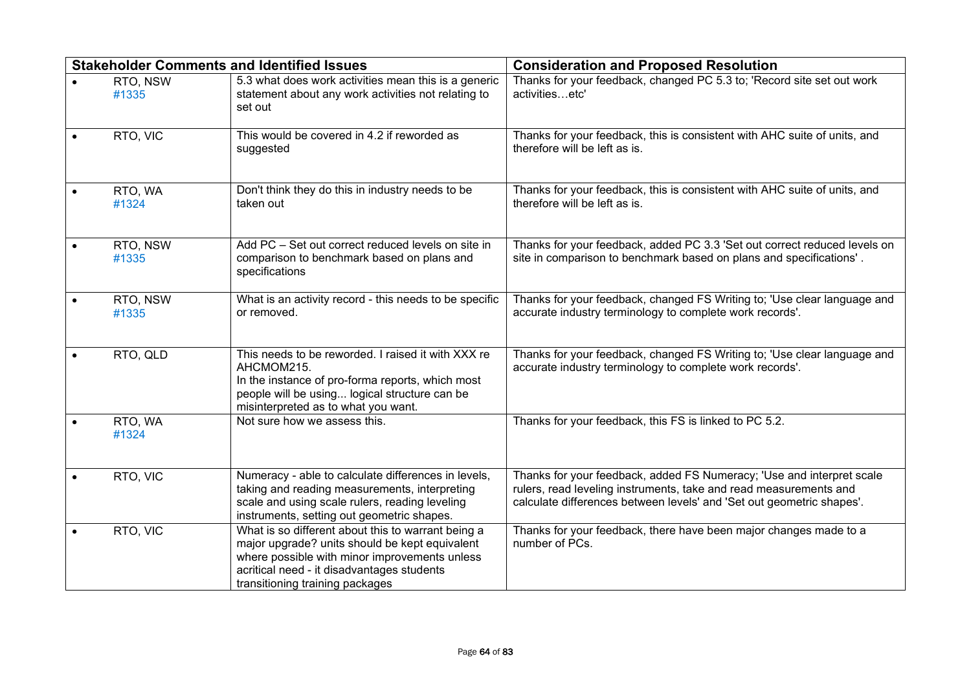| <b>Stakeholder Comments and Identified Issues</b> |                   |                                                                                                                                                                                                                                        | <b>Consideration and Proposed Resolution</b>                                                                                                                                                                        |
|---------------------------------------------------|-------------------|----------------------------------------------------------------------------------------------------------------------------------------------------------------------------------------------------------------------------------------|---------------------------------------------------------------------------------------------------------------------------------------------------------------------------------------------------------------------|
|                                                   | RTO, NSW<br>#1335 | 5.3 what does work activities mean this is a generic<br>statement about any work activities not relating to<br>set out                                                                                                                 | Thanks for your feedback, changed PC 5.3 to; 'Record site set out work<br>activitiesetc'                                                                                                                            |
|                                                   | RTO, VIC          | This would be covered in 4.2 if reworded as<br>suggested                                                                                                                                                                               | Thanks for your feedback, this is consistent with AHC suite of units, and<br>therefore will be left as is.                                                                                                          |
|                                                   | RTO, WA<br>#1324  | Don't think they do this in industry needs to be<br>taken out                                                                                                                                                                          | Thanks for your feedback, this is consistent with AHC suite of units, and<br>therefore will be left as is.                                                                                                          |
|                                                   | RTO, NSW<br>#1335 | Add PC - Set out correct reduced levels on site in<br>comparison to benchmark based on plans and<br>specifications                                                                                                                     | Thanks for your feedback, added PC 3.3 'Set out correct reduced levels on<br>site in comparison to benchmark based on plans and specifications'.                                                                    |
|                                                   | RTO, NSW<br>#1335 | What is an activity record - this needs to be specific<br>or removed.                                                                                                                                                                  | Thanks for your feedback, changed FS Writing to; 'Use clear language and<br>accurate industry terminology to complete work records'.                                                                                |
|                                                   | RTO, QLD          | This needs to be reworded. I raised it with XXX re<br>AHCMOM215.<br>In the instance of pro-forma reports, which most<br>people will be using logical structure can be<br>misinterpreted as to what you want.                           | Thanks for your feedback, changed FS Writing to; 'Use clear language and<br>accurate industry terminology to complete work records'.                                                                                |
|                                                   | RTO, WA<br>#1324  | Not sure how we assess this.                                                                                                                                                                                                           | Thanks for your feedback, this FS is linked to PC 5.2.                                                                                                                                                              |
|                                                   | RTO, VIC          | Numeracy - able to calculate differences in levels,<br>taking and reading measurements, interpreting<br>scale and using scale rulers, reading leveling<br>instruments, setting out geometric shapes.                                   | Thanks for your feedback, added FS Numeracy; 'Use and interpret scale<br>rulers, read leveling instruments, take and read measurements and<br>calculate differences between levels' and 'Set out geometric shapes'. |
|                                                   | RTO, VIC          | What is so different about this to warrant being a<br>major upgrade? units should be kept equivalent<br>where possible with minor improvements unless<br>acritical need - it disadvantages students<br>transitioning training packages | Thanks for your feedback, there have been major changes made to a<br>number of PCs.                                                                                                                                 |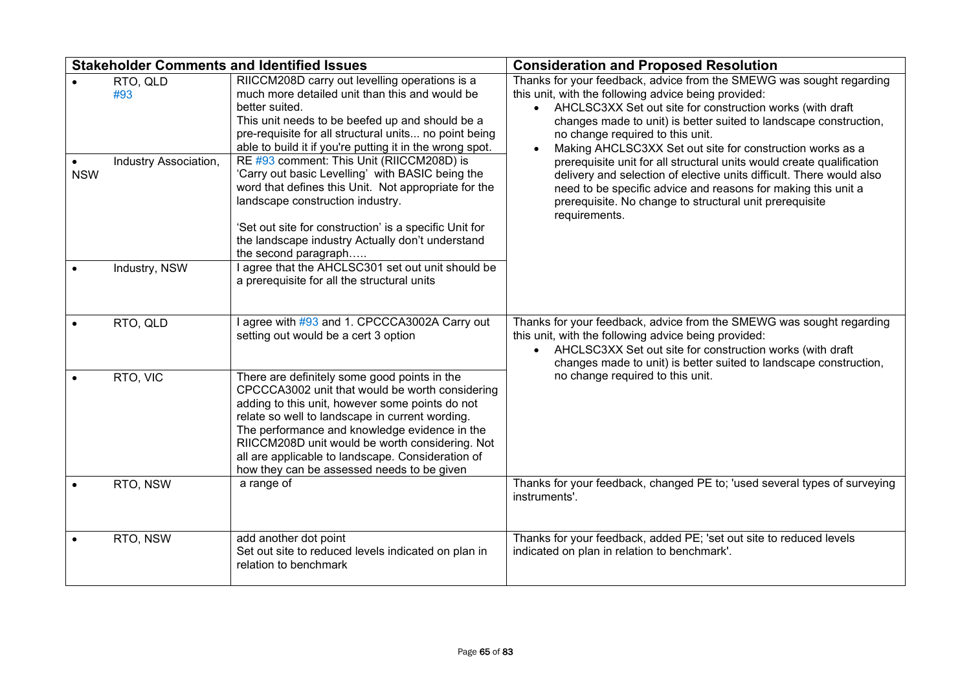|            | <b>Stakeholder Comments and Identified Issues</b> |                                                                                                                                                                                                                                                                                                                                                                                                              | <b>Consideration and Proposed Resolution</b>                                                                                                                                                                                                                                                                                                                      |
|------------|---------------------------------------------------|--------------------------------------------------------------------------------------------------------------------------------------------------------------------------------------------------------------------------------------------------------------------------------------------------------------------------------------------------------------------------------------------------------------|-------------------------------------------------------------------------------------------------------------------------------------------------------------------------------------------------------------------------------------------------------------------------------------------------------------------------------------------------------------------|
|            | RTO, QLD<br>#93                                   | RIICCM208D carry out levelling operations is a<br>much more detailed unit than this and would be<br>better suited.<br>This unit needs to be beefed up and should be a<br>pre-requisite for all structural units no point being<br>able to build it if you're putting it in the wrong spot.<br>RE #93 comment: This Unit (RIICCM208D) is                                                                      | Thanks for your feedback, advice from the SMEWG was sought regarding<br>this unit, with the following advice being provided:<br>• AHCLSC3XX Set out site for construction works (with draft<br>changes made to unit) is better suited to landscape construction,<br>no change required to this unit.<br>Making AHCLSC3XX Set out site for construction works as a |
| <b>NSW</b> | Industry Association,                             | 'Carry out basic Levelling' with BASIC being the<br>word that defines this Unit. Not appropriate for the<br>landscape construction industry.<br>'Set out site for construction' is a specific Unit for<br>the landscape industry Actually don't understand<br>the second paragraph                                                                                                                           | prerequisite unit for all structural units would create qualification<br>delivery and selection of elective units difficult. There would also<br>need to be specific advice and reasons for making this unit a<br>prerequisite. No change to structural unit prerequisite<br>requirements.                                                                        |
|            | Industry, NSW                                     | I agree that the AHCLSC301 set out unit should be<br>a prerequisite for all the structural units                                                                                                                                                                                                                                                                                                             |                                                                                                                                                                                                                                                                                                                                                                   |
|            | RTO, QLD                                          | agree with #93 and 1. CPCCCA3002A Carry out<br>setting out would be a cert 3 option                                                                                                                                                                                                                                                                                                                          | Thanks for your feedback, advice from the SMEWG was sought regarding<br>this unit, with the following advice being provided:<br>• AHCLSC3XX Set out site for construction works (with draft<br>changes made to unit) is better suited to landscape construction,                                                                                                  |
| $\bullet$  | RTO, VIC                                          | There are definitely some good points in the<br>CPCCCA3002 unit that would be worth considering<br>adding to this unit, however some points do not<br>relate so well to landscape in current wording.<br>The performance and knowledge evidence in the<br>RIICCM208D unit would be worth considering. Not<br>all are applicable to landscape. Consideration of<br>how they can be assessed needs to be given | no change required to this unit.                                                                                                                                                                                                                                                                                                                                  |
|            | RTO, NSW                                          | a range of                                                                                                                                                                                                                                                                                                                                                                                                   | Thanks for your feedback, changed PE to; 'used several types of surveying<br>instruments'.                                                                                                                                                                                                                                                                        |
|            | RTO, NSW                                          | add another dot point<br>Set out site to reduced levels indicated on plan in<br>relation to benchmark                                                                                                                                                                                                                                                                                                        | Thanks for your feedback, added PE; 'set out site to reduced levels<br>indicated on plan in relation to benchmark'.                                                                                                                                                                                                                                               |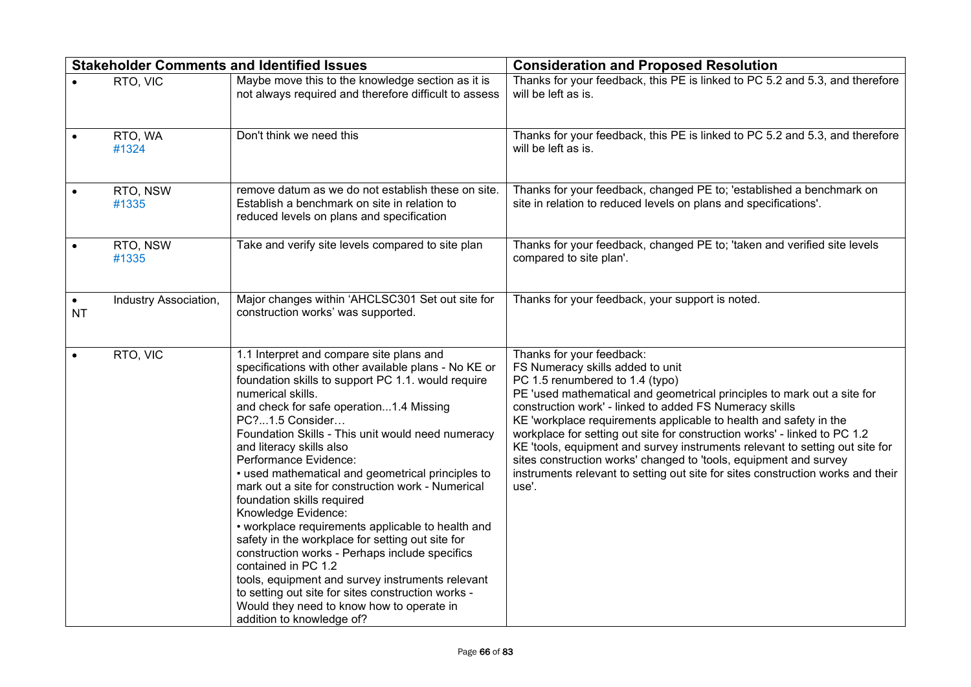|                        |                       | <b>Stakeholder Comments and Identified Issues</b>                                                                                                                                                                                                                                                                                                                                                                                                                                                                                                                                                                                                                                                                                                                                                                                                                                        | <b>Consideration and Proposed Resolution</b>                                                                                                                                                                                                                                                                                                                                                                                                                                                                                                                                                                                              |
|------------------------|-----------------------|------------------------------------------------------------------------------------------------------------------------------------------------------------------------------------------------------------------------------------------------------------------------------------------------------------------------------------------------------------------------------------------------------------------------------------------------------------------------------------------------------------------------------------------------------------------------------------------------------------------------------------------------------------------------------------------------------------------------------------------------------------------------------------------------------------------------------------------------------------------------------------------|-------------------------------------------------------------------------------------------------------------------------------------------------------------------------------------------------------------------------------------------------------------------------------------------------------------------------------------------------------------------------------------------------------------------------------------------------------------------------------------------------------------------------------------------------------------------------------------------------------------------------------------------|
|                        | RTO, VIC              | Maybe move this to the knowledge section as it is<br>not always required and therefore difficult to assess                                                                                                                                                                                                                                                                                                                                                                                                                                                                                                                                                                                                                                                                                                                                                                               | Thanks for your feedback, this PE is linked to PC 5.2 and 5.3, and therefore<br>will be left as is.                                                                                                                                                                                                                                                                                                                                                                                                                                                                                                                                       |
|                        | RTO, WA<br>#1324      | Don't think we need this                                                                                                                                                                                                                                                                                                                                                                                                                                                                                                                                                                                                                                                                                                                                                                                                                                                                 | Thanks for your feedback, this PE is linked to PC 5.2 and 5.3, and therefore<br>will be left as is.                                                                                                                                                                                                                                                                                                                                                                                                                                                                                                                                       |
|                        | RTO, NSW<br>#1335     | remove datum as we do not establish these on site.<br>Establish a benchmark on site in relation to<br>reduced levels on plans and specification                                                                                                                                                                                                                                                                                                                                                                                                                                                                                                                                                                                                                                                                                                                                          | Thanks for your feedback, changed PE to; 'established a benchmark on<br>site in relation to reduced levels on plans and specifications'.                                                                                                                                                                                                                                                                                                                                                                                                                                                                                                  |
|                        | RTO, NSW<br>#1335     | Take and verify site levels compared to site plan                                                                                                                                                                                                                                                                                                                                                                                                                                                                                                                                                                                                                                                                                                                                                                                                                                        | Thanks for your feedback, changed PE to; 'taken and verified site levels<br>compared to site plan'.                                                                                                                                                                                                                                                                                                                                                                                                                                                                                                                                       |
| $\bullet$<br><b>NT</b> | Industry Association, | Major changes within 'AHCLSC301 Set out site for<br>construction works' was supported.                                                                                                                                                                                                                                                                                                                                                                                                                                                                                                                                                                                                                                                                                                                                                                                                   | Thanks for your feedback, your support is noted.                                                                                                                                                                                                                                                                                                                                                                                                                                                                                                                                                                                          |
| $\bullet$              | RTO, VIC              | 1.1 Interpret and compare site plans and<br>specifications with other available plans - No KE or<br>foundation skills to support PC 1.1. would require<br>numerical skills.<br>and check for safe operation1.4 Missing<br>PC?1.5 Consider<br>Foundation Skills - This unit would need numeracy<br>and literacy skills also<br>Performance Evidence:<br>• used mathematical and geometrical principles to<br>mark out a site for construction work - Numerical<br>foundation skills required<br>Knowledge Evidence:<br>• workplace requirements applicable to health and<br>safety in the workplace for setting out site for<br>construction works - Perhaps include specifics<br>contained in PC 1.2<br>tools, equipment and survey instruments relevant<br>to setting out site for sites construction works -<br>Would they need to know how to operate in<br>addition to knowledge of? | Thanks for your feedback:<br>FS Numeracy skills added to unit<br>PC 1.5 renumbered to 1.4 (typo)<br>PE 'used mathematical and geometrical principles to mark out a site for<br>construction work' - linked to added FS Numeracy skills<br>KE 'workplace requirements applicable to health and safety in the<br>workplace for setting out site for construction works' - linked to PC 1.2<br>KE 'tools, equipment and survey instruments relevant to setting out site for<br>sites construction works' changed to 'tools, equipment and survey<br>instruments relevant to setting out site for sites construction works and their<br>use'. |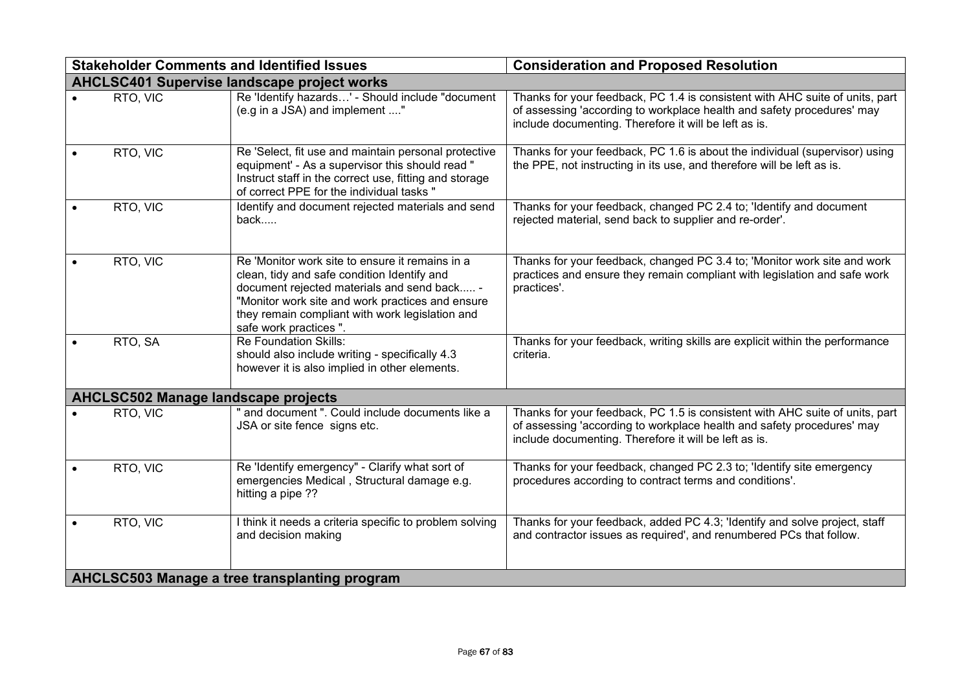|                                            | <b>Stakeholder Comments and Identified Issues</b>                                                                                                                                                                                                                              | <b>Consideration and Proposed Resolution</b>                                                                                                                                                                    |
|--------------------------------------------|--------------------------------------------------------------------------------------------------------------------------------------------------------------------------------------------------------------------------------------------------------------------------------|-----------------------------------------------------------------------------------------------------------------------------------------------------------------------------------------------------------------|
|                                            | <b>AHCLSC401 Supervise landscape project works</b>                                                                                                                                                                                                                             |                                                                                                                                                                                                                 |
| RTO, VIC                                   | Re 'Identify hazards' - Should include "document<br>(e.g in a JSA) and implement "                                                                                                                                                                                             | Thanks for your feedback, PC 1.4 is consistent with AHC suite of units, part<br>of assessing 'according to workplace health and safety procedures' may<br>include documenting. Therefore it will be left as is. |
| RTO, VIC                                   | Re 'Select, fit use and maintain personal protective<br>equipment' - As a supervisor this should read "<br>Instruct staff in the correct use, fitting and storage<br>of correct PPE for the individual tasks "                                                                 | Thanks for your feedback, PC 1.6 is about the individual (supervisor) using<br>the PPE, not instructing in its use, and therefore will be left as is.                                                           |
| RTO, VIC                                   | Identify and document rejected materials and send<br>back                                                                                                                                                                                                                      | Thanks for your feedback, changed PC 2.4 to; 'Identify and document<br>rejected material, send back to supplier and re-order'.                                                                                  |
| RTO, VIC                                   | Re 'Monitor work site to ensure it remains in a<br>clean, tidy and safe condition Identify and<br>document rejected materials and send back -<br>"Monitor work site and work practices and ensure<br>they remain compliant with work legislation and<br>safe work practices ". | Thanks for your feedback, changed PC 3.4 to; 'Monitor work site and work<br>practices and ensure they remain compliant with legislation and safe work<br>practices'.                                            |
| RTO, SA                                    | <b>Re Foundation Skills:</b><br>should also include writing - specifically 4.3<br>however it is also implied in other elements.                                                                                                                                                | Thanks for your feedback, writing skills are explicit within the performance<br>criteria.                                                                                                                       |
| <b>AHCLSC502 Manage landscape projects</b> |                                                                                                                                                                                                                                                                                |                                                                                                                                                                                                                 |
| RTO, VIC                                   | and document ". Could include documents like a<br>JSA or site fence signs etc.                                                                                                                                                                                                 | Thanks for your feedback, PC 1.5 is consistent with AHC suite of units, part<br>of assessing 'according to workplace health and safety procedures' may<br>include documenting. Therefore it will be left as is. |
| RTO, VIC                                   | Re 'Identify emergency" - Clarify what sort of<br>emergencies Medical, Structural damage e.g.<br>hitting a pipe ??                                                                                                                                                             | Thanks for your feedback, changed PC 2.3 to; 'Identify site emergency<br>procedures according to contract terms and conditions'.                                                                                |
| RTO, VIC                                   | I think it needs a criteria specific to problem solving<br>and decision making                                                                                                                                                                                                 | Thanks for your feedback, added PC 4.3; 'Identify and solve project, staff<br>and contractor issues as required', and renumbered PCs that follow.                                                               |
|                                            | AHCLSC503 Manage a tree transplanting program                                                                                                                                                                                                                                  |                                                                                                                                                                                                                 |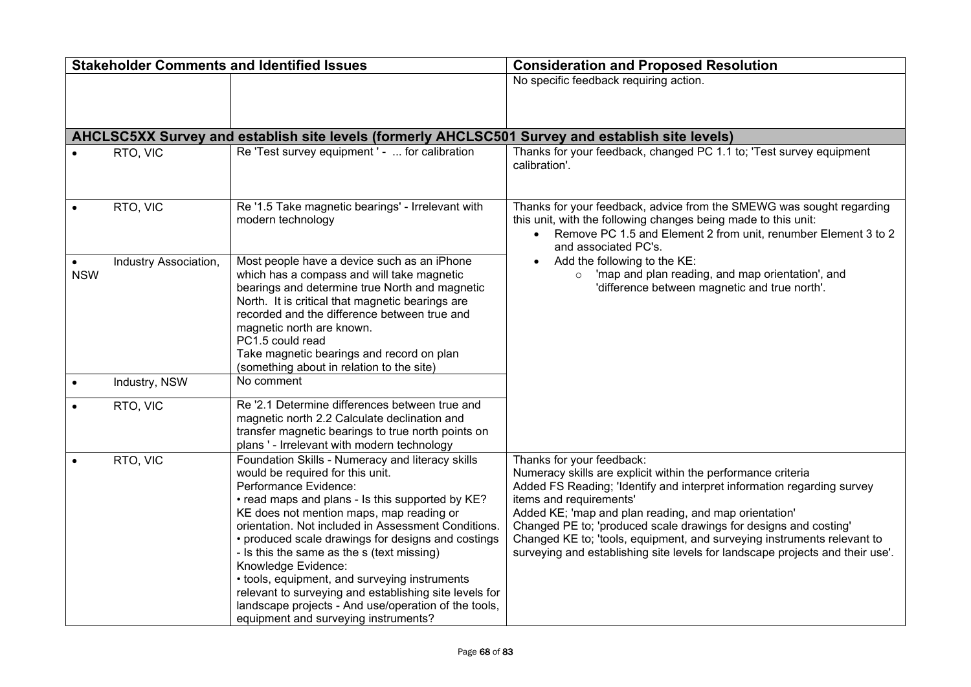|            | <b>Stakeholder Comments and Identified Issues</b> |                                                                                                                                                                                                                                                                                                                                                                                                                                                                                                                                                                                                            | <b>Consideration and Proposed Resolution</b>                                                                                                                                                                                                                                                                                                                                                                                                                                            |
|------------|---------------------------------------------------|------------------------------------------------------------------------------------------------------------------------------------------------------------------------------------------------------------------------------------------------------------------------------------------------------------------------------------------------------------------------------------------------------------------------------------------------------------------------------------------------------------------------------------------------------------------------------------------------------------|-----------------------------------------------------------------------------------------------------------------------------------------------------------------------------------------------------------------------------------------------------------------------------------------------------------------------------------------------------------------------------------------------------------------------------------------------------------------------------------------|
|            |                                                   |                                                                                                                                                                                                                                                                                                                                                                                                                                                                                                                                                                                                            | No specific feedback requiring action.                                                                                                                                                                                                                                                                                                                                                                                                                                                  |
|            |                                                   |                                                                                                                                                                                                                                                                                                                                                                                                                                                                                                                                                                                                            |                                                                                                                                                                                                                                                                                                                                                                                                                                                                                         |
|            |                                                   |                                                                                                                                                                                                                                                                                                                                                                                                                                                                                                                                                                                                            |                                                                                                                                                                                                                                                                                                                                                                                                                                                                                         |
|            |                                                   | AHCLSC5XX Survey and establish site levels (formerly AHCLSC501 Survey and establish site levels)                                                                                                                                                                                                                                                                                                                                                                                                                                                                                                           |                                                                                                                                                                                                                                                                                                                                                                                                                                                                                         |
|            | RTO, VIC                                          | Re 'Test survey equipment' -  for calibration                                                                                                                                                                                                                                                                                                                                                                                                                                                                                                                                                              | Thanks for your feedback, changed PC 1.1 to; 'Test survey equipment<br>calibration'.                                                                                                                                                                                                                                                                                                                                                                                                    |
|            | RTO, VIC                                          | Re '1.5 Take magnetic bearings' - Irrelevant with<br>modern technology                                                                                                                                                                                                                                                                                                                                                                                                                                                                                                                                     | Thanks for your feedback, advice from the SMEWG was sought regarding<br>this unit, with the following changes being made to this unit:<br>Remove PC 1.5 and Element 2 from unit, renumber Element 3 to 2<br>$\bullet$<br>and associated PC's.                                                                                                                                                                                                                                           |
| <b>NSW</b> | Industry Association,                             | Most people have a device such as an iPhone<br>which has a compass and will take magnetic<br>bearings and determine true North and magnetic<br>North. It is critical that magnetic bearings are<br>recorded and the difference between true and<br>magnetic north are known.<br>PC1.5 could read<br>Take magnetic bearings and record on plan<br>(something about in relation to the site)                                                                                                                                                                                                                 | Add the following to the KE:<br>'map and plan reading, and map orientation', and<br>'difference between magnetic and true north'.                                                                                                                                                                                                                                                                                                                                                       |
|            | Industry, NSW                                     | No comment                                                                                                                                                                                                                                                                                                                                                                                                                                                                                                                                                                                                 |                                                                                                                                                                                                                                                                                                                                                                                                                                                                                         |
|            | RTO, VIC                                          | Re '2.1 Determine differences between true and<br>magnetic north 2.2 Calculate declination and<br>transfer magnetic bearings to true north points on<br>plans ' - Irrelevant with modern technology                                                                                                                                                                                                                                                                                                                                                                                                        |                                                                                                                                                                                                                                                                                                                                                                                                                                                                                         |
|            | RTO, VIC                                          | Foundation Skills - Numeracy and literacy skills<br>would be required for this unit.<br>Performance Evidence:<br>• read maps and plans - Is this supported by KE?<br>KE does not mention maps, map reading or<br>orientation. Not included in Assessment Conditions.<br>• produced scale drawings for designs and costings<br>- Is this the same as the s (text missing)<br>Knowledge Evidence:<br>• tools, equipment, and surveying instruments<br>relevant to surveying and establishing site levels for<br>landscape projects - And use/operation of the tools,<br>equipment and surveying instruments? | Thanks for your feedback:<br>Numeracy skills are explicit within the performance criteria<br>Added FS Reading; 'Identify and interpret information regarding survey<br>items and requirements'<br>Added KE; 'map and plan reading, and map orientation'<br>Changed PE to; 'produced scale drawings for designs and costing'<br>Changed KE to; 'tools, equipment, and surveying instruments relevant to<br>surveying and establishing site levels for landscape projects and their use'. |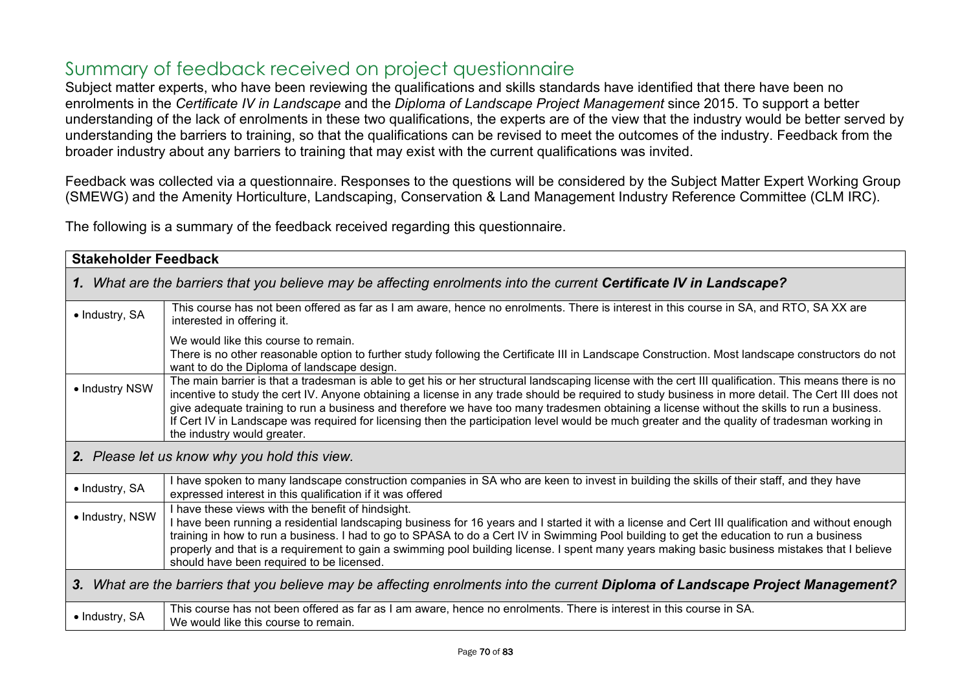## Summary of feedback received on project questionnaire

Subject matter experts, who have been reviewing the qualifications and skills standards have identified that there have been no enrolments in the *Certificate IV in Landscape* and the *Diploma of Landscape Project Management* since 2015. To support a better understanding of the lack of enrolments in these two qualifications, the experts are of the view that the industry would be better served by understanding the barriers to training, so that the qualifications can be revised to meet the outcomes of the industry. Feedback from the broader industry about any barriers to training that may exist with the current qualifications was invited.

Feedback was collected via a questionnaire. Responses to the questions will be considered by the Subject Matter Expert Working Group (SMEWG) and the Amenity Horticulture, Landscaping, Conservation & Land Management Industry Reference Committee (CLM IRC).

The following is a summary of the feedback received regarding this questionnaire.

| <b>Stakeholder Feedback</b>                                                                                                     |                                                                                                                                                                                                                                                                                                                                                                                                                                                                                                                                                                                                                                            |  |  |
|---------------------------------------------------------------------------------------------------------------------------------|--------------------------------------------------------------------------------------------------------------------------------------------------------------------------------------------------------------------------------------------------------------------------------------------------------------------------------------------------------------------------------------------------------------------------------------------------------------------------------------------------------------------------------------------------------------------------------------------------------------------------------------------|--|--|
|                                                                                                                                 | 1. What are the barriers that you believe may be affecting enrolments into the current Certificate IV in Landscape?                                                                                                                                                                                                                                                                                                                                                                                                                                                                                                                        |  |  |
| • Industry, SA                                                                                                                  | This course has not been offered as far as I am aware, hence no enrolments. There is interest in this course in SA, and RTO, SA XX are<br>interested in offering it.                                                                                                                                                                                                                                                                                                                                                                                                                                                                       |  |  |
|                                                                                                                                 | We would like this course to remain.<br>There is no other reasonable option to further study following the Certificate III in Landscape Construction. Most landscape constructors do not<br>want to do the Diploma of landscape design.                                                                                                                                                                                                                                                                                                                                                                                                    |  |  |
| • Industry NSW                                                                                                                  | The main barrier is that a tradesman is able to get his or her structural landscaping license with the cert III qualification. This means there is no<br>incentive to study the cert IV. Anyone obtaining a license in any trade should be required to study business in more detail. The Cert III does not<br>give adequate training to run a business and therefore we have too many tradesmen obtaining a license without the skills to run a business.<br>If Cert IV in Landscape was required for licensing then the participation level would be much greater and the quality of tradesman working in<br>the industry would greater. |  |  |
| 2. Please let us know why you hold this view.                                                                                   |                                                                                                                                                                                                                                                                                                                                                                                                                                                                                                                                                                                                                                            |  |  |
| • Industry, SA                                                                                                                  | I have spoken to many landscape construction companies in SA who are keen to invest in building the skills of their staff, and they have<br>expressed interest in this qualification if it was offered                                                                                                                                                                                                                                                                                                                                                                                                                                     |  |  |
| • Industry, NSW                                                                                                                 | I have these views with the benefit of hindsight.<br>I have been running a residential landscaping business for 16 years and I started it with a license and Cert III qualification and without enough<br>training in how to run a business. I had to go to SPASA to do a Cert IV in Swimming Pool building to get the education to run a business<br>properly and that is a requirement to gain a swimming pool building license. I spent many years making basic business mistakes that I believe<br>should have been required to be licensed.                                                                                           |  |  |
| 3. What are the barriers that you believe may be affecting enrolments into the current Diploma of Landscape Project Management? |                                                                                                                                                                                                                                                                                                                                                                                                                                                                                                                                                                                                                                            |  |  |
| • Industry, SA                                                                                                                  | This course has not been offered as far as I am aware, hence no enrolments. There is interest in this course in SA.<br>We would like this course to remain.                                                                                                                                                                                                                                                                                                                                                                                                                                                                                |  |  |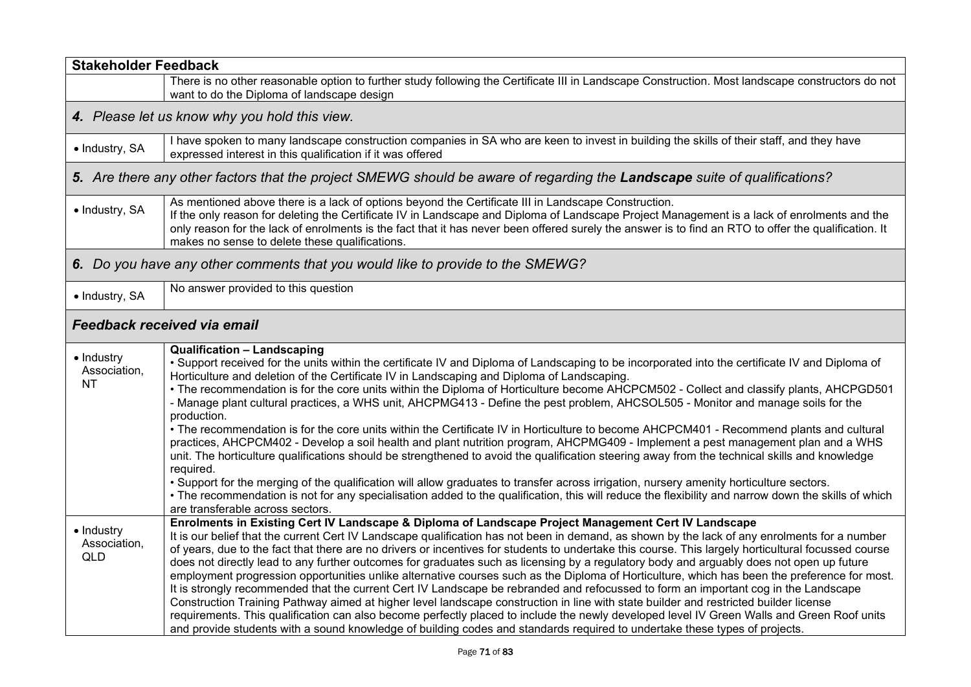| <b>Stakeholder Feedback</b>              |                                                                                                                                                                                                                                                                                                                                                                                                                                                                                                                                                                                                                                                                                                                                                                                                                                                                                                                                                                                                                                                                                                                                                                                                                                                                                                                                                                        |
|------------------------------------------|------------------------------------------------------------------------------------------------------------------------------------------------------------------------------------------------------------------------------------------------------------------------------------------------------------------------------------------------------------------------------------------------------------------------------------------------------------------------------------------------------------------------------------------------------------------------------------------------------------------------------------------------------------------------------------------------------------------------------------------------------------------------------------------------------------------------------------------------------------------------------------------------------------------------------------------------------------------------------------------------------------------------------------------------------------------------------------------------------------------------------------------------------------------------------------------------------------------------------------------------------------------------------------------------------------------------------------------------------------------------|
|                                          | There is no other reasonable option to further study following the Certificate III in Landscape Construction. Most landscape constructors do not<br>want to do the Diploma of landscape design                                                                                                                                                                                                                                                                                                                                                                                                                                                                                                                                                                                                                                                                                                                                                                                                                                                                                                                                                                                                                                                                                                                                                                         |
|                                          | 4. Please let us know why you hold this view.                                                                                                                                                                                                                                                                                                                                                                                                                                                                                                                                                                                                                                                                                                                                                                                                                                                                                                                                                                                                                                                                                                                                                                                                                                                                                                                          |
| · Industry, SA                           | I have spoken to many landscape construction companies in SA who are keen to invest in building the skills of their staff, and they have<br>expressed interest in this qualification if it was offered                                                                                                                                                                                                                                                                                                                                                                                                                                                                                                                                                                                                                                                                                                                                                                                                                                                                                                                                                                                                                                                                                                                                                                 |
|                                          | 5. Are there any other factors that the project SMEWG should be aware of regarding the Landscape suite of qualifications?                                                                                                                                                                                                                                                                                                                                                                                                                                                                                                                                                                                                                                                                                                                                                                                                                                                                                                                                                                                                                                                                                                                                                                                                                                              |
| · Industry, SA                           | As mentioned above there is a lack of options beyond the Certificate III in Landscape Construction.<br>If the only reason for deleting the Certificate IV in Landscape and Diploma of Landscape Project Management is a lack of enrolments and the<br>only reason for the lack of enrolments is the fact that it has never been offered surely the answer is to find an RTO to offer the qualification. It<br>makes no sense to delete these qualifications.                                                                                                                                                                                                                                                                                                                                                                                                                                                                                                                                                                                                                                                                                                                                                                                                                                                                                                           |
|                                          | 6. Do you have any other comments that you would like to provide to the SMEWG?                                                                                                                                                                                                                                                                                                                                                                                                                                                                                                                                                                                                                                                                                                                                                                                                                                                                                                                                                                                                                                                                                                                                                                                                                                                                                         |
| • Industry, SA                           | No answer provided to this question                                                                                                                                                                                                                                                                                                                                                                                                                                                                                                                                                                                                                                                                                                                                                                                                                                                                                                                                                                                                                                                                                                                                                                                                                                                                                                                                    |
|                                          | Feedback received via email                                                                                                                                                                                                                                                                                                                                                                                                                                                                                                                                                                                                                                                                                                                                                                                                                                                                                                                                                                                                                                                                                                                                                                                                                                                                                                                                            |
| • Industry<br>Association,<br>NΤ         | <b>Qualification - Landscaping</b><br>• Support received for the units within the certificate IV and Diploma of Landscaping to be incorporated into the certificate IV and Diploma of<br>Horticulture and deletion of the Certificate IV in Landscaping and Diploma of Landscaping.<br>• The recommendation is for the core units within the Diploma of Horticulture become AHCPCM502 - Collect and classify plants, AHCPGD501<br>- Manage plant cultural practices, a WHS unit, AHCPMG413 - Define the pest problem, AHCSOL505 - Monitor and manage soils for the<br>production.<br>• The recommendation is for the core units within the Certificate IV in Horticulture to become AHCPCM401 - Recommend plants and cultural<br>practices, AHCPCM402 - Develop a soil health and plant nutrition program, AHCPMG409 - Implement a pest management plan and a WHS<br>unit. The horticulture qualifications should be strengthened to avoid the qualification steering away from the technical skills and knowledge<br>required.<br>. Support for the merging of the qualification will allow graduates to transfer across irrigation, nursery amenity horticulture sectors.<br>• The recommendation is not for any specialisation added to the qualification, this will reduce the flexibility and narrow down the skills of which<br>are transferable across sectors. |
| • Industry<br>Association,<br><b>QLD</b> | Enrolments in Existing Cert IV Landscape & Diploma of Landscape Project Management Cert IV Landscape<br>It is our belief that the current Cert IV Landscape qualification has not been in demand, as shown by the lack of any enrolments for a number<br>of years, due to the fact that there are no drivers or incentives for students to undertake this course. This largely horticultural focussed course<br>does not directly lead to any further outcomes for graduates such as licensing by a regulatory body and arguably does not open up future<br>employment progression opportunities unlike alternative courses such as the Diploma of Horticulture, which has been the preference for most.<br>It is strongly recommended that the current Cert IV Landscape be rebranded and refocussed to form an important cog in the Landscape<br>Construction Training Pathway aimed at higher level landscape construction in line with state builder and restricted builder license<br>requirements. This qualification can also become perfectly placed to include the newly developed level IV Green Walls and Green Roof units<br>and provide students with a sound knowledge of building codes and standards required to undertake these types of projects.                                                                                                    |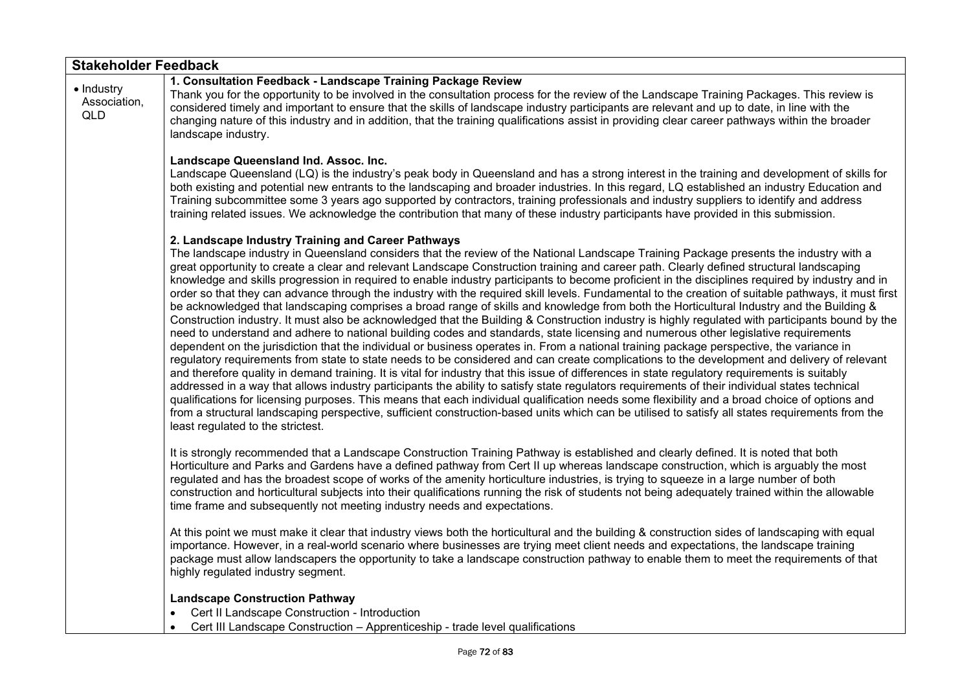| <b>Stakeholder Feedback</b>       |                                                                                                                                                                                                                                                                                                                                                                                                                                                                                                                                                                                                                                                                                                                                                                                                                                                                                                                                                                                                                                                                                                                                                                                                                                                                                                                                                                                                                                                                                                                                                                                                                                                                                                                                                                                                                                                                                                                                                                                                                                     |
|-----------------------------------|-------------------------------------------------------------------------------------------------------------------------------------------------------------------------------------------------------------------------------------------------------------------------------------------------------------------------------------------------------------------------------------------------------------------------------------------------------------------------------------------------------------------------------------------------------------------------------------------------------------------------------------------------------------------------------------------------------------------------------------------------------------------------------------------------------------------------------------------------------------------------------------------------------------------------------------------------------------------------------------------------------------------------------------------------------------------------------------------------------------------------------------------------------------------------------------------------------------------------------------------------------------------------------------------------------------------------------------------------------------------------------------------------------------------------------------------------------------------------------------------------------------------------------------------------------------------------------------------------------------------------------------------------------------------------------------------------------------------------------------------------------------------------------------------------------------------------------------------------------------------------------------------------------------------------------------------------------------------------------------------------------------------------------------|
| • Industry<br>Association,<br>QLD | 1. Consultation Feedback - Landscape Training Package Review<br>Thank you for the opportunity to be involved in the consultation process for the review of the Landscape Training Packages. This review is<br>considered timely and important to ensure that the skills of landscape industry participants are relevant and up to date, in line with the<br>changing nature of this industry and in addition, that the training qualifications assist in providing clear career pathways within the broader<br>landscape industry.                                                                                                                                                                                                                                                                                                                                                                                                                                                                                                                                                                                                                                                                                                                                                                                                                                                                                                                                                                                                                                                                                                                                                                                                                                                                                                                                                                                                                                                                                                  |
|                                   | Landscape Queensland Ind. Assoc. Inc.<br>Landscape Queensland (LQ) is the industry's peak body in Queensland and has a strong interest in the training and development of skills for<br>both existing and potential new entrants to the landscaping and broader industries. In this regard, LQ established an industry Education and<br>Training subcommittee some 3 years ago supported by contractors, training professionals and industry suppliers to identify and address<br>training related issues. We acknowledge the contribution that many of these industry participants have provided in this submission.                                                                                                                                                                                                                                                                                                                                                                                                                                                                                                                                                                                                                                                                                                                                                                                                                                                                                                                                                                                                                                                                                                                                                                                                                                                                                                                                                                                                               |
|                                   | 2. Landscape Industry Training and Career Pathways<br>The landscape industry in Queensland considers that the review of the National Landscape Training Package presents the industry with a<br>great opportunity to create a clear and relevant Landscape Construction training and career path. Clearly defined structural landscaping<br>knowledge and skills progression in required to enable industry participants to become proficient in the disciplines required by industry and in<br>order so that they can advance through the industry with the required skill levels. Fundamental to the creation of suitable pathways, it must first<br>be acknowledged that landscaping comprises a broad range of skills and knowledge from both the Horticultural Industry and the Building &<br>Construction industry. It must also be acknowledged that the Building & Construction industry is highly regulated with participants bound by the<br>need to understand and adhere to national building codes and standards, state licensing and numerous other legislative requirements<br>dependent on the jurisdiction that the individual or business operates in. From a national training package perspective, the variance in<br>regulatory requirements from state to state needs to be considered and can create complications to the development and delivery of relevant<br>and therefore quality in demand training. It is vital for industry that this issue of differences in state regulatory requirements is suitably<br>addressed in a way that allows industry participants the ability to satisfy state regulators requirements of their individual states technical<br>qualifications for licensing purposes. This means that each individual qualification needs some flexibility and a broad choice of options and<br>from a structural landscaping perspective, sufficient construction-based units which can be utilised to satisfy all states requirements from the<br>least regulated to the strictest. |
|                                   | It is strongly recommended that a Landscape Construction Training Pathway is established and clearly defined. It is noted that both<br>Horticulture and Parks and Gardens have a defined pathway from Cert II up whereas landscape construction, which is arguably the most<br>regulated and has the broadest scope of works of the amenity horticulture industries, is trying to squeeze in a large number of both<br>construction and horticultural subjects into their qualifications running the risk of students not being adequately trained within the allowable<br>time frame and subsequently not meeting industry needs and expectations.                                                                                                                                                                                                                                                                                                                                                                                                                                                                                                                                                                                                                                                                                                                                                                                                                                                                                                                                                                                                                                                                                                                                                                                                                                                                                                                                                                                 |
|                                   | At this point we must make it clear that industry views both the horticultural and the building & construction sides of landscaping with equal<br>importance. However, in a real-world scenario where businesses are trying meet client needs and expectations, the landscape training<br>package must allow landscapers the opportunity to take a landscape construction pathway to enable them to meet the requirements of that<br>highly regulated industry segment.                                                                                                                                                                                                                                                                                                                                                                                                                                                                                                                                                                                                                                                                                                                                                                                                                                                                                                                                                                                                                                                                                                                                                                                                                                                                                                                                                                                                                                                                                                                                                             |
|                                   | <b>Landscape Construction Pathway</b><br>Cert II Landscape Construction - Introduction<br>$\bullet$<br>Cert III Landscape Construction - Apprenticeship - trade level qualifications<br>$\bullet$                                                                                                                                                                                                                                                                                                                                                                                                                                                                                                                                                                                                                                                                                                                                                                                                                                                                                                                                                                                                                                                                                                                                                                                                                                                                                                                                                                                                                                                                                                                                                                                                                                                                                                                                                                                                                                   |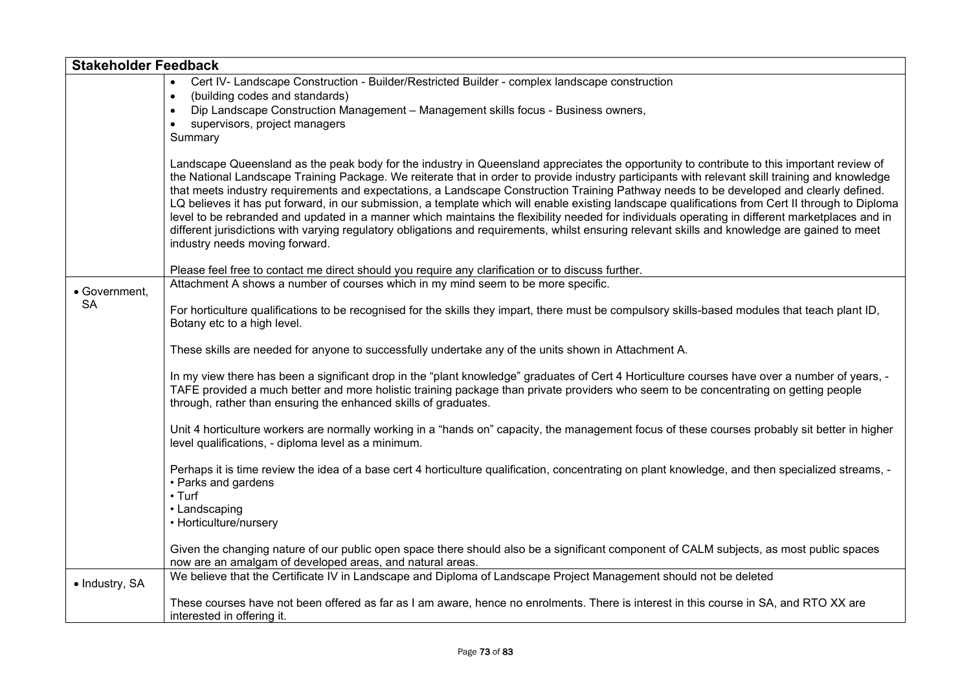| <b>Stakeholder Feedback</b> |                                                                                                                                                                                                                                                                                                                                                                                                                                                                                                                                                                                                                                                                                                                                                                                                                                                                                                                                      |
|-----------------------------|--------------------------------------------------------------------------------------------------------------------------------------------------------------------------------------------------------------------------------------------------------------------------------------------------------------------------------------------------------------------------------------------------------------------------------------------------------------------------------------------------------------------------------------------------------------------------------------------------------------------------------------------------------------------------------------------------------------------------------------------------------------------------------------------------------------------------------------------------------------------------------------------------------------------------------------|
|                             | Cert IV- Landscape Construction - Builder/Restricted Builder - complex landscape construction                                                                                                                                                                                                                                                                                                                                                                                                                                                                                                                                                                                                                                                                                                                                                                                                                                        |
|                             | (building codes and standards)<br>$\bullet$                                                                                                                                                                                                                                                                                                                                                                                                                                                                                                                                                                                                                                                                                                                                                                                                                                                                                          |
|                             | Dip Landscape Construction Management - Management skills focus - Business owners,<br>$\bullet$                                                                                                                                                                                                                                                                                                                                                                                                                                                                                                                                                                                                                                                                                                                                                                                                                                      |
|                             | supervisors, project managers                                                                                                                                                                                                                                                                                                                                                                                                                                                                                                                                                                                                                                                                                                                                                                                                                                                                                                        |
|                             | Summary                                                                                                                                                                                                                                                                                                                                                                                                                                                                                                                                                                                                                                                                                                                                                                                                                                                                                                                              |
|                             | Landscape Queensland as the peak body for the industry in Queensland appreciates the opportunity to contribute to this important review of<br>the National Landscape Training Package. We reiterate that in order to provide industry participants with relevant skill training and knowledge<br>that meets industry requirements and expectations, a Landscape Construction Training Pathway needs to be developed and clearly defined.<br>LQ believes it has put forward, in our submission, a template which will enable existing landscape qualifications from Cert II through to Diploma<br>level to be rebranded and updated in a manner which maintains the flexibility needed for individuals operating in different marketplaces and in<br>different jurisdictions with varying regulatory obligations and requirements, whilst ensuring relevant skills and knowledge are gained to meet<br>industry needs moving forward. |
|                             | Please feel free to contact me direct should you require any clarification or to discuss further.                                                                                                                                                                                                                                                                                                                                                                                                                                                                                                                                                                                                                                                                                                                                                                                                                                    |
|                             | Attachment A shows a number of courses which in my mind seem to be more specific.                                                                                                                                                                                                                                                                                                                                                                                                                                                                                                                                                                                                                                                                                                                                                                                                                                                    |
| • Government,               |                                                                                                                                                                                                                                                                                                                                                                                                                                                                                                                                                                                                                                                                                                                                                                                                                                                                                                                                      |
| <b>SA</b>                   | For horticulture qualifications to be recognised for the skills they impart, there must be compulsory skills-based modules that teach plant ID,<br>Botany etc to a high level.                                                                                                                                                                                                                                                                                                                                                                                                                                                                                                                                                                                                                                                                                                                                                       |
|                             | These skills are needed for anyone to successfully undertake any of the units shown in Attachment A.                                                                                                                                                                                                                                                                                                                                                                                                                                                                                                                                                                                                                                                                                                                                                                                                                                 |
|                             | In my view there has been a significant drop in the "plant knowledge" graduates of Cert 4 Horticulture courses have over a number of years, -<br>TAFE provided a much better and more holistic training package than private providers who seem to be concentrating on getting people<br>through, rather than ensuring the enhanced skills of graduates.                                                                                                                                                                                                                                                                                                                                                                                                                                                                                                                                                                             |
|                             | Unit 4 horticulture workers are normally working in a "hands on" capacity, the management focus of these courses probably sit better in higher<br>level qualifications, - diploma level as a minimum.                                                                                                                                                                                                                                                                                                                                                                                                                                                                                                                                                                                                                                                                                                                                |
|                             | Perhaps it is time review the idea of a base cert 4 horticulture qualification, concentrating on plant knowledge, and then specialized streams, -<br>• Parks and gardens<br>$\cdot$ Turf<br>• Landscaping                                                                                                                                                                                                                                                                                                                                                                                                                                                                                                                                                                                                                                                                                                                            |
|                             | • Horticulture/nursery                                                                                                                                                                                                                                                                                                                                                                                                                                                                                                                                                                                                                                                                                                                                                                                                                                                                                                               |
|                             | Given the changing nature of our public open space there should also be a significant component of CALM subjects, as most public spaces<br>now are an amalgam of developed areas, and natural areas.                                                                                                                                                                                                                                                                                                                                                                                                                                                                                                                                                                                                                                                                                                                                 |
| • Industry, SA              | We believe that the Certificate IV in Landscape and Diploma of Landscape Project Management should not be deleted                                                                                                                                                                                                                                                                                                                                                                                                                                                                                                                                                                                                                                                                                                                                                                                                                    |
|                             | These courses have not been offered as far as I am aware, hence no enrolments. There is interest in this course in SA, and RTO XX are<br>interested in offering it.                                                                                                                                                                                                                                                                                                                                                                                                                                                                                                                                                                                                                                                                                                                                                                  |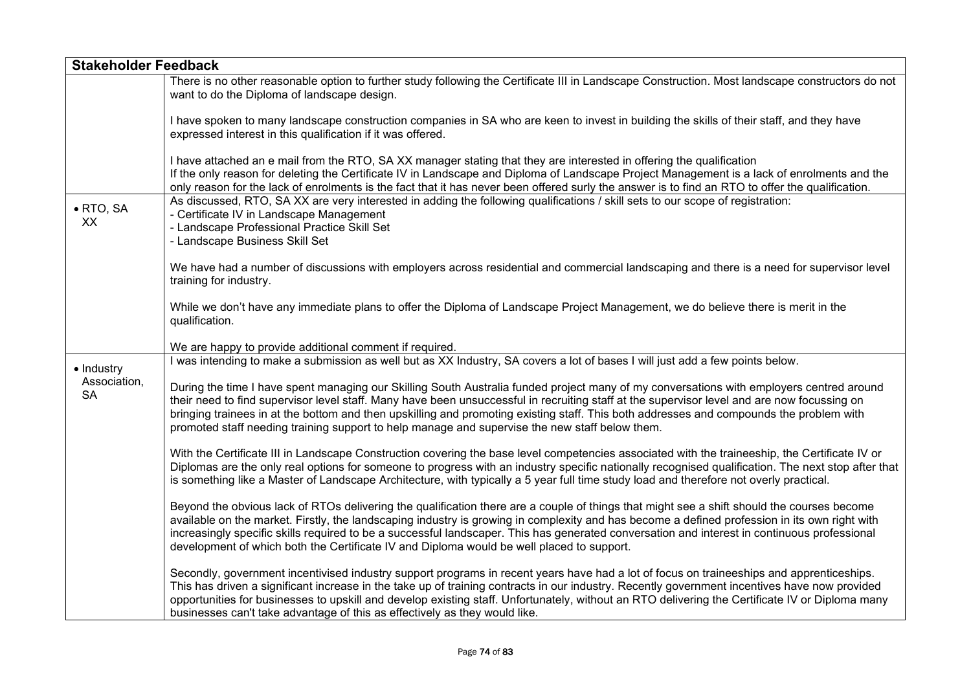| <b>Stakeholder Feedback</b>             |                                                                                                                                                                                                                                                                                                                                                                                                                                                                                                                                          |
|-----------------------------------------|------------------------------------------------------------------------------------------------------------------------------------------------------------------------------------------------------------------------------------------------------------------------------------------------------------------------------------------------------------------------------------------------------------------------------------------------------------------------------------------------------------------------------------------|
|                                         | There is no other reasonable option to further study following the Certificate III in Landscape Construction. Most landscape constructors do not<br>want to do the Diploma of landscape design.                                                                                                                                                                                                                                                                                                                                          |
|                                         | I have spoken to many landscape construction companies in SA who are keen to invest in building the skills of their staff, and they have<br>expressed interest in this qualification if it was offered.                                                                                                                                                                                                                                                                                                                                  |
|                                         | I have attached an e mail from the RTO, SA XX manager stating that they are interested in offering the qualification<br>If the only reason for deleting the Certificate IV in Landscape and Diploma of Landscape Project Management is a lack of enrolments and the<br>only reason for the lack of enrolments is the fact that it has never been offered surly the answer is to find an RTO to offer the qualification.                                                                                                                  |
| $\bullet$ RTO, SA<br>XX                 | As discussed, RTO, SA XX are very interested in adding the following qualifications / skill sets to our scope of registration:<br>- Certificate IV in Landscape Management<br>- Landscape Professional Practice Skill Set<br>- Landscape Business Skill Set                                                                                                                                                                                                                                                                              |
|                                         | We have had a number of discussions with employers across residential and commercial landscaping and there is a need for supervisor level<br>training for industry.                                                                                                                                                                                                                                                                                                                                                                      |
|                                         | While we don't have any immediate plans to offer the Diploma of Landscape Project Management, we do believe there is merit in the<br>qualification.                                                                                                                                                                                                                                                                                                                                                                                      |
|                                         | We are happy to provide additional comment if required.                                                                                                                                                                                                                                                                                                                                                                                                                                                                                  |
|                                         | I was intending to make a submission as well but as XX Industry, SA covers a lot of bases I will just add a few points below.                                                                                                                                                                                                                                                                                                                                                                                                            |
| • Industry<br>Association,<br><b>SA</b> | During the time I have spent managing our Skilling South Australia funded project many of my conversations with employers centred around<br>their need to find supervisor level staff. Many have been unsuccessful in recruiting staff at the supervisor level and are now focussing on<br>bringing trainees in at the bottom and then upskilling and promoting existing staff. This both addresses and compounds the problem with<br>promoted staff needing training support to help manage and supervise the new staff below them.     |
|                                         | With the Certificate III in Landscape Construction covering the base level competencies associated with the traineeship, the Certificate IV or<br>Diplomas are the only real options for someone to progress with an industry specific nationally recognised qualification. The next stop after that<br>is something like a Master of Landscape Architecture, with typically a 5 year full time study load and therefore not overly practical.                                                                                           |
|                                         | Beyond the obvious lack of RTOs delivering the qualification there are a couple of things that might see a shift should the courses become<br>available on the market. Firstly, the landscaping industry is growing in complexity and has become a defined profession in its own right with<br>increasingly specific skills required to be a successful landscaper. This has generated conversation and interest in continuous professional<br>development of which both the Certificate IV and Diploma would be well placed to support. |
|                                         | Secondly, government incentivised industry support programs in recent years have had a lot of focus on traineeships and apprenticeships.<br>This has driven a significant increase in the take up of training contracts in our industry. Recently government incentives have now provided<br>opportunities for businesses to upskill and develop existing staff. Unfortunately, without an RTO delivering the Certificate IV or Diploma many<br>businesses can't take advantage of this as effectively as they would like.               |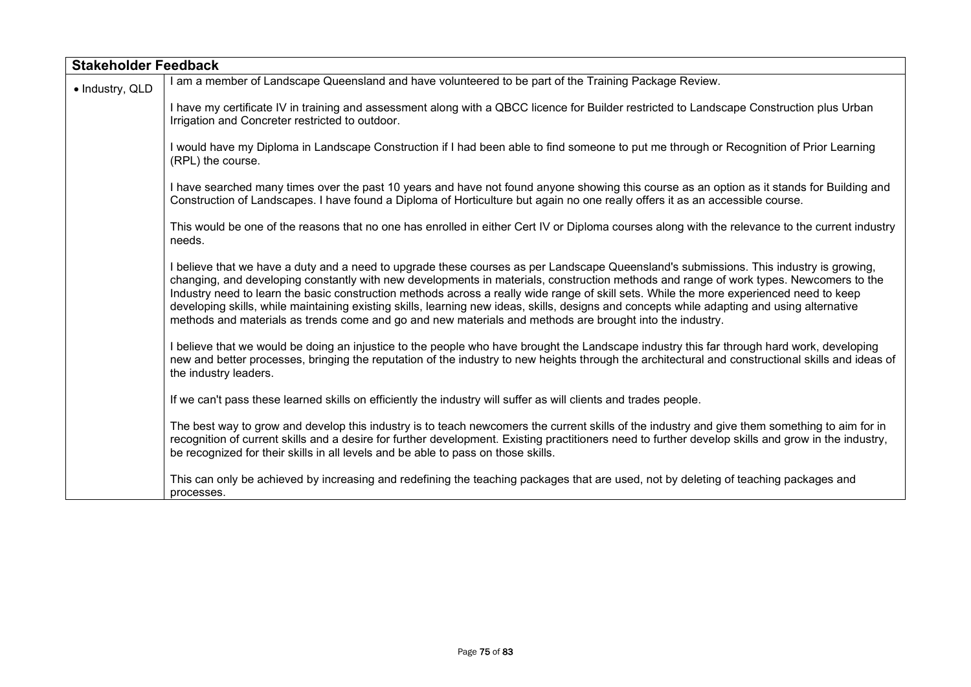| <b>Stakeholder Feedback</b> |                                                                                                                                                                                                                                                                                                                                                                                                                                                                                                                                                                                                                                                                                        |
|-----------------------------|----------------------------------------------------------------------------------------------------------------------------------------------------------------------------------------------------------------------------------------------------------------------------------------------------------------------------------------------------------------------------------------------------------------------------------------------------------------------------------------------------------------------------------------------------------------------------------------------------------------------------------------------------------------------------------------|
| · Industry, QLD             | I am a member of Landscape Queensland and have volunteered to be part of the Training Package Review.                                                                                                                                                                                                                                                                                                                                                                                                                                                                                                                                                                                  |
|                             | I have my certificate IV in training and assessment along with a QBCC licence for Builder restricted to Landscape Construction plus Urban<br>Irrigation and Concreter restricted to outdoor.                                                                                                                                                                                                                                                                                                                                                                                                                                                                                           |
|                             | I would have my Diploma in Landscape Construction if I had been able to find someone to put me through or Recognition of Prior Learning<br>(RPL) the course.                                                                                                                                                                                                                                                                                                                                                                                                                                                                                                                           |
|                             | I have searched many times over the past 10 years and have not found anyone showing this course as an option as it stands for Building and<br>Construction of Landscapes. I have found a Diploma of Horticulture but again no one really offers it as an accessible course.                                                                                                                                                                                                                                                                                                                                                                                                            |
|                             | This would be one of the reasons that no one has enrolled in either Cert IV or Diploma courses along with the relevance to the current industry<br>needs.                                                                                                                                                                                                                                                                                                                                                                                                                                                                                                                              |
|                             | I believe that we have a duty and a need to upgrade these courses as per Landscape Queensland's submissions. This industry is growing,<br>changing, and developing constantly with new developments in materials, construction methods and range of work types. Newcomers to the<br>Industry need to learn the basic construction methods across a really wide range of skill sets. While the more experienced need to keep<br>developing skills, while maintaining existing skills, learning new ideas, skills, designs and concepts while adapting and using alternative<br>methods and materials as trends come and go and new materials and methods are brought into the industry. |
|                             | I believe that we would be doing an injustice to the people who have brought the Landscape industry this far through hard work, developing<br>new and better processes, bringing the reputation of the industry to new heights through the architectural and constructional skills and ideas of<br>the industry leaders.                                                                                                                                                                                                                                                                                                                                                               |
|                             | If we can't pass these learned skills on efficiently the industry will suffer as will clients and trades people.                                                                                                                                                                                                                                                                                                                                                                                                                                                                                                                                                                       |
|                             | The best way to grow and develop this industry is to teach newcomers the current skills of the industry and give them something to aim for in<br>recognition of current skills and a desire for further development. Existing practitioners need to further develop skills and grow in the industry,<br>be recognized for their skills in all levels and be able to pass on those skills.                                                                                                                                                                                                                                                                                              |
|                             | This can only be achieved by increasing and redefining the teaching packages that are used, not by deleting of teaching packages and<br>processes.                                                                                                                                                                                                                                                                                                                                                                                                                                                                                                                                     |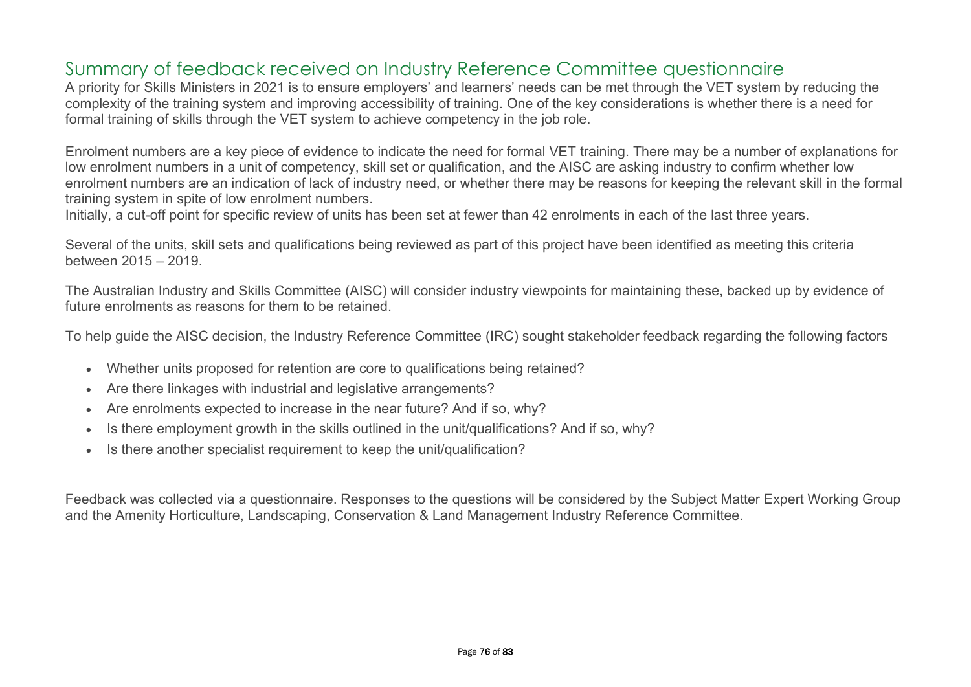## Summary of feedback received on Industry Reference Committee questionnaire

A priority for Skills Ministers in 2021 is to ensure employers' and learners' needs can be met through the VET system by reducing the complexity of the training system and improving accessibility of training. One of the key considerations is whether there is a need for formal training of skills through the VET system to achieve competency in the job role.

Enrolment numbers are a key piece of evidence to indicate the need for formal VET training. There may be a number of explanations for low enrolment numbers in a unit of competency, skill set or qualification, and the AISC are asking industry to confirm whether low enrolment numbers are an indication of lack of industry need, or whether there may be reasons for keeping the relevant skill in the formal training system in spite of low enrolment numbers.

Initially, a cut-off point for specific review of units has been set at fewer than 42 enrolments in each of the last three years.

Several of the units, skill sets and qualifications being reviewed as part of this project have been identified as meeting this criteria between 2015 – 2019.

The Australian Industry and Skills Committee (AISC) will consider industry viewpoints for maintaining these, backed up by evidence of future enrolments as reasons for them to be retained.

To help guide the AISC decision, the Industry Reference Committee (IRC) sought stakeholder feedback regarding the following factors

- Whether units proposed for retention are core to qualifications being retained?
- Are there linkages with industrial and legislative arrangements?
- Are enrolments expected to increase in the near future? And if so, why?
- Is there employment growth in the skills outlined in the unit/qualifications? And if so, why?
- Is there another specialist requirement to keep the unit/qualification?

Feedback was collected via a questionnaire. Responses to the questions will be considered by the Subject Matter Expert Working Group and the Amenity Horticulture, Landscaping, Conservation & Land Management Industry Reference Committee.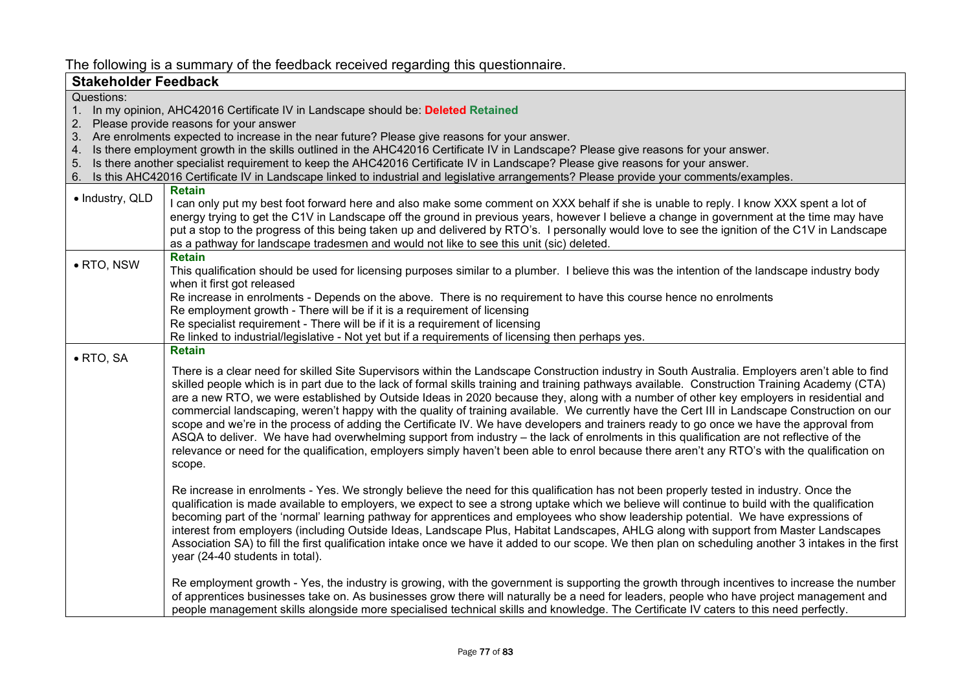## The following is a summary of the feedback received regarding this questionnaire.

| <b>Stakeholder Feedback</b> |                                                                                                                                                                                                                                                                                                                                                                                                                                                                                                                                                                                                                                                                                                                                                                                                                                                                                                                                                                                                                                                 |
|-----------------------------|-------------------------------------------------------------------------------------------------------------------------------------------------------------------------------------------------------------------------------------------------------------------------------------------------------------------------------------------------------------------------------------------------------------------------------------------------------------------------------------------------------------------------------------------------------------------------------------------------------------------------------------------------------------------------------------------------------------------------------------------------------------------------------------------------------------------------------------------------------------------------------------------------------------------------------------------------------------------------------------------------------------------------------------------------|
| Questions:                  |                                                                                                                                                                                                                                                                                                                                                                                                                                                                                                                                                                                                                                                                                                                                                                                                                                                                                                                                                                                                                                                 |
| 1.                          | In my opinion, AHC42016 Certificate IV in Landscape should be: Deleted Retained                                                                                                                                                                                                                                                                                                                                                                                                                                                                                                                                                                                                                                                                                                                                                                                                                                                                                                                                                                 |
| 2.                          | Please provide reasons for your answer                                                                                                                                                                                                                                                                                                                                                                                                                                                                                                                                                                                                                                                                                                                                                                                                                                                                                                                                                                                                          |
|                             | 3. Are enrolments expected to increase in the near future? Please give reasons for your answer.<br>4. Is there employment growth in the skills outlined in the AHC42016 Certificate IV in Landscape? Please give reasons for your answer.                                                                                                                                                                                                                                                                                                                                                                                                                                                                                                                                                                                                                                                                                                                                                                                                       |
| 5.                          | Is there another specialist requirement to keep the AHC42016 Certificate IV in Landscape? Please give reasons for your answer.                                                                                                                                                                                                                                                                                                                                                                                                                                                                                                                                                                                                                                                                                                                                                                                                                                                                                                                  |
| 6.                          | Is this AHC42016 Certificate IV in Landscape linked to industrial and legislative arrangements? Please provide your comments/examples.                                                                                                                                                                                                                                                                                                                                                                                                                                                                                                                                                                                                                                                                                                                                                                                                                                                                                                          |
|                             | <b>Retain</b>                                                                                                                                                                                                                                                                                                                                                                                                                                                                                                                                                                                                                                                                                                                                                                                                                                                                                                                                                                                                                                   |
| · Industry, QLD             | I can only put my best foot forward here and also make some comment on XXX behalf if she is unable to reply. I know XXX spent a lot of                                                                                                                                                                                                                                                                                                                                                                                                                                                                                                                                                                                                                                                                                                                                                                                                                                                                                                          |
|                             | energy trying to get the C1V in Landscape off the ground in previous years, however I believe a change in government at the time may have                                                                                                                                                                                                                                                                                                                                                                                                                                                                                                                                                                                                                                                                                                                                                                                                                                                                                                       |
|                             | put a stop to the progress of this being taken up and delivered by RTO's. I personally would love to see the ignition of the C1V in Landscape                                                                                                                                                                                                                                                                                                                                                                                                                                                                                                                                                                                                                                                                                                                                                                                                                                                                                                   |
|                             | as a pathway for landscape tradesmen and would not like to see this unit (sic) deleted.                                                                                                                                                                                                                                                                                                                                                                                                                                                                                                                                                                                                                                                                                                                                                                                                                                                                                                                                                         |
| • RTO, NSW                  | <b>Retain</b>                                                                                                                                                                                                                                                                                                                                                                                                                                                                                                                                                                                                                                                                                                                                                                                                                                                                                                                                                                                                                                   |
|                             | This qualification should be used for licensing purposes similar to a plumber. I believe this was the intention of the landscape industry body<br>when it first got released                                                                                                                                                                                                                                                                                                                                                                                                                                                                                                                                                                                                                                                                                                                                                                                                                                                                    |
|                             | Re increase in enrolments - Depends on the above. There is no requirement to have this course hence no enrolments                                                                                                                                                                                                                                                                                                                                                                                                                                                                                                                                                                                                                                                                                                                                                                                                                                                                                                                               |
|                             | Re employment growth - There will be if it is a requirement of licensing                                                                                                                                                                                                                                                                                                                                                                                                                                                                                                                                                                                                                                                                                                                                                                                                                                                                                                                                                                        |
|                             | Re specialist requirement - There will be if it is a requirement of licensing                                                                                                                                                                                                                                                                                                                                                                                                                                                                                                                                                                                                                                                                                                                                                                                                                                                                                                                                                                   |
|                             | Re linked to industrial/legislative - Not yet but if a requirements of licensing then perhaps yes.                                                                                                                                                                                                                                                                                                                                                                                                                                                                                                                                                                                                                                                                                                                                                                                                                                                                                                                                              |
| $\bullet$ RTO, SA           | <b>Retain</b>                                                                                                                                                                                                                                                                                                                                                                                                                                                                                                                                                                                                                                                                                                                                                                                                                                                                                                                                                                                                                                   |
|                             | There is a clear need for skilled Site Supervisors within the Landscape Construction industry in South Australia. Employers aren't able to find<br>skilled people which is in part due to the lack of formal skills training and training pathways available. Construction Training Academy (CTA)<br>are a new RTO, we were established by Outside Ideas in 2020 because they, along with a number of other key employers in residential and<br>commercial landscaping, weren't happy with the quality of training available. We currently have the Cert III in Landscape Construction on our<br>scope and we're in the process of adding the Certificate IV. We have developers and trainers ready to go once we have the approval from<br>ASQA to deliver. We have had overwhelming support from industry – the lack of enrolments in this qualification are not reflective of the<br>relevance or need for the qualification, employers simply haven't been able to enrol because there aren't any RTO's with the qualification on<br>scope. |
|                             | Re increase in enrolments - Yes. We strongly believe the need for this qualification has not been properly tested in industry. Once the<br>qualification is made available to employers, we expect to see a strong uptake which we believe will continue to build with the qualification<br>becoming part of the 'normal' learning pathway for apprentices and employees who show leadership potential. We have expressions of<br>interest from employers (including Outside Ideas, Landscape Plus, Habitat Landscapes, AHLG along with support from Master Landscapes<br>Association SA) to fill the first qualification intake once we have it added to our scope. We then plan on scheduling another 3 intakes in the first<br>year (24-40 students in total).                                                                                                                                                                                                                                                                               |
|                             | Re employment growth - Yes, the industry is growing, with the government is supporting the growth through incentives to increase the number<br>of apprentices businesses take on. As businesses grow there will naturally be a need for leaders, people who have project management and<br>people management skills alongside more specialised technical skills and knowledge. The Certificate IV caters to this need perfectly.                                                                                                                                                                                                                                                                                                                                                                                                                                                                                                                                                                                                                |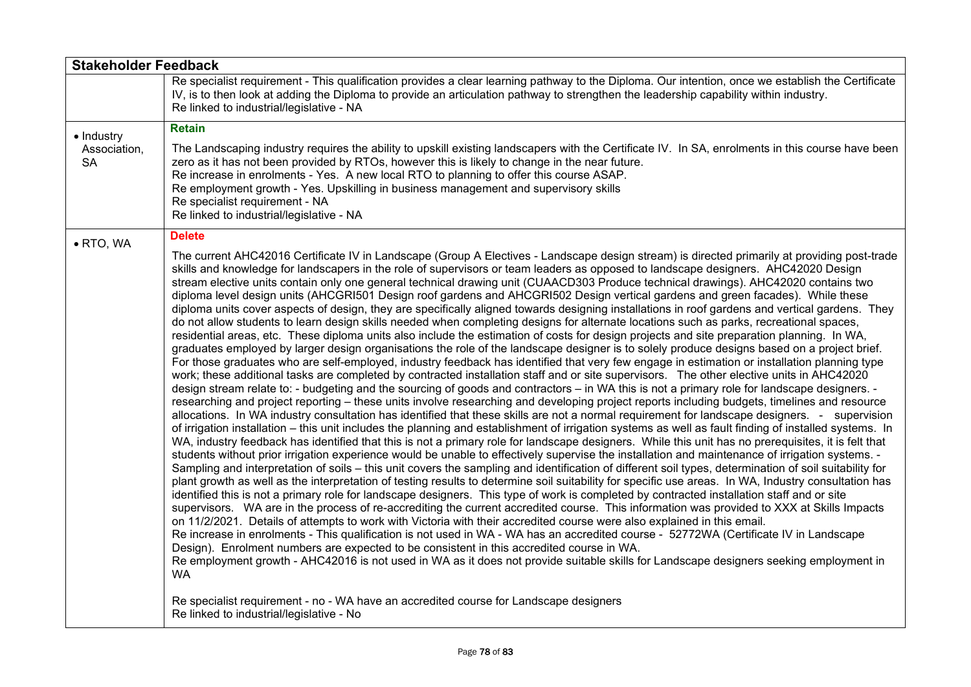| <b>Stakeholder Feedback</b> |                                                                                                                                                                                                                                                                                                                                                                                                                                                                                                                                                                                                                                                                                                                                                                                                                                                                                                                                                                                                                                                                                                                                                                                                                                                                                                                                                                                                                                                                                                                                                                                                                                                                                                                                                                                                                                                                                                                                                                                                                                                                                                                                                                                                                                                                                                                                                                                                                                                                                                                                                                                                                                                                                                                                                                                                                                                                                                                                                                                                                                                                                                                                                                                                                                                                                                                                                                                                                                                                                                                                                                                                                                                      |
|-----------------------------|------------------------------------------------------------------------------------------------------------------------------------------------------------------------------------------------------------------------------------------------------------------------------------------------------------------------------------------------------------------------------------------------------------------------------------------------------------------------------------------------------------------------------------------------------------------------------------------------------------------------------------------------------------------------------------------------------------------------------------------------------------------------------------------------------------------------------------------------------------------------------------------------------------------------------------------------------------------------------------------------------------------------------------------------------------------------------------------------------------------------------------------------------------------------------------------------------------------------------------------------------------------------------------------------------------------------------------------------------------------------------------------------------------------------------------------------------------------------------------------------------------------------------------------------------------------------------------------------------------------------------------------------------------------------------------------------------------------------------------------------------------------------------------------------------------------------------------------------------------------------------------------------------------------------------------------------------------------------------------------------------------------------------------------------------------------------------------------------------------------------------------------------------------------------------------------------------------------------------------------------------------------------------------------------------------------------------------------------------------------------------------------------------------------------------------------------------------------------------------------------------------------------------------------------------------------------------------------------------------------------------------------------------------------------------------------------------------------------------------------------------------------------------------------------------------------------------------------------------------------------------------------------------------------------------------------------------------------------------------------------------------------------------------------------------------------------------------------------------------------------------------------------------------------------------------------------------------------------------------------------------------------------------------------------------------------------------------------------------------------------------------------------------------------------------------------------------------------------------------------------------------------------------------------------------------------------------------------------------------------------------------------------------|
|                             | Re specialist requirement - This qualification provides a clear learning pathway to the Diploma. Our intention, once we establish the Certificate<br>IV, is to then look at adding the Diploma to provide an articulation pathway to strengthen the leadership capability within industry.<br>Re linked to industrial/legislative - NA                                                                                                                                                                                                                                                                                                                                                                                                                                                                                                                                                                                                                                                                                                                                                                                                                                                                                                                                                                                                                                                                                                                                                                                                                                                                                                                                                                                                                                                                                                                                                                                                                                                                                                                                                                                                                                                                                                                                                                                                                                                                                                                                                                                                                                                                                                                                                                                                                                                                                                                                                                                                                                                                                                                                                                                                                                                                                                                                                                                                                                                                                                                                                                                                                                                                                                               |
| • Industry                  | <b>Retain</b>                                                                                                                                                                                                                                                                                                                                                                                                                                                                                                                                                                                                                                                                                                                                                                                                                                                                                                                                                                                                                                                                                                                                                                                                                                                                                                                                                                                                                                                                                                                                                                                                                                                                                                                                                                                                                                                                                                                                                                                                                                                                                                                                                                                                                                                                                                                                                                                                                                                                                                                                                                                                                                                                                                                                                                                                                                                                                                                                                                                                                                                                                                                                                                                                                                                                                                                                                                                                                                                                                                                                                                                                                                        |
| Association,<br><b>SA</b>   | The Landscaping industry requires the ability to upskill existing landscapers with the Certificate IV. In SA, enrolments in this course have been<br>zero as it has not been provided by RTOs, however this is likely to change in the near future.<br>Re increase in enrolments - Yes. A new local RTO to planning to offer this course ASAP.<br>Re employment growth - Yes. Upskilling in business management and supervisory skills<br>Re specialist requirement - NA<br>Re linked to industrial/legislative - NA                                                                                                                                                                                                                                                                                                                                                                                                                                                                                                                                                                                                                                                                                                                                                                                                                                                                                                                                                                                                                                                                                                                                                                                                                                                                                                                                                                                                                                                                                                                                                                                                                                                                                                                                                                                                                                                                                                                                                                                                                                                                                                                                                                                                                                                                                                                                                                                                                                                                                                                                                                                                                                                                                                                                                                                                                                                                                                                                                                                                                                                                                                                                 |
| $\bullet$ RTO, WA           | <b>Delete</b>                                                                                                                                                                                                                                                                                                                                                                                                                                                                                                                                                                                                                                                                                                                                                                                                                                                                                                                                                                                                                                                                                                                                                                                                                                                                                                                                                                                                                                                                                                                                                                                                                                                                                                                                                                                                                                                                                                                                                                                                                                                                                                                                                                                                                                                                                                                                                                                                                                                                                                                                                                                                                                                                                                                                                                                                                                                                                                                                                                                                                                                                                                                                                                                                                                                                                                                                                                                                                                                                                                                                                                                                                                        |
|                             | The current AHC42016 Certificate IV in Landscape (Group A Electives - Landscape design stream) is directed primarily at providing post-trade<br>skills and knowledge for landscapers in the role of supervisors or team leaders as opposed to landscape designers. AHC42020 Design<br>stream elective units contain only one general technical drawing unit (CUAACD303 Produce technical drawings). AHC42020 contains two<br>diploma level design units (AHCGRI501 Design roof gardens and AHCGRI502 Design vertical gardens and green facades). While these<br>diploma units cover aspects of design, they are specifically aligned towards designing installations in roof gardens and vertical gardens. They<br>do not allow students to learn design skills needed when completing designs for alternate locations such as parks, recreational spaces,<br>residential areas, etc. These diploma units also include the estimation of costs for design projects and site preparation planning. In WA,<br>graduates employed by larger design organisations the role of the landscape designer is to solely produce designs based on a project brief.<br>For those graduates who are self-employed, industry feedback has identified that very few engage in estimation or installation planning type<br>work; these additional tasks are completed by contracted installation staff and or site supervisors. The other elective units in AHC42020<br>design stream relate to: - budgeting and the sourcing of goods and contractors – in WA this is not a primary role for landscape designers. -<br>researching and project reporting – these units involve researching and developing project reports including budgets, timelines and resource<br>allocations. In WA industry consultation has identified that these skills are not a normal requirement for landscape designers. - supervision<br>of irrigation installation – this unit includes the planning and establishment of irrigation systems as well as fault finding of installed systems. In<br>WA, industry feedback has identified that this is not a primary role for landscape designers. While this unit has no prerequisites, it is felt that<br>students without prior irrigation experience would be unable to effectively supervise the installation and maintenance of irrigation systems. -<br>Sampling and interpretation of soils – this unit covers the sampling and identification of different soil types, determination of soil suitability for<br>plant growth as well as the interpretation of testing results to determine soil suitability for specific use areas. In WA, Industry consultation has<br>identified this is not a primary role for landscape designers. This type of work is completed by contracted installation staff and or site<br>supervisors. WA are in the process of re-accrediting the current accredited course. This information was provided to XXX at Skills Impacts<br>on 11/2/2021. Details of attempts to work with Victoria with their accredited course were also explained in this email.<br>Re increase in enrolments - This qualification is not used in WA - WA has an accredited course - 52772WA (Certificate IV in Landscape<br>Design). Enrolment numbers are expected to be consistent in this accredited course in WA.<br>Re employment growth - AHC42016 is not used in WA as it does not provide suitable skills for Landscape designers seeking employment in<br><b>WA</b><br>Re specialist requirement - no - WA have an accredited course for Landscape designers<br>Re linked to industrial/legislative - No |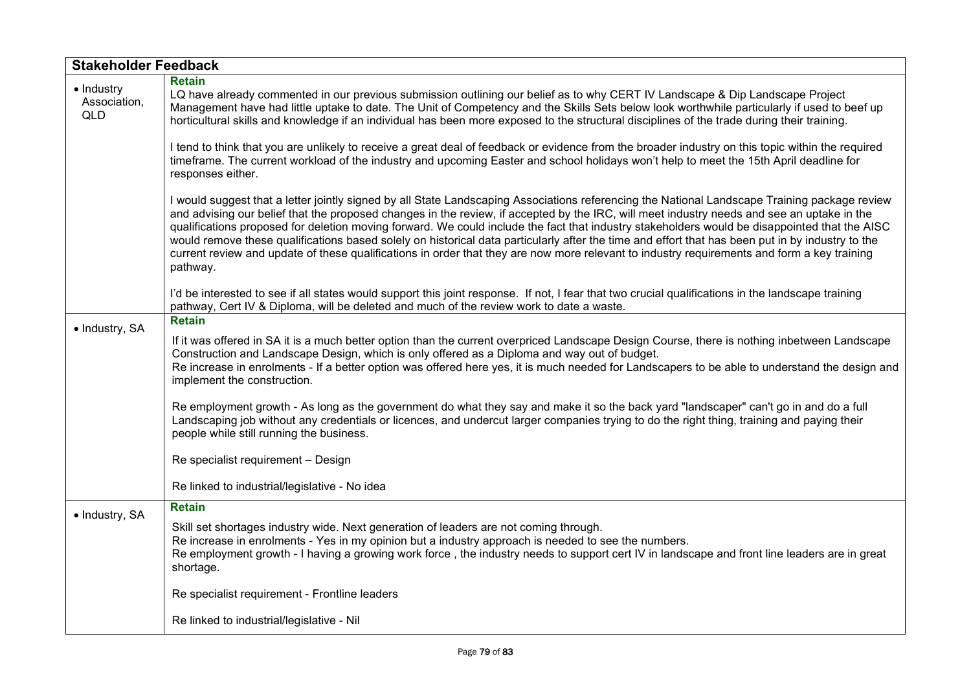| <b>Stakeholder Feedback</b>              |                                                                                                                                                                                                                                                                                                                                                                                                                                                                                                                                                                                                                                                                                                                                                             |
|------------------------------------------|-------------------------------------------------------------------------------------------------------------------------------------------------------------------------------------------------------------------------------------------------------------------------------------------------------------------------------------------------------------------------------------------------------------------------------------------------------------------------------------------------------------------------------------------------------------------------------------------------------------------------------------------------------------------------------------------------------------------------------------------------------------|
| • Industry<br>Association,<br><b>QLD</b> | <b>Retain</b><br>LQ have already commented in our previous submission outlining our belief as to why CERT IV Landscape & Dip Landscape Project<br>Management have had little uptake to date. The Unit of Competency and the Skills Sets below look worthwhile particularly if used to beef up<br>horticultural skills and knowledge if an individual has been more exposed to the structural disciplines of the trade during their training.                                                                                                                                                                                                                                                                                                                |
|                                          | I tend to think that you are unlikely to receive a great deal of feedback or evidence from the broader industry on this topic within the required<br>timeframe. The current workload of the industry and upcoming Easter and school holidays won't help to meet the 15th April deadline for<br>responses either.                                                                                                                                                                                                                                                                                                                                                                                                                                            |
|                                          | I would suggest that a letter jointly signed by all State Landscaping Associations referencing the National Landscape Training package review<br>and advising our belief that the proposed changes in the review, if accepted by the IRC, will meet industry needs and see an uptake in the<br>qualifications proposed for deletion moving forward. We could include the fact that industry stakeholders would be disappointed that the AISC<br>would remove these qualifications based solely on historical data particularly after the time and effort that has been put in by industry to the<br>current review and update of these qualifications in order that they are now more relevant to industry requirements and form a key training<br>pathway. |
|                                          | I'd be interested to see if all states would support this joint response. If not, I fear that two crucial qualifications in the landscape training<br>pathway, Cert IV & Diploma, will be deleted and much of the review work to date a waste.                                                                                                                                                                                                                                                                                                                                                                                                                                                                                                              |
| · Industry, SA                           | <b>Retain</b>                                                                                                                                                                                                                                                                                                                                                                                                                                                                                                                                                                                                                                                                                                                                               |
|                                          | If it was offered in SA it is a much better option than the current overpriced Landscape Design Course, there is nothing inbetween Landscape<br>Construction and Landscape Design, which is only offered as a Diploma and way out of budget.<br>Re increase in enrolments - If a better option was offered here yes, it is much needed for Landscapers to be able to understand the design and<br>implement the construction.                                                                                                                                                                                                                                                                                                                               |
|                                          | Re employment growth - As long as the government do what they say and make it so the back yard "landscaper" can't go in and do a full<br>Landscaping job without any credentials or licences, and undercut larger companies trying to do the right thing, training and paying their<br>people while still running the business.                                                                                                                                                                                                                                                                                                                                                                                                                             |
|                                          | Re specialist requirement - Design                                                                                                                                                                                                                                                                                                                                                                                                                                                                                                                                                                                                                                                                                                                          |
|                                          | Re linked to industrial/legislative - No idea                                                                                                                                                                                                                                                                                                                                                                                                                                                                                                                                                                                                                                                                                                               |
| · Industry, SA                           | <b>Retain</b>                                                                                                                                                                                                                                                                                                                                                                                                                                                                                                                                                                                                                                                                                                                                               |
|                                          | Skill set shortages industry wide. Next generation of leaders are not coming through.<br>Re increase in enrolments - Yes in my opinion but a industry approach is needed to see the numbers.<br>Re employment growth - I having a growing work force, the industry needs to support cert IV in landscape and front line leaders are in great<br>shortage.                                                                                                                                                                                                                                                                                                                                                                                                   |
|                                          | Re specialist requirement - Frontline leaders                                                                                                                                                                                                                                                                                                                                                                                                                                                                                                                                                                                                                                                                                                               |
|                                          | Re linked to industrial/legislative - Nil                                                                                                                                                                                                                                                                                                                                                                                                                                                                                                                                                                                                                                                                                                                   |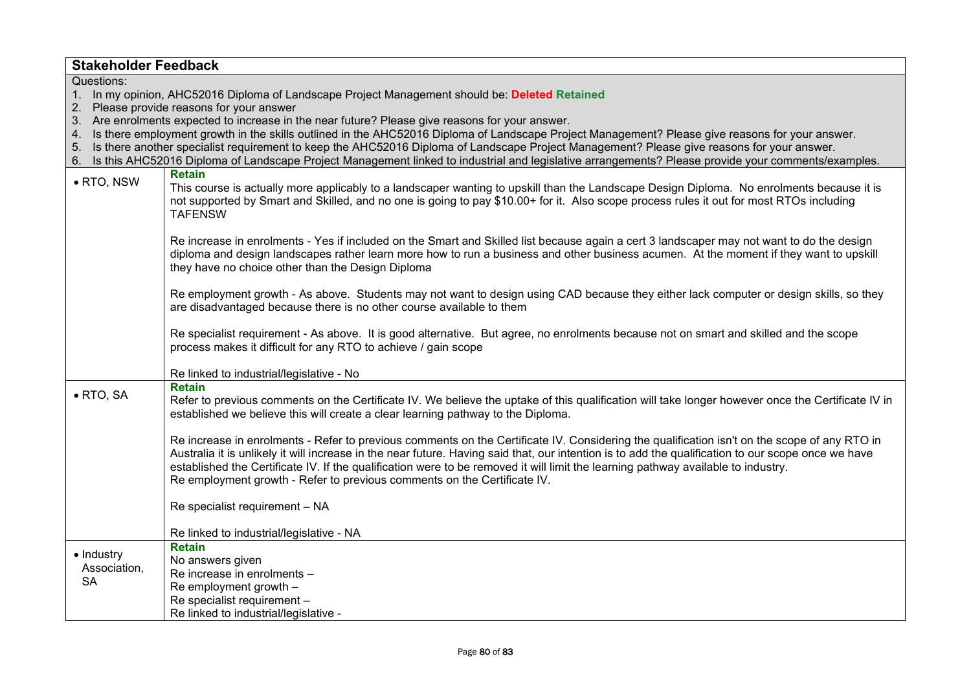| <b>Stakeholder Feedback</b>                                                                 |                                                                                                                                                                                                               |  |
|---------------------------------------------------------------------------------------------|---------------------------------------------------------------------------------------------------------------------------------------------------------------------------------------------------------------|--|
| Questions:                                                                                  |                                                                                                                                                                                                               |  |
| In my opinion, AHC52016 Diploma of Landscape Project Management should be: Deleted Retained |                                                                                                                                                                                                               |  |
| 2.<br>Please provide reasons for your answer                                                |                                                                                                                                                                                                               |  |
|                                                                                             | 3. Are enrolments expected to increase in the near future? Please give reasons for your answer.                                                                                                               |  |
| 4.                                                                                          | Is there employment growth in the skills outlined in the AHC52016 Diploma of Landscape Project Management? Please give reasons for your answer.                                                               |  |
| 5.                                                                                          | Is there another specialist requirement to keep the AHC52016 Diploma of Landscape Project Management? Please give reasons for your answer.                                                                    |  |
| 6.                                                                                          | Is this AHC52016 Diploma of Landscape Project Management linked to industrial and legislative arrangements? Please provide your comments/examples.                                                            |  |
| $\bullet$ RTO, NSW                                                                          | <b>Retain</b>                                                                                                                                                                                                 |  |
|                                                                                             | This course is actually more applicably to a landscaper wanting to upskill than the Landscape Design Diploma. No enrolments because it is                                                                     |  |
|                                                                                             | not supported by Smart and Skilled, and no one is going to pay \$10.00+ for it. Also scope process rules it out for most RTOs including<br><b>TAFENSW</b>                                                     |  |
|                                                                                             |                                                                                                                                                                                                               |  |
|                                                                                             | Re increase in enrolments - Yes if included on the Smart and Skilled list because again a cert 3 landscaper may not want to do the design                                                                     |  |
|                                                                                             | diploma and design landscapes rather learn more how to run a business and other business acumen. At the moment if they want to upskill                                                                        |  |
|                                                                                             | they have no choice other than the Design Diploma                                                                                                                                                             |  |
|                                                                                             |                                                                                                                                                                                                               |  |
|                                                                                             | Re employment growth - As above. Students may not want to design using CAD because they either lack computer or design skills, so they                                                                        |  |
|                                                                                             | are disadvantaged because there is no other course available to them                                                                                                                                          |  |
|                                                                                             |                                                                                                                                                                                                               |  |
|                                                                                             | Re specialist requirement - As above. It is good alternative. But agree, no enrolments because not on smart and skilled and the scope                                                                         |  |
|                                                                                             | process makes it difficult for any RTO to achieve / gain scope                                                                                                                                                |  |
|                                                                                             | Re linked to industrial/legislative - No                                                                                                                                                                      |  |
|                                                                                             | <b>Retain</b>                                                                                                                                                                                                 |  |
| $\bullet$ RTO, SA                                                                           | Refer to previous comments on the Certificate IV. We believe the uptake of this qualification will take longer however once the Certificate IV in                                                             |  |
|                                                                                             | established we believe this will create a clear learning pathway to the Diploma.                                                                                                                              |  |
|                                                                                             |                                                                                                                                                                                                               |  |
|                                                                                             | Re increase in enrolments - Refer to previous comments on the Certificate IV. Considering the qualification isn't on the scope of any RTO in                                                                  |  |
|                                                                                             | Australia it is unlikely it will increase in the near future. Having said that, our intention is to add the qualification to our scope once we have                                                           |  |
|                                                                                             | established the Certificate IV. If the qualification were to be removed it will limit the learning pathway available to industry.<br>Re employment growth - Refer to previous comments on the Certificate IV. |  |
|                                                                                             |                                                                                                                                                                                                               |  |
|                                                                                             | Re specialist requirement - NA                                                                                                                                                                                |  |
|                                                                                             |                                                                                                                                                                                                               |  |
|                                                                                             | Re linked to industrial/legislative - NA                                                                                                                                                                      |  |
|                                                                                             | <b>Retain</b>                                                                                                                                                                                                 |  |
| • Industry<br>Association,<br><b>SA</b>                                                     | No answers given                                                                                                                                                                                              |  |
|                                                                                             | Re increase in enrolments -                                                                                                                                                                                   |  |
|                                                                                             | Re employment growth -                                                                                                                                                                                        |  |
|                                                                                             | Re specialist requirement -                                                                                                                                                                                   |  |
|                                                                                             | Re linked to industrial/legislative -                                                                                                                                                                         |  |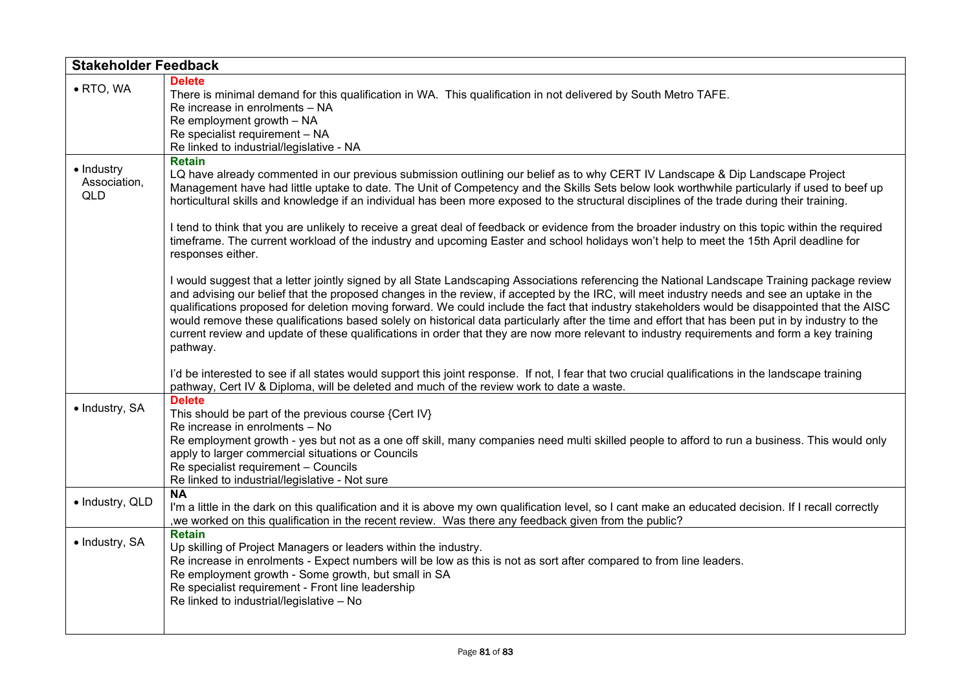| <b>Stakeholder Feedback</b>              |                                                                                                                                                                                                                                                                                                                                                                                                                                                                                                                                                                                                                                                                                                                                                                                                                                                                                                                   |
|------------------------------------------|-------------------------------------------------------------------------------------------------------------------------------------------------------------------------------------------------------------------------------------------------------------------------------------------------------------------------------------------------------------------------------------------------------------------------------------------------------------------------------------------------------------------------------------------------------------------------------------------------------------------------------------------------------------------------------------------------------------------------------------------------------------------------------------------------------------------------------------------------------------------------------------------------------------------|
| • RTO, WA                                | <b>Delete</b><br>There is minimal demand for this qualification in WA. This qualification in not delivered by South Metro TAFE.<br>Re increase in enrolments - NA<br>Re employment growth - NA<br>Re specialist requirement - NA<br>Re linked to industrial/legislative - NA                                                                                                                                                                                                                                                                                                                                                                                                                                                                                                                                                                                                                                      |
| · Industry<br>Association,<br><b>QLD</b> | <b>Retain</b><br>LQ have already commented in our previous submission outlining our belief as to why CERT IV Landscape & Dip Landscape Project<br>Management have had little uptake to date. The Unit of Competency and the Skills Sets below look worthwhile particularly if used to beef up<br>horticultural skills and knowledge if an individual has been more exposed to the structural disciplines of the trade during their training.<br>I tend to think that you are unlikely to receive a great deal of feedback or evidence from the broader industry on this topic within the required<br>timeframe. The current workload of the industry and upcoming Easter and school holidays won't help to meet the 15th April deadline for<br>responses either.                                                                                                                                                  |
|                                          | I would suggest that a letter jointly signed by all State Landscaping Associations referencing the National Landscape Training package review<br>and advising our belief that the proposed changes in the review, if accepted by the IRC, will meet industry needs and see an uptake in the<br>qualifications proposed for deletion moving forward. We could include the fact that industry stakeholders would be disappointed that the AISC<br>would remove these qualifications based solely on historical data particularly after the time and effort that has been put in by industry to the<br>current review and update of these qualifications in order that they are now more relevant to industry requirements and form a key training<br>pathway.<br>I'd be interested to see if all states would support this joint response. If not, I fear that two crucial qualifications in the landscape training |
| • Industry, SA                           | pathway, Cert IV & Diploma, will be deleted and much of the review work to date a waste.<br><b>Delete</b><br>This should be part of the previous course {Cert IV}<br>Re increase in enrolments - No<br>Re employment growth - yes but not as a one off skill, many companies need multi skilled people to afford to run a business. This would only<br>apply to larger commercial situations or Councils<br>Re specialist requirement - Councils<br>Re linked to industrial/legislative - Not sure                                                                                                                                                                                                                                                                                                                                                                                                                |
| · Industry, QLD                          | <b>NA</b><br>I'm a little in the dark on this qualification and it is above my own qualification level, so I cant make an educated decision. If I recall correctly<br>, we worked on this qualification in the recent review. Was there any feedback given from the public?                                                                                                                                                                                                                                                                                                                                                                                                                                                                                                                                                                                                                                       |
| · Industry, SA                           | <b>Retain</b><br>Up skilling of Project Managers or leaders within the industry.<br>Re increase in enrolments - Expect numbers will be low as this is not as sort after compared to from line leaders.<br>Re employment growth - Some growth, but small in SA<br>Re specialist requirement - Front line leadership<br>Re linked to industrial/legislative - No                                                                                                                                                                                                                                                                                                                                                                                                                                                                                                                                                    |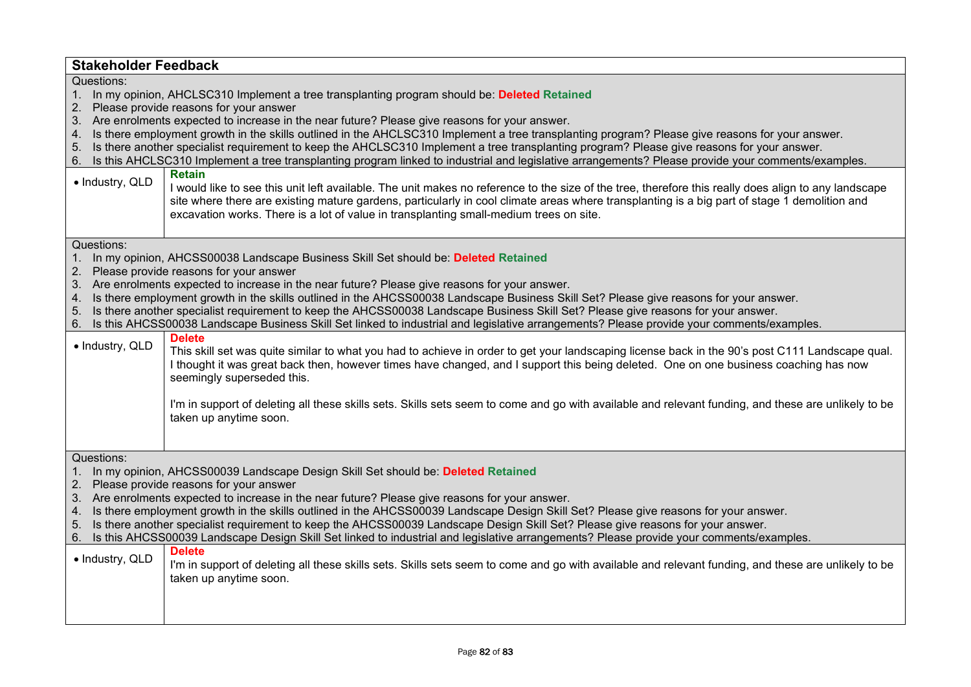|                                                                                                                                                                                                                                                                                                                                                                                                                                                                                                                                                                                                                                                                                                                                                                                                                                                                                                  | <b>Stakeholder Feedback</b>                                                                                                                                                                                                                                                                                                                                                                                                                                                                                                                                                                                                                                                                                                                                                                                                                                                                                                                                                                                                                                                                                           |  |
|--------------------------------------------------------------------------------------------------------------------------------------------------------------------------------------------------------------------------------------------------------------------------------------------------------------------------------------------------------------------------------------------------------------------------------------------------------------------------------------------------------------------------------------------------------------------------------------------------------------------------------------------------------------------------------------------------------------------------------------------------------------------------------------------------------------------------------------------------------------------------------------------------|-----------------------------------------------------------------------------------------------------------------------------------------------------------------------------------------------------------------------------------------------------------------------------------------------------------------------------------------------------------------------------------------------------------------------------------------------------------------------------------------------------------------------------------------------------------------------------------------------------------------------------------------------------------------------------------------------------------------------------------------------------------------------------------------------------------------------------------------------------------------------------------------------------------------------------------------------------------------------------------------------------------------------------------------------------------------------------------------------------------------------|--|
| Questions:<br>2.<br>4.<br>5.<br>6.<br>· Industry, QLD                                                                                                                                                                                                                                                                                                                                                                                                                                                                                                                                                                                                                                                                                                                                                                                                                                            | 1. In my opinion, AHCLSC310 Implement a tree transplanting program should be: Deleted Retained<br>Please provide reasons for your answer<br>3. Are enrolments expected to increase in the near future? Please give reasons for your answer.<br>Is there employment growth in the skills outlined in the AHCLSC310 Implement a tree transplanting program? Please give reasons for your answer.<br>Is there another specialist requirement to keep the AHCLSC310 Implement a tree transplanting program? Please give reasons for your answer.<br>Is this AHCLSC310 Implement a tree transplanting program linked to industrial and legislative arrangements? Please provide your comments/examples.<br><b>Retain</b><br>I would like to see this unit left available. The unit makes no reference to the size of the tree, therefore this really does align to any landscape<br>site where there are existing mature gardens, particularly in cool climate areas where transplanting is a big part of stage 1 demolition and<br>excavation works. There is a lot of value in transplanting small-medium trees on site. |  |
| Questions:<br>In my opinion, AHCSS00038 Landscape Business Skill Set should be: Deleted Retained<br>1.<br>Please provide reasons for your answer<br>2.<br>3. Are enrolments expected to increase in the near future? Please give reasons for your answer.<br>Is there employment growth in the skills outlined in the AHCSS00038 Landscape Business Skill Set? Please give reasons for your answer.<br>4.<br>Is there another specialist requirement to keep the AHCSS00038 Landscape Business Skill Set? Please give reasons for your answer.<br>5.                                                                                                                                                                                                                                                                                                                                             |                                                                                                                                                                                                                                                                                                                                                                                                                                                                                                                                                                                                                                                                                                                                                                                                                                                                                                                                                                                                                                                                                                                       |  |
| 6.<br>· Industry, QLD                                                                                                                                                                                                                                                                                                                                                                                                                                                                                                                                                                                                                                                                                                                                                                                                                                                                            | Is this AHCSS00038 Landscape Business Skill Set linked to industrial and legislative arrangements? Please provide your comments/examples.<br><b>Delete</b><br>This skill set was quite similar to what you had to achieve in order to get your landscaping license back in the 90's post C111 Landscape qual.<br>I thought it was great back then, however times have changed, and I support this being deleted. One on one business coaching has now<br>seemingly superseded this.<br>I'm in support of deleting all these skills sets. Skills sets seem to come and go with available and relevant funding, and these are unlikely to be<br>taken up anytime soon.                                                                                                                                                                                                                                                                                                                                                                                                                                                  |  |
| Questions:<br>In my opinion, AHCSS00039 Landscape Design Skill Set should be: Deleted Retained<br>$1_{\cdot}$<br>Please provide reasons for your answer<br>2.<br>3. Are enrolments expected to increase in the near future? Please give reasons for your answer.<br>4. Is there employment growth in the skills outlined in the AHCSS00039 Landscape Design Skill Set? Please give reasons for your answer.<br>Is there another specialist requirement to keep the AHCSS00039 Landscape Design Skill Set? Please give reasons for your answer.<br>5.<br>Is this AHCSS00039 Landscape Design Skill Set linked to industrial and legislative arrangements? Please provide your comments/examples.<br>6.<br><b>Delete</b><br>· Industry, QLD<br>I'm in support of deleting all these skills sets. Skills sets seem to come and go with available and relevant funding, and these are unlikely to be |                                                                                                                                                                                                                                                                                                                                                                                                                                                                                                                                                                                                                                                                                                                                                                                                                                                                                                                                                                                                                                                                                                                       |  |
|                                                                                                                                                                                                                                                                                                                                                                                                                                                                                                                                                                                                                                                                                                                                                                                                                                                                                                  | taken up anytime soon.                                                                                                                                                                                                                                                                                                                                                                                                                                                                                                                                                                                                                                                                                                                                                                                                                                                                                                                                                                                                                                                                                                |  |